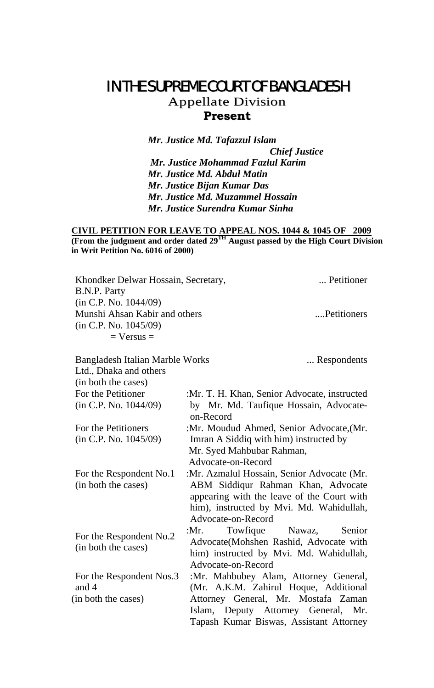## IN THE SUPREME COURT OF BANGLADESH

Appellate Division **Present**

*Mr. Justice Md. Tafazzul Islam Chief Justice Mr. Justice Mohammad Fazlul Karim Mr. Justice Md. Abdul Matin Mr. Justice Bijan Kumar Das Mr. Justice Md. Muzammel Hossain Mr. Justice Surendra Kumar Sinha* 

## **CIVIL PETITION FOR LEAVE TO APPEAL NOS. 1044 & 1045 OF 2009 (From the judgment and order dated 29TH August passed by the High Court Division in Writ Petition No. 6016 of 2000)**

| Khondker Delwar Hossain, Secretary,<br>B.N.P. Party                                               | Petitioner                                                                                                                                         |
|---------------------------------------------------------------------------------------------------|----------------------------------------------------------------------------------------------------------------------------------------------------|
| (in C.P. No. 1044/09)<br>Munshi Ahsan Kabir and others<br>(in C.P. No. 1045/09)<br>$=$ Versus $=$ | Petitioners                                                                                                                                        |
| <b>Bangladesh Italian Marble Works</b><br>Ltd., Dhaka and others<br>(in both the cases)           | Respondents                                                                                                                                        |
| For the Petitioner                                                                                | :Mr. T. H. Khan, Senior Advocate, instructed                                                                                                       |
| (in C.P. No. 1044/09)                                                                             | by Mr. Md. Taufique Hossain, Advocate-<br>on-Record                                                                                                |
| For the Petitioners                                                                               | :Mr. Moudud Ahmed, Senior Advocate, (Mr.                                                                                                           |
| (in C.P. No. 1045/09)                                                                             | Imran A Siddiq with him) instructed by                                                                                                             |
|                                                                                                   | Mr. Syed Mahbubar Rahman,<br>Advocate-on-Record                                                                                                    |
| For the Respondent No.1                                                                           | :Mr. Azmalul Hossain, Senior Advocate (Mr.                                                                                                         |
| (in both the cases)                                                                               | ABM Siddiqur Rahman Khan, Advocate<br>appearing with the leave of the Court with<br>him), instructed by Mvi. Md. Wahidullah,<br>Advocate-on-Record |
| For the Respondent No.2<br>(in both the cases)                                                    | Towfique<br>Nawaz,<br>: $Mr.$<br>Senior<br>Advocate(Mohshen Rashid, Advocate with<br>him) instructed by Mvi. Md. Wahidullah,<br>Advocate-on-Record |
| For the Respondent Nos.3<br>and 4                                                                 | :Mr. Mahbubey Alam, Attorney General,<br>(Mr. A.K.M. Zahirul Hoque, Additional                                                                     |
| (in both the cases)                                                                               | Attorney General, Mr. Mostafa Zaman<br>Islam, Deputy Attorney General, Mr.<br>Tapash Kumar Biswas, Assistant Attorney                              |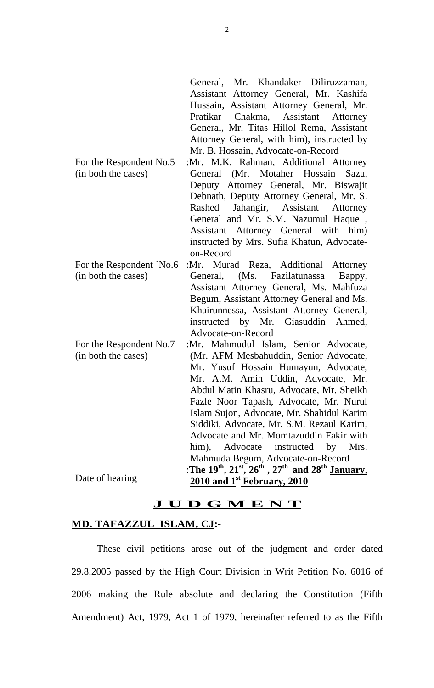|                          | General, Mr. Khandaker Diliruzzaman,<br>Assistant Attorney General, Mr. Kashifa<br>Hussain, Assistant Attorney General, Mr.<br>Pratikar Chakma, Assistant Attorney<br>General, Mr. Titas Hillol Rema, Assistant<br>Attorney General, with him), instructed by<br>Mr. B. Hossain, Advocate-on-Record |
|--------------------------|-----------------------------------------------------------------------------------------------------------------------------------------------------------------------------------------------------------------------------------------------------------------------------------------------------|
| For the Respondent No.5  | :Mr. M.K. Rahman, Additional Attorney                                                                                                                                                                                                                                                               |
| (in both the cases)      | General (Mr. Motaher Hossain Sazu,                                                                                                                                                                                                                                                                  |
|                          | Deputy Attorney General, Mr. Biswajit                                                                                                                                                                                                                                                               |
|                          | Debnath, Deputy Attorney General, Mr. S.                                                                                                                                                                                                                                                            |
|                          | Jahangir, Assistant Attorney<br>Rashed                                                                                                                                                                                                                                                              |
|                          | General and Mr. S.M. Nazumul Haque,                                                                                                                                                                                                                                                                 |
|                          | Assistant Attorney General with him)                                                                                                                                                                                                                                                                |
|                          | instructed by Mrs. Sufia Khatun, Advocate-<br>on-Record                                                                                                                                                                                                                                             |
| For the Respondent `No.6 | :Mr. Murad Reza, Additional Attorney                                                                                                                                                                                                                                                                |
| (in both the cases)      | General, (Ms. Fazilatunassa<br>Bappy,                                                                                                                                                                                                                                                               |
|                          | Assistant Attorney General, Ms. Mahfuza                                                                                                                                                                                                                                                             |
|                          | Begum, Assistant Attorney General and Ms.                                                                                                                                                                                                                                                           |
|                          | Khairunnessa, Assistant Attorney General,                                                                                                                                                                                                                                                           |
|                          | instructed by Mr. Giasuddin Ahmed,<br>Advocate-on-Record                                                                                                                                                                                                                                            |
| For the Respondent No.7  | :Mr. Mahmudul Islam, Senior Advocate,                                                                                                                                                                                                                                                               |
| (in both the cases)      | (Mr. AFM Mesbahuddin, Senior Advocate,                                                                                                                                                                                                                                                              |
|                          | Mr. Yusuf Hossain Humayun, Advocate,                                                                                                                                                                                                                                                                |
|                          | Mr. A.M. Amin Uddin, Advocate, Mr.                                                                                                                                                                                                                                                                  |
|                          | Abdul Matin Khasru, Advocate, Mr. Sheikh                                                                                                                                                                                                                                                            |
|                          | Fazle Noor Tapash, Advocate, Mr. Nurul                                                                                                                                                                                                                                                              |
|                          | Islam Sujon, Advocate, Mr. Shahidul Karim                                                                                                                                                                                                                                                           |
|                          | Siddiki, Advocate, Mr. S.M. Rezaul Karim,<br>Advocate and Mr. Momtazuddin Fakir with                                                                                                                                                                                                                |
|                          | Advocate instructed by Mrs.<br>$him$ ),                                                                                                                                                                                                                                                             |
|                          | Mahmuda Begum, Advocate-on-Record                                                                                                                                                                                                                                                                   |
|                          | :The $19^{th}$ , $21^{st}$ , $26^{th}$ , $27^{th}$ and $28^{th}$ January,                                                                                                                                                                                                                           |
| Date of hearing          | $\frac{2010 \text{ and } 1^{\text{st}} \text{February}, 2010}{20}$                                                                                                                                                                                                                                  |

## **J U D G M E N T**

## **MD. TAFAZZUL ISLAM, CJ:-**

 These civil petitions arose out of the judgment and order dated 29.8.2005 passed by the High Court Division in Writ Petition No. 6016 of 2006 making the Rule absolute and declaring the Constitution (Fifth Amendment) Act, 1979, Act 1 of 1979, hereinafter referred to as the Fifth

2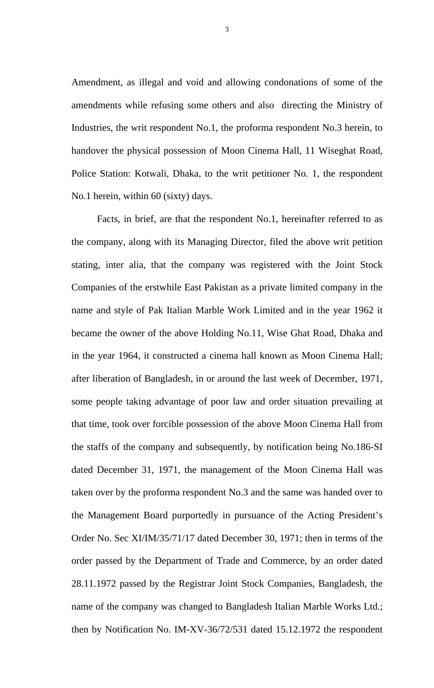Amendment, as illegal and void and allowing condonations of some of the amendments while refusing some others and also directing the Ministry of Industries, the writ respondent No.1, the proforma respondent No.3 herein, to handover the physical possession of Moon Cinema Hall, 11 Wiseghat Road, Police Station: Kotwali, Dhaka, to the writ petitioner No. 1, the respondent No.1 herein, within 60 (sixty) days.

 Facts, in brief, are that the respondent No.1, hereinafter referred to as the company, along with its Managing Director, filed the above writ petition stating, inter alia, that the company was registered with the Joint Stock Companies of the erstwhile East Pakistan as a private limited company in the name and style of Pak Italian Marble Work Limited and in the year 1962 it became the owner of the above Holding No.11, Wise Ghat Road, Dhaka and in the year 1964, it constructed a cinema hall known as Moon Cinema Hall; after liberation of Bangladesh, in or around the last week of December, 1971, some people taking advantage of poor law and order situation prevailing at that time, took over forcible possession of the above Moon Cinema Hall from the staffs of the company and subsequently, by notification being No.186-SI dated December 31, 1971, the management of the Moon Cinema Hall was taken over by the proforma respondent No.3 and the same was handed over to the Management Board purportedly in pursuance of the Acting President's Order No. Sec XI/IM/35/71/17 dated December 30, 1971; then in terms of the order passed by the Department of Trade and Commerce, by an order dated 28.11.1972 passed by the Registrar Joint Stock Companies, Bangladesh, the name of the company was changed to Bangladesh Italian Marble Works Ltd.; then by Notification No. IM-XV-36/72/531 dated 15.12.1972 the respondent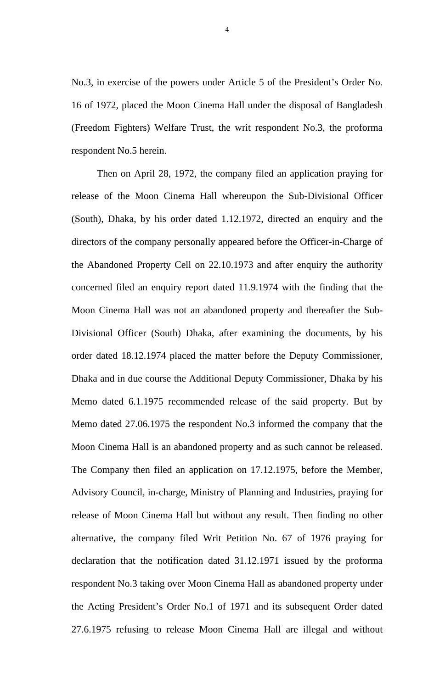No.3, in exercise of the powers under Article 5 of the President's Order No. 16 of 1972, placed the Moon Cinema Hall under the disposal of Bangladesh (Freedom Fighters) Welfare Trust, the writ respondent No.3, the proforma respondent No.5 herein.

 Then on April 28, 1972, the company filed an application praying for release of the Moon Cinema Hall whereupon the Sub-Divisional Officer (South), Dhaka, by his order dated 1.12.1972, directed an enquiry and the directors of the company personally appeared before the Officer-in-Charge of the Abandoned Property Cell on 22.10.1973 and after enquiry the authority concerned filed an enquiry report dated 11.9.1974 with the finding that the Moon Cinema Hall was not an abandoned property and thereafter the Sub-Divisional Officer (South) Dhaka, after examining the documents, by his order dated 18.12.1974 placed the matter before the Deputy Commissioner, Dhaka and in due course the Additional Deputy Commissioner, Dhaka by his Memo dated 6.1.1975 recommended release of the said property. But by Memo dated 27.06.1975 the respondent No.3 informed the company that the Moon Cinema Hall is an abandoned property and as such cannot be released. The Company then filed an application on 17.12.1975, before the Member, Advisory Council, in-charge, Ministry of Planning and Industries, praying for release of Moon Cinema Hall but without any result. Then finding no other alternative, the company filed Writ Petition No. 67 of 1976 praying for declaration that the notification dated 31.12.1971 issued by the proforma respondent No.3 taking over Moon Cinema Hall as abandoned property under the Acting President's Order No.1 of 1971 and its subsequent Order dated 27.6.1975 refusing to release Moon Cinema Hall are illegal and without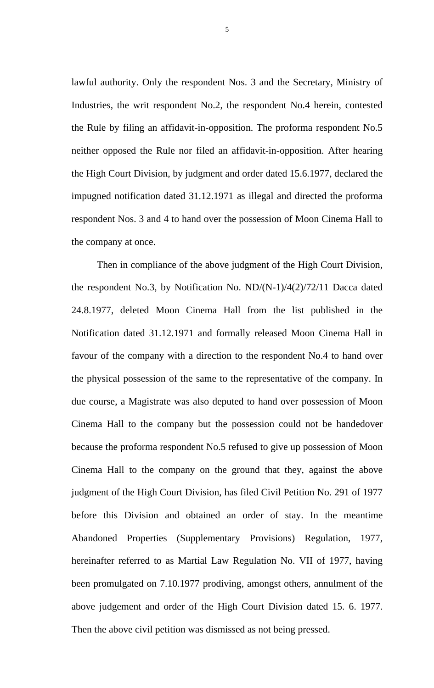lawful authority. Only the respondent Nos. 3 and the Secretary, Ministry of Industries, the writ respondent No.2, the respondent No.4 herein, contested the Rule by filing an affidavit-in-opposition. The proforma respondent No.5 neither opposed the Rule nor filed an affidavit-in-opposition. After hearing the High Court Division, by judgment and order dated 15.6.1977, declared the impugned notification dated 31.12.1971 as illegal and directed the proforma respondent Nos. 3 and 4 to hand over the possession of Moon Cinema Hall to the company at once.

 Then in compliance of the above judgment of the High Court Division, the respondent No.3, by Notification No.  $ND/(N-1)/4(2)/72/11$  Dacca dated 24.8.1977, deleted Moon Cinema Hall from the list published in the Notification dated 31.12.1971 and formally released Moon Cinema Hall in favour of the company with a direction to the respondent No.4 to hand over the physical possession of the same to the representative of the company. In due course, a Magistrate was also deputed to hand over possession of Moon Cinema Hall to the company but the possession could not be handedover because the proforma respondent No.5 refused to give up possession of Moon Cinema Hall to the company on the ground that they, against the above judgment of the High Court Division, has filed Civil Petition No. 291 of 1977 before this Division and obtained an order of stay. In the meantime Abandoned Properties (Supplementary Provisions) Regulation, 1977, hereinafter referred to as Martial Law Regulation No. VII of 1977, having been promulgated on 7.10.1977 prodiving, amongst others, annulment of the above judgement and order of the High Court Division dated 15. 6. 1977. Then the above civil petition was dismissed as not being pressed.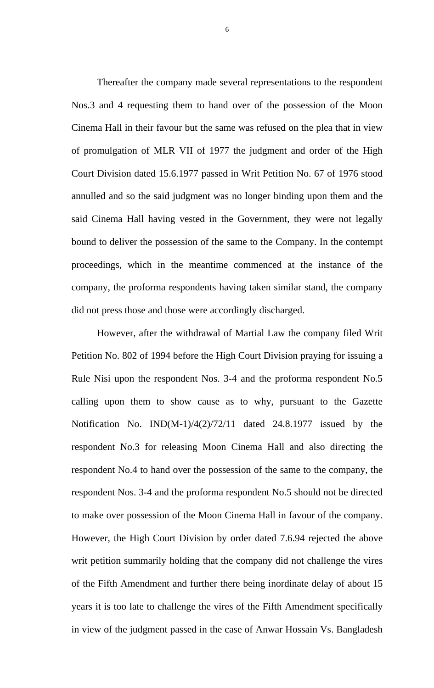Thereafter the company made several representations to the respondent Nos.3 and 4 requesting them to hand over of the possession of the Moon Cinema Hall in their favour but the same was refused on the plea that in view of promulgation of MLR VII of 1977 the judgment and order of the High Court Division dated 15.6.1977 passed in Writ Petition No. 67 of 1976 stood annulled and so the said judgment was no longer binding upon them and the said Cinema Hall having vested in the Government, they were not legally bound to deliver the possession of the same to the Company. In the contempt proceedings, which in the meantime commenced at the instance of the company, the proforma respondents having taken similar stand, the company did not press those and those were accordingly discharged.

 However, after the withdrawal of Martial Law the company filed Writ Petition No. 802 of 1994 before the High Court Division praying for issuing a Rule Nisi upon the respondent Nos. 3-4 and the proforma respondent No.5 calling upon them to show cause as to why, pursuant to the Gazette Notification No. IND(M-1)/4(2)/72/11 dated 24.8.1977 issued by the respondent No.3 for releasing Moon Cinema Hall and also directing the respondent No.4 to hand over the possession of the same to the company, the respondent Nos. 3-4 and the proforma respondent No.5 should not be directed to make over possession of the Moon Cinema Hall in favour of the company. However, the High Court Division by order dated 7.6.94 rejected the above writ petition summarily holding that the company did not challenge the vires of the Fifth Amendment and further there being inordinate delay of about 15 years it is too late to challenge the vires of the Fifth Amendment specifically in view of the judgment passed in the case of Anwar Hossain Vs. Bangladesh

6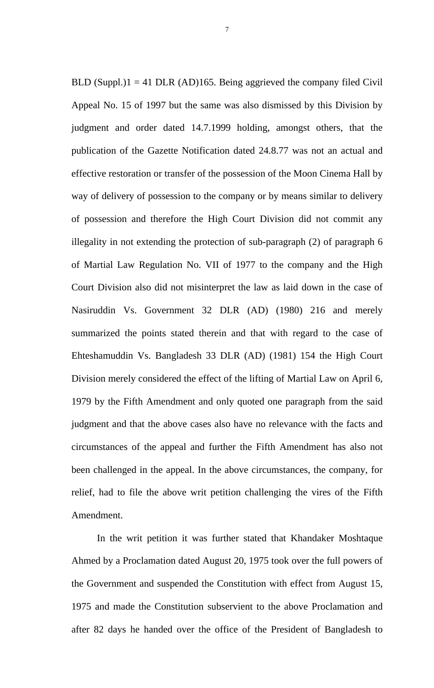BLD (Suppl.) $1 = 41$  DLR (AD)165. Being aggrieved the company filed Civil Appeal No. 15 of 1997 but the same was also dismissed by this Division by judgment and order dated 14.7.1999 holding, amongst others, that the publication of the Gazette Notification dated 24.8.77 was not an actual and effective restoration or transfer of the possession of the Moon Cinema Hall by way of delivery of possession to the company or by means similar to delivery of possession and therefore the High Court Division did not commit any illegality in not extending the protection of sub-paragraph (2) of paragraph 6 of Martial Law Regulation No. VII of 1977 to the company and the High Court Division also did not misinterpret the law as laid down in the case of Nasiruddin Vs. Government 32 DLR (AD) (1980) 216 and merely summarized the points stated therein and that with regard to the case of Ehteshamuddin Vs. Bangladesh 33 DLR (AD) (1981) 154 the High Court Division merely considered the effect of the lifting of Martial Law on April 6, 1979 by the Fifth Amendment and only quoted one paragraph from the said judgment and that the above cases also have no relevance with the facts and circumstances of the appeal and further the Fifth Amendment has also not been challenged in the appeal. In the above circumstances, the company, for relief, had to file the above writ petition challenging the vires of the Fifth Amendment.

In the writ petition it was further stated that Khandaker Moshtaque Ahmed by a Proclamation dated August 20, 1975 took over the full powers of the Government and suspended the Constitution with effect from August 15, 1975 and made the Constitution subservient to the above Proclamation and after 82 days he handed over the office of the President of Bangladesh to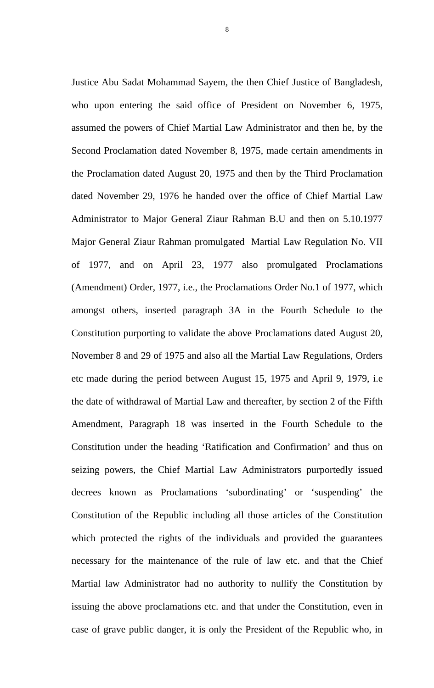Justice Abu Sadat Mohammad Sayem, the then Chief Justice of Bangladesh, who upon entering the said office of President on November 6, 1975, assumed the powers of Chief Martial Law Administrator and then he, by the Second Proclamation dated November 8, 1975, made certain amendments in the Proclamation dated August 20, 1975 and then by the Third Proclamation dated November 29, 1976 he handed over the office of Chief Martial Law Administrator to Major General Ziaur Rahman B.U and then on 5.10.1977 Major General Ziaur Rahman promulgated Martial Law Regulation No. VII of 1977, and on April 23, 1977 also promulgated Proclamations (Amendment) Order, 1977, i.e., the Proclamations Order No.1 of 1977, which amongst others, inserted paragraph 3A in the Fourth Schedule to the Constitution purporting to validate the above Proclamations dated August 20, November 8 and 29 of 1975 and also all the Martial Law Regulations, Orders etc made during the period between August 15, 1975 and April 9, 1979, i.e the date of withdrawal of Martial Law and thereafter, by section 2 of the Fifth Amendment, Paragraph 18 was inserted in the Fourth Schedule to the Constitution under the heading 'Ratification and Confirmation' and thus on seizing powers, the Chief Martial Law Administrators purportedly issued decrees known as Proclamations 'subordinating' or 'suspending' the Constitution of the Republic including all those articles of the Constitution which protected the rights of the individuals and provided the guarantees necessary for the maintenance of the rule of law etc. and that the Chief Martial law Administrator had no authority to nullify the Constitution by issuing the above proclamations etc. and that under the Constitution, even in case of grave public danger, it is only the President of the Republic who, in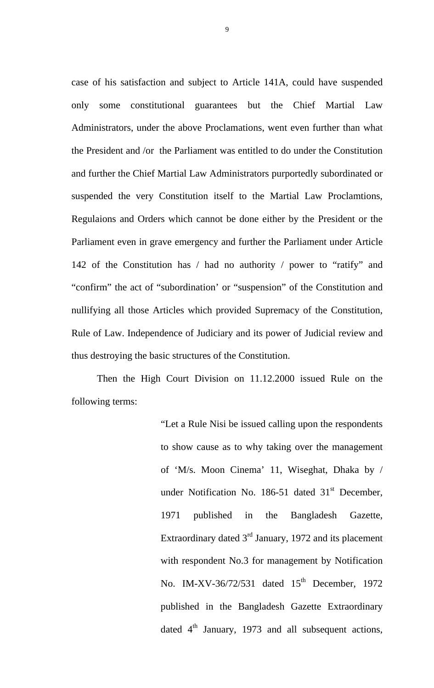case of his satisfaction and subject to Article 141A, could have suspended only some constitutional guarantees but the Chief Martial Law Administrators, under the above Proclamations, went even further than what the President and /or the Parliament was entitled to do under the Constitution and further the Chief Martial Law Administrators purportedly subordinated or suspended the very Constitution itself to the Martial Law Proclamtions, Regulaions and Orders which cannot be done either by the President or the Parliament even in grave emergency and further the Parliament under Article 142 of the Constitution has / had no authority / power to "ratify" and "confirm" the act of "subordination' or "suspension" of the Constitution and nullifying all those Articles which provided Supremacy of the Constitution, Rule of Law. Independence of Judiciary and its power of Judicial review and thus destroying the basic structures of the Constitution.

Then the High Court Division on 11.12.2000 issued Rule on the following terms:

> "Let a Rule Nisi be issued calling upon the respondents to show cause as to why taking over the management of 'M/s. Moon Cinema' 11, Wiseghat, Dhaka by / under Notification No. 186-51 dated  $31<sup>st</sup>$  December, 1971 published in the Bangladesh Gazette, Extraordinary dated 3<sup>rd</sup> January, 1972 and its placement with respondent No.3 for management by Notification No. IM-XV-36/72/531 dated  $15<sup>th</sup>$  December, 1972 published in the Bangladesh Gazette Extraordinary dated  $4<sup>th</sup>$  January, 1973 and all subsequent actions,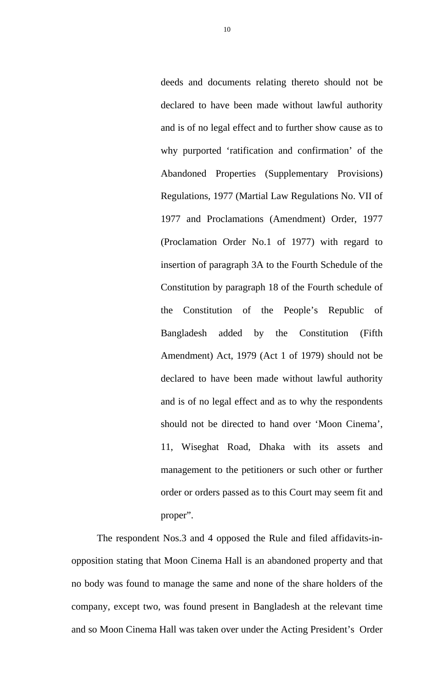deeds and documents relating thereto should not be declared to have been made without lawful authority and is of no legal effect and to further show cause as to why purported 'ratification and confirmation' of the Abandoned Properties (Supplementary Provisions) Regulations, 1977 (Martial Law Regulations No. VII of 1977 and Proclamations (Amendment) Order, 1977 (Proclamation Order No.1 of 1977) with regard to insertion of paragraph 3A to the Fourth Schedule of the Constitution by paragraph 18 of the Fourth schedule of the Constitution of the People's Republic of Bangladesh added by the Constitution (Fifth Amendment) Act, 1979 (Act 1 of 1979) should not be declared to have been made without lawful authority and is of no legal effect and as to why the respondents should not be directed to hand over 'Moon Cinema', 11, Wiseghat Road, Dhaka with its assets and management to the petitioners or such other or further order or orders passed as to this Court may seem fit and proper".

The respondent Nos.3 and 4 opposed the Rule and filed affidavits-inopposition stating that Moon Cinema Hall is an abandoned property and that no body was found to manage the same and none of the share holders of the company, except two, was found present in Bangladesh at the relevant time and so Moon Cinema Hall was taken over under the Acting President's Order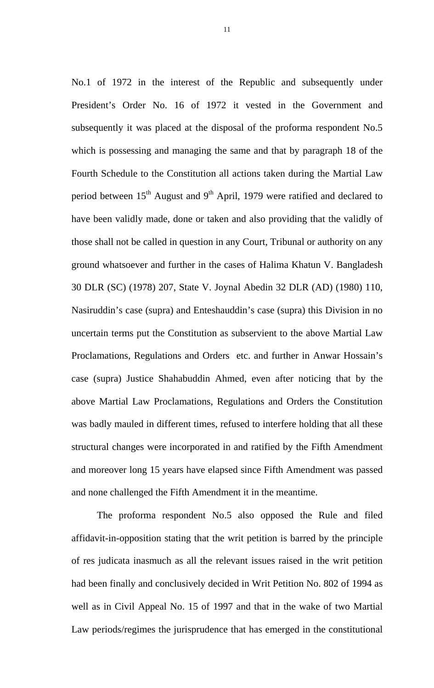No.1 of 1972 in the interest of the Republic and subsequently under President's Order No. 16 of 1972 it vested in the Government and subsequently it was placed at the disposal of the proforma respondent No.5 which is possessing and managing the same and that by paragraph 18 of the Fourth Schedule to the Constitution all actions taken during the Martial Law period between  $15<sup>th</sup>$  August and  $9<sup>th</sup>$  April, 1979 were ratified and declared to have been validly made, done or taken and also providing that the validly of those shall not be called in question in any Court, Tribunal or authority on any ground whatsoever and further in the cases of Halima Khatun V. Bangladesh 30 DLR (SC) (1978) 207, State V. Joynal Abedin 32 DLR (AD) (1980) 110, Nasiruddin's case (supra) and Enteshauddin's case (supra) this Division in no uncertain terms put the Constitution as subservient to the above Martial Law Proclamations, Regulations and Orders etc. and further in Anwar Hossain's case (supra) Justice Shahabuddin Ahmed, even after noticing that by the above Martial Law Proclamations, Regulations and Orders the Constitution was badly mauled in different times, refused to interfere holding that all these structural changes were incorporated in and ratified by the Fifth Amendment and moreover long 15 years have elapsed since Fifth Amendment was passed and none challenged the Fifth Amendment it in the meantime.

 The proforma respondent No.5 also opposed the Rule and filed affidavit-in-opposition stating that the writ petition is barred by the principle of res judicata inasmuch as all the relevant issues raised in the writ petition had been finally and conclusively decided in Writ Petition No. 802 of 1994 as well as in Civil Appeal No. 15 of 1997 and that in the wake of two Martial Law periods/regimes the jurisprudence that has emerged in the constitutional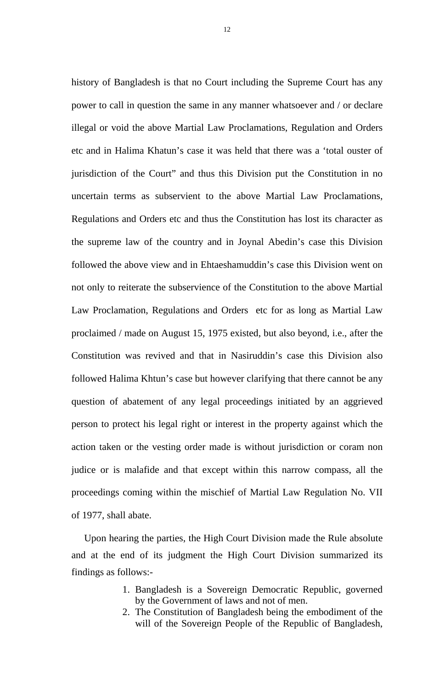history of Bangladesh is that no Court including the Supreme Court has any power to call in question the same in any manner whatsoever and / or declare illegal or void the above Martial Law Proclamations, Regulation and Orders etc and in Halima Khatun's case it was held that there was a 'total ouster of jurisdiction of the Court" and thus this Division put the Constitution in no uncertain terms as subservient to the above Martial Law Proclamations, Regulations and Orders etc and thus the Constitution has lost its character as the supreme law of the country and in Joynal Abedin's case this Division followed the above view and in Ehtaeshamuddin's case this Division went on not only to reiterate the subservience of the Constitution to the above Martial Law Proclamation, Regulations and Orders etc for as long as Martial Law proclaimed / made on August 15, 1975 existed, but also beyond, i.e., after the Constitution was revived and that in Nasiruddin's case this Division also followed Halima Khtun's case but however clarifying that there cannot be any question of abatement of any legal proceedings initiated by an aggrieved person to protect his legal right or interest in the property against which the action taken or the vesting order made is without jurisdiction or coram non judice or is malafide and that except within this narrow compass, all the proceedings coming within the mischief of Martial Law Regulation No. VII of 1977, shall abate.

Upon hearing the parties, the High Court Division made the Rule absolute and at the end of its judgment the High Court Division summarized its findings as follows:-

- 1. Bangladesh is a Sovereign Democratic Republic, governed by the Government of laws and not of men.
- 2. The Constitution of Bangladesh being the embodiment of the will of the Sovereign People of the Republic of Bangladesh,

12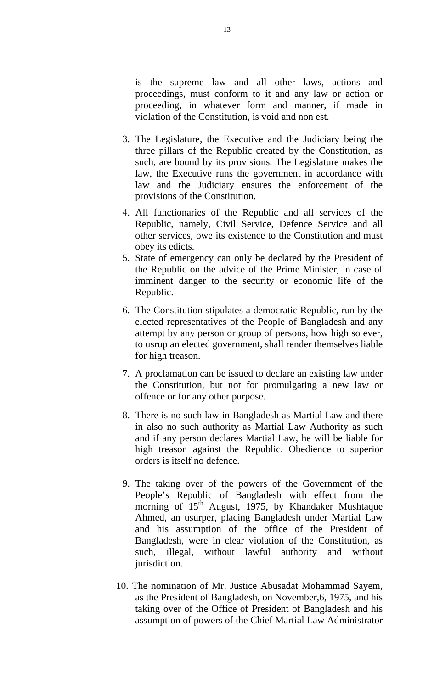is the supreme law and all other laws, actions and proceedings, must conform to it and any law or action or proceeding, in whatever form and manner, if made in violation of the Constitution, is void and non est.

- 3. The Legislature, the Executive and the Judiciary being the three pillars of the Republic created by the Constitution, as such, are bound by its provisions. The Legislature makes the law, the Executive runs the government in accordance with law and the Judiciary ensures the enforcement of the provisions of the Constitution.
- 4. All functionaries of the Republic and all services of the Republic, namely, Civil Service, Defence Service and all other services, owe its existence to the Constitution and must obey its edicts.
- 5. State of emergency can only be declared by the President of the Republic on the advice of the Prime Minister, in case of imminent danger to the security or economic life of the Republic.
- 6. The Constitution stipulates a democratic Republic, run by the elected representatives of the People of Bangladesh and any attempt by any person or group of persons, how high so ever, to usrup an elected government, shall render themselves liable for high treason.
- 7. A proclamation can be issued to declare an existing law under the Constitution, but not for promulgating a new law or offence or for any other purpose.
- 8. There is no such law in Bangladesh as Martial Law and there in also no such authority as Martial Law Authority as such and if any person declares Martial Law, he will be liable for high treason against the Republic. Obedience to superior orders is itself no defence.
- 9. The taking over of the powers of the Government of the People's Republic of Bangladesh with effect from the morning of  $15<sup>th</sup>$  August, 1975, by Khandaker Mushtaque Ahmed, an usurper, placing Bangladesh under Martial Law and his assumption of the office of the President of Bangladesh, were in clear violation of the Constitution, as such, illegal, without lawful authority and without jurisdiction.
- 10. The nomination of Mr. Justice Abusadat Mohammad Sayem, as the President of Bangladesh, on November,6, 1975, and his taking over of the Office of President of Bangladesh and his assumption of powers of the Chief Martial Law Administrator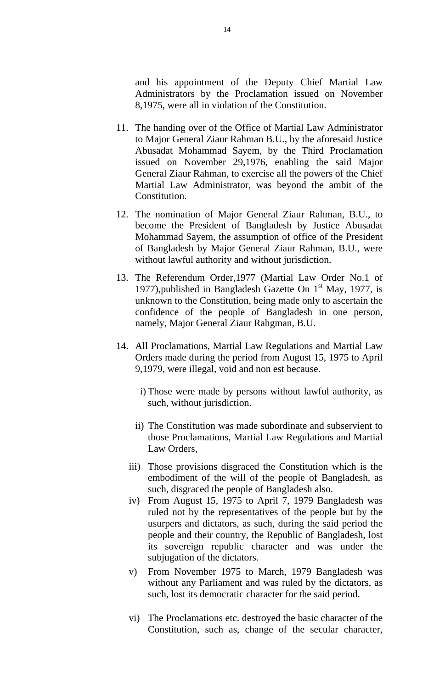and his appointment of the Deputy Chief Martial Law Administrators by the Proclamation issued on November 8,1975, were all in violation of the Constitution.

- 11. The handing over of the Office of Martial Law Administrator to Major General Ziaur Rahman B.U., by the aforesaid Justice Abusadat Mohammad Sayem, by the Third Proclamation issued on November 29,1976, enabling the said Major General Ziaur Rahman, to exercise all the powers of the Chief Martial Law Administrator, was beyond the ambit of the Constitution.
- 12. The nomination of Major General Ziaur Rahman, B.U., to become the President of Bangladesh by Justice Abusadat Mohammad Sayem, the assumption of office of the President of Bangladesh by Major General Ziaur Rahman, B.U., were without lawful authority and without jurisdiction.
- 13. The Referendum Order,1977 (Martial Law Order No.1 of 1977), published in Bangladesh Gazette On  $1<sup>st</sup>$  May, 1977, is unknown to the Constitution, being made only to ascertain the confidence of the people of Bangladesh in one person, namely, Major General Ziaur Rahgman, B.U.
- 14. All Proclamations, Martial Law Regulations and Martial Law Orders made during the period from August 15, 1975 to April 9,1979, were illegal, void and non est because.
	- i) Those were made by persons without lawful authority, as such, without jurisdiction.
	- ii) The Constitution was made subordinate and subservient to those Proclamations, Martial Law Regulations and Martial Law Orders,
	- iii) Those provisions disgraced the Constitution which is the embodiment of the will of the people of Bangladesh, as such, disgraced the people of Bangladesh also.
	- iv) From August 15, 1975 to April 7, 1979 Bangladesh was ruled not by the representatives of the people but by the usurpers and dictators, as such, during the said period the people and their country, the Republic of Bangladesh, lost its sovereign republic character and was under the subjugation of the dictators.
	- v) From November 1975 to March, 1979 Bangladesh was without any Parliament and was ruled by the dictators, as such, lost its democratic character for the said period.
	- vi) The Proclamations etc. destroyed the basic character of the Constitution, such as, change of the secular character,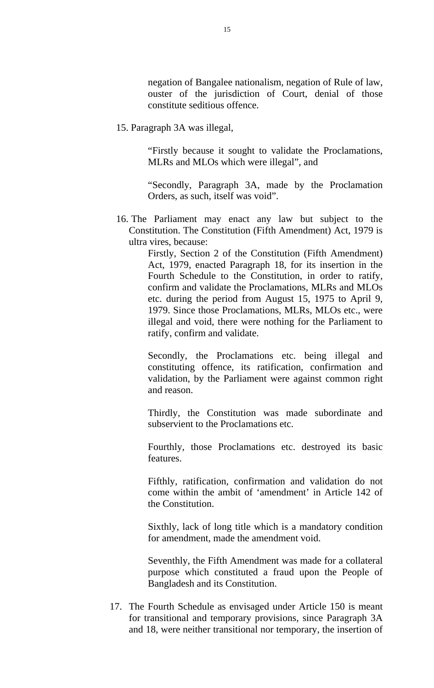negation of Bangalee nationalism, negation of Rule of law, ouster of the jurisdiction of Court, denial of those constitute seditious offence.

15. Paragraph 3A was illegal,

"Firstly because it sought to validate the Proclamations, MLRs and MLOs which were illegal", and

"Secondly, Paragraph 3A, made by the Proclamation Orders, as such, itself was void".

16. The Parliament may enact any law but subject to the Constitution. The Constitution (Fifth Amendment) Act, 1979 is ultra vires, because:

> Firstly, Section 2 of the Constitution (Fifth Amendment) Act, 1979, enacted Paragraph 18, for its insertion in the Fourth Schedule to the Constitution, in order to ratify, confirm and validate the Proclamations, MLRs and MLOs etc. during the period from August 15, 1975 to April 9, 1979. Since those Proclamations, MLRs, MLOs etc., were illegal and void, there were nothing for the Parliament to ratify, confirm and validate.

> Secondly, the Proclamations etc. being illegal and constituting offence, its ratification, confirmation and validation, by the Parliament were against common right and reason.

> Thirdly, the Constitution was made subordinate and subservient to the Proclamations etc.

> Fourthly, those Proclamations etc. destroyed its basic features.

> Fifthly, ratification, confirmation and validation do not come within the ambit of 'amendment' in Article 142 of the Constitution.

> Sixthly, lack of long title which is a mandatory condition for amendment, made the amendment void.

> Seventhly, the Fifth Amendment was made for a collateral purpose which constituted a fraud upon the People of Bangladesh and its Constitution.

17. The Fourth Schedule as envisaged under Article 150 is meant for transitional and temporary provisions, since Paragraph 3A and 18, were neither transitional nor temporary, the insertion of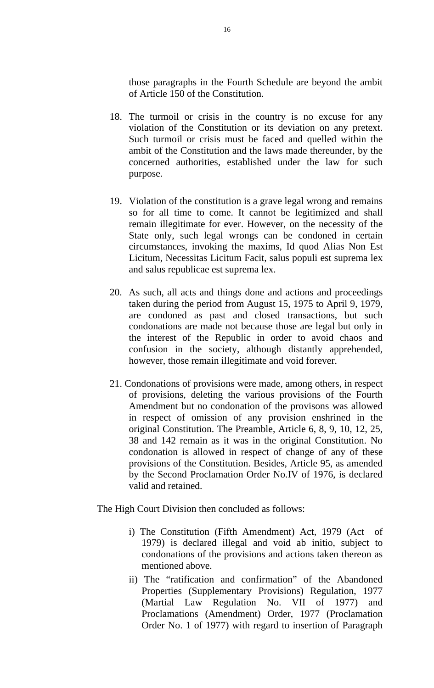those paragraphs in the Fourth Schedule are beyond the ambit of Article 150 of the Constitution.

- 18. The turmoil or crisis in the country is no excuse for any violation of the Constitution or its deviation on any pretext. Such turmoil or crisis must be faced and quelled within the ambit of the Constitution and the laws made thereunder, by the concerned authorities, established under the law for such purpose.
- 19. Violation of the constitution is a grave legal wrong and remains so for all time to come. It cannot be legitimized and shall remain illegitimate for ever. However, on the necessity of the State only, such legal wrongs can be condoned in certain circumstances, invoking the maxims, Id quod Alias Non Est Licitum, Necessitas Licitum Facit, salus populi est suprema lex and salus republicae est suprema lex.
- 20. As such, all acts and things done and actions and proceedings taken during the period from August 15, 1975 to April 9, 1979, are condoned as past and closed transactions, but such condonations are made not because those are legal but only in the interest of the Republic in order to avoid chaos and confusion in the society, although distantly apprehended, however, those remain illegitimate and void forever.
- 21. Condonations of provisions were made, among others, in respect of provisions, deleting the various provisions of the Fourth Amendment but no condonation of the provisons was allowed in respect of omission of any provision enshrined in the original Constitution. The Preamble, Article 6, 8, 9, 10, 12, 25, 38 and 142 remain as it was in the original Constitution. No condonation is allowed in respect of change of any of these provisions of the Constitution. Besides, Article 95, as amended by the Second Proclamation Order No.IV of 1976, is declared valid and retained.

The High Court Division then concluded as follows:

- i) The Constitution (Fifth Amendment) Act, 1979 (Act of 1979) is declared illegal and void ab initio, subject to condonations of the provisions and actions taken thereon as mentioned above.
- ii) The "ratification and confirmation" of the Abandoned Properties (Supplementary Provisions) Regulation, 1977 (Martial Law Regulation No. VII of 1977) and Proclamations (Amendment) Order, 1977 (Proclamation Order No. 1 of 1977) with regard to insertion of Paragraph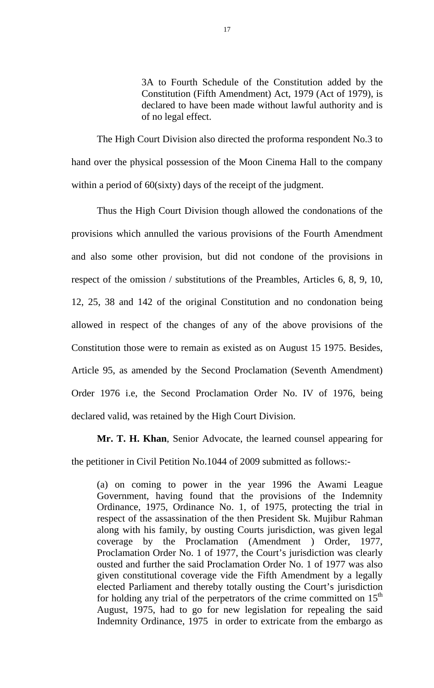3A to Fourth Schedule of the Constitution added by the Constitution (Fifth Amendment) Act, 1979 (Act of 1979), is declared to have been made without lawful authority and is of no legal effect.

The High Court Division also directed the proforma respondent No.3 to hand over the physical possession of the Moon Cinema Hall to the company within a period of 60(sixty) days of the receipt of the judgment.

Thus the High Court Division though allowed the condonations of the provisions which annulled the various provisions of the Fourth Amendment and also some other provision, but did not condone of the provisions in respect of the omission / substitutions of the Preambles, Articles 6, 8, 9, 10, 12, 25, 38 and 142 of the original Constitution and no condonation being allowed in respect of the changes of any of the above provisions of the Constitution those were to remain as existed as on August 15 1975. Besides, Article 95, as amended by the Second Proclamation (Seventh Amendment) Order 1976 i.e, the Second Proclamation Order No. IV of 1976, being declared valid, was retained by the High Court Division.

**Mr. T. H. Khan**, Senior Advocate, the learned counsel appearing for the petitioner in Civil Petition No.1044 of 2009 submitted as follows:-

(a) on coming to power in the year 1996 the Awami League Government, having found that the provisions of the Indemnity Ordinance, 1975, Ordinance No. 1, of 1975, protecting the trial in respect of the assassination of the then President Sk. Mujibur Rahman along with his family, by ousting Courts jurisdiction, was given legal coverage by the Proclamation (Amendment ) Order, 1977, Proclamation Order No. 1 of 1977, the Court's jurisdiction was clearly ousted and further the said Proclamation Order No. 1 of 1977 was also given constitutional coverage vide the Fifth Amendment by a legally elected Parliament and thereby totally ousting the Court's jurisdiction for holding any trial of the perpetrators of the crime committed on  $15<sup>th</sup>$ August, 1975, had to go for new legislation for repealing the said Indemnity Ordinance, 1975 in order to extricate from the embargo as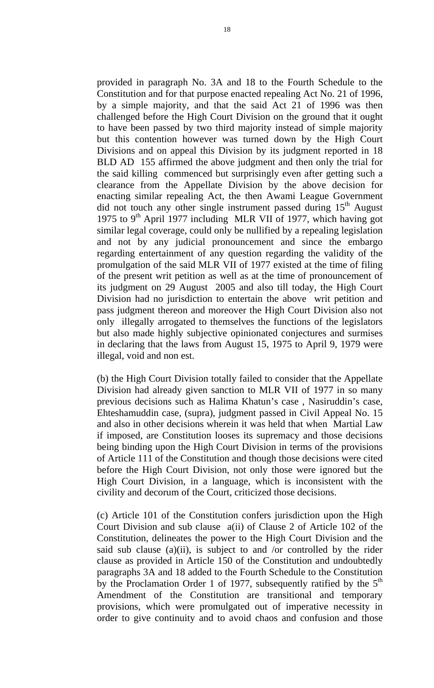provided in paragraph No. 3A and 18 to the Fourth Schedule to the Constitution and for that purpose enacted repealing Act No. 21 of 1996, by a simple majority, and that the said Act 21 of 1996 was then challenged before the High Court Division on the ground that it ought to have been passed by two third majority instead of simple majority but this contention however was turned down by the High Court Divisions and on appeal this Division by its judgment reported in 18 BLD AD 155 affirmed the above judgment and then only the trial for the said killing commenced but surprisingly even after getting such a clearance from the Appellate Division by the above decision for enacting similar repealing Act, the then Awami League Government did not touch any other single instrument passed during  $15<sup>th</sup>$  August 1975 to 9<sup>th</sup> April 1977 including MLR VII of 1977, which having got similar legal coverage, could only be nullified by a repealing legislation and not by any judicial pronouncement and since the embargo regarding entertainment of any question regarding the validity of the promulgation of the said MLR VII of 1977 existed at the time of filing of the present writ petition as well as at the time of pronouncement of its judgment on 29 August 2005 and also till today, the High Court Division had no jurisdiction to entertain the above writ petition and pass judgment thereon and moreover the High Court Division also not only illegally arrogated to themselves the functions of the legislators but also made highly subjective opinionated conjectures and surmises in declaring that the laws from August 15, 1975 to April 9, 1979 were illegal, void and non est.

(b) the High Court Division totally failed to consider that the Appellate Division had already given sanction to MLR VII of 1977 in so many previous decisions such as Halima Khatun's case , Nasiruddin's case, Ehteshamuddin case, (supra), judgment passed in Civil Appeal No. 15 and also in other decisions wherein it was held that when Martial Law if imposed, are Constitution looses its supremacy and those decisions being binding upon the High Court Division in terms of the provisions of Article 111 of the Constitution and though those decisions were cited before the High Court Division, not only those were ignored but the High Court Division, in a language, which is inconsistent with the civility and decorum of the Court, criticized those decisions.

(c) Article 101 of the Constitution confers jurisdiction upon the High Court Division and sub clause a(ii) of Clause 2 of Article 102 of the Constitution, delineates the power to the High Court Division and the said sub clause (a)(ii), is subject to and /or controlled by the rider clause as provided in Article 150 of the Constitution and undoubtedly paragraphs 3A and 18 added to the Fourth Schedule to the Constitution by the Proclamation Order 1 of 1977, subsequently ratified by the  $5<sup>th</sup>$ Amendment of the Constitution are transitional and temporary provisions, which were promulgated out of imperative necessity in order to give continuity and to avoid chaos and confusion and those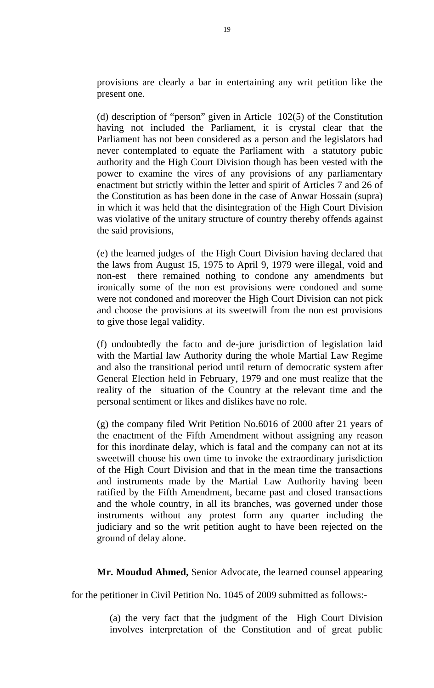provisions are clearly a bar in entertaining any writ petition like the present one.

(d) description of "person" given in Article 102(5) of the Constitution having not included the Parliament, it is crystal clear that the Parliament has not been considered as a person and the legislators had never contemplated to equate the Parliament with a statutory pubic authority and the High Court Division though has been vested with the power to examine the vires of any provisions of any parliamentary enactment but strictly within the letter and spirit of Articles 7 and 26 of the Constitution as has been done in the case of Anwar Hossain (supra) in which it was held that the disintegration of the High Court Division was violative of the unitary structure of country thereby offends against the said provisions,

(e) the learned judges of the High Court Division having declared that the laws from August 15, 1975 to April 9, 1979 were illegal, void and non-est there remained nothing to condone any amendments but ironically some of the non est provisions were condoned and some were not condoned and moreover the High Court Division can not pick and choose the provisions at its sweetwill from the non est provisions to give those legal validity.

(f) undoubtedly the facto and de-jure jurisdiction of legislation laid with the Martial law Authority during the whole Martial Law Regime and also the transitional period until return of democratic system after General Election held in February, 1979 and one must realize that the reality of the situation of the Country at the relevant time and the personal sentiment or likes and dislikes have no role.

(g) the company filed Writ Petition No.6016 of 2000 after 21 years of the enactment of the Fifth Amendment without assigning any reason for this inordinate delay, which is fatal and the company can not at its sweetwill choose his own time to invoke the extraordinary jurisdiction of the High Court Division and that in the mean time the transactions and instruments made by the Martial Law Authority having been ratified by the Fifth Amendment, became past and closed transactions and the whole country, in all its branches, was governed under those instruments without any protest form any quarter including the judiciary and so the writ petition aught to have been rejected on the ground of delay alone.

**Mr. Moudud Ahmed,** Senior Advocate, the learned counsel appearing

for the petitioner in Civil Petition No. 1045 of 2009 submitted as follows:-

(a) the very fact that the judgment of the High Court Division involves interpretation of the Constitution and of great public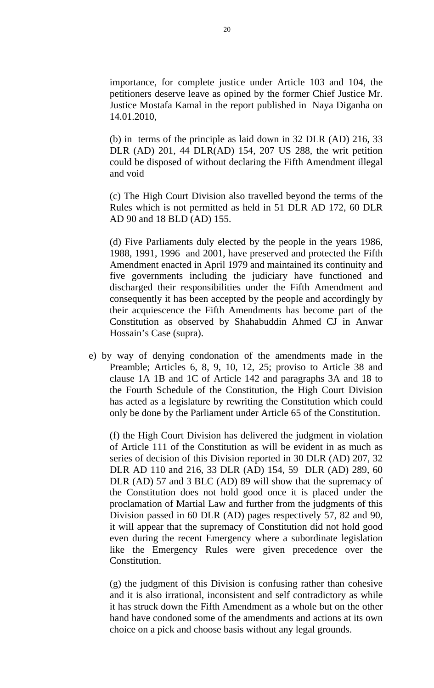importance, for complete justice under Article 103 and 104, the petitioners deserve leave as opined by the former Chief Justice Mr. Justice Mostafa Kamal in the report published in Naya Diganha on 14.01.2010,

(b) in terms of the principle as laid down in 32 DLR (AD) 216, 33 DLR (AD) 201, 44 DLR(AD) 154, 207 US 288, the writ petition could be disposed of without declaring the Fifth Amendment illegal and void

(c) The High Court Division also travelled beyond the terms of the Rules which is not permitted as held in 51 DLR AD 172, 60 DLR AD 90 and 18 BLD (AD) 155.

(d) Five Parliaments duly elected by the people in the years 1986, 1988, 1991, 1996 and 2001, have preserved and protected the Fifth Amendment enacted in April 1979 and maintained its continuity and five governments including the judiciary have functioned and discharged their responsibilities under the Fifth Amendment and consequently it has been accepted by the people and accordingly by their acquiescence the Fifth Amendments has become part of the Constitution as observed by Shahabuddin Ahmed CJ in Anwar Hossain's Case (supra).

 e) by way of denying condonation of the amendments made in the Preamble; Articles 6, 8, 9, 10, 12, 25; proviso to Article 38 and clause 1A 1B and 1C of Article 142 and paragraphs 3A and 18 to the Fourth Schedule of the Constitution, the High Court Division has acted as a legislature by rewriting the Constitution which could only be done by the Parliament under Article 65 of the Constitution.

(f) the High Court Division has delivered the judgment in violation of Article 111 of the Constitution as will be evident in as much as series of decision of this Division reported in 30 DLR (AD) 207, 32 DLR AD 110 and 216, 33 DLR (AD) 154, 59 DLR (AD) 289, 60 DLR (AD) 57 and 3 BLC (AD) 89 will show that the supremacy of the Constitution does not hold good once it is placed under the proclamation of Martial Law and further from the judgments of this Division passed in 60 DLR (AD) pages respectively 57, 82 and 90, it will appear that the supremacy of Constitution did not hold good even during the recent Emergency where a subordinate legislation like the Emergency Rules were given precedence over the Constitution.

(g) the judgment of this Division is confusing rather than cohesive and it is also irrational, inconsistent and self contradictory as while it has struck down the Fifth Amendment as a whole but on the other hand have condoned some of the amendments and actions at its own choice on a pick and choose basis without any legal grounds.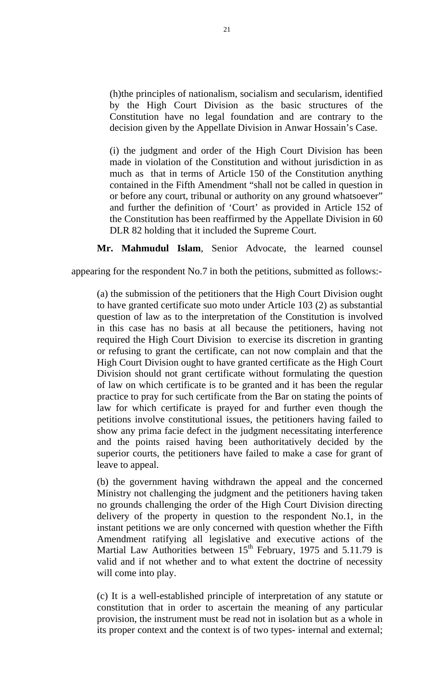(h)the principles of nationalism, socialism and secularism, identified by the High Court Division as the basic structures of the Constitution have no legal foundation and are contrary to the decision given by the Appellate Division in Anwar Hossain's Case.

(i) the judgment and order of the High Court Division has been made in violation of the Constitution and without jurisdiction in as much as that in terms of Article 150 of the Constitution anything contained in the Fifth Amendment "shall not be called in question in or before any court, tribunal or authority on any ground whatsoever" and further the definition of 'Court' as provided in Article 152 of the Constitution has been reaffirmed by the Appellate Division in 60 DLR 82 holding that it included the Supreme Court.

**Mr. Mahmudul Islam**, Senior Advocate, the learned counsel

appearing for the respondent No.7 in both the petitions, submitted as follows:-

(a) the submission of the petitioners that the High Court Division ought to have granted certificate suo moto under Article 103 (2) as substantial question of law as to the interpretation of the Constitution is involved in this case has no basis at all because the petitioners, having not required the High Court Division to exercise its discretion in granting or refusing to grant the certificate, can not now complain and that the High Court Division ought to have granted certificate as the High Court Division should not grant certificate without formulating the question of law on which certificate is to be granted and it has been the regular practice to pray for such certificate from the Bar on stating the points of law for which certificate is prayed for and further even though the petitions involve constitutional issues, the petitioners having failed to show any prima facie defect in the judgment necessitating interference and the points raised having been authoritatively decided by the superior courts, the petitioners have failed to make a case for grant of leave to appeal.

(b) the government having withdrawn the appeal and the concerned Ministry not challenging the judgment and the petitioners having taken no grounds challenging the order of the High Court Division directing delivery of the property in question to the respondent No.1, in the instant petitions we are only concerned with question whether the Fifth Amendment ratifying all legislative and executive actions of the Martial Law Authorities between  $15<sup>th</sup>$  February, 1975 and 5.11.79 is valid and if not whether and to what extent the doctrine of necessity will come into play.

(c) It is a well-established principle of interpretation of any statute or constitution that in order to ascertain the meaning of any particular provision, the instrument must be read not in isolation but as a whole in its proper context and the context is of two types- internal and external;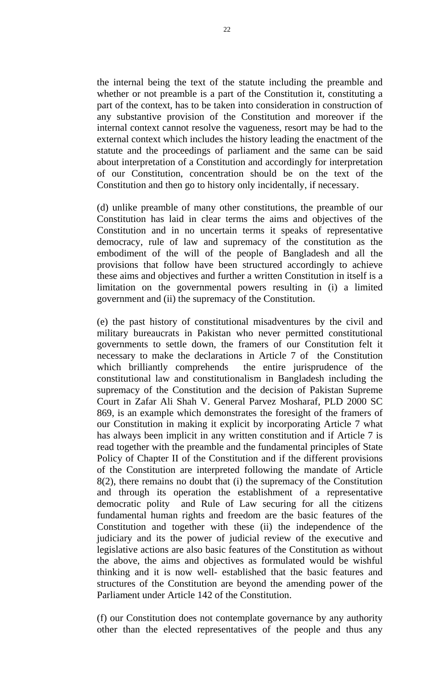the internal being the text of the statute including the preamble and whether or not preamble is a part of the Constitution it, constituting a part of the context, has to be taken into consideration in construction of any substantive provision of the Constitution and moreover if the internal context cannot resolve the vagueness, resort may be had to the external context which includes the history leading the enactment of the statute and the proceedings of parliament and the same can be said about interpretation of a Constitution and accordingly for interpretation of our Constitution, concentration should be on the text of the Constitution and then go to history only incidentally, if necessary.

(d) unlike preamble of many other constitutions, the preamble of our Constitution has laid in clear terms the aims and objectives of the Constitution and in no uncertain terms it speaks of representative democracy, rule of law and supremacy of the constitution as the embodiment of the will of the people of Bangladesh and all the provisions that follow have been structured accordingly to achieve these aims and objectives and further a written Constitution in itself is a limitation on the governmental powers resulting in (i) a limited government and (ii) the supremacy of the Constitution.

(e) the past history of constitutional misadventures by the civil and military bureaucrats in Pakistan who never permitted constitutional governments to settle down, the framers of our Constitution felt it necessary to make the declarations in Article 7 of the Constitution which brilliantly comprehends the entire jurisprudence of the constitutional law and constitutionalism in Bangladesh including the supremacy of the Constitution and the decision of Pakistan Supreme Court in Zafar Ali Shah V. General Parvez Mosharaf, PLD 2000 SC 869, is an example which demonstrates the foresight of the framers of our Constitution in making it explicit by incorporating Article 7 what has always been implicit in any written constitution and if Article 7 is read together with the preamble and the fundamental principles of State Policy of Chapter II of the Constitution and if the different provisions of the Constitution are interpreted following the mandate of Article 8(2), there remains no doubt that (i) the supremacy of the Constitution and through its operation the establishment of a representative democratic polity and Rule of Law securing for all the citizens fundamental human rights and freedom are the basic features of the Constitution and together with these (ii) the independence of the judiciary and its the power of judicial review of the executive and legislative actions are also basic features of the Constitution as without the above, the aims and objectives as formulated would be wishful thinking and it is now well- established that the basic features and structures of the Constitution are beyond the amending power of the Parliament under Article 142 of the Constitution.

(f) our Constitution does not contemplate governance by any authority other than the elected representatives of the people and thus any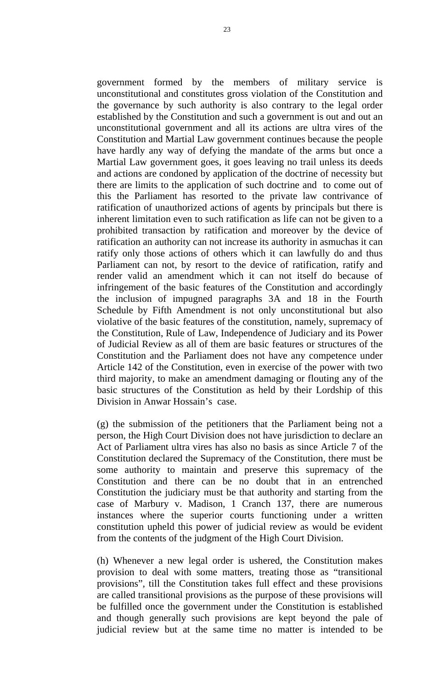government formed by the members of military service is unconstitutional and constitutes gross violation of the Constitution and the governance by such authority is also contrary to the legal order established by the Constitution and such a government is out and out an unconstitutional government and all its actions are ultra vires of the Constitution and Martial Law government continues because the people have hardly any way of defying the mandate of the arms but once a Martial Law government goes, it goes leaving no trail unless its deeds and actions are condoned by application of the doctrine of necessity but there are limits to the application of such doctrine and to come out of this the Parliament has resorted to the private law contrivance of ratification of unauthorized actions of agents by principals but there is inherent limitation even to such ratification as life can not be given to a prohibited transaction by ratification and moreover by the device of ratification an authority can not increase its authority in asmuchas it can ratify only those actions of others which it can lawfully do and thus Parliament can not, by resort to the device of ratification, ratify and render valid an amendment which it can not itself do because of infringement of the basic features of the Constitution and accordingly the inclusion of impugned paragraphs 3A and 18 in the Fourth Schedule by Fifth Amendment is not only unconstitutional but also violative of the basic features of the constitution, namely, supremacy of the Constitution, Rule of Law, Independence of Judiciary and its Power of Judicial Review as all of them are basic features or structures of the Constitution and the Parliament does not have any competence under Article 142 of the Constitution, even in exercise of the power with two third majority, to make an amendment damaging or flouting any of the basic structures of the Constitution as held by their Lordship of this Division in Anwar Hossain's case.

(g) the submission of the petitioners that the Parliament being not a person, the High Court Division does not have jurisdiction to declare an Act of Parliament ultra vires has also no basis as since Article 7 of the Constitution declared the Supremacy of the Constitution, there must be some authority to maintain and preserve this supremacy of the Constitution and there can be no doubt that in an entrenched Constitution the judiciary must be that authority and starting from the case of Marbury v. Madison, 1 Cranch 137, there are numerous instances where the superior courts functioning under a written constitution upheld this power of judicial review as would be evident from the contents of the judgment of the High Court Division.

(h) Whenever a new legal order is ushered, the Constitution makes provision to deal with some matters, treating those as "transitional provisions", till the Constitution takes full effect and these provisions are called transitional provisions as the purpose of these provisions will be fulfilled once the government under the Constitution is established and though generally such provisions are kept beyond the pale of judicial review but at the same time no matter is intended to be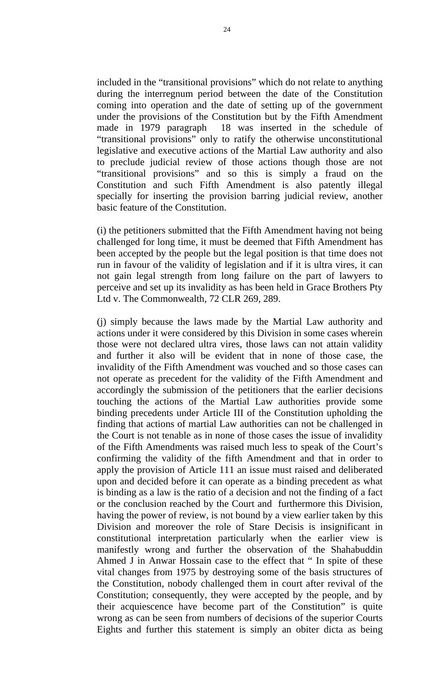included in the "transitional provisions" which do not relate to anything during the interregnum period between the date of the Constitution coming into operation and the date of setting up of the government under the provisions of the Constitution but by the Fifth Amendment made in 1979 paragraph 18 was inserted in the schedule of "transitional provisions" only to ratify the otherwise unconstitutional legislative and executive actions of the Martial Law authority and also to preclude judicial review of those actions though those are not "transitional provisions" and so this is simply a fraud on the Constitution and such Fifth Amendment is also patently illegal specially for inserting the provision barring judicial review, another basic feature of the Constitution.

(i) the petitioners submitted that the Fifth Amendment having not being challenged for long time, it must be deemed that Fifth Amendment has been accepted by the people but the legal position is that time does not run in favour of the validity of legislation and if it is ultra vires, it can not gain legal strength from long failure on the part of lawyers to perceive and set up its invalidity as has been held in Grace Brothers Pty Ltd v. The Commonwealth, 72 CLR 269, 289.

(j) simply because the laws made by the Martial Law authority and actions under it were considered by this Division in some cases wherein those were not declared ultra vires, those laws can not attain validity and further it also will be evident that in none of those case, the invalidity of the Fifth Amendment was vouched and so those cases can not operate as precedent for the validity of the Fifth Amendment and accordingly the submission of the petitioners that the earlier decisions touching the actions of the Martial Law authorities provide some binding precedents under Article III of the Constitution upholding the finding that actions of martial Law authorities can not be challenged in the Court is not tenable as in none of those cases the issue of invalidity of the Fifth Amendments was raised much less to speak of the Court's confirming the validity of the fifth Amendment and that in order to apply the provision of Article 111 an issue must raised and deliberated upon and decided before it can operate as a binding precedent as what is binding as a law is the ratio of a decision and not the finding of a fact or the conclusion reached by the Court and furthermore this Division, having the power of review, is not bound by a view earlier taken by this Division and moreover the role of Stare Decisis is insignificant in constitutional interpretation particularly when the earlier view is manifestly wrong and further the observation of the Shahabuddin Ahmed J in Anwar Hossain case to the effect that " In spite of these vital changes from 1975 by destroying some of the basis structures of the Constitution, nobody challenged them in court after revival of the Constitution; consequently, they were accepted by the people, and by their acquiescence have become part of the Constitution" is quite wrong as can be seen from numbers of decisions of the superior Courts Eights and further this statement is simply an obiter dicta as being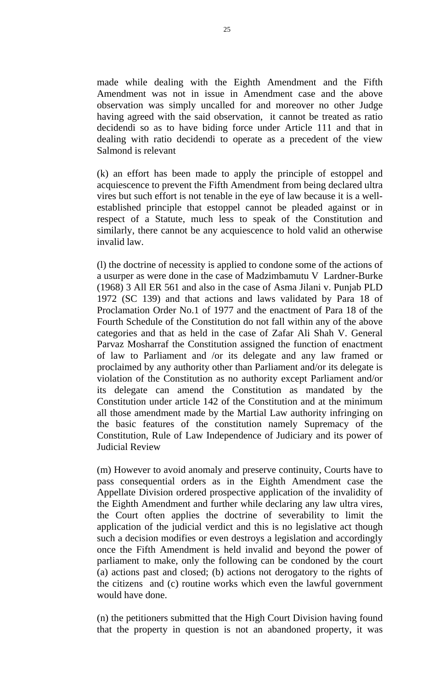made while dealing with the Eighth Amendment and the Fifth Amendment was not in issue in Amendment case and the above observation was simply uncalled for and moreover no other Judge having agreed with the said observation, it cannot be treated as ratio decidendi so as to have biding force under Article 111 and that in dealing with ratio decidendi to operate as a precedent of the view Salmond is relevant

(k) an effort has been made to apply the principle of estoppel and acquiescence to prevent the Fifth Amendment from being declared ultra vires but such effort is not tenable in the eye of law because it is a wellestablished principle that estoppel cannot be pleaded against or in respect of a Statute, much less to speak of the Constitution and similarly, there cannot be any acquiescence to hold valid an otherwise invalid law.

(l) the doctrine of necessity is applied to condone some of the actions of a usurper as were done in the case of Madzimbamutu V Lardner-Burke (1968) 3 All ER 561 and also in the case of Asma Jilani v. Punjab PLD 1972 (SC 139) and that actions and laws validated by Para 18 of Proclamation Order No.1 of 1977 and the enactment of Para 18 of the Fourth Schedule of the Constitution do not fall within any of the above categories and that as held in the case of Zafar Ali Shah V. General Parvaz Mosharraf the Constitution assigned the function of enactment of law to Parliament and /or its delegate and any law framed or proclaimed by any authority other than Parliament and/or its delegate is violation of the Constitution as no authority except Parliament and/or its delegate can amend the Constitution as mandated by the Constitution under article 142 of the Constitution and at the minimum all those amendment made by the Martial Law authority infringing on the basic features of the constitution namely Supremacy of the Constitution, Rule of Law Independence of Judiciary and its power of Judicial Review

(m) However to avoid anomaly and preserve continuity, Courts have to pass consequential orders as in the Eighth Amendment case the Appellate Division ordered prospective application of the invalidity of the Eighth Amendment and further while declaring any law ultra vires, the Court often applies the doctrine of severability to limit the application of the judicial verdict and this is no legislative act though such a decision modifies or even destroys a legislation and accordingly once the Fifth Amendment is held invalid and beyond the power of parliament to make, only the following can be condoned by the court (a) actions past and closed; (b) actions not derogatory to the rights of the citizens and (c) routine works which even the lawful government would have done.

(n) the petitioners submitted that the High Court Division having found that the property in question is not an abandoned property, it was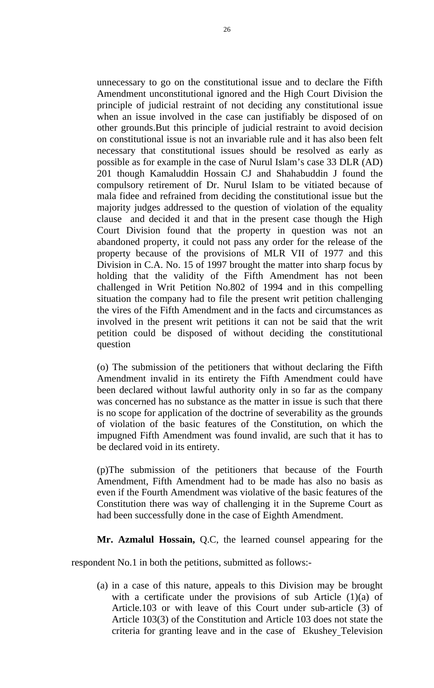unnecessary to go on the constitutional issue and to declare the Fifth Amendment unconstitutional ignored and the High Court Division the principle of judicial restraint of not deciding any constitutional issue when an issue involved in the case can justifiably be disposed of on other grounds.But this principle of judicial restraint to avoid decision on constitutional issue is not an invariable rule and it has also been felt necessary that constitutional issues should be resolved as early as possible as for example in the case of Nurul Islam's case 33 DLR (AD) 201 though Kamaluddin Hossain CJ and Shahabuddin J found the compulsory retirement of Dr. Nurul Islam to be vitiated because of mala fidee and refrained from deciding the constitutional issue but the majority judges addressed to the question of violation of the equality clause and decided it and that in the present case though the High Court Division found that the property in question was not an abandoned property, it could not pass any order for the release of the property because of the provisions of MLR VII of 1977 and this Division in C.A. No. 15 of 1997 brought the matter into sharp focus by holding that the validity of the Fifth Amendment has not been challenged in Writ Petition No.802 of 1994 and in this compelling situation the company had to file the present writ petition challenging the vires of the Fifth Amendment and in the facts and circumstances as involved in the present writ petitions it can not be said that the writ petition could be disposed of without deciding the constitutional question

(o) The submission of the petitioners that without declaring the Fifth Amendment invalid in its entirety the Fifth Amendment could have been declared without lawful authority only in so far as the company was concerned has no substance as the matter in issue is such that there is no scope for application of the doctrine of severability as the grounds of violation of the basic features of the Constitution, on which the impugned Fifth Amendment was found invalid, are such that it has to be declared void in its entirety.

(p)The submission of the petitioners that because of the Fourth Amendment, Fifth Amendment had to be made has also no basis as even if the Fourth Amendment was violative of the basic features of the Constitution there was way of challenging it in the Supreme Court as had been successfully done in the case of Eighth Amendment.

**Mr. Azmalul Hossain,** Q.C, the learned counsel appearing for the

respondent No.1 in both the petitions, submitted as follows:-

(a) in a case of this nature, appeals to this Division may be brought with a certificate under the provisions of sub Article  $(1)(a)$  of Article.103 or with leave of this Court under sub-article (3) of Article 103(3) of the Constitution and Article 103 does not state the criteria for granting leave and in the case of Ekushey Television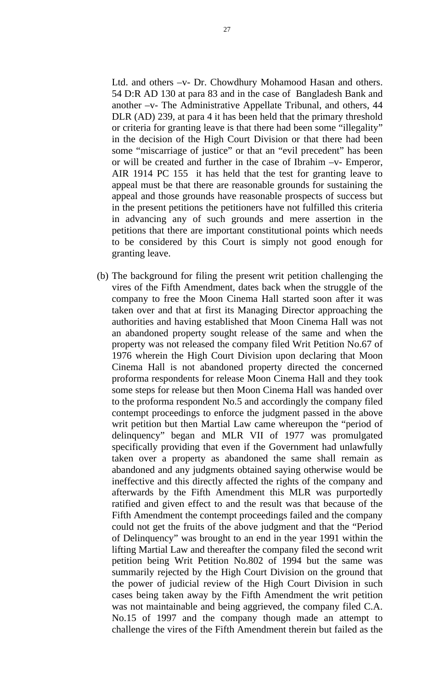Ltd. and others –v- Dr. Chowdhury Mohamood Hasan and others. 54 D:R AD 130 at para 83 and in the case of Bangladesh Bank and another –v- The Administrative Appellate Tribunal, and others, 44 DLR (AD) 239, at para 4 it has been held that the primary threshold or criteria for granting leave is that there had been some "illegality" in the decision of the High Court Division or that there had been some "miscarriage of justice" or that an "evil precedent" has been or will be created and further in the case of Ibrahim –v- Emperor, AIR 1914 PC 155 it has held that the test for granting leave to appeal must be that there are reasonable grounds for sustaining the appeal and those grounds have reasonable prospects of success but in the present petitions the petitioners have not fulfilled this criteria in advancing any of such grounds and mere assertion in the petitions that there are important constitutional points which needs to be considered by this Court is simply not good enough for granting leave.

(b) The background for filing the present writ petition challenging the vires of the Fifth Amendment, dates back when the struggle of the company to free the Moon Cinema Hall started soon after it was taken over and that at first its Managing Director approaching the authorities and having established that Moon Cinema Hall was not an abandoned property sought release of the same and when the property was not released the company filed Writ Petition No.67 of 1976 wherein the High Court Division upon declaring that Moon Cinema Hall is not abandoned property directed the concerned proforma respondents for release Moon Cinema Hall and they took some steps for release but then Moon Cinema Hall was handed over to the proforma respondent No.5 and accordingly the company filed contempt proceedings to enforce the judgment passed in the above writ petition but then Martial Law came whereupon the "period of delinquency" began and MLR VII of 1977 was promulgated specifically providing that even if the Government had unlawfully taken over a property as abandoned the same shall remain as abandoned and any judgments obtained saying otherwise would be ineffective and this directly affected the rights of the company and afterwards by the Fifth Amendment this MLR was purportedly ratified and given effect to and the result was that because of the Fifth Amendment the contempt proceedings failed and the company could not get the fruits of the above judgment and that the "Period of Delinquency" was brought to an end in the year 1991 within the lifting Martial Law and thereafter the company filed the second writ petition being Writ Petition No.802 of 1994 but the same was summarily rejected by the High Court Division on the ground that the power of judicial review of the High Court Division in such cases being taken away by the Fifth Amendment the writ petition was not maintainable and being aggrieved, the company filed C.A. No.15 of 1997 and the company though made an attempt to challenge the vires of the Fifth Amendment therein but failed as the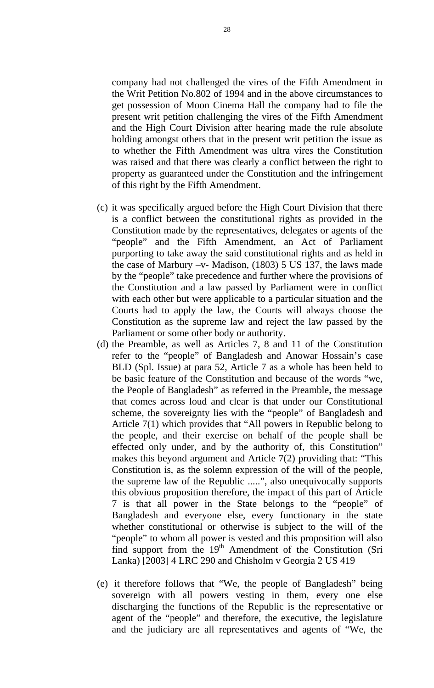company had not challenged the vires of the Fifth Amendment in the Writ Petition No.802 of 1994 and in the above circumstances to get possession of Moon Cinema Hall the company had to file the present writ petition challenging the vires of the Fifth Amendment and the High Court Division after hearing made the rule absolute holding amongst others that in the present writ petition the issue as to whether the Fifth Amendment was ultra vires the Constitution was raised and that there was clearly a conflict between the right to property as guaranteed under the Constitution and the infringement of this right by the Fifth Amendment.

- (c) it was specifically argued before the High Court Division that there is a conflict between the constitutional rights as provided in the Constitution made by the representatives, delegates or agents of the "people" and the Fifth Amendment, an Act of Parliament purporting to take away the said constitutional rights and as held in the case of Marbury  $-v$ - Madison, (1803) 5 US 137, the laws made by the "people" take precedence and further where the provisions of the Constitution and a law passed by Parliament were in conflict with each other but were applicable to a particular situation and the Courts had to apply the law, the Courts will always choose the Constitution as the supreme law and reject the law passed by the Parliament or some other body or authority.
- (d) the Preamble, as well as Articles 7, 8 and 11 of the Constitution refer to the "people" of Bangladesh and Anowar Hossain's case BLD (Spl. Issue) at para 52, Article 7 as a whole has been held to be basic feature of the Constitution and because of the words "we, the People of Bangladesh" as referred in the Preamble, the message that comes across loud and clear is that under our Constitutional scheme, the sovereignty lies with the "people" of Bangladesh and Article 7(1) which provides that "All powers in Republic belong to the people, and their exercise on behalf of the people shall be effected only under, and by the authority of, this Constitution" makes this beyond argument and Article 7(2) providing that: "This Constitution is, as the solemn expression of the will of the people, the supreme law of the Republic .....", also unequivocally supports this obvious proposition therefore, the impact of this part of Article 7 is that all power in the State belongs to the "people" of Bangladesh and everyone else, every functionary in the state whether constitutional or otherwise is subject to the will of the "people" to whom all power is vested and this proposition will also find support from the 19<sup>th</sup> Amendment of the Constitution (Sri Lanka) [2003] 4 LRC 290 and Chisholm v Georgia 2 US 419
- (e) it therefore follows that "We, the people of Bangladesh" being sovereign with all powers vesting in them, every one else discharging the functions of the Republic is the representative or agent of the "people" and therefore, the executive, the legislature and the judiciary are all representatives and agents of "We, the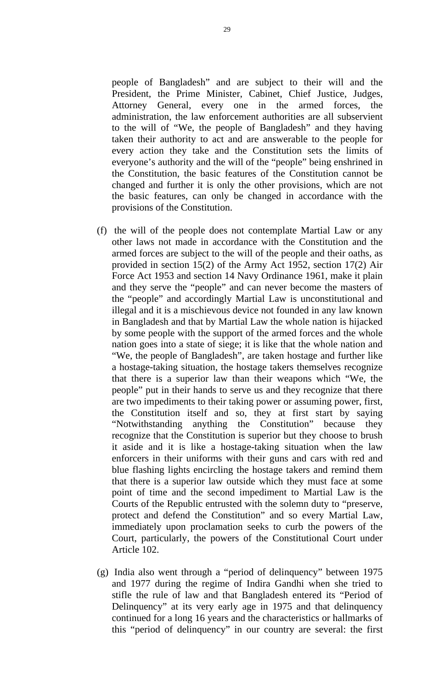people of Bangladesh" and are subject to their will and the President, the Prime Minister, Cabinet, Chief Justice, Judges, Attorney General, every one in the armed forces, the administration, the law enforcement authorities are all subservient to the will of "We, the people of Bangladesh" and they having taken their authority to act and are answerable to the people for every action they take and the Constitution sets the limits of everyone's authority and the will of the "people" being enshrined in the Constitution, the basic features of the Constitution cannot be changed and further it is only the other provisions, which are not the basic features, can only be changed in accordance with the provisions of the Constitution.

- (f) the will of the people does not contemplate Martial Law or any other laws not made in accordance with the Constitution and the armed forces are subject to the will of the people and their oaths, as provided in section 15(2) of the Army Act 1952, section 17(2) Air Force Act 1953 and section 14 Navy Ordinance 1961, make it plain and they serve the "people" and can never become the masters of the "people" and accordingly Martial Law is unconstitutional and illegal and it is a mischievous device not founded in any law known in Bangladesh and that by Martial Law the whole nation is hijacked by some people with the support of the armed forces and the whole nation goes into a state of siege; it is like that the whole nation and "We, the people of Bangladesh", are taken hostage and further like a hostage-taking situation, the hostage takers themselves recognize that there is a superior law than their weapons which "We, the people" put in their hands to serve us and they recognize that there are two impediments to their taking power or assuming power, first, the Constitution itself and so, they at first start by saying "Notwithstanding anything the Constitution" because they recognize that the Constitution is superior but they choose to brush it aside and it is like a hostage-taking situation when the law enforcers in their uniforms with their guns and cars with red and blue flashing lights encircling the hostage takers and remind them that there is a superior law outside which they must face at some point of time and the second impediment to Martial Law is the Courts of the Republic entrusted with the solemn duty to "preserve, protect and defend the Constitution" and so every Martial Law, immediately upon proclamation seeks to curb the powers of the Court, particularly, the powers of the Constitutional Court under Article 102.
- (g) India also went through a "period of delinquency" between 1975 and 1977 during the regime of Indira Gandhi when she tried to stifle the rule of law and that Bangladesh entered its "Period of Delinquency" at its very early age in 1975 and that delinquency continued for a long 16 years and the characteristics or hallmarks of this "period of delinquency" in our country are several: the first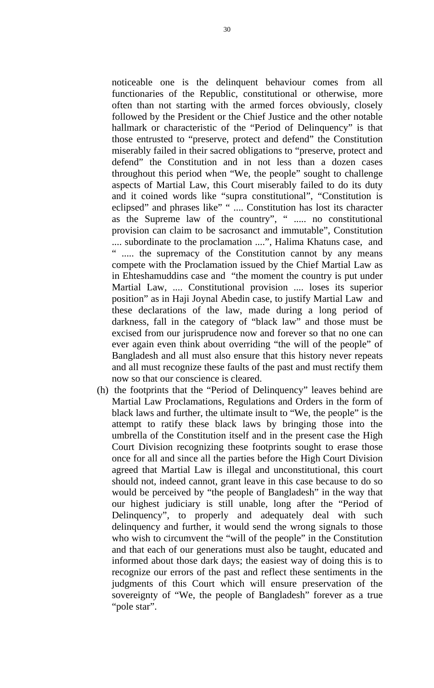noticeable one is the delinquent behaviour comes from all functionaries of the Republic, constitutional or otherwise, more often than not starting with the armed forces obviously, closely followed by the President or the Chief Justice and the other notable hallmark or characteristic of the "Period of Delinquency" is that those entrusted to "preserve, protect and defend" the Constitution miserably failed in their sacred obligations to "preserve, protect and defend" the Constitution and in not less than a dozen cases throughout this period when "We, the people" sought to challenge aspects of Martial Law, this Court miserably failed to do its duty and it coined words like "supra constitutional", "Constitution is eclipsed" and phrases like" " .... Constitution has lost its character as the Supreme law of the country", " ..... no constitutional provision can claim to be sacrosanct and immutable", Constitution .... subordinate to the proclamation ....", Halima Khatuns case, and " ..... the supremacy of the Constitution cannot by any means compete with the Proclamation issued by the Chief Martial Law as in Ehteshamuddins case and "the moment the country is put under Martial Law, .... Constitutional provision .... loses its superior position" as in Haji Joynal Abedin case, to justify Martial Law and these declarations of the law, made during a long period of darkness, fall in the category of "black law" and those must be excised from our jurisprudence now and forever so that no one can ever again even think about overriding "the will of the people" of Bangladesh and all must also ensure that this history never repeats and all must recognize these faults of the past and must rectify them now so that our conscience is cleared.

(h) the footprints that the "Period of Delinquency" leaves behind are Martial Law Proclamations, Regulations and Orders in the form of black laws and further, the ultimate insult to "We, the people" is the attempt to ratify these black laws by bringing those into the umbrella of the Constitution itself and in the present case the High Court Division recognizing these footprints sought to erase those once for all and since all the parties before the High Court Division agreed that Martial Law is illegal and unconstitutional, this court should not, indeed cannot, grant leave in this case because to do so would be perceived by "the people of Bangladesh" in the way that our highest judiciary is still unable, long after the "Period of Delinquency", to properly and adequately deal with such delinquency and further, it would send the wrong signals to those who wish to circumvent the "will of the people" in the Constitution and that each of our generations must also be taught, educated and informed about those dark days; the easiest way of doing this is to recognize our errors of the past and reflect these sentiments in the judgments of this Court which will ensure preservation of the sovereignty of "We, the people of Bangladesh" forever as a true "pole star".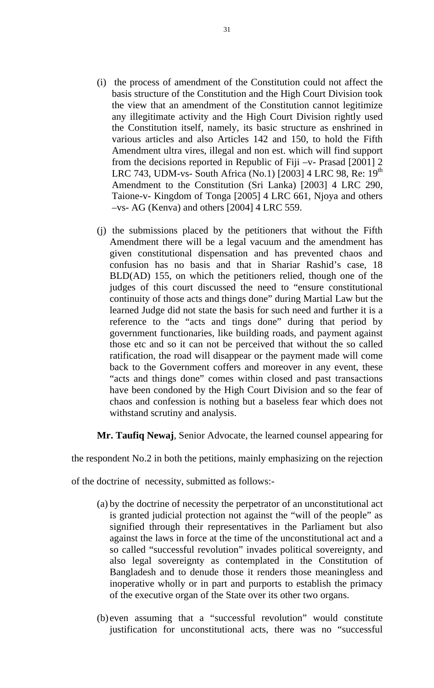- (i) the process of amendment of the Constitution could not affect the basis structure of the Constitution and the High Court Division took the view that an amendment of the Constitution cannot legitimize any illegitimate activity and the High Court Division rightly used the Constitution itself, namely, its basic structure as enshrined in various articles and also Articles 142 and 150, to hold the Fifth Amendment ultra vires, illegal and non est. which will find support from the decisions reported in Republic of Fiji –v- Prasad [2001] 2 LRC 743, UDM-vs- South Africa (No.1) [2003] 4 LRC 98, Re:  $19<sup>th</sup>$ Amendment to the Constitution (Sri Lanka) [2003] 4 LRC 290, Taione-v- Kingdom of Tonga [2005] 4 LRC 661, Njoya and others –vs- AG (Kenva) and others [2004] 4 LRC 559.
- (j) the submissions placed by the petitioners that without the Fifth Amendment there will be a legal vacuum and the amendment has given constitutional dispensation and has prevented chaos and confusion has no basis and that in Shariar Rashid's case, 18 BLD(AD) 155, on which the petitioners relied, though one of the judges of this court discussed the need to "ensure constitutional continuity of those acts and things done" during Martial Law but the learned Judge did not state the basis for such need and further it is a reference to the "acts and tings done" during that period by government functionaries, like building roads, and payment against those etc and so it can not be perceived that without the so called ratification, the road will disappear or the payment made will come back to the Government coffers and moreover in any event, these "acts and things done" comes within closed and past transactions have been condoned by the High Court Division and so the fear of chaos and confession is nothing but a baseless fear which does not withstand scrutiny and analysis.

**Mr. Taufiq Newaj**, Senior Advocate, the learned counsel appearing for

the respondent No.2 in both the petitions, mainly emphasizing on the rejection

of the doctrine of necessity, submitted as follows:-

- (a) by the doctrine of necessity the perpetrator of an unconstitutional act is granted judicial protection not against the "will of the people" as signified through their representatives in the Parliament but also against the laws in force at the time of the unconstitutional act and a so called "successful revolution" invades political sovereignty, and also legal sovereignty as contemplated in the Constitution of Bangladesh and to denude those it renders those meaningless and inoperative wholly or in part and purports to establish the primacy of the executive organ of the State over its other two organs.
- (b) even assuming that a "successful revolution" would constitute justification for unconstitutional acts, there was no "successful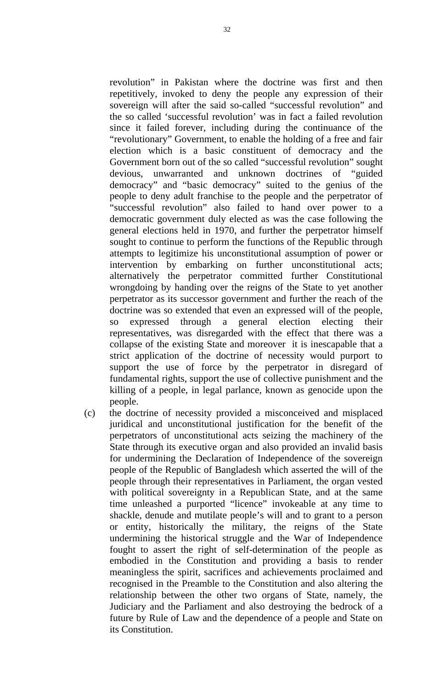revolution" in Pakistan where the doctrine was first and then repetitively, invoked to deny the people any expression of their sovereign will after the said so-called "successful revolution" and the so called 'successful revolution' was in fact a failed revolution since it failed forever, including during the continuance of the "revolutionary" Government, to enable the holding of a free and fair election which is a basic constituent of democracy and the Government born out of the so called "successful revolution" sought devious, unwarranted and unknown doctrines of "guided democracy" and "basic democracy" suited to the genius of the people to deny adult franchise to the people and the perpetrator of "successful revolution" also failed to hand over power to a democratic government duly elected as was the case following the general elections held in 1970, and further the perpetrator himself sought to continue to perform the functions of the Republic through attempts to legitimize his unconstitutional assumption of power or intervention by embarking on further unconstitutional acts; alternatively the perpetrator committed further Constitutional wrongdoing by handing over the reigns of the State to yet another perpetrator as its successor government and further the reach of the doctrine was so extended that even an expressed will of the people, so expressed through a general election electing their representatives, was disregarded with the effect that there was a collapse of the existing State and moreover it is inescapable that a strict application of the doctrine of necessity would purport to support the use of force by the perpetrator in disregard of fundamental rights, support the use of collective punishment and the killing of a people, in legal parlance, known as genocide upon the people.

(c) the doctrine of necessity provided a misconceived and misplaced juridical and unconstitutional justification for the benefit of the perpetrators of unconstitutional acts seizing the machinery of the State through its executive organ and also provided an invalid basis for undermining the Declaration of Independence of the sovereign people of the Republic of Bangladesh which asserted the will of the people through their representatives in Parliament, the organ vested with political sovereignty in a Republican State, and at the same time unleashed a purported "licence" invokeable at any time to shackle, denude and mutilate people's will and to grant to a person or entity, historically the military, the reigns of the State undermining the historical struggle and the War of Independence fought to assert the right of self-determination of the people as embodied in the Constitution and providing a basis to render meaningless the spirit, sacrifices and achievements proclaimed and recognised in the Preamble to the Constitution and also altering the relationship between the other two organs of State, namely, the Judiciary and the Parliament and also destroying the bedrock of a future by Rule of Law and the dependence of a people and State on its Constitution.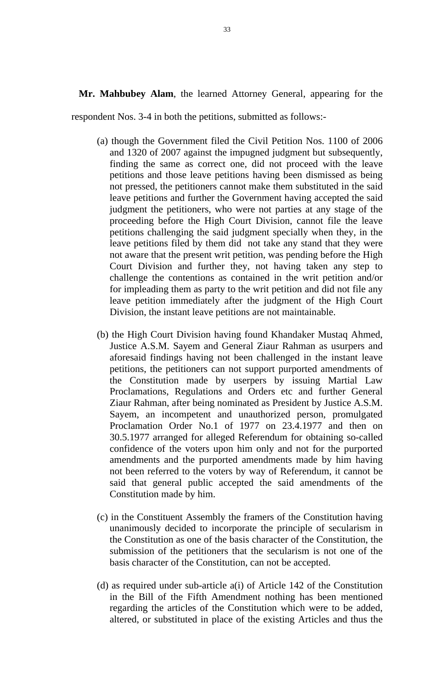**Mr. Mahbubey Alam**, the learned Attorney General, appearing for the

respondent Nos. 3-4 in both the petitions, submitted as follows:-

- (a) though the Government filed the Civil Petition Nos. 1100 of 2006 and 1320 of 2007 against the impugned judgment but subsequently, finding the same as correct one, did not proceed with the leave petitions and those leave petitions having been dismissed as being not pressed, the petitioners cannot make them substituted in the said leave petitions and further the Government having accepted the said judgment the petitioners, who were not parties at any stage of the proceeding before the High Court Division, cannot file the leave petitions challenging the said judgment specially when they, in the leave petitions filed by them did not take any stand that they were not aware that the present writ petition, was pending before the High Court Division and further they, not having taken any step to challenge the contentions as contained in the writ petition and/or for impleading them as party to the writ petition and did not file any leave petition immediately after the judgment of the High Court Division, the instant leave petitions are not maintainable.
- (b) the High Court Division having found Khandaker Mustaq Ahmed, Justice A.S.M. Sayem and General Ziaur Rahman as usurpers and aforesaid findings having not been challenged in the instant leave petitions, the petitioners can not support purported amendments of the Constitution made by userpers by issuing Martial Law Proclamations, Regulations and Orders etc and further General Ziaur Rahman, after being nominated as President by Justice A.S.M. Sayem, an incompetent and unauthorized person, promulgated Proclamation Order No.1 of 1977 on 23.4.1977 and then on 30.5.1977 arranged for alleged Referendum for obtaining so-called confidence of the voters upon him only and not for the purported amendments and the purported amendments made by him having not been referred to the voters by way of Referendum, it cannot be said that general public accepted the said amendments of the Constitution made by him.
- (c) in the Constituent Assembly the framers of the Constitution having unanimously decided to incorporate the principle of secularism in the Constitution as one of the basis character of the Constitution, the submission of the petitioners that the secularism is not one of the basis character of the Constitution, can not be accepted.
- (d) as required under sub-article a(i) of Article 142 of the Constitution in the Bill of the Fifth Amendment nothing has been mentioned regarding the articles of the Constitution which were to be added, altered, or substituted in place of the existing Articles and thus the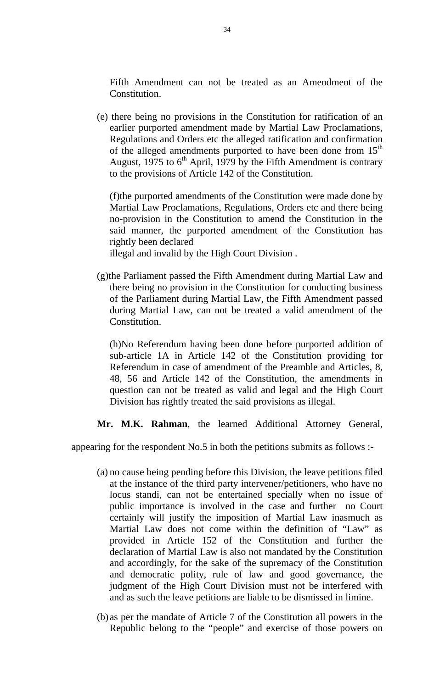Fifth Amendment can not be treated as an Amendment of the Constitution.

(e) there being no provisions in the Constitution for ratification of an earlier purported amendment made by Martial Law Proclamations, Regulations and Orders etc the alleged ratification and confirmation of the alleged amendments purported to have been done from  $15<sup>th</sup>$ August, 1975 to  $6<sup>th</sup>$  April, 1979 by the Fifth Amendment is contrary to the provisions of Article 142 of the Constitution.

(f)the purported amendments of the Constitution were made done by Martial Law Proclamations, Regulations, Orders etc and there being no-provision in the Constitution to amend the Constitution in the said manner, the purported amendment of the Constitution has rightly been declared

illegal and invalid by the High Court Division .

(g)the Parliament passed the Fifth Amendment during Martial Law and there being no provision in the Constitution for conducting business of the Parliament during Martial Law, the Fifth Amendment passed during Martial Law, can not be treated a valid amendment of the Constitution.

(h)No Referendum having been done before purported addition of sub-article 1A in Article 142 of the Constitution providing for Referendum in case of amendment of the Preamble and Articles, 8, 48, 56 and Article 142 of the Constitution, the amendments in question can not be treated as valid and legal and the High Court Division has rightly treated the said provisions as illegal.

**Mr. M.K. Rahman**, the learned Additional Attorney General,

appearing for the respondent No.5 in both the petitions submits as follows :-

- (a) no cause being pending before this Division, the leave petitions filed at the instance of the third party intervener/petitioners, who have no locus standi, can not be entertained specially when no issue of public importance is involved in the case and further no Court certainly will justify the imposition of Martial Law inasmuch as Martial Law does not come within the definition of "Law" as provided in Article 152 of the Constitution and further the declaration of Martial Law is also not mandated by the Constitution and accordingly, for the sake of the supremacy of the Constitution and democratic polity, rule of law and good governance, the judgment of the High Court Division must not be interfered with and as such the leave petitions are liable to be dismissed in limine.
- (b) as per the mandate of Article 7 of the Constitution all powers in the Republic belong to the "people" and exercise of those powers on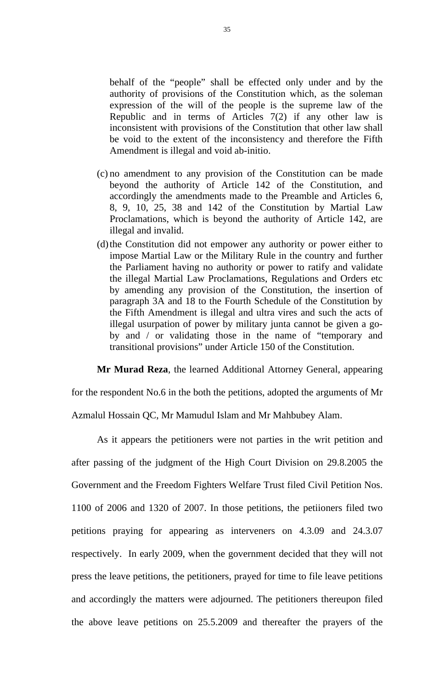behalf of the "people" shall be effected only under and by the authority of provisions of the Constitution which, as the soleman expression of the will of the people is the supreme law of the Republic and in terms of Articles  $7(2)$  if any other law is inconsistent with provisions of the Constitution that other law shall be void to the extent of the inconsistency and therefore the Fifth Amendment is illegal and void ab-initio.

- (c) no amendment to any provision of the Constitution can be made beyond the authority of Article 142 of the Constitution, and accordingly the amendments made to the Preamble and Articles 6, 8, 9, 10, 25, 38 and 142 of the Constitution by Martial Law Proclamations, which is beyond the authority of Article 142, are illegal and invalid.
- (d)the Constitution did not empower any authority or power either to impose Martial Law or the Military Rule in the country and further the Parliament having no authority or power to ratify and validate the illegal Martial Law Proclamations, Regulations and Orders etc by amending any provision of the Constitution, the insertion of paragraph 3A and 18 to the Fourth Schedule of the Constitution by the Fifth Amendment is illegal and ultra vires and such the acts of illegal usurpation of power by military junta cannot be given a goby and / or validating those in the name of "temporary and transitional provisions" under Article 150 of the Constitution.

**Mr Murad Reza**, the learned Additional Attorney General, appearing

for the respondent No.6 in the both the petitions, adopted the arguments of Mr

Azmalul Hossain QC, Mr Mamudul Islam and Mr Mahbubey Alam.

As it appears the petitioners were not parties in the writ petition and after passing of the judgment of the High Court Division on 29.8.2005 the Government and the Freedom Fighters Welfare Trust filed Civil Petition Nos. 1100 of 2006 and 1320 of 2007. In those petitions, the petiioners filed two petitions praying for appearing as interveners on 4.3.09 and 24.3.07 respectively. In early 2009, when the government decided that they will not press the leave petitions, the petitioners, prayed for time to file leave petitions and accordingly the matters were adjourned. The petitioners thereupon filed the above leave petitions on 25.5.2009 and thereafter the prayers of the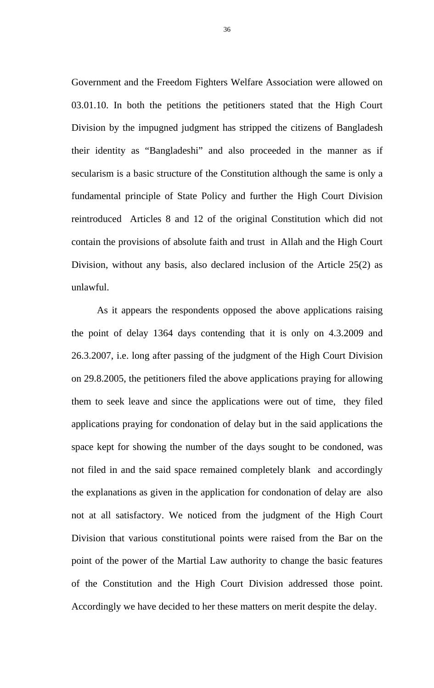Government and the Freedom Fighters Welfare Association were allowed on 03.01.10. In both the petitions the petitioners stated that the High Court Division by the impugned judgment has stripped the citizens of Bangladesh their identity as "Bangladeshi" and also proceeded in the manner as if secularism is a basic structure of the Constitution although the same is only a fundamental principle of State Policy and further the High Court Division reintroduced Articles 8 and 12 of the original Constitution which did not contain the provisions of absolute faith and trust in Allah and the High Court Division, without any basis, also declared inclusion of the Article 25(2) as unlawful.

As it appears the respondents opposed the above applications raising the point of delay 1364 days contending that it is only on 4.3.2009 and 26.3.2007, i.e. long after passing of the judgment of the High Court Division on 29.8.2005, the petitioners filed the above applications praying for allowing them to seek leave and since the applications were out of time, they filed applications praying for condonation of delay but in the said applications the space kept for showing the number of the days sought to be condoned, was not filed in and the said space remained completely blank and accordingly the explanations as given in the application for condonation of delay are also not at all satisfactory. We noticed from the judgment of the High Court Division that various constitutional points were raised from the Bar on the point of the power of the Martial Law authority to change the basic features of the Constitution and the High Court Division addressed those point. Accordingly we have decided to her these matters on merit despite the delay.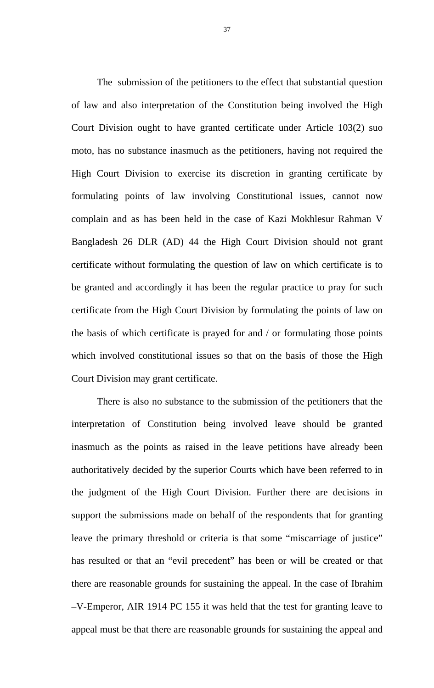The submission of the petitioners to the effect that substantial question of law and also interpretation of the Constitution being involved the High Court Division ought to have granted certificate under Article 103(2) suo moto, has no substance inasmuch as the petitioners, having not required the High Court Division to exercise its discretion in granting certificate by formulating points of law involving Constitutional issues, cannot now complain and as has been held in the case of Kazi Mokhlesur Rahman V Bangladesh 26 DLR (AD) 44 the High Court Division should not grant certificate without formulating the question of law on which certificate is to be granted and accordingly it has been the regular practice to pray for such certificate from the High Court Division by formulating the points of law on the basis of which certificate is prayed for and / or formulating those points which involved constitutional issues so that on the basis of those the High Court Division may grant certificate.

There is also no substance to the submission of the petitioners that the interpretation of Constitution being involved leave should be granted inasmuch as the points as raised in the leave petitions have already been authoritatively decided by the superior Courts which have been referred to in the judgment of the High Court Division. Further there are decisions in support the submissions made on behalf of the respondents that for granting leave the primary threshold or criteria is that some "miscarriage of justice" has resulted or that an "evil precedent" has been or will be created or that there are reasonable grounds for sustaining the appeal. In the case of Ibrahim –V-Emperor, AIR 1914 PC 155 it was held that the test for granting leave to appeal must be that there are reasonable grounds for sustaining the appeal and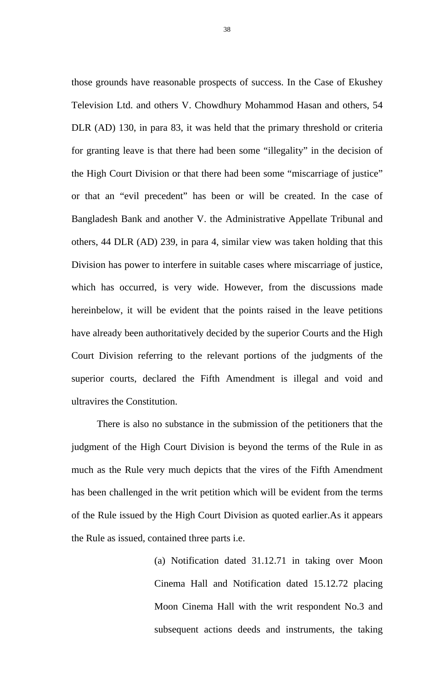those grounds have reasonable prospects of success. In the Case of Ekushey Television Ltd. and others V. Chowdhury Mohammod Hasan and others, 54 DLR (AD) 130, in para 83, it was held that the primary threshold or criteria for granting leave is that there had been some "illegality" in the decision of the High Court Division or that there had been some "miscarriage of justice" or that an "evil precedent" has been or will be created. In the case of Bangladesh Bank and another V. the Administrative Appellate Tribunal and others, 44 DLR (AD) 239, in para 4, similar view was taken holding that this Division has power to interfere in suitable cases where miscarriage of justice, which has occurred, is very wide. However, from the discussions made hereinbelow, it will be evident that the points raised in the leave petitions have already been authoritatively decided by the superior Courts and the High Court Division referring to the relevant portions of the judgments of the superior courts, declared the Fifth Amendment is illegal and void and ultravires the Constitution.

There is also no substance in the submission of the petitioners that the judgment of the High Court Division is beyond the terms of the Rule in as much as the Rule very much depicts that the vires of the Fifth Amendment has been challenged in the writ petition which will be evident from the terms of the Rule issued by the High Court Division as quoted earlier.As it appears the Rule as issued, contained three parts i.e.

> (a) Notification dated 31.12.71 in taking over Moon Cinema Hall and Notification dated 15.12.72 placing Moon Cinema Hall with the writ respondent No.3 and subsequent actions deeds and instruments, the taking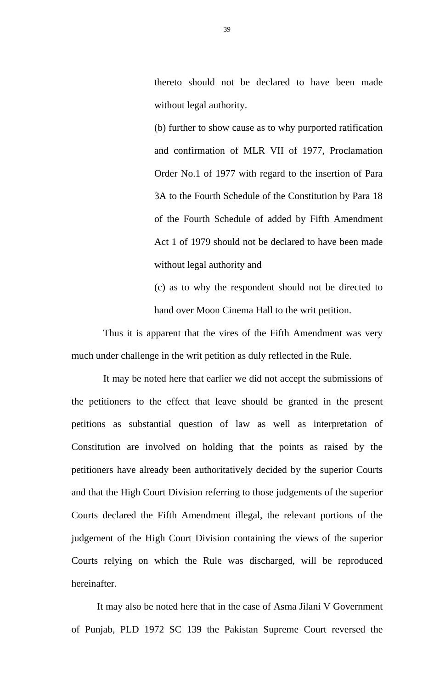thereto should not be declared to have been made without legal authority.

(b) further to show cause as to why purported ratification and confirmation of MLR VII of 1977, Proclamation Order No.1 of 1977 with regard to the insertion of Para 3A to the Fourth Schedule of the Constitution by Para 18 of the Fourth Schedule of added by Fifth Amendment Act 1 of 1979 should not be declared to have been made without legal authority and

(c) as to why the respondent should not be directed to hand over Moon Cinema Hall to the writ petition.

Thus it is apparent that the vires of the Fifth Amendment was very much under challenge in the writ petition as duly reflected in the Rule.

It may be noted here that earlier we did not accept the submissions of the petitioners to the effect that leave should be granted in the present petitions as substantial question of law as well as interpretation of Constitution are involved on holding that the points as raised by the petitioners have already been authoritatively decided by the superior Courts and that the High Court Division referring to those judgements of the superior Courts declared the Fifth Amendment illegal, the relevant portions of the judgement of the High Court Division containing the views of the superior Courts relying on which the Rule was discharged, will be reproduced hereinafter.

 It may also be noted here that in the case of Asma Jilani V Government of Punjab, PLD 1972 SC 139 the Pakistan Supreme Court reversed the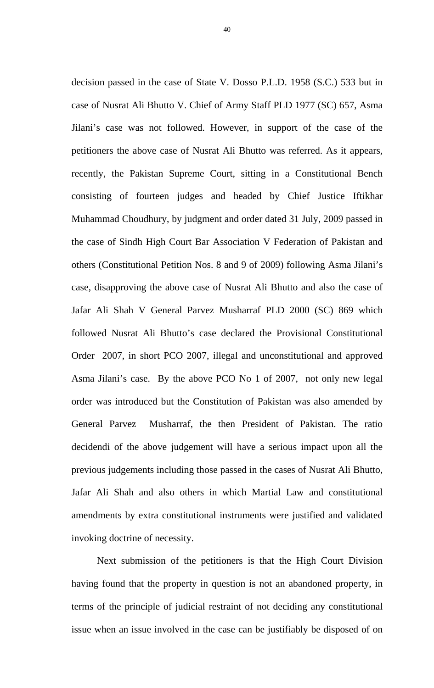decision passed in the case of State V. Dosso P.L.D. 1958 (S.C.) 533 but in case of Nusrat Ali Bhutto V. Chief of Army Staff PLD 1977 (SC) 657, Asma Jilani's case was not followed. However, in support of the case of the petitioners the above case of Nusrat Ali Bhutto was referred. As it appears, recently, the Pakistan Supreme Court, sitting in a Constitutional Bench consisting of fourteen judges and headed by Chief Justice Iftikhar Muhammad Choudhury, by judgment and order dated 31 July, 2009 passed in the case of Sindh High Court Bar Association V Federation of Pakistan and others (Constitutional Petition Nos. 8 and 9 of 2009) following Asma Jilani's case, disapproving the above case of Nusrat Ali Bhutto and also the case of Jafar Ali Shah V General Parvez Musharraf PLD 2000 (SC) 869 which followed Nusrat Ali Bhutto's case declared the Provisional Constitutional Order 2007, in short PCO 2007, illegal and unconstitutional and approved Asma Jilani's case. By the above PCO No 1 of 2007, not only new legal order was introduced but the Constitution of Pakistan was also amended by General Parvez Musharraf, the then President of Pakistan. The ratio decidendi of the above judgement will have a serious impact upon all the previous judgements including those passed in the cases of Nusrat Ali Bhutto, Jafar Ali Shah and also others in which Martial Law and constitutional amendments by extra constitutional instruments were justified and validated invoking doctrine of necessity.

 Next submission of the petitioners is that the High Court Division having found that the property in question is not an abandoned property, in terms of the principle of judicial restraint of not deciding any constitutional issue when an issue involved in the case can be justifiably be disposed of on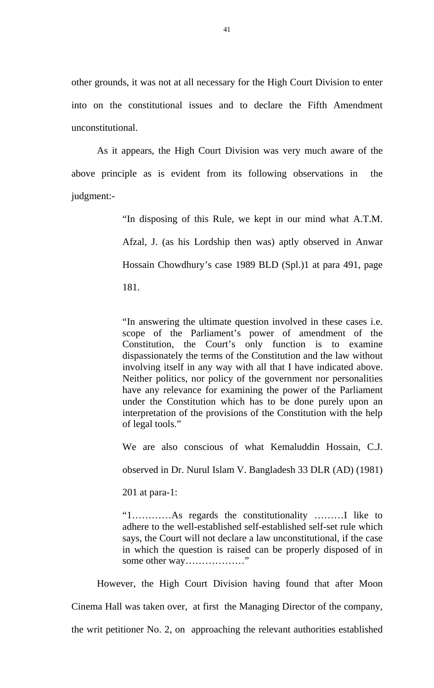other grounds, it was not at all necessary for the High Court Division to enter into on the constitutional issues and to declare the Fifth Amendment unconstitutional.

As it appears, the High Court Division was very much aware of the above principle as is evident from its following observations in the judgment:-

> "In disposing of this Rule, we kept in our mind what A.T.M. Afzal, J. (as his Lordship then was) aptly observed in Anwar Hossain Chowdhury's case 1989 BLD (Spl.)1 at para 491, page 181.

> "In answering the ultimate question involved in these cases i.e. scope of the Parliament's power of amendment of the Constitution, the Court's only function is to examine dispassionately the terms of the Constitution and the law without involving itself in any way with all that I have indicated above. Neither politics, nor policy of the government nor personalities have any relevance for examining the power of the Parliament under the Constitution which has to be done purely upon an interpretation of the provisions of the Constitution with the help of legal tools."

> We are also conscious of what Kemaluddin Hossain, C.J.

observed in Dr. Nurul Islam V. Bangladesh 33 DLR (AD) (1981)

201 at para-1:

"1…………As regards the constitutionality ………I like to adhere to the well-established self-established self-set rule which says, the Court will not declare a law unconstitutional, if the case in which the question is raised can be properly disposed of in some other way………………"

However, the High Court Division having found that after Moon Cinema Hall was taken over, at first the Managing Director of the company, the writ petitioner No. 2, on approaching the relevant authorities established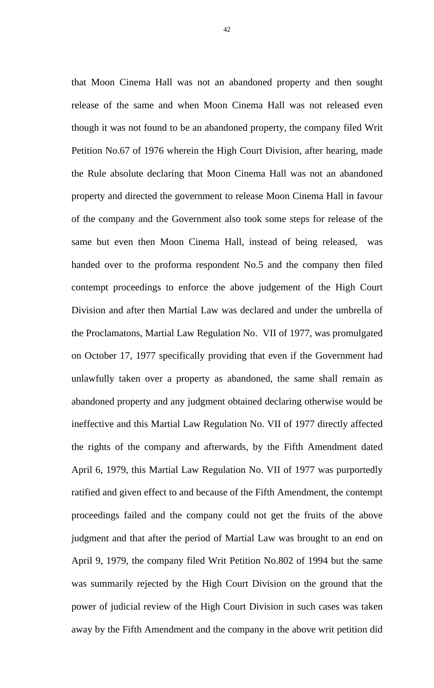that Moon Cinema Hall was not an abandoned property and then sought release of the same and when Moon Cinema Hall was not released even though it was not found to be an abandoned property, the company filed Writ Petition No.67 of 1976 wherein the High Court Division, after hearing, made the Rule absolute declaring that Moon Cinema Hall was not an abandoned property and directed the government to release Moon Cinema Hall in favour of the company and the Government also took some steps for release of the same but even then Moon Cinema Hall, instead of being released, was handed over to the proforma respondent No.5 and the company then filed contempt proceedings to enforce the above judgement of the High Court Division and after then Martial Law was declared and under the umbrella of the Proclamatons, Martial Law Regulation No. VII of 1977, was promulgated on October 17, 1977 specifically providing that even if the Government had unlawfully taken over a property as abandoned, the same shall remain as abandoned property and any judgment obtained declaring otherwise would be ineffective and this Martial Law Regulation No. VII of 1977 directly affected the rights of the company and afterwards, by the Fifth Amendment dated April 6, 1979, this Martial Law Regulation No. VII of 1977 was purportedly ratified and given effect to and because of the Fifth Amendment, the contempt proceedings failed and the company could not get the fruits of the above judgment and that after the period of Martial Law was brought to an end on April 9, 1979, the company filed Writ Petition No.802 of 1994 but the same was summarily rejected by the High Court Division on the ground that the power of judicial review of the High Court Division in such cases was taken away by the Fifth Amendment and the company in the above writ petition did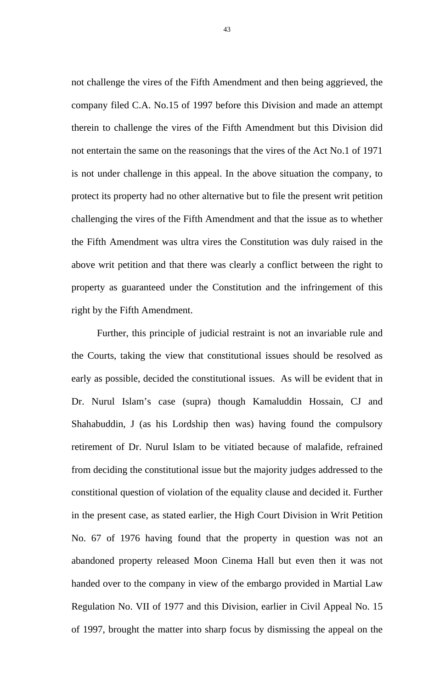not challenge the vires of the Fifth Amendment and then being aggrieved, the company filed C.A. No.15 of 1997 before this Division and made an attempt therein to challenge the vires of the Fifth Amendment but this Division did not entertain the same on the reasonings that the vires of the Act No.1 of 1971 is not under challenge in this appeal. In the above situation the company, to protect its property had no other alternative but to file the present writ petition challenging the vires of the Fifth Amendment and that the issue as to whether the Fifth Amendment was ultra vires the Constitution was duly raised in the above writ petition and that there was clearly a conflict between the right to property as guaranteed under the Constitution and the infringement of this right by the Fifth Amendment.

 Further, this principle of judicial restraint is not an invariable rule and the Courts, taking the view that constitutional issues should be resolved as early as possible, decided the constitutional issues. As will be evident that in Dr. Nurul Islam's case (supra) though Kamaluddin Hossain, CJ and Shahabuddin, J (as his Lordship then was) having found the compulsory retirement of Dr. Nurul Islam to be vitiated because of malafide, refrained from deciding the constitutional issue but the majority judges addressed to the constitional question of violation of the equality clause and decided it. Further in the present case, as stated earlier, the High Court Division in Writ Petition No. 67 of 1976 having found that the property in question was not an abandoned property released Moon Cinema Hall but even then it was not handed over to the company in view of the embargo provided in Martial Law Regulation No. VII of 1977 and this Division, earlier in Civil Appeal No. 15 of 1997, brought the matter into sharp focus by dismissing the appeal on the

43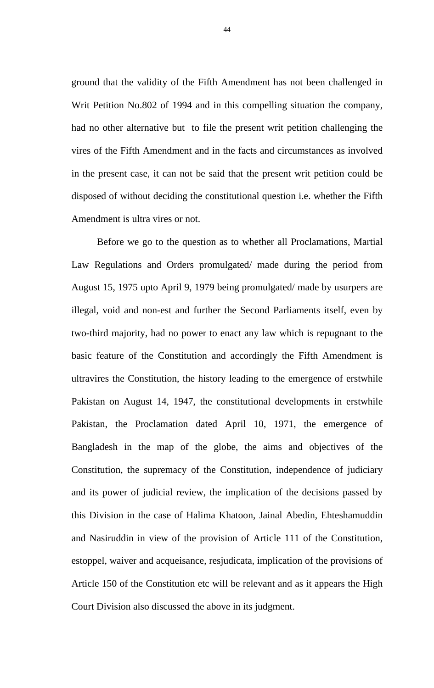ground that the validity of the Fifth Amendment has not been challenged in Writ Petition No.802 of 1994 and in this compelling situation the company, had no other alternative but to file the present writ petition challenging the vires of the Fifth Amendment and in the facts and circumstances as involved in the present case, it can not be said that the present writ petition could be disposed of without deciding the constitutional question i.e. whether the Fifth Amendment is ultra vires or not.

Before we go to the question as to whether all Proclamations, Martial Law Regulations and Orders promulgated/ made during the period from August 15, 1975 upto April 9, 1979 being promulgated/ made by usurpers are illegal, void and non-est and further the Second Parliaments itself, even by two-third majority, had no power to enact any law which is repugnant to the basic feature of the Constitution and accordingly the Fifth Amendment is ultravires the Constitution, the history leading to the emergence of erstwhile Pakistan on August 14, 1947, the constitutional developments in erstwhile Pakistan, the Proclamation dated April 10, 1971, the emergence of Bangladesh in the map of the globe, the aims and objectives of the Constitution, the supremacy of the Constitution, independence of judiciary and its power of judicial review, the implication of the decisions passed by this Division in the case of Halima Khatoon, Jainal Abedin, Ehteshamuddin and Nasiruddin in view of the provision of Article 111 of the Constitution, estoppel, waiver and acqueisance, resjudicata, implication of the provisions of Article 150 of the Constitution etc will be relevant and as it appears the High Court Division also discussed the above in its judgment.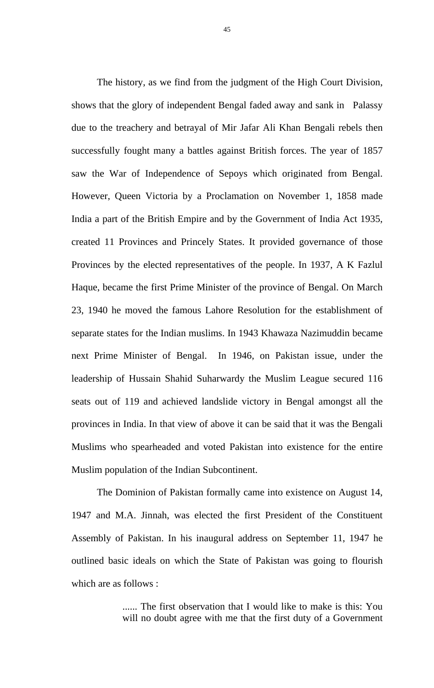The history, as we find from the judgment of the High Court Division, shows that the glory of independent Bengal faded away and sank in Palassy due to the treachery and betrayal of Mir Jafar Ali Khan Bengali rebels then successfully fought many a battles against British forces. The year of 1857 saw the War of Independence of Sepoys which originated from Bengal. However, Queen Victoria by a Proclamation on November 1, 1858 made India a part of the British Empire and by the Government of India Act 1935, created 11 Provinces and Princely States. It provided governance of those Provinces by the elected representatives of the people. In 1937, A K Fazlul Haque, became the first Prime Minister of the province of Bengal. On March 23, 1940 he moved the famous Lahore Resolution for the establishment of separate states for the Indian muslims. In 1943 Khawaza Nazimuddin became next Prime Minister of Bengal. In 1946, on Pakistan issue, under the leadership of Hussain Shahid Suharwardy the Muslim League secured 116 seats out of 119 and achieved landslide victory in Bengal amongst all the provinces in India. In that view of above it can be said that it was the Bengali Muslims who spearheaded and voted Pakistan into existence for the entire Muslim population of the Indian Subcontinent.

The Dominion of Pakistan formally came into existence on August 14, 1947 and M.A. Jinnah, was elected the first President of the Constituent Assembly of Pakistan. In his inaugural address on September 11, 1947 he outlined basic ideals on which the State of Pakistan was going to flourish which are as follows :

> ...... The first observation that I would like to make is this: You will no doubt agree with me that the first duty of a Government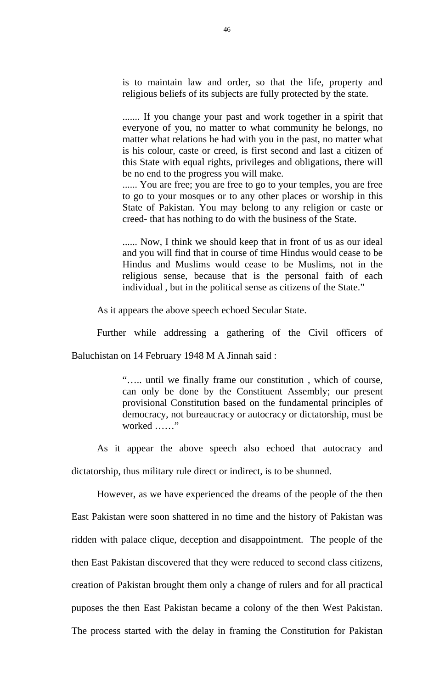is to maintain law and order, so that the life, property and religious beliefs of its subjects are fully protected by the state.

....... If you change your past and work together in a spirit that everyone of you, no matter to what community he belongs, no matter what relations he had with you in the past, no matter what is his colour, caste or creed, is first second and last a citizen of this State with equal rights, privileges and obligations, there will be no end to the progress you will make.

...... You are free; you are free to go to your temples, you are free to go to your mosques or to any other places or worship in this State of Pakistan. You may belong to any religion or caste or creed- that has nothing to do with the business of the State.

...... Now, I think we should keep that in front of us as our ideal and you will find that in course of time Hindus would cease to be Hindus and Muslims would cease to be Muslims, not in the religious sense, because that is the personal faith of each individual , but in the political sense as citizens of the State."

As it appears the above speech echoed Secular State.

Further while addressing a gathering of the Civil officers of

Baluchistan on 14 February 1948 M A Jinnah said :

"….. until we finally frame our constitution , which of course, can only be done by the Constituent Assembly; our present provisional Constitution based on the fundamental principles of democracy, not bureaucracy or autocracy or dictatorship, must be worked ……"

As it appear the above speech also echoed that autocracy and dictatorship, thus military rule direct or indirect, is to be shunned.

However, as we have experienced the dreams of the people of the then East Pakistan were soon shattered in no time and the history of Pakistan was ridden with palace clique, deception and disappointment. The people of the then East Pakistan discovered that they were reduced to second class citizens, creation of Pakistan brought them only a change of rulers and for all practical puposes the then East Pakistan became a colony of the then West Pakistan. The process started with the delay in framing the Constitution for Pakistan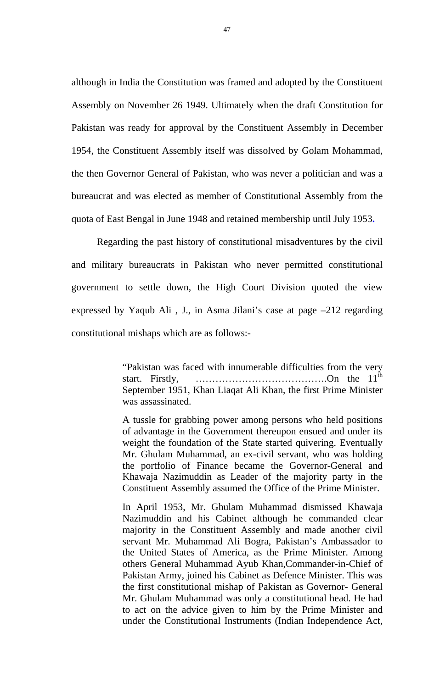although in India the Constitution was framed and adopted by the Constituent Assembly on November 26 1949. Ultimately when the draft Constitution for Pakistan was ready for approval by the Constituent Assembly in December 1954, the Constituent Assembly itself was dissolved by Golam Mohammad, the then Governor General of Pakistan, who was never a politician and was a bureaucrat and was elected as member of Constitutional Assembly from the quota of East Bengal in June 1948 and retained membership until July 1953**.**

Regarding the past history of constitutional misadventures by the civil and military bureaucrats in Pakistan who never permitted constitutional government to settle down, the High Court Division quoted the view expressed by Yaqub Ali , J., in Asma Jilani's case at page –212 regarding constitutional mishaps which are as follows:-

> "Pakistan was faced with innumerable difficulties from the very start. Firstly,  $\ldots$  ...  $\ldots$  ...  $\ldots$  ...  $\ldots$  ...  $\ldots$  ...  $\ldots$  ... On the 11<sup>th</sup> September 1951, Khan Liaqat Ali Khan, the first Prime Minister was assassinated.

> A tussle for grabbing power among persons who held positions of advantage in the Government thereupon ensued and under its weight the foundation of the State started quivering. Eventually Mr. Ghulam Muhammad, an ex-civil servant, who was holding the portfolio of Finance became the Governor-General and Khawaja Nazimuddin as Leader of the majority party in the Constituent Assembly assumed the Office of the Prime Minister.

> In April 1953, Mr. Ghulam Muhammad dismissed Khawaja Nazimuddin and his Cabinet although he commanded clear majority in the Constituent Assembly and made another civil servant Mr. Muhammad Ali Bogra, Pakistan's Ambassador to the United States of America, as the Prime Minister. Among others General Muhammad Ayub Khan,Commander-in-Chief of Pakistan Army, joined his Cabinet as Defence Minister. This was the first constitutional mishap of Pakistan as Governor- General Mr. Ghulam Muhammad was only a constitutional head. He had to act on the advice given to him by the Prime Minister and under the Constitutional Instruments (Indian Independence Act,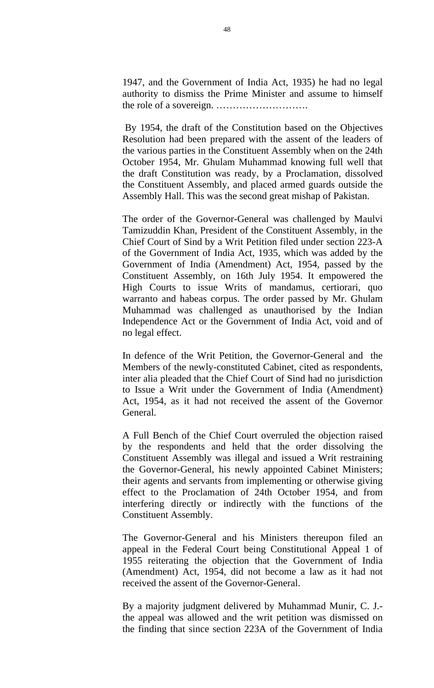1947, and the Government of India Act, 1935) he had no legal authority to dismiss the Prime Minister and assume to himself the role of a sovereign. ……………………….

 By 1954, the draft of the Constitution based on the Objectives Resolution had been prepared with the assent of the leaders of the various parties in the Constituent Assembly when on the 24th October 1954, Mr. Ghulam Muhammad knowing full well that the draft Constitution was ready, by a Proclamation, dissolved the Constituent Assembly, and placed armed guards outside the Assembly Hall. This was the second great mishap of Pakistan.

The order of the Governor-General was challenged by Maulvi Tamizuddin Khan, President of the Constituent Assembly, in the Chief Court of Sind by a Writ Petition filed under section 223-A of the Government of India Act, 1935, which was added by the Government of India (Amendment) Act, 1954, passed by the Constituent Assembly, on 16th July 1954. It empowered the High Courts to issue Writs of mandamus, certiorari, quo warranto and habeas corpus. The order passed by Mr. Ghulam Muhammad was challenged as unauthorised by the Indian Independence Act or the Government of India Act, void and of no legal effect.

In defence of the Writ Petition, the Governor-General and the Members of the newly-constituted Cabinet, cited as respondents, inter alia pleaded that the Chief Court of Sind had no jurisdiction to Issue a Writ under the Government of India (Amendment) Act, 1954, as it had not received the assent of the Governor General.

A Full Bench of the Chief Court overruled the objection raised by the respondents and held that the order dissolving the Constituent Assembly was illegal and issued a Writ restraining the Governor-General, his newly appointed Cabinet Ministers; their agents and servants from implementing or otherwise giving effect to the Proclamation of 24th October 1954, and from interfering directly or indirectly with the functions of the Constituent Assembly.

The Governor-General and his Ministers thereupon filed an appeal in the Federal Court being Constitutional Appeal 1 of 1955 reiterating the objection that the Government of India (Amendment) Act, 1954, did not become a law as it had not received the assent of the Governor-General.

By a majority judgment delivered by Muhammad Munir, C. J. the appeal was allowed and the writ petition was dismissed on the finding that since section 223A of the Government of India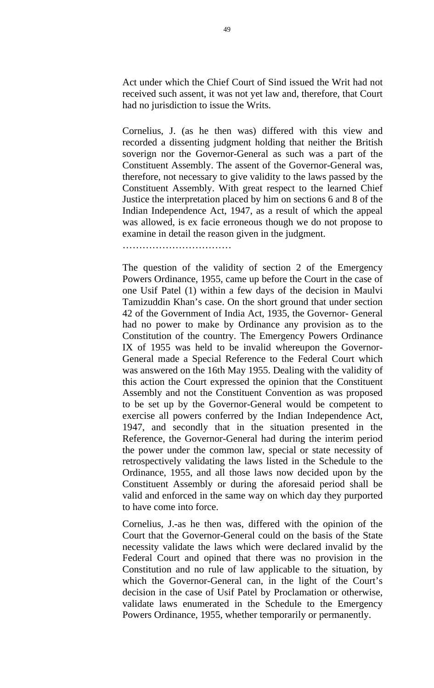Act under which the Chief Court of Sind issued the Writ had not received such assent, it was not yet law and, therefore, that Court had no jurisdiction to issue the Writs.

Cornelius, J. (as he then was) differed with this view and recorded a dissenting judgment holding that neither the British soverign nor the Governor-General as such was a part of the Constituent Assembly. The assent of the Governor-General was, therefore, not necessary to give validity to the laws passed by the Constituent Assembly. With great respect to the learned Chief Justice the interpretation placed by him on sections 6 and 8 of the Indian Independence Act, 1947, as a result of which the appeal was allowed, is ex facie erroneous though we do not propose to examine in detail the reason given in the judgment.

………………………………………

The question of the validity of section 2 of the Emergency Powers Ordinance, 1955, came up before the Court in the case of one Usif Patel (1) within a few days of the decision in Maulvi Tamizuddin Khan's case. On the short ground that under section 42 of the Government of India Act, 1935, the Governor- General had no power to make by Ordinance any provision as to the Constitution of the country. The Emergency Powers Ordinance IX of 1955 was held to be invalid whereupon the Governor-General made a Special Reference to the Federal Court which was answered on the 16th May 1955. Dealing with the validity of this action the Court expressed the opinion that the Constituent Assembly and not the Constituent Convention as was proposed to be set up by the Governor-General would be competent to exercise all powers conferred by the Indian Independence Act, 1947, and secondly that in the situation presented in the Reference, the Governor-General had during the interim period the power under the common law, special or state necessity of retrospectively validating the laws listed in the Schedule to the Ordinance, 1955, and all those laws now decided upon by the Constituent Assembly or during the aforesaid period shall be valid and enforced in the same way on which day they purported to have come into force.

Cornelius, J.-as he then was, differed with the opinion of the Court that the Governor-General could on the basis of the State necessity validate the laws which were declared invalid by the Federal Court and opined that there was no provision in the Constitution and no rule of law applicable to the situation, by which the Governor-General can, in the light of the Court's decision in the case of Usif Patel by Proclamation or otherwise, validate laws enumerated in the Schedule to the Emergency Powers Ordinance, 1955, whether temporarily or permanently.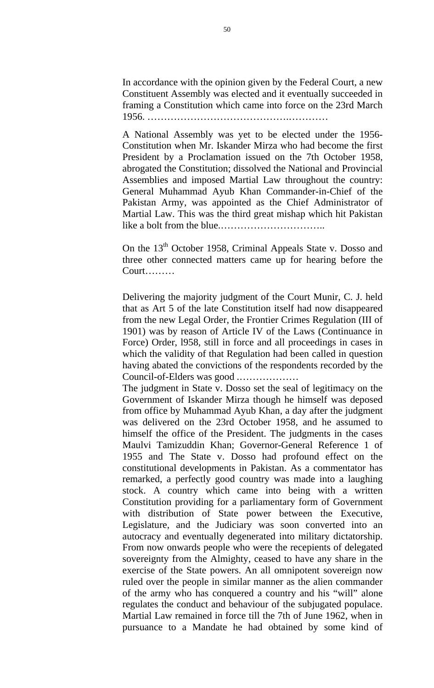In accordance with the opinion given by the Federal Court, a new Constituent Assembly was elected and it eventually succeeded in framing a Constitution which came into force on the 23rd March 1956. …………………………………….…………

A National Assembly was yet to be elected under the 1956- Constitution when Mr. Iskander Mirza who had become the first President by a Proclamation issued on the 7th October 1958, abrogated the Constitution; dissolved the National and Provincial Assemblies and imposed Martial Law throughout the country: General Muhammad Ayub Khan Commander-in-Chief of the Pakistan Army, was appointed as the Chief Administrator of Martial Law. This was the third great mishap which hit Pakistan like a bolt from the blue.…………………………..

On the  $13<sup>th</sup>$  October 1958, Criminal Appeals State v. Dosso and three other connected matters came up for hearing before the Court………

Delivering the majority judgment of the Court Munir, C. J. held that as Art 5 of the late Constitution itself had now disappeared from the new Legal Order, the Frontier Crimes Regulation (III of 1901) was by reason of Article IV of the Laws (Continuance in Force) Order, l958, still in force and all proceedings in cases in which the validity of that Regulation had been called in question having abated the convictions of the respondents recorded by the Council-of-Elders was good .………………

The judgment in State v. Dosso set the seal of legitimacy on the Government of Iskander Mirza though he himself was deposed from office by Muhammad Ayub Khan, a day after the judgment was delivered on the 23rd October 1958, and he assumed to himself the office of the President. The judgments in the cases Maulvi Tamizuddin Khan; Governor-General Reference 1 of 1955 and The State v. Dosso had profound effect on the constitutional developments in Pakistan. As a commentator has remarked, a perfectly good country was made into a laughing stock. A country which came into being with a written Constitution providing for a parliamentary form of Government with distribution of State power between the Executive, Legislature, and the Judiciary was soon converted into an autocracy and eventually degenerated into military dictatorship. From now onwards people who were the recepients of delegated sovereignty from the Almighty, ceased to have any share in the exercise of the State powers. An all omnipotent sovereign now ruled over the people in similar manner as the alien commander of the army who has conquered a country and his "will" alone regulates the conduct and behaviour of the subjugated populace. Martial Law remained in force till the 7th of June 1962, when in pursuance to a Mandate he had obtained by some kind of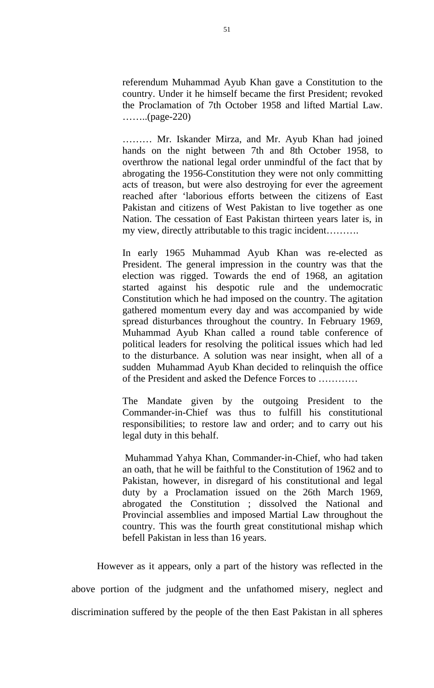referendum Muhammad Ayub Khan gave a Constitution to the country. Under it he himself became the first President; revoked the Proclamation of 7th October 1958 and lifted Martial Law.  $\ldots$ ......(page-220)

……… Mr. Iskander Mirza, and Mr. Ayub Khan had joined hands on the night between 7th and 8th October 1958, to overthrow the national legal order unmindful of the fact that by abrogating the 1956-Constitution they were not only committing acts of treason, but were also destroying for ever the agreement reached after 'laborious efforts between the citizens of East Pakistan and citizens of West Pakistan to live together as one Nation. The cessation of East Pakistan thirteen years later is, in my view, directly attributable to this tragic incident……….

In early 1965 Muhammad Ayub Khan was re-elected as President. The general impression in the country was that the election was rigged. Towards the end of 1968, an agitation started against his despotic rule and the undemocratic Constitution which he had imposed on the country. The agitation gathered momentum every day and was accompanied by wide spread disturbances throughout the country. In February 1969, Muhammad Ayub Khan called a round table conference of political leaders for resolving the political issues which had led to the disturbance. A solution was near insight, when all of a sudden Muhammad Ayub Khan decided to relinquish the office of the President and asked the Defence Forces to …………

The Mandate given by the outgoing President to the Commander-in-Chief was thus to fulfill his constitutional responsibilities; to restore law and order; and to carry out his legal duty in this behalf.

 Muhammad Yahya Khan, Commander-in-Chief, who had taken an oath, that he will be faithful to the Constitution of 1962 and to Pakistan, however, in disregard of his constitutional and legal duty by a Proclamation issued on the 26th March 1969, abrogated the Constitution ; dissolved the National and Provincial assemblies and imposed Martial Law throughout the country. This was the fourth great constitutional mishap which befell Pakistan in less than 16 years.

However as it appears, only a part of the history was reflected in the above portion of the judgment and the unfathomed misery, neglect and discrimination suffered by the people of the then East Pakistan in all spheres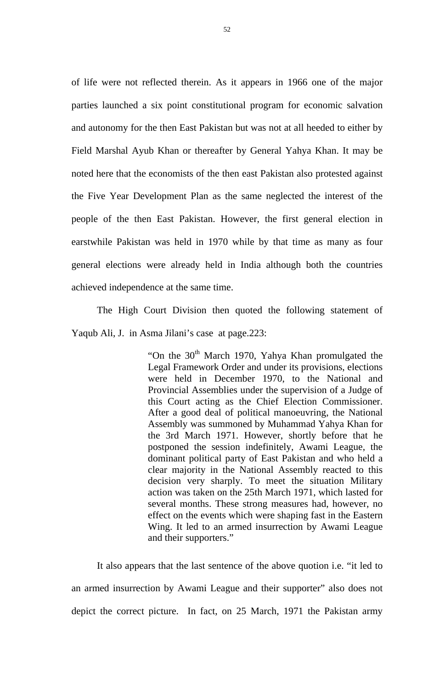of life were not reflected therein. As it appears in 1966 one of the major parties launched a six point constitutional program for economic salvation and autonomy for the then East Pakistan but was not at all heeded to either by Field Marshal Ayub Khan or thereafter by General Yahya Khan. It may be noted here that the economists of the then east Pakistan also protested against the Five Year Development Plan as the same neglected the interest of the people of the then East Pakistan. However, the first general election in earstwhile Pakistan was held in 1970 while by that time as many as four general elections were already held in India although both the countries achieved independence at the same time.

The High Court Division then quoted the following statement of Yaqub Ali, J. in Asma Jilani's case at page.223:

> "On the  $30<sup>th</sup>$  March 1970, Yahya Khan promulgated the Legal Framework Order and under its provisions, elections were held in December 1970, to the National and Provincial Assemblies under the supervision of a Judge of this Court acting as the Chief Election Commissioner. After a good deal of political manoeuvring, the National Assembly was summoned by Muhammad Yahya Khan for the 3rd March 1971. However, shortly before that he postponed the session indefinitely, Awami League, the dominant political party of East Pakistan and who held a clear majority in the National Assembly reacted to this decision very sharply. To meet the situation Military action was taken on the 25th March 1971, which lasted for several months. These strong measures had, however, no effect on the events which were shaping fast in the Eastern Wing. It led to an armed insurrection by Awami League and their supporters."

It also appears that the last sentence of the above quotion i.e. "it led to an armed insurrection by Awami League and their supporter" also does not depict the correct picture. In fact, on 25 March, 1971 the Pakistan army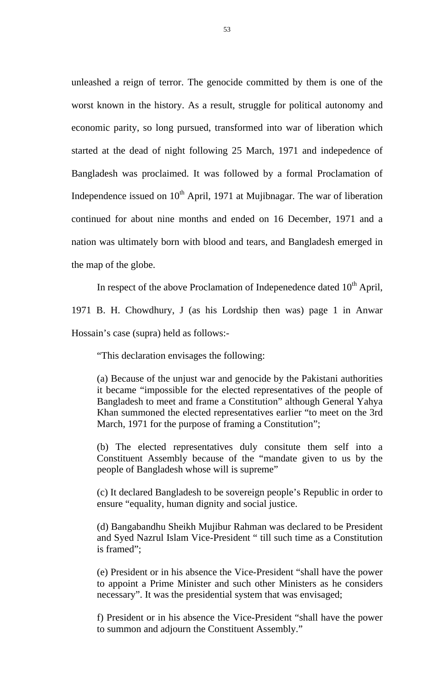unleashed a reign of terror. The genocide committed by them is one of the worst known in the history. As a result, struggle for political autonomy and economic parity, so long pursued, transformed into war of liberation which started at the dead of night following 25 March, 1971 and indepedence of Bangladesh was proclaimed. It was followed by a formal Proclamation of Independence issued on  $10^{th}$  April, 1971 at Mujibnagar. The war of liberation continued for about nine months and ended on 16 December, 1971 and a nation was ultimately born with blood and tears, and Bangladesh emerged in the map of the globe.

In respect of the above Proclamation of Indepenedence dated  $10<sup>th</sup>$  April, 1971 B. H. Chowdhury, J (as his Lordship then was) page 1 in Anwar

Hossain's case (supra) held as follows:-

"This declaration envisages the following:

(a) Because of the unjust war and genocide by the Pakistani authorities it became "impossible for the elected representatives of the people of Bangladesh to meet and frame a Constitution" although General Yahya Khan summoned the elected representatives earlier "to meet on the 3rd March, 1971 for the purpose of framing a Constitution";

(b) The elected representatives duly consitute them self into a Constituent Assembly because of the "mandate given to us by the people of Bangladesh whose will is supreme"

(c) It declared Bangladesh to be sovereign people's Republic in order to ensure "equality, human dignity and social justice.

(d) Bangabandhu Sheikh Mujibur Rahman was declared to be President and Syed Nazrul Islam Vice-President " till such time as a Constitution is framed";

(e) President or in his absence the Vice-President "shall have the power to appoint a Prime Minister and such other Ministers as he considers necessary". It was the presidential system that was envisaged;

f) President or in his absence the Vice-President "shall have the power to summon and adjourn the Constituent Assembly."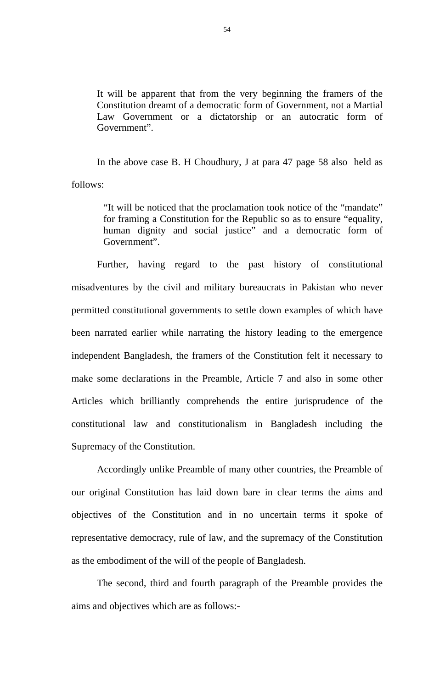It will be apparent that from the very beginning the framers of the Constitution dreamt of a democratic form of Government, not a Martial Law Government or a dictatorship or an autocratic form of Government".

In the above case B. H Choudhury, J at para 47 page 58 also held as follows:

> "It will be noticed that the proclamation took notice of the "mandate" for framing a Constitution for the Republic so as to ensure "equality, human dignity and social justice" and a democratic form of Government".

Further, having regard to the past history of constitutional misadventures by the civil and military bureaucrats in Pakistan who never permitted constitutional governments to settle down examples of which have been narrated earlier while narrating the history leading to the emergence independent Bangladesh, the framers of the Constitution felt it necessary to make some declarations in the Preamble, Article 7 and also in some other Articles which brilliantly comprehends the entire jurisprudence of the constitutional law and constitutionalism in Bangladesh including the Supremacy of the Constitution.

Accordingly unlike Preamble of many other countries, the Preamble of our original Constitution has laid down bare in clear terms the aims and objectives of the Constitution and in no uncertain terms it spoke of representative democracy, rule of law, and the supremacy of the Constitution as the embodiment of the will of the people of Bangladesh.

The second, third and fourth paragraph of the Preamble provides the aims and objectives which are as follows:-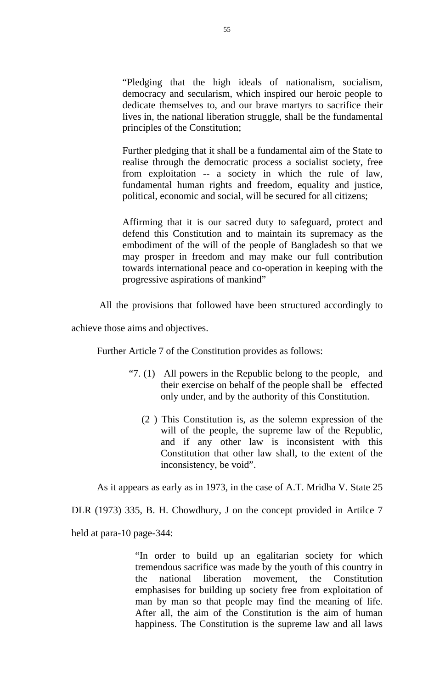"Pledging that the high ideals of nationalism, socialism, democracy and secularism, which inspired our heroic people to dedicate themselves to, and our brave martyrs to sacrifice their lives in, the national liberation struggle, shall be the fundamental principles of the Constitution;

Further pledging that it shall be a fundamental aim of the State to realise through the democratic process a socialist society, free from exploitation -- a society in which the rule of law, fundamental human rights and freedom, equality and justice, political, economic and social, will be secured for all citizens;

Affirming that it is our sacred duty to safeguard, protect and defend this Constitution and to maintain its supremacy as the embodiment of the will of the people of Bangladesh so that we may prosper in freedom and may make our full contribution towards international peace and co-operation in keeping with the progressive aspirations of mankind"

All the provisions that followed have been structured accordingly to

achieve those aims and objectives.

Further Article 7 of the Constitution provides as follows:

- "7. (1) All powers in the Republic belong to the people, and their exercise on behalf of the people shall be effected only under, and by the authority of this Constitution.
	- (2 ) This Constitution is, as the solemn expression of the will of the people, the supreme law of the Republic, and if any other law is inconsistent with this Constitution that other law shall, to the extent of the inconsistency, be void".

As it appears as early as in 1973, in the case of A.T. Mridha V. State 25

DLR (1973) 335, B. H. Chowdhury, J on the concept provided in Artilce 7

held at para-10 page-344:

"In order to build up an egalitarian society for which tremendous sacrifice was made by the youth of this country in the national liberation movement, the Constitution emphasises for building up society free from exploitation of man by man so that people may find the meaning of life. After all, the aim of the Constitution is the aim of human happiness. The Constitution is the supreme law and all laws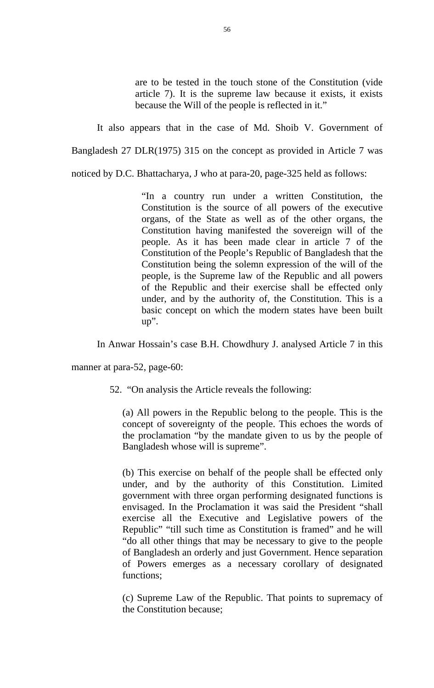are to be tested in the touch stone of the Constitution (vide article 7). It is the supreme law because it exists, it exists because the Will of the people is reflected in it."

It also appears that in the case of Md. Shoib V. Government of

Bangladesh 27 DLR(1975) 315 on the concept as provided in Article 7 was

noticed by D.C. Bhattacharya, J who at para-20, page-325 held as follows:

"In a country run under a written Constitution, the Constitution is the source of all powers of the executive organs, of the State as well as of the other organs, the Constitution having manifested the sovereign will of the people. As it has been made clear in article 7 of the Constitution of the People's Republic of Bangladesh that the Constitution being the solemn expression of the will of the people, is the Supreme law of the Republic and all powers of the Republic and their exercise shall be effected only under, and by the authority of, the Constitution. This is a basic concept on which the modern states have been built up".

In Anwar Hossain's case B.H. Chowdhury J. analysed Article 7 in this

manner at para-52, page-60:

52. "On analysis the Article reveals the following:

(a) All powers in the Republic belong to the people. This is the concept of sovereignty of the people. This echoes the words of the proclamation "by the mandate given to us by the people of Bangladesh whose will is supreme".

(b) This exercise on behalf of the people shall be effected only under, and by the authority of this Constitution. Limited government with three organ performing designated functions is envisaged. In the Proclamation it was said the President "shall exercise all the Executive and Legislative powers of the Republic" "till such time as Constitution is framed" and he will "do all other things that may be necessary to give to the people of Bangladesh an orderly and just Government. Hence separation of Powers emerges as a necessary corollary of designated functions;

(c) Supreme Law of the Republic. That points to supremacy of the Constitution because;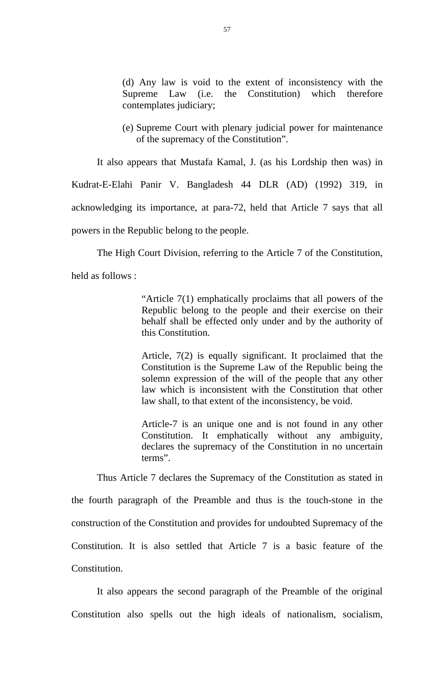(d) Any law is void to the extent of inconsistency with the Supreme Law (i.e. the Constitution) which therefore contemplates judiciary;

(e) Supreme Court with plenary judicial power for maintenance of the supremacy of the Constitution".

It also appears that Mustafa Kamal, J. (as his Lordship then was) in

Kudrat-E-Elahi Panir V. Bangladesh 44 DLR (AD) (1992) 319, in acknowledging its importance, at para-72, held that Article 7 says that all powers in the Republic belong to the people.

The High Court Division, referring to the Article 7 of the Constitution,

held as follows :

"Article 7(1) emphatically proclaims that all powers of the Republic belong to the people and their exercise on their behalf shall be effected only under and by the authority of this Constitution.

Article, 7(2) is equally significant. It proclaimed that the Constitution is the Supreme Law of the Republic being the solemn expression of the will of the people that any other law which is inconsistent with the Constitution that other law shall, to that extent of the inconsistency, be void.

Article-7 is an unique one and is not found in any other Constitution. It emphatically without any ambiguity, declares the supremacy of the Constitution in no uncertain terms".

Thus Article 7 declares the Supremacy of the Constitution as stated in the fourth paragraph of the Preamble and thus is the touch-stone in the construction of the Constitution and provides for undoubted Supremacy of the Constitution. It is also settled that Article 7 is a basic feature of the Constitution.

It also appears the second paragraph of the Preamble of the original Constitution also spells out the high ideals of nationalism, socialism,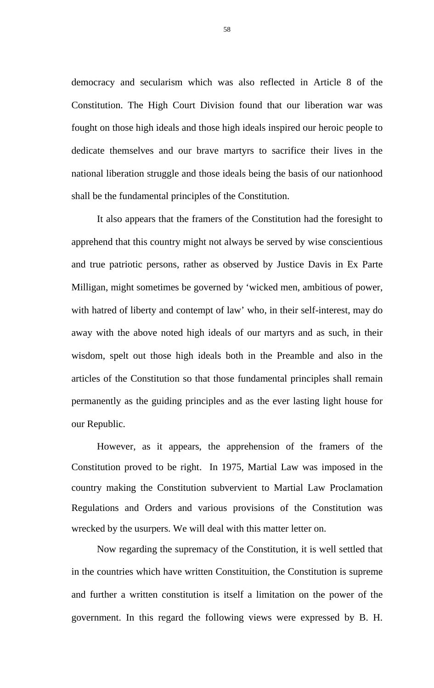democracy and secularism which was also reflected in Article 8 of the Constitution. The High Court Division found that our liberation war was fought on those high ideals and those high ideals inspired our heroic people to dedicate themselves and our brave martyrs to sacrifice their lives in the national liberation struggle and those ideals being the basis of our nationhood shall be the fundamental principles of the Constitution.

It also appears that the framers of the Constitution had the foresight to apprehend that this country might not always be served by wise conscientious and true patriotic persons, rather as observed by Justice Davis in Ex Parte Milligan, might sometimes be governed by 'wicked men, ambitious of power, with hatred of liberty and contempt of law' who, in their self-interest, may do away with the above noted high ideals of our martyrs and as such, in their wisdom, spelt out those high ideals both in the Preamble and also in the articles of the Constitution so that those fundamental principles shall remain permanently as the guiding principles and as the ever lasting light house for our Republic.

However, as it appears, the apprehension of the framers of the Constitution proved to be right. In 1975, Martial Law was imposed in the country making the Constitution subvervient to Martial Law Proclamation Regulations and Orders and various provisions of the Constitution was wrecked by the usurpers. We will deal with this matter letter on.

Now regarding the supremacy of the Constitution, it is well settled that in the countries which have written Constituition, the Constitution is supreme and further a written constitution is itself a limitation on the power of the government. In this regard the following views were expressed by B. H.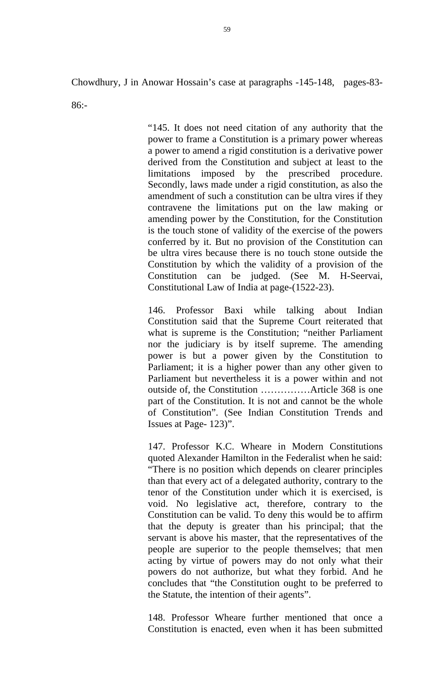Chowdhury, J in Anowar Hossain's case at paragraphs -145-148, pages-83-

86:-

"145. It does not need citation of any authority that the power to frame a Constitution is a primary power whereas a power to amend a rigid constitution is a derivative power derived from the Constitution and subject at least to the limitations imposed by the prescribed procedure. Secondly, laws made under a rigid constitution, as also the amendment of such a constitution can be ultra vires if they contravene the limitations put on the law making or amending power by the Constitution, for the Constitution is the touch stone of validity of the exercise of the powers conferred by it. But no provision of the Constitution can be ultra vires because there is no touch stone outside the Constitution by which the validity of a provision of the Constitution can be judged. (See M. H-Seervai, Constitutional Law of India at page-(1522-23).

146. Professor Baxi while talking about Indian Constitution said that the Supreme Court reiterated that what is supreme is the Constitution; "neither Parliament nor the judiciary is by itself supreme. The amending power is but a power given by the Constitution to Parliament; it is a higher power than any other given to Parliament but nevertheless it is a power within and not outside of, the Constitution ……………Article 368 is one part of the Constitution. It is not and cannot be the whole of Constitution". (See Indian Constitution Trends and Issues at Page- 123)".

147. Professor K.C. Wheare in Modern Constitutions quoted Alexander Hamilton in the Federalist when he said: "There is no position which depends on clearer principles than that every act of a delegated authority, contrary to the tenor of the Constitution under which it is exercised, is void. No legislative act, therefore, contrary to the Constitution can be valid. To deny this would be to affirm that the deputy is greater than his principal; that the servant is above his master, that the representatives of the people are superior to the people themselves; that men acting by virtue of powers may do not only what their powers do not authorize, but what they forbid. And he concludes that "the Constitution ought to be preferred to the Statute, the intention of their agents".

148. Professor Wheare further mentioned that once a Constitution is enacted, even when it has been submitted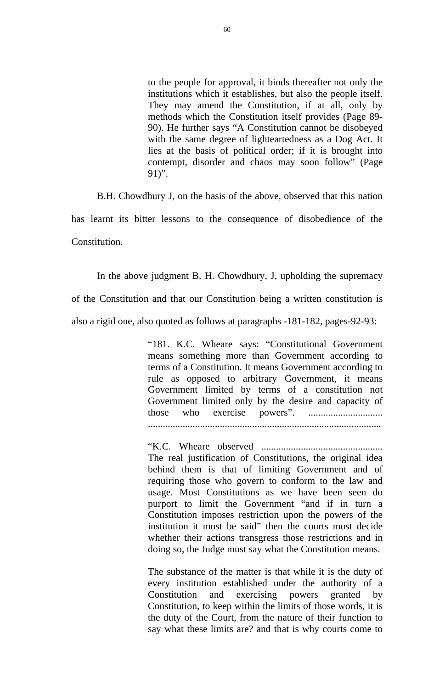to the people for approval, it binds thereafter not only the institutions which it establishes, but also the people itself. They may amend the Constitution, if at all, only by methods which the Constitution itself provides (Page 89- 90). He further says "A Constitution cannot be disobeyed with the same degree of lighteartedness as a Dog Act. It lies at the basis of political order; if it is brought into contempt, disorder and chaos may soon follow" (Page 91)".

B.H. Chowdhury J, on the basis of the above, observed that this nation has learnt its bitter lessons to the consequence of disobedience of the Constitution.

In the above judgment B. H. Chowdhury, J, upholding the supremacy of the Constitution and that our Constitution being a written constitution is also a rigid one, also quoted as follows at paragraphs -181-182, pages-92-93:

> "181. K.C. Wheare says: "Constitutional Government means something more than Government according to terms of a Constitution. It means Government according to rule as opposed to arbitrary Government, it means Government limited by terms of a constitution not Government limited only by the desire and capacity of those who exercise powers". ..............................

..............................................................................................

"K.C. Wheare observed ................................................. The real justification of Constitutions, the original idea behind them is that of limiting Government and of requiring those who govern to conform to the law and usage. Most Constitutions as we have been seen do purport to limit the Government "and if in turn a Constitution imposes restriction upon the powers of the institution it must be said" then the courts must decide whether their actions transgress those restrictions and in doing so, the Judge must say what the Constitution means.

The substance of the matter is that while it is the duty of every institution established under the authority of a Constitution and exercising powers granted by Constitution, to keep within the limits of those words, it is the duty of the Court, from the nature of their function to say what these limits are? and that is why courts come to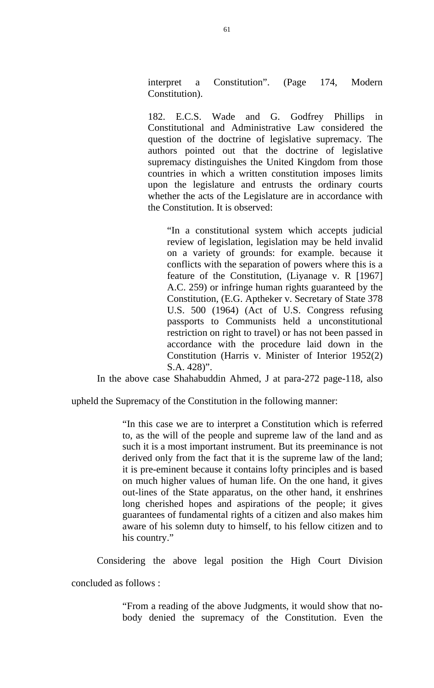interpret a Constitution". (Page 174, Modern Constitution).

182. E.C.S. Wade and G. Godfrey Phillips in Constitutional and Administrative Law considered the question of the doctrine of legislative supremacy. The authors pointed out that the doctrine of legislative supremacy distinguishes the United Kingdom from those countries in which a written constitution imposes limits upon the legislature and entrusts the ordinary courts whether the acts of the Legislature are in accordance with the Constitution. It is observed:

"In a constitutional system which accepts judicial review of legislation, legislation may be held invalid on a variety of grounds: for example. because it conflicts with the separation of powers where this is a feature of the Constitution, (Liyanage v. R [1967] A.C. 259) or infringe human rights guaranteed by the Constitution, (E.G. Aptheker v. Secretary of State 378 U.S. 500 (1964) (Act of U.S. Congress refusing passports to Communists held a unconstitutional restriction on right to travel) or has not been passed in accordance with the procedure laid down in the Constitution (Harris v. Minister of Interior 1952(2) S.A. 428)".

In the above case Shahabuddin Ahmed, J at para-272 page-118, also

upheld the Supremacy of the Constitution in the following manner:

"In this case we are to interpret a Constitution which is referred to, as the will of the people and supreme law of the land and as such it is a most important instrument. But its preeminance is not derived only from the fact that it is the supreme law of the land; it is pre-eminent because it contains lofty principles and is based on much higher values of human life. On the one hand, it gives out-lines of the State apparatus, on the other hand, it enshrines long cherished hopes and aspirations of the people; it gives guarantees of fundamental rights of a citizen and also makes him aware of his solemn duty to himself, to his fellow citizen and to his country."

Considering the above legal position the High Court Division

concluded as follows :

"From a reading of the above Judgments, it would show that nobody denied the supremacy of the Constitution. Even the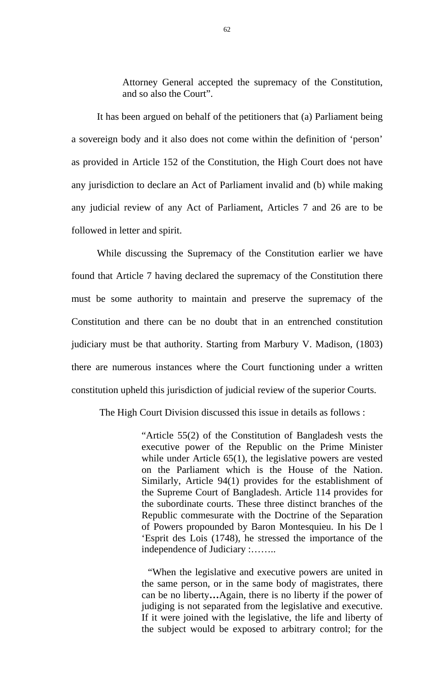Attorney General accepted the supremacy of the Constitution, and so also the Court".

It has been argued on behalf of the petitioners that (a) Parliament being a sovereign body and it also does not come within the definition of 'person' as provided in Article 152 of the Constitution, the High Court does not have any jurisdiction to declare an Act of Parliament invalid and (b) while making any judicial review of any Act of Parliament, Articles 7 and 26 are to be followed in letter and spirit.

While discussing the Supremacy of the Constitution earlier we have found that Article 7 having declared the supremacy of the Constitution there must be some authority to maintain and preserve the supremacy of the Constitution and there can be no doubt that in an entrenched constitution judiciary must be that authority. Starting from Marbury V. Madison, (1803) there are numerous instances where the Court functioning under a written constitution upheld this jurisdiction of judicial review of the superior Courts.

The High Court Division discussed this issue in details as follows :

"Article 55(2) of the Constitution of Bangladesh vests the executive power of the Republic on the Prime Minister while under Article 65(1), the legislative powers are vested on the Parliament which is the House of the Nation. Similarly, Article 94(1) provides for the establishment of the Supreme Court of Bangladesh. Article 114 provides for the subordinate courts. These three distinct branches of the Republic commesurate with the Doctrine of the Separation of Powers propounded by Baron Montesquieu. In his De l 'Esprit des Lois (1748), he stressed the importance of the independence of Judiciary :……..

 "When the legislative and executive powers are united in the same person, or in the same body of magistrates, there can be no liberty**…**Again, there is no liberty if the power of judiging is not separated from the legislative and executive. If it were joined with the legislative, the life and liberty of the subject would be exposed to arbitrary control; for the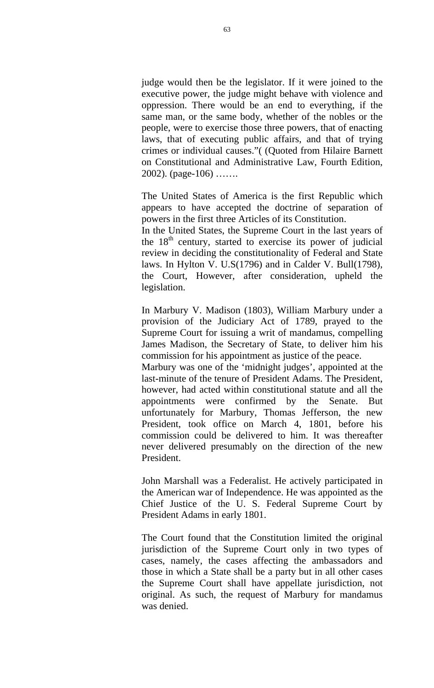judge would then be the legislator. If it were joined to the executive power, the judge might behave with violence and oppression. There would be an end to everything, if the same man, or the same body, whether of the nobles or the people, were to exercise those three powers, that of enacting laws, that of executing public affairs, and that of trying crimes or individual causes."( (Quoted from Hilaire Barnett on Constitutional and Administrative Law, Fourth Edition, 2002). (page-106) …….

The United States of America is the first Republic which appears to have accepted the doctrine of separation of powers in the first three Articles of its Constitution.

In the United States, the Supreme Court in the last years of the  $18<sup>th</sup>$  century, started to exercise its power of judicial review in deciding the constitutionality of Federal and State laws. In Hylton V. U.S(1796) and in Calder V. Bull(1798), the Court, However, after consideration, upheld the legislation.

In Marbury V. Madison (1803), William Marbury under a provision of the Judiciary Act of 1789, prayed to the Supreme Court for issuing a writ of mandamus, compelling James Madison, the Secretary of State, to deliver him his commission for his appointment as justice of the peace.

Marbury was one of the 'midnight judges', appointed at the last-minute of the tenure of President Adams. The President, however, had acted within constitutional statute and all the appointments were confirmed by the Senate. But unfortunately for Marbury, Thomas Jefferson, the new President, took office on March 4, 1801, before his commission could be delivered to him. It was thereafter never delivered presumably on the direction of the new President.

John Marshall was a Federalist. He actively participated in the American war of Independence. He was appointed as the Chief Justice of the U. S. Federal Supreme Court by President Adams in early 1801.

The Court found that the Constitution limited the original jurisdiction of the Supreme Court only in two types of cases, namely, the cases affecting the ambassadors and those in which a State shall be a party but in all other cases the Supreme Court shall have appellate jurisdiction, not original. As such, the request of Marbury for mandamus was denied.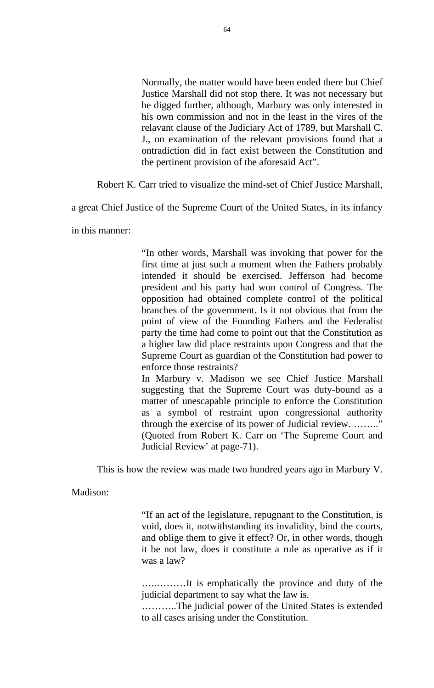Normally, the matter would have been ended there but Chief Justice Marshall did not stop there. It was not necessary but he digged further, although, Marbury was only interested in his own commission and not in the least in the vires of the relavant clause of the Judiciary Act of 1789, but Marshall C. J., on examination of the relevant provisions found that a ontradiction did in fact exist between the Constitution and the pertinent provision of the aforesaid Act".

Robert K. Carr tried to visualize the mind-set of Chief Justice Marshall,

a great Chief Justice of the Supreme Court of the United States, in its infancy

in this manner:

"In other words, Marshall was invoking that power for the first time at just such a moment when the Fathers probably intended it should be exercised. Jefferson had become president and his party had won control of Congress. The opposition had obtained complete control of the political branches of the government. Is it not obvious that from the point of view of the Founding Fathers and the Federalist party the time had come to point out that the Constitution as a higher law did place restraints upon Congress and that the Supreme Court as guardian of the Constitution had power to enforce those restraints?

In Marbury v. Madison we see Chief Justice Marshall suggesting that the Supreme Court was duty-bound as a matter of unescapable principle to enforce the Constitution as a symbol of restraint upon congressional authority through the exercise of its power of Judicial review. …….." (Quoted from Robert K. Carr on 'The Supreme Court and Judicial Review' at page-71).

This is how the review was made two hundred years ago in Marbury V.

Madison:

"If an act of the legislature, repugnant to the Constitution, is void, does it, notwithstanding its invalidity, bind the courts, and oblige them to give it effect? Or, in other words, though it be not law, does it constitute a rule as operative as if it was a law?

…..………It is emphatically the province and duty of the judicial department to say what the law is.

………..The judicial power of the United States is extended to all cases arising under the Constitution.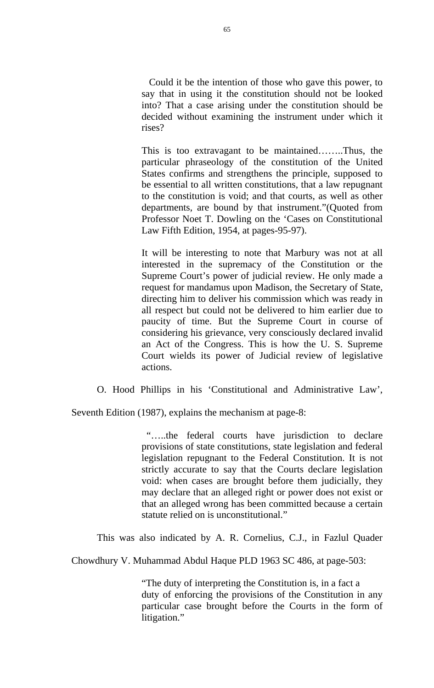Could it be the intention of those who gave this power, to say that in using it the constitution should not be looked into? That a case arising under the constitution should be decided without examining the instrument under which it rises?

This is too extravagant to be maintained……..Thus, the particular phraseology of the constitution of the United States confirms and strengthens the principle, supposed to be essential to all written constitutions, that a law repugnant to the constitution is void; and that courts, as well as other departments, are bound by that instrument."(Quoted from Professor Noet T. Dowling on the 'Cases on Constitutional Law Fifth Edition, 1954, at pages-95-97).

It will be interesting to note that Marbury was not at all interested in the supremacy of the Constitution or the Supreme Court's power of judicial review. He only made a request for mandamus upon Madison, the Secretary of State, directing him to deliver his commission which was ready in all respect but could not be delivered to him earlier due to paucity of time. But the Supreme Court in course of considering his grievance, very consciously declared invalid an Act of the Congress. This is how the U. S. Supreme Court wields its power of Judicial review of legislative actions.

O. Hood Phillips in his 'Constitutional and Administrative Law',

Seventh Edition (1987), explains the mechanism at page-8:

 "…..the federal courts have jurisdiction to declare provisions of state constitutions, state legislation and federal legislation repugnant to the Federal Constitution. It is not strictly accurate to say that the Courts declare legislation void: when cases are brought before them judicially, they may declare that an alleged right or power does not exist or that an alleged wrong has been committed because a certain statute relied on is unconstitutional."

This was also indicated by A. R. Cornelius, C.J., in Fazlul Quader

Chowdhury V. Muhammad Abdul Haque PLD 1963 SC 486, at page-503:

"The duty of interpreting the Constitution is, in a fact a duty of enforcing the provisions of the Constitution in any particular case brought before the Courts in the form of litigation."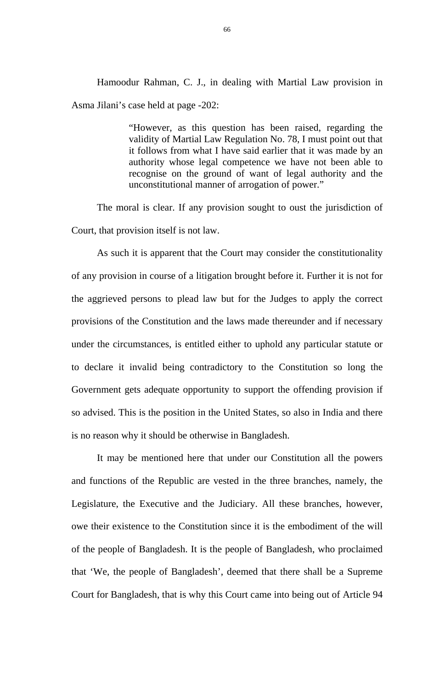Hamoodur Rahman, C. J., in dealing with Martial Law provision in Asma Jilani's case held at page -202:

> "However, as this question has been raised, regarding the validity of Martial Law Regulation No. 78, I must point out that it follows from what I have said earlier that it was made by an authority whose legal competence we have not been able to recognise on the ground of want of legal authority and the unconstitutional manner of arrogation of power."

The moral is clear. If any provision sought to oust the jurisdiction of Court, that provision itself is not law.

As such it is apparent that the Court may consider the constitutionality of any provision in course of a litigation brought before it. Further it is not for the aggrieved persons to plead law but for the Judges to apply the correct provisions of the Constitution and the laws made thereunder and if necessary under the circumstances, is entitled either to uphold any particular statute or to declare it invalid being contradictory to the Constitution so long the Government gets adequate opportunity to support the offending provision if so advised. This is the position in the United States, so also in India and there is no reason why it should be otherwise in Bangladesh.

It may be mentioned here that under our Constitution all the powers and functions of the Republic are vested in the three branches, namely, the Legislature, the Executive and the Judiciary. All these branches, however, owe their existence to the Constitution since it is the embodiment of the will of the people of Bangladesh. It is the people of Bangladesh, who proclaimed that 'We, the people of Bangladesh', deemed that there shall be a Supreme Court for Bangladesh, that is why this Court came into being out of Article 94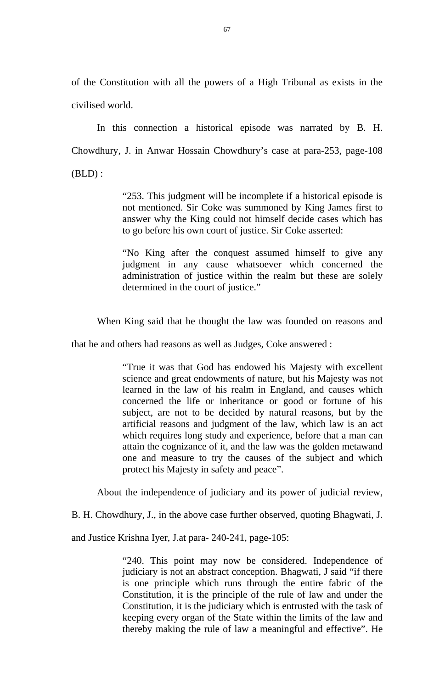of the Constitution with all the powers of a High Tribunal as exists in the civilised world.

In this connection a historical episode was narrated by B. H. Chowdhury, J. in Anwar Hossain Chowdhury's case at para-253, page-108  $(BLD)$ :

> "253. This judgment will be incomplete if a historical episode is not mentioned. Sir Coke was summoned by King James first to answer why the King could not himself decide cases which has to go before his own court of justice. Sir Coke asserted:

> "No King after the conquest assumed himself to give any judgment in any cause whatsoever which concerned the administration of justice within the realm but these are solely determined in the court of justice."

When King said that he thought the law was founded on reasons and

that he and others had reasons as well as Judges, Coke answered :

"True it was that God has endowed his Majesty with excellent science and great endowments of nature, but his Majesty was not learned in the law of his realm in England, and causes which concerned the life or inheritance or good or fortune of his subject, are not to be decided by natural reasons, but by the artificial reasons and judgment of the law, which law is an act which requires long study and experience, before that a man can attain the cognizance of it, and the law was the golden metawand one and measure to try the causes of the subject and which protect his Majesty in safety and peace".

About the independence of judiciary and its power of judicial review,

B. H. Chowdhury, J., in the above case further observed, quoting Bhagwati, J.

and Justice Krishna Iyer, J.at para- 240-241, page-105:

"240. This point may now be considered. Independence of judiciary is not an abstract conception. Bhagwati, J said "if there is one principle which runs through the entire fabric of the Constitution, it is the principle of the rule of law and under the Constitution, it is the judiciary which is entrusted with the task of keeping every organ of the State within the limits of the law and thereby making the rule of law a meaningful and effective". He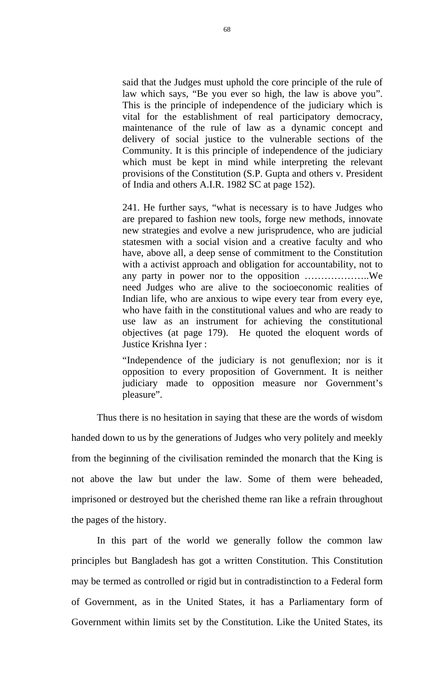said that the Judges must uphold the core principle of the rule of law which says, "Be you ever so high, the law is above you". This is the principle of independence of the judiciary which is vital for the establishment of real participatory democracy, maintenance of the rule of law as a dynamic concept and delivery of social justice to the vulnerable sections of the Community. It is this principle of independence of the judiciary which must be kept in mind while interpreting the relevant provisions of the Constitution (S.P. Gupta and others v. President of India and others A.I.R. 1982 SC at page 152).

241. He further says, "what is necessary is to have Judges who are prepared to fashion new tools, forge new methods, innovate new strategies and evolve a new jurisprudence, who are judicial statesmen with a social vision and a creative faculty and who have, above all, a deep sense of commitment to the Constitution with a activist approach and obligation for accountability, not to any party in power nor to the opposition ………………..We need Judges who are alive to the socioeconomic realities of Indian life, who are anxious to wipe every tear from every eye, who have faith in the constitutional values and who are ready to use law as an instrument for achieving the constitutional objectives (at page 179). He quoted the eloquent words of Justice Krishna Iyer :

"Independence of the judiciary is not genuflexion; nor is it opposition to every proposition of Government. It is neither judiciary made to opposition measure nor Government's pleasure".

Thus there is no hesitation in saying that these are the words of wisdom handed down to us by the generations of Judges who very politely and meekly from the beginning of the civilisation reminded the monarch that the King is not above the law but under the law. Some of them were beheaded, imprisoned or destroyed but the cherished theme ran like a refrain throughout the pages of the history.

In this part of the world we generally follow the common law principles but Bangladesh has got a written Constitution. This Constitution may be termed as controlled or rigid but in contradistinction to a Federal form of Government, as in the United States, it has a Parliamentary form of Government within limits set by the Constitution. Like the United States, its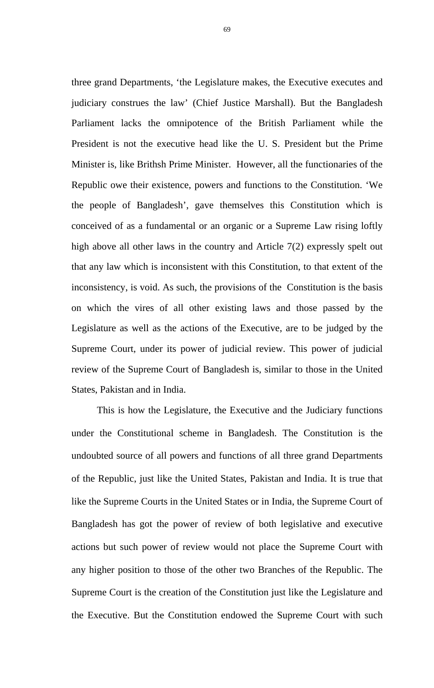three grand Departments, 'the Legislature makes, the Executive executes and judiciary construes the law' (Chief Justice Marshall). But the Bangladesh Parliament lacks the omnipotence of the British Parliament while the President is not the executive head like the U. S. President but the Prime Minister is, like Brithsh Prime Minister. However, all the functionaries of the Republic owe their existence, powers and functions to the Constitution. 'We the people of Bangladesh', gave themselves this Constitution which is conceived of as a fundamental or an organic or a Supreme Law rising loftly high above all other laws in the country and Article 7(2) expressly spelt out that any law which is inconsistent with this Constitution, to that extent of the inconsistency, is void. As such, the provisions of the Constitution is the basis on which the vires of all other existing laws and those passed by the Legislature as well as the actions of the Executive, are to be judged by the Supreme Court, under its power of judicial review. This power of judicial review of the Supreme Court of Bangladesh is, similar to those in the United States, Pakistan and in India.

This is how the Legislature, the Executive and the Judiciary functions under the Constitutional scheme in Bangladesh. The Constitution is the undoubted source of all powers and functions of all three grand Departments of the Republic, just like the United States, Pakistan and India. It is true that like the Supreme Courts in the United States or in India, the Supreme Court of Bangladesh has got the power of review of both legislative and executive actions but such power of review would not place the Supreme Court with any higher position to those of the other two Branches of the Republic. The Supreme Court is the creation of the Constitution just like the Legislature and the Executive. But the Constitution endowed the Supreme Court with such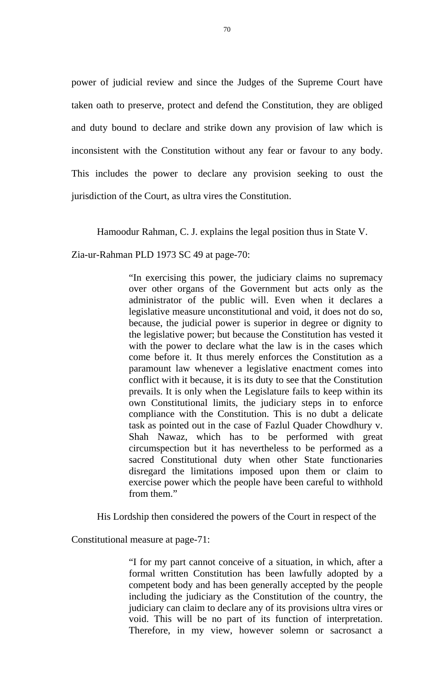power of judicial review and since the Judges of the Supreme Court have taken oath to preserve, protect and defend the Constitution, they are obliged and duty bound to declare and strike down any provision of law which is inconsistent with the Constitution without any fear or favour to any body. This includes the power to declare any provision seeking to oust the jurisdiction of the Court, as ultra vires the Constitution.

Hamoodur Rahman, C. J. explains the legal position thus in State V.

Zia-ur-Rahman PLD 1973 SC 49 at page-70:

"In exercising this power, the judiciary claims no supremacy over other organs of the Government but acts only as the administrator of the public will. Even when it declares a legislative measure unconstitutional and void, it does not do so, because, the judicial power is superior in degree or dignity to the legislative power; but because the Constitution has vested it with the power to declare what the law is in the cases which come before it. It thus merely enforces the Constitution as a paramount law whenever a legislative enactment comes into conflict with it because, it is its duty to see that the Constitution prevails. It is only when the Legislature fails to keep within its own Constitutional limits, the judiciary steps in to enforce compliance with the Constitution. This is no dubt a delicate task as pointed out in the case of Fazlul Quader Chowdhury v. Shah Nawaz, which has to be performed with great circumspection but it has nevertheless to be performed as a sacred Constitutional duty when other State functionaries disregard the limitations imposed upon them or claim to exercise power which the people have been careful to withhold from them."

His Lordship then considered the powers of the Court in respect of the

Constitutional measure at page-71:

"I for my part cannot conceive of a situation, in which, after a formal written Constitution has been lawfully adopted by a competent body and has been generally accepted by the people including the judiciary as the Constitution of the country, the judiciary can claim to declare any of its provisions ultra vires or void. This will be no part of its function of interpretation. Therefore, in my view, however solemn or sacrosanct a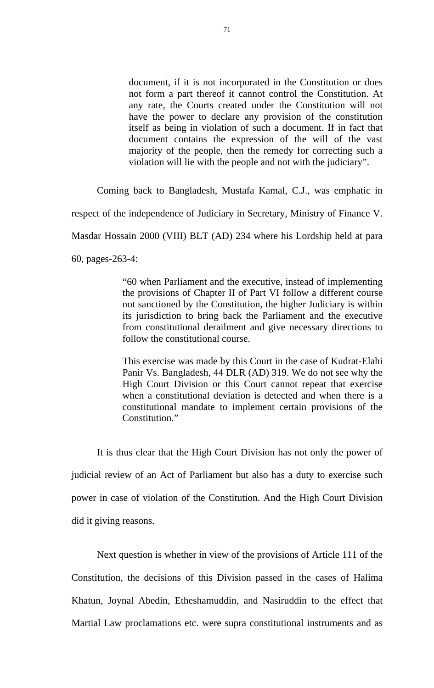document, if it is not incorporated in the Constitution or does not form a part thereof it cannot control the Constitution. At any rate, the Courts created under the Constitution will not have the power to declare any provision of the constitution itself as being in violation of such a document. If in fact that document contains the expression of the will of the vast majority of the people, then the remedy for correcting such a violation will lie with the people and not with the judiciary".

Coming back to Bangladesh, Mustafa Kamal, C.J., was emphatic in

respect of the independence of Judiciary in Secretary, Ministry of Finance V.

Masdar Hossain 2000 (VIII) BLT (AD) 234 where his Lordship held at para

60, pages-263-4:

"60 when Parliament and the executive, instead of implementing the provisions of Chapter II of Part VI follow a different course not sanctioned by the Constitution, the higher Judiciary is within its jurisdiction to bring back the Parliament and the executive from constitutional derailment and give necessary directions to follow the constitutional course.

This exercise was made by this Court in the case of Kudrat-Elahi Panir Vs. Bangladesh, 44 DLR (AD) 319. We do not see why the High Court Division or this Court cannot repeat that exercise when a constitutional deviation is detected and when there is a constitutional mandate to implement certain provisions of the Constitution."

It is thus clear that the High Court Division has not only the power of judicial review of an Act of Parliament but also has a duty to exercise such power in case of violation of the Constitution. And the High Court Division did it giving reasons.

Next question is whether in view of the provisions of Article 111 of the Constitution, the decisions of this Division passed in the cases of Halima Khatun, Joynal Abedin, Etheshamuddin, and Nasiruddin to the effect that Martial Law proclamations etc. were supra constitutional instruments and as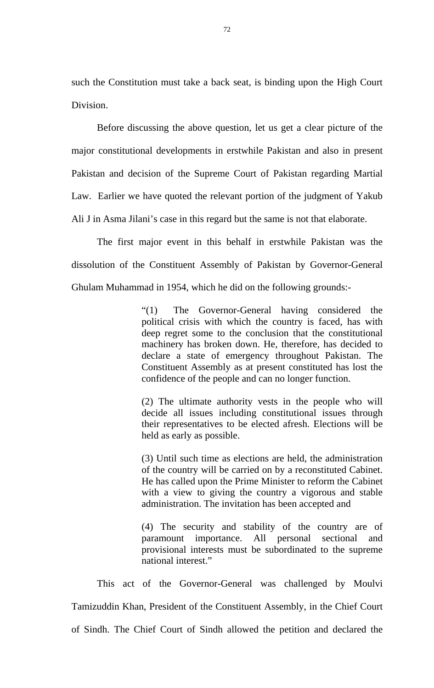such the Constitution must take a back seat, is binding upon the High Court Division.

Before discussing the above question, let us get a clear picture of the major constitutional developments in erstwhile Pakistan and also in present Pakistan and decision of the Supreme Court of Pakistan regarding Martial Law. Earlier we have quoted the relevant portion of the judgment of Yakub Ali J in Asma Jilani's case in this regard but the same is not that elaborate.

The first major event in this behalf in erstwhile Pakistan was the dissolution of the Constituent Assembly of Pakistan by Governor-General Ghulam Muhammad in 1954, which he did on the following grounds:-

> "(1) The Governor-General having considered the political crisis with which the country is faced, has with deep regret some to the conclusion that the constitutional machinery has broken down. He, therefore, has decided to declare a state of emergency throughout Pakistan. The Constituent Assembly as at present constituted has lost the confidence of the people and can no longer function.

> (2) The ultimate authority vests in the people who will decide all issues including constitutional issues through their representatives to be elected afresh. Elections will be held as early as possible.

> (3) Until such time as elections are held, the administration of the country will be carried on by a reconstituted Cabinet. He has called upon the Prime Minister to reform the Cabinet with a view to giving the country a vigorous and stable administration. The invitation has been accepted and

> (4) The security and stability of the country are of paramount importance. All personal sectional and provisional interests must be subordinated to the supreme national interest."

This act of the Governor-General was challenged by Moulvi Tamizuddin Khan, President of the Constituent Assembly, in the Chief Court of Sindh. The Chief Court of Sindh allowed the petition and declared the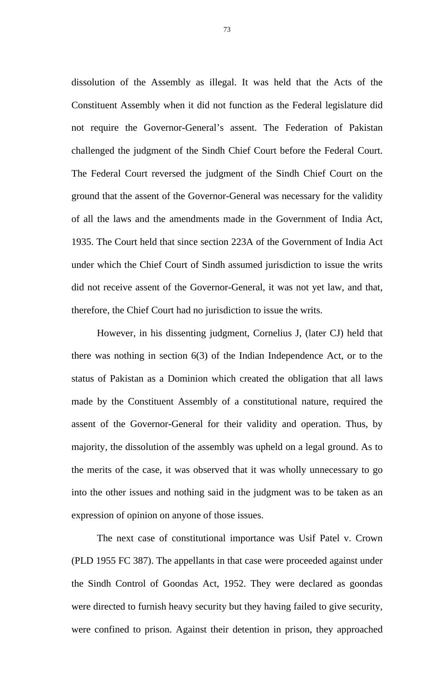dissolution of the Assembly as illegal. It was held that the Acts of the Constituent Assembly when it did not function as the Federal legislature did not require the Governor-General's assent. The Federation of Pakistan challenged the judgment of the Sindh Chief Court before the Federal Court. The Federal Court reversed the judgment of the Sindh Chief Court on the ground that the assent of the Governor-General was necessary for the validity of all the laws and the amendments made in the Government of India Act, 1935. The Court held that since section 223A of the Government of India Act under which the Chief Court of Sindh assumed jurisdiction to issue the writs did not receive assent of the Governor-General, it was not yet law, and that, therefore, the Chief Court had no jurisdiction to issue the writs.

However, in his dissenting judgment, Cornelius J, (later CJ) held that there was nothing in section 6(3) of the Indian Independence Act, or to the status of Pakistan as a Dominion which created the obligation that all laws made by the Constituent Assembly of a constitutional nature, required the assent of the Governor-General for their validity and operation. Thus, by majority, the dissolution of the assembly was upheld on a legal ground. As to the merits of the case, it was observed that it was wholly unnecessary to go into the other issues and nothing said in the judgment was to be taken as an expression of opinion on anyone of those issues.

The next case of constitutional importance was Usif Patel v. Crown (PLD 1955 FC 387). The appellants in that case were proceeded against under the Sindh Control of Goondas Act, 1952. They were declared as goondas were directed to furnish heavy security but they having failed to give security, were confined to prison. Against their detention in prison, they approached

73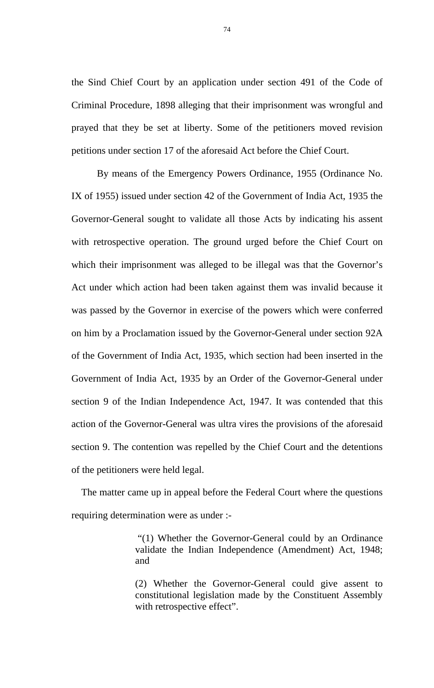the Sind Chief Court by an application under section 491 of the Code of Criminal Procedure, 1898 alleging that their imprisonment was wrongful and prayed that they be set at liberty. Some of the petitioners moved revision petitions under section 17 of the aforesaid Act before the Chief Court.

 By means of the Emergency Powers Ordinance, 1955 (Ordinance No. IX of 1955) issued under section 42 of the Government of India Act, 1935 the Governor-General sought to validate all those Acts by indicating his assent with retrospective operation. The ground urged before the Chief Court on which their imprisonment was alleged to be illegal was that the Governor's Act under which action had been taken against them was invalid because it was passed by the Governor in exercise of the powers which were conferred on him by a Proclamation issued by the Governor-General under section 92A of the Government of India Act, 1935, which section had been inserted in the Government of India Act, 1935 by an Order of the Governor-General under section 9 of the Indian Independence Act, 1947. It was contended that this action of the Governor-General was ultra vires the provisions of the aforesaid section 9. The contention was repelled by the Chief Court and the detentions of the petitioners were held legal.

 The matter came up in appeal before the Federal Court where the questions requiring determination were as under :-

> "(1) Whether the Governor-General could by an Ordinance validate the Indian Independence (Amendment) Act, 1948; and

> (2) Whether the Governor-General could give assent to constitutional legislation made by the Constituent Assembly with retrospective effect".

74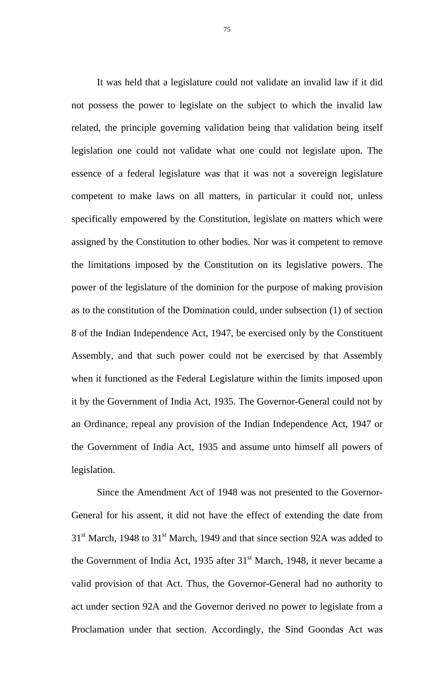It was held that a legislature could not validate an invalid law if it did not possess the power to legislate on the subject to which the invalid law related, the principle governing validation being that validation being itself legislation one could not validate what one could not legislate upon. The essence of a federal legislature was that it was not a sovereign legislature competent to make laws on all matters, in particular it could not, unless specifically empowered by the Constitution, legislate on matters which were assigned by the Constitution to other bodies. Nor was it competent to remove the limitations imposed by the Constitution on its legislative powers. The power of the legislature of the dominion for the purpose of making provision as to the constitution of the Domination could, under subsection (1) of section 8 of the Indian Independence Act, 1947, be exercised only by the Constituent Assembly, and that such power could not be exercised by that Assembly when it functioned as the Federal Legislature within the limits imposed upon it by the Government of India Act, 1935. The Governor-General could not by an Ordinance, repeal any provision of the Indian Independence Act, 1947 or the Government of India Act, 1935 and assume unto himself all powers of legislation.

Since the Amendment Act of 1948 was not presented to the Governor-General for his assent, it did not have the effect of extending the date from  $31<sup>st</sup>$  March, 1948 to  $31<sup>st</sup>$  March, 1949 and that since section 92A was added to the Government of India Act, 1935 after  $31<sup>st</sup>$  March, 1948, it never became a valid provision of that Act. Thus, the Governor-General had no authority to act under section 92A and the Governor derived no power to legislate from a Proclamation under that section. Accordingly, the Sind Goondas Act was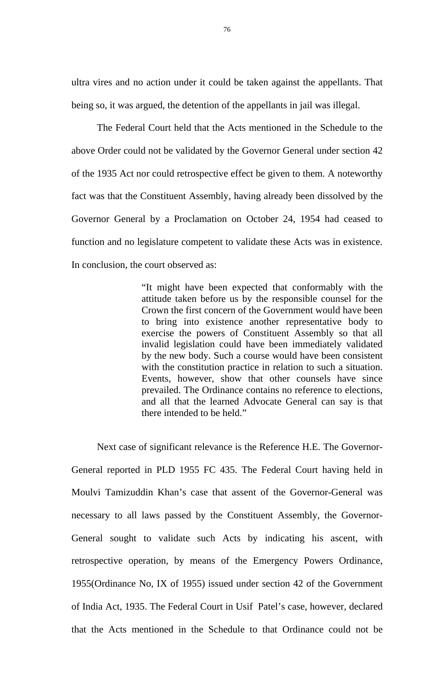ultra vires and no action under it could be taken against the appellants. That being so, it was argued, the detention of the appellants in jail was illegal.

The Federal Court held that the Acts mentioned in the Schedule to the above Order could not be validated by the Governor General under section 42 of the 1935 Act nor could retrospective effect be given to them. A noteworthy fact was that the Constituent Assembly, having already been dissolved by the Governor General by a Proclamation on October 24, 1954 had ceased to function and no legislature competent to validate these Acts was in existence. In conclusion, the court observed as:

> "It might have been expected that conformably with the attitude taken before us by the responsible counsel for the Crown the first concern of the Government would have been to bring into existence another representative body to exercise the powers of Constituent Assembly so that all invalid legislation could have been immediately validated by the new body. Such a course would have been consistent with the constitution practice in relation to such a situation. Events, however, show that other counsels have since prevailed. The Ordinance contains no reference to elections, and all that the learned Advocate General can say is that there intended to be held."

Next case of significant relevance is the Reference H.E. The Governor-General reported in PLD 1955 FC 435. The Federal Court having held in Moulvi Tamizuddin Khan's case that assent of the Governor-General was necessary to all laws passed by the Constituent Assembly, the Governor-General sought to validate such Acts by indicating his ascent, with retrospective operation, by means of the Emergency Powers Ordinance, 1955(Ordinance No, IX of 1955) issued under section 42 of the Government of India Act, 1935. The Federal Court in Usif Patel's case, however, declared that the Acts mentioned in the Schedule to that Ordinance could not be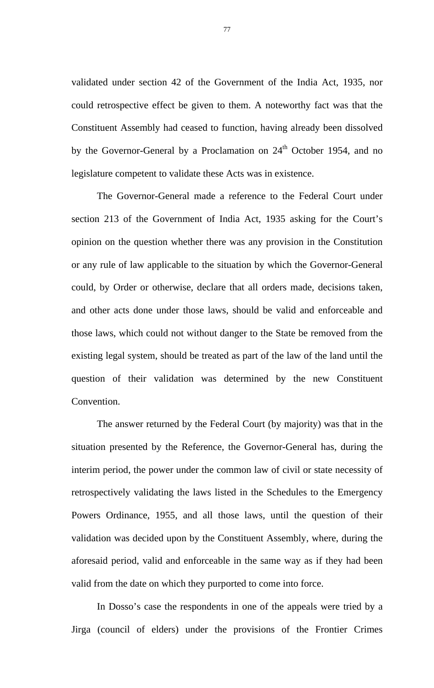validated under section 42 of the Government of the India Act, 1935, nor could retrospective effect be given to them. A noteworthy fact was that the Constituent Assembly had ceased to function, having already been dissolved by the Governor-General by a Proclamation on  $24<sup>th</sup>$  October 1954, and no legislature competent to validate these Acts was in existence.

The Governor-General made a reference to the Federal Court under section 213 of the Government of India Act, 1935 asking for the Court's opinion on the question whether there was any provision in the Constitution or any rule of law applicable to the situation by which the Governor-General could, by Order or otherwise, declare that all orders made, decisions taken, and other acts done under those laws, should be valid and enforceable and those laws, which could not without danger to the State be removed from the existing legal system, should be treated as part of the law of the land until the question of their validation was determined by the new Constituent Convention.

The answer returned by the Federal Court (by majority) was that in the situation presented by the Reference, the Governor-General has, during the interim period, the power under the common law of civil or state necessity of retrospectively validating the laws listed in the Schedules to the Emergency Powers Ordinance, 1955, and all those laws, until the question of their validation was decided upon by the Constituent Assembly, where, during the aforesaid period, valid and enforceable in the same way as if they had been valid from the date on which they purported to come into force.

In Dosso's case the respondents in one of the appeals were tried by a Jirga (council of elders) under the provisions of the Frontier Crimes

77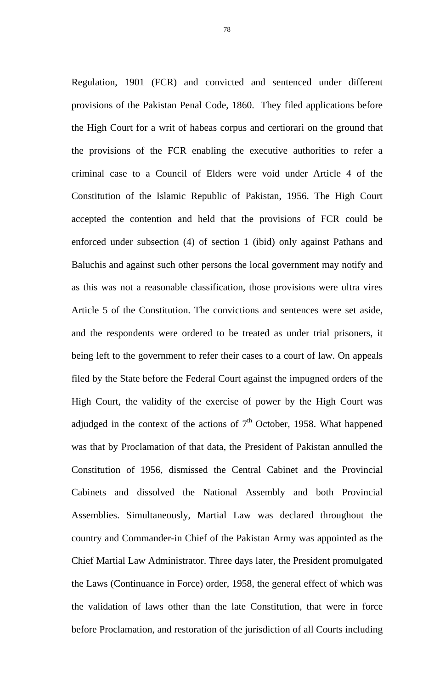Regulation, 1901 (FCR) and convicted and sentenced under different provisions of the Pakistan Penal Code, 1860. They filed applications before the High Court for a writ of habeas corpus and certiorari on the ground that the provisions of the FCR enabling the executive authorities to refer a criminal case to a Council of Elders were void under Article 4 of the Constitution of the Islamic Republic of Pakistan, 1956. The High Court accepted the contention and held that the provisions of FCR could be enforced under subsection (4) of section 1 (ibid) only against Pathans and Baluchis and against such other persons the local government may notify and as this was not a reasonable classification, those provisions were ultra vires Article 5 of the Constitution. The convictions and sentences were set aside, and the respondents were ordered to be treated as under trial prisoners, it being left to the government to refer their cases to a court of law. On appeals filed by the State before the Federal Court against the impugned orders of the High Court, the validity of the exercise of power by the High Court was adjudged in the context of the actions of  $7<sup>th</sup>$  October, 1958. What happened was that by Proclamation of that data, the President of Pakistan annulled the Constitution of 1956, dismissed the Central Cabinet and the Provincial Cabinets and dissolved the National Assembly and both Provincial Assemblies. Simultaneously, Martial Law was declared throughout the country and Commander-in Chief of the Pakistan Army was appointed as the Chief Martial Law Administrator. Three days later, the President promulgated the Laws (Continuance in Force) order, 1958, the general effect of which was the validation of laws other than the late Constitution, that were in force before Proclamation, and restoration of the jurisdiction of all Courts including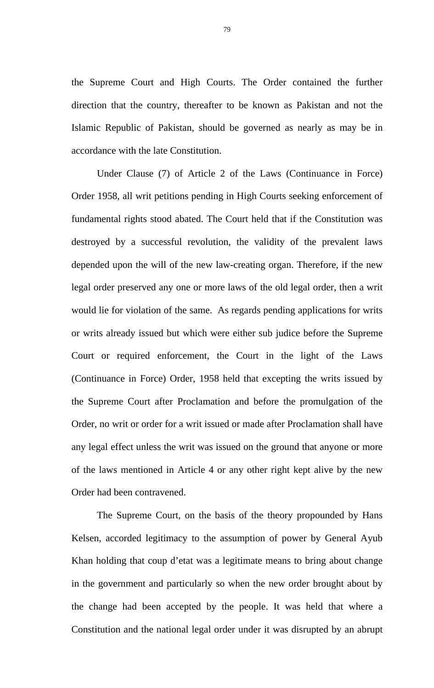the Supreme Court and High Courts. The Order contained the further direction that the country, thereafter to be known as Pakistan and not the Islamic Republic of Pakistan, should be governed as nearly as may be in accordance with the late Constitution.

Under Clause (7) of Article 2 of the Laws (Continuance in Force) Order 1958, all writ petitions pending in High Courts seeking enforcement of fundamental rights stood abated. The Court held that if the Constitution was destroyed by a successful revolution, the validity of the prevalent laws depended upon the will of the new law-creating organ. Therefore, if the new legal order preserved any one or more laws of the old legal order, then a writ would lie for violation of the same. As regards pending applications for writs or writs already issued but which were either sub judice before the Supreme Court or required enforcement, the Court in the light of the Laws (Continuance in Force) Order, 1958 held that excepting the writs issued by the Supreme Court after Proclamation and before the promulgation of the Order, no writ or order for a writ issued or made after Proclamation shall have any legal effect unless the writ was issued on the ground that anyone or more of the laws mentioned in Article 4 or any other right kept alive by the new Order had been contravened.

The Supreme Court, on the basis of the theory propounded by Hans Kelsen, accorded legitimacy to the assumption of power by General Ayub Khan holding that coup d'etat was a legitimate means to bring about change in the government and particularly so when the new order brought about by the change had been accepted by the people. It was held that where a Constitution and the national legal order under it was disrupted by an abrupt

79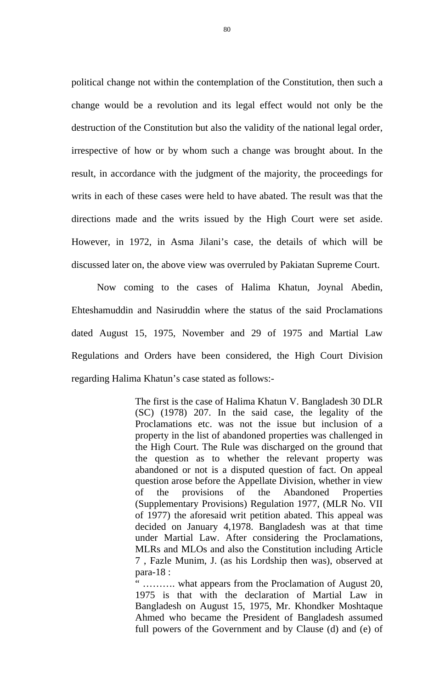political change not within the contemplation of the Constitution, then such a change would be a revolution and its legal effect would not only be the destruction of the Constitution but also the validity of the national legal order, irrespective of how or by whom such a change was brought about. In the result, in accordance with the judgment of the majority, the proceedings for writs in each of these cases were held to have abated. The result was that the directions made and the writs issued by the High Court were set aside. However, in 1972, in Asma Jilani's case, the details of which will be discussed later on, the above view was overruled by Pakiatan Supreme Court.

Now coming to the cases of Halima Khatun, Joynal Abedin, Ehteshamuddin and Nasiruddin where the status of the said Proclamations dated August 15, 1975, November and 29 of 1975 and Martial Law Regulations and Orders have been considered, the High Court Division regarding Halima Khatun's case stated as follows:-

> The first is the case of Halima Khatun V. Bangladesh 30 DLR (SC) (1978) 207. In the said case, the legality of the Proclamations etc. was not the issue but inclusion of a property in the list of abandoned properties was challenged in the High Court. The Rule was discharged on the ground that the question as to whether the relevant property was abandoned or not is a disputed question of fact. On appeal question arose before the Appellate Division, whether in view of the provisions of the Abandoned Properties (Supplementary Provisions) Regulation 1977, (MLR No. VII of 1977) the aforesaid writ petition abated. This appeal was decided on January 4,1978. Bangladesh was at that time under Martial Law. After considering the Proclamations, MLRs and MLOs and also the Constitution including Article 7 , Fazle Munim, J. (as his Lordship then was), observed at para-18 :

> " ………. what appears from the Proclamation of August 20, 1975 is that with the declaration of Martial Law in Bangladesh on August 15, 1975, Mr. Khondker Moshtaque Ahmed who became the President of Bangladesh assumed full powers of the Government and by Clause (d) and (e) of

80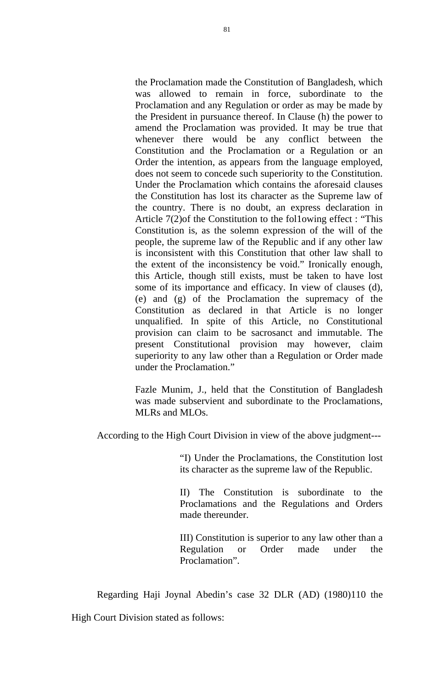the Proclamation made the Constitution of Bangladesh, which was allowed to remain in force, subordinate to the Proclamation and any Regulation or order as may be made by the President in pursuance thereof. In Clause (h) the power to amend the Proclamation was provided. It may be true that whenever there would be any conflict between the Constitution and the Proclamation or a Regulation or an Order the intention, as appears from the language employed, does not seem to concede such superiority to the Constitution. Under the Proclamation which contains the aforesaid clauses the Constitution has lost its character as the Supreme law of the country. There is no doubt, an express declaration in Article 7(2)of the Constitution to the fol1owing effect : "This Constitution is, as the solemn expression of the will of the people, the supreme law of the Republic and if any other law is inconsistent with this Constitution that other law shall to the extent of the inconsistency be void." Ironically enough, this Article, though still exists, must be taken to have lost some of its importance and efficacy. In view of clauses (d), (e) and (g) of the Proclamation the supremacy of the Constitution as declared in that Article is no longer unqualified. In spite of this Article, no Constitutional provision can claim to be sacrosanct and immutable. The present Constitutional provision may however, claim superiority to any law other than a Regulation or Order made under the Proclamation."

Fazle Munim, J., held that the Constitution of Bangladesh was made subservient and subordinate to the Proclamations, MLRs and MLOs.

According to the High Court Division in view of the above judgment---

"I) Under the Proclamations, the Constitution lost its character as the supreme law of the Republic.

II) The Constitution is subordinate to the Proclamations and the Regulations and Orders made thereunder.

III) Constitution is superior to any law other than a Regulation or Order made under the Proclamation".

Regarding Haji Joynal Abedin's case 32 DLR (AD) (1980)110 the High Court Division stated as follows: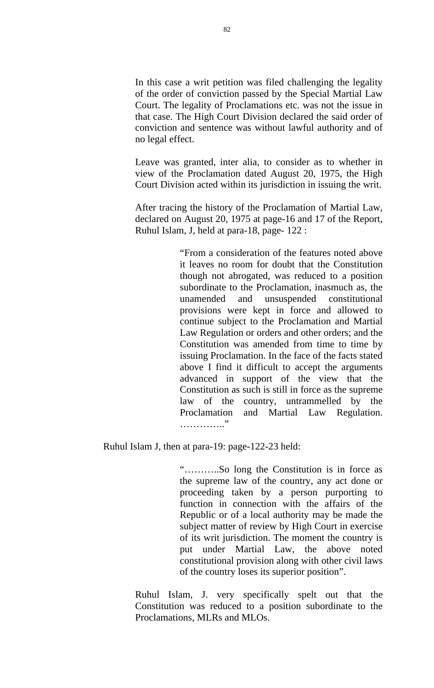In this case a writ petition was filed challenging the legality of the order of conviction passed by the Special Martial Law Court. The legality of Proclamations etc. was not the issue in that case. The High Court Division declared the said order of conviction and sentence was without lawful authority and of no legal effect.

Leave was granted, inter alia, to consider as to whether in view of the Proclamation dated August 20, 1975, the High Court Division acted within its jurisdiction in issuing the writ.

After tracing the history of the Proclamation of Martial Law, declared on August 20, 1975 at page-16 and 17 of the Report, Ruhul Islam, J, held at para-18, page- 122 :

> "From a consideration of the features noted above it leaves no room for doubt that the Constitution though not abrogated, was reduced to a position subordinate to the Proclamation, inasmuch as, the unamended and unsuspended constitutional provisions were kept in force and allowed to continue subject to the Proclamation and Martial Law Regulation or orders and other orders; and the Constitution was amended from time to time by issuing Proclamation. In the face of the facts stated above I find it difficult to accept the arguments advanced in support of the view that the Constitution as such is still in force as the supreme law of the country, untrammelled by the Proclamation and Martial Law Regulation. ………….."

Ruhul Islam J, then at para-19: page-122-23 held:

"………..So long the Constitution is in force as the supreme law of the country, any act done or proceeding taken by a person purporting to function in connection with the affairs of the Republic or of a local authority may be made the subject matter of review by High Court in exercise of its writ jurisdiction. The moment the country is put under Martial Law, the above noted constitutional provision along with other civil laws of the country loses its superior position".

Ruhul Islam, J. very specifically spelt out that the Constitution was reduced to a position subordinate to the Proclamations, MLRs and MLOs.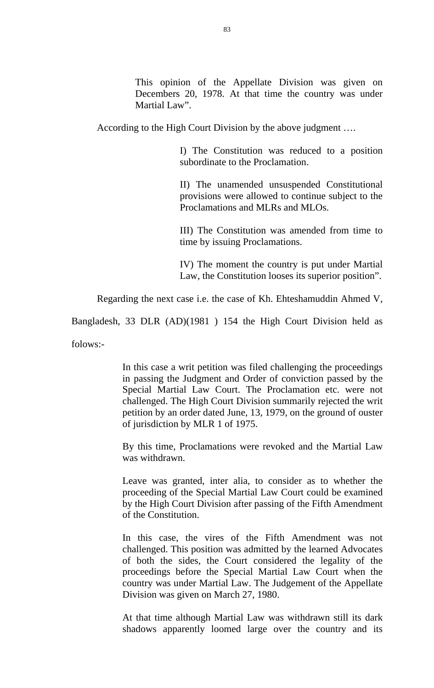This opinion of the Appellate Division was given on Decembers 20, 1978. At that time the country was under Martial Law".

According to the High Court Division by the above judgment ….

I) The Constitution was reduced to a position subordinate to the Proclamation.

II) The unamended unsuspended Constitutional provisions were allowed to continue subject to the Proclamations and MLRs and MLOs.

III) The Constitution was amended from time to time by issuing Proclamations.

IV) The moment the country is put under Martial Law, the Constitution looses its superior position".

Regarding the next case i.e. the case of Kh. Ehteshamuddin Ahmed V,

Bangladesh, 33 DLR (AD)(1981 ) 154 the High Court Division held as

folows:-

In this case a writ petition was filed challenging the proceedings in passing the Judgment and Order of conviction passed by the Special Martial Law Court. The Proclamation etc. were not challenged. The High Court Division summarily rejected the writ petition by an order dated June, 13, 1979, on the ground of ouster of jurisdiction by MLR 1 of 1975.

By this time, Proclamations were revoked and the Martial Law was withdrawn.

Leave was granted, inter alia, to consider as to whether the proceeding of the Special Martial Law Court could be examined by the High Court Division after passing of the Fifth Amendment of the Constitution.

In this case, the vires of the Fifth Amendment was not challenged. This position was admitted by the learned Advocates of both the sides, the Court considered the legality of the proceedings before the Special Martial Law Court when the country was under Martial Law. The Judgement of the Appellate Division was given on March 27, 1980.

At that time although Martial Law was withdrawn still its dark shadows apparently loomed large over the country and its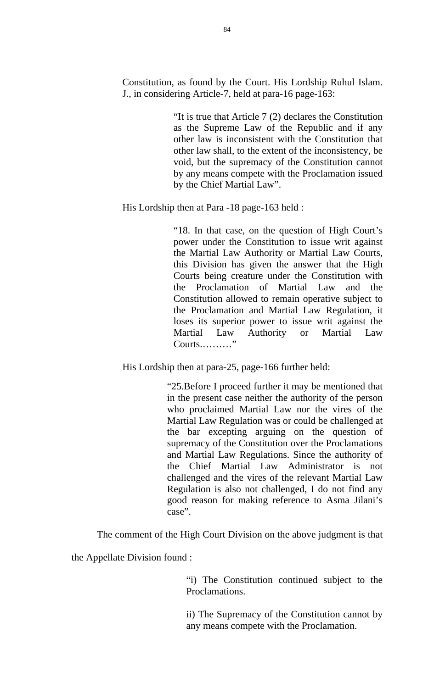Constitution, as found by the Court. His Lordship Ruhul Islam. J., in considering Article-7, held at para-16 page-163:

> "It is true that Article 7 (2) declares the Constitution as the Supreme Law of the Republic and if any other law is inconsistent with the Constitution that other law shall, to the extent of the inconsistency, be void, but the supremacy of the Constitution cannot by any means compete with the Proclamation issued by the Chief Martial Law".

His Lordship then at Para -18 page-163 held :

"18. In that case, on the question of High Court's power under the Constitution to issue writ against the Martial Law Authority or Martial Law Courts, this Division has given the answer that the High Courts being creature under the Constitution with the Proclamation of Martial Law and the Constitution allowed to remain operative subject to the Proclamation and Martial Law Regulation, it loses its superior power to issue writ against the Martial Law Authority or Martial Law Courts.………"

His Lordship then at para-25, page-166 further held:

"25.Before I proceed further it may be mentioned that in the present case neither the authority of the person who proclaimed Martial Law nor the vires of the Martial Law Regulation was or could be challenged at the bar excepting arguing on the question of supremacy of the Constitution over the Proclamations and Martial Law Regulations. Since the authority of the Chief Martial Law Administrator is not challenged and the vires of the relevant Martial Law Regulation is also not challenged, I do not find any good reason for making reference to Asma Jilani's case".

The comment of the High Court Division on the above judgment is that

the Appellate Division found :

"i) The Constitution continued subject to the Proclamations.

ii) The Supremacy of the Constitution cannot by any means compete with the Proclamation.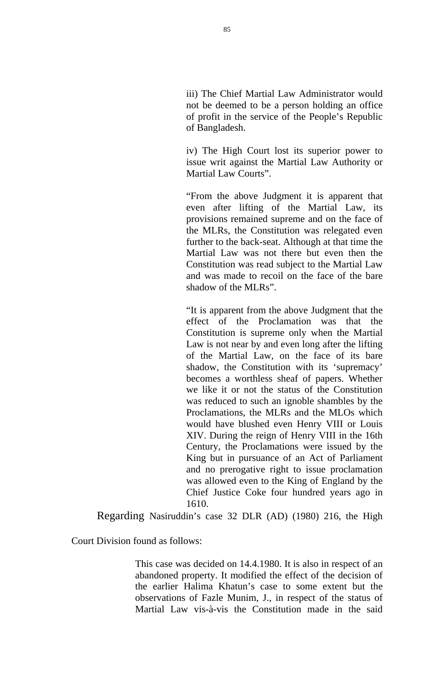iii) The Chief Martial Law Administrator would not be deemed to be a person holding an office of profit in the service of the People's Republic of Bangladesh.

iv) The High Court lost its superior power to issue writ against the Martial Law Authority or Martial Law Courts".

"From the above Judgment it is apparent that even after lifting of the Martial Law, its provisions remained supreme and on the face of the MLRs, the Constitution was relegated even further to the back-seat. Although at that time the Martial Law was not there but even then the Constitution was read subject to the Martial Law and was made to recoil on the face of the bare shadow of the MLRs".

"It is apparent from the above Judgment that the effect of the Proclamation was that the Constitution is supreme only when the Martial Law is not near by and even long after the lifting of the Martial Law, on the face of its bare shadow, the Constitution with its 'supremacy' becomes a worthless sheaf of papers. Whether we like it or not the status of the Constitution was reduced to such an ignoble shambles by the Proclamations, the MLRs and the MLOs which would have blushed even Henry VIII or Louis XIV. During the reign of Henry VIII in the 16th Century, the Proclamations were issued by the King but in pursuance of an Act of Parliament and no prerogative right to issue proclamation was allowed even to the King of England by the Chief Justice Coke four hundred years ago in 1610.

Regarding Nasiruddin's case 32 DLR (AD) (1980) 216, the High

Court Division found as follows:

This case was decided on 14.4.1980. It is also in respect of an abandoned property. It modified the effect of the decision of the earlier Halima Khatun's case to some extent but the observations of Fazle Munim, J., in respect of the status of Martial Law vis-à-vis the Constitution made in the said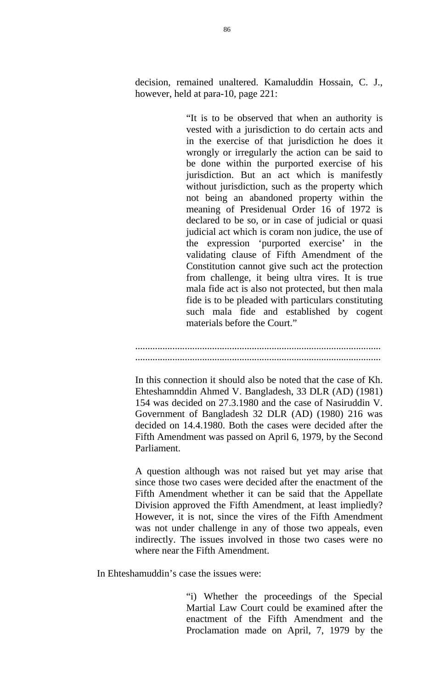decision, remained unaltered. Kamaluddin Hossain, C. J., however, held at para-10, page 221:

> "It is to be observed that when an authority is vested with a jurisdiction to do certain acts and in the exercise of that jurisdiction he does it wrongly or irregularly the action can be said to be done within the purported exercise of his jurisdiction. But an act which is manifestly without jurisdiction, such as the property which not being an abandoned property within the meaning of Presidenual Order 16 of 1972 is declared to be so, or in case of judicial or quasi judicial act which is coram non judice, the use of the expression 'purported exercise' in the validating clause of Fifth Amendment of the Constitution cannot give such act the protection from challenge, it being ultra vires. It is true mala fide act is also not protected, but then mala fide is to be pleaded with particulars constituting such mala fide and established by cogent materials before the Court."

................................................................................................... ...................................................................................................

In this connection it should also be noted that the case of Kh. Ehteshamnddin Ahmed V. Bangladesh, 33 DLR (AD) (1981) 154 was decided on 27.3.1980 and the case of Nasiruddin V. Government of Bangladesh 32 DLR (AD) (1980) 216 was decided on 14.4.1980. Both the cases were decided after the Fifth Amendment was passed on April 6, 1979, by the Second Parliament.

A question although was not raised but yet may arise that since those two cases were decided after the enactment of the Fifth Amendment whether it can be said that the Appellate Division approved the Fifth Amendment, at least impliedly? However, it is not, since the vires of the Fifth Amendment was not under challenge in any of those two appeals, even indirectly. The issues involved in those two cases were no where near the Fifth Amendment.

In Ehteshamuddin's case the issues were:

"i) Whether the proceedings of the Special Martial Law Court could be examined after the enactment of the Fifth Amendment and the Proclamation made on April, 7, 1979 by the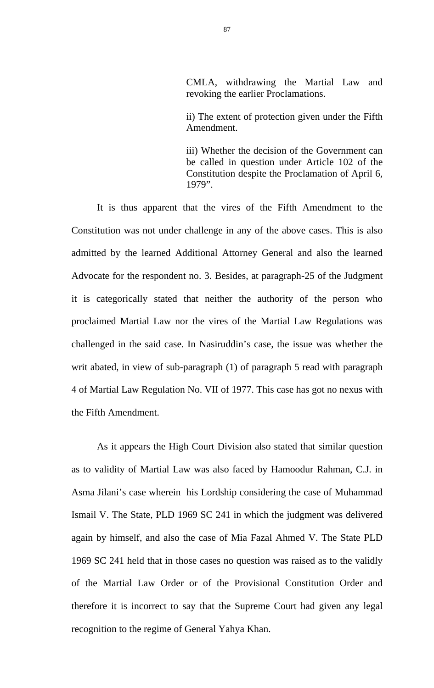CMLA, withdrawing the Martial Law and revoking the earlier Proclamations.

ii) The extent of protection given under the Fifth Amendment.

iii) Whether the decision of the Government can be called in question under Article 102 of the Constitution despite the Proclamation of April 6, 1979".

It is thus apparent that the vires of the Fifth Amendment to the Constitution was not under challenge in any of the above cases. This is also admitted by the learned Additional Attorney General and also the learned Advocate for the respondent no. 3. Besides, at paragraph-25 of the Judgment it is categorically stated that neither the authority of the person who proclaimed Martial Law nor the vires of the Martial Law Regulations was challenged in the said case. In Nasiruddin's case, the issue was whether the writ abated, in view of sub-paragraph (1) of paragraph 5 read with paragraph 4 of Martial Law Regulation No. VII of 1977. This case has got no nexus with the Fifth Amendment.

As it appears the High Court Division also stated that similar question as to validity of Martial Law was also faced by Hamoodur Rahman, C.J. in Asma Jilani's case wherein his Lordship considering the case of Muhammad Ismail V. The State, PLD 1969 SC 241 in which the judgment was delivered again by himself, and also the case of Mia Fazal Ahmed V. The State PLD 1969 SC 241 held that in those cases no question was raised as to the validly of the Martial Law Order or of the Provisional Constitution Order and therefore it is incorrect to say that the Supreme Court had given any legal recognition to the regime of General Yahya Khan.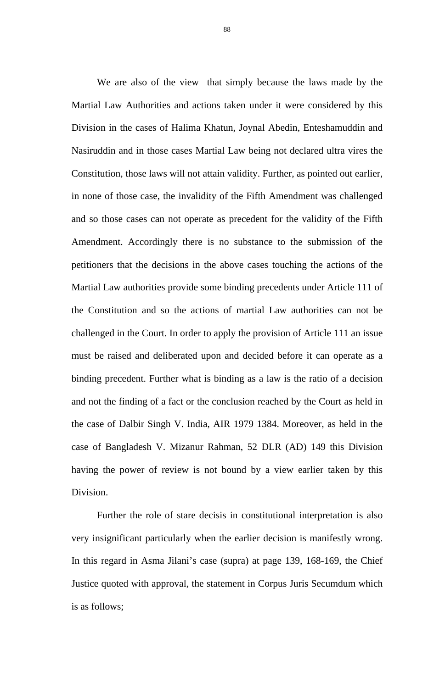We are also of the view that simply because the laws made by the Martial Law Authorities and actions taken under it were considered by this Division in the cases of Halima Khatun, Joynal Abedin, Enteshamuddin and Nasiruddin and in those cases Martial Law being not declared ultra vires the Constitution, those laws will not attain validity. Further, as pointed out earlier, in none of those case, the invalidity of the Fifth Amendment was challenged and so those cases can not operate as precedent for the validity of the Fifth Amendment. Accordingly there is no substance to the submission of the petitioners that the decisions in the above cases touching the actions of the Martial Law authorities provide some binding precedents under Article 111 of the Constitution and so the actions of martial Law authorities can not be challenged in the Court. In order to apply the provision of Article 111 an issue must be raised and deliberated upon and decided before it can operate as a binding precedent. Further what is binding as a law is the ratio of a decision and not the finding of a fact or the conclusion reached by the Court as held in the case of Dalbir Singh V. India, AIR 1979 1384. Moreover, as held in the case of Bangladesh V. Mizanur Rahman, 52 DLR (AD) 149 this Division having the power of review is not bound by a view earlier taken by this Division.

Further the role of stare decisis in constitutional interpretation is also very insignificant particularly when the earlier decision is manifestly wrong. In this regard in Asma Jilani's case (supra) at page 139, 168-169, the Chief Justice quoted with approval, the statement in Corpus Juris Secumdum which is as follows;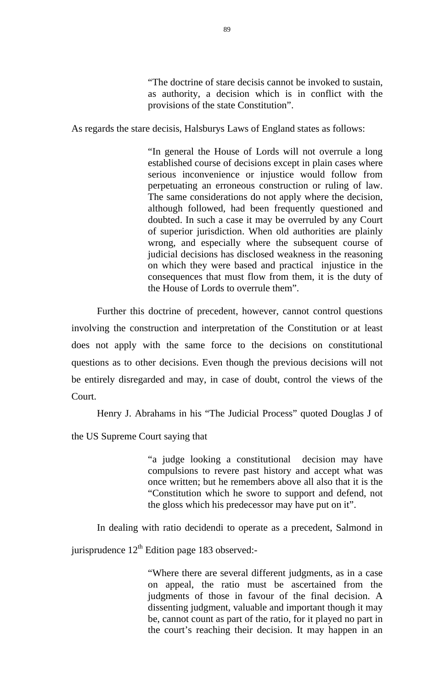"The doctrine of stare decisis cannot be invoked to sustain, as authority, a decision which is in conflict with the provisions of the state Constitution".

As regards the stare decisis, Halsburys Laws of England states as follows:

"In general the House of Lords will not overrule a long established course of decisions except in plain cases where serious inconvenience or injustice would follow from perpetuating an erroneous construction or ruling of law. The same considerations do not apply where the decision, although followed, had been frequently questioned and doubted. In such a case it may be overruled by any Court of superior jurisdiction. When old authorities are plainly wrong, and especially where the subsequent course of judicial decisions has disclosed weakness in the reasoning on which they were based and practical injustice in the consequences that must flow from them, it is the duty of the House of Lords to overrule them".

 Further this doctrine of precedent, however, cannot control questions involving the construction and interpretation of the Constitution or at least does not apply with the same force to the decisions on constitutional questions as to other decisions. Even though the previous decisions will not be entirely disregarded and may, in case of doubt, control the views of the Court.

Henry J. Abrahams in his "The Judicial Process" quoted Douglas J of

the US Supreme Court saying that

"a judge looking a constitutional decision may have compulsions to revere past history and accept what was once written; but he remembers above all also that it is the "Constitution which he swore to support and defend, not the gloss which his predecessor may have put on it".

In dealing with ratio decidendi to operate as a precedent, Salmond in

jurisprudence 12<sup>th</sup> Edition page 183 observed:-

"Where there are several different judgments, as in a case on appeal, the ratio must be ascertained from the judgments of those in favour of the final decision. A dissenting judgment, valuable and important though it may be, cannot count as part of the ratio, for it played no part in the court's reaching their decision. It may happen in an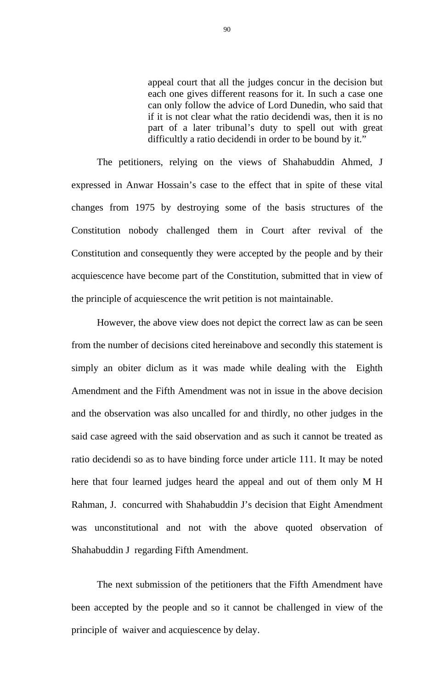appeal court that all the judges concur in the decision but each one gives different reasons for it. In such a case one can only follow the advice of Lord Dunedin, who said that if it is not clear what the ratio decidendi was, then it is no part of a later tribunal's duty to spell out with great difficultly a ratio decidendi in order to be bound by it."

The petitioners, relying on the views of Shahabuddin Ahmed, J expressed in Anwar Hossain's case to the effect that in spite of these vital changes from 1975 by destroying some of the basis structures of the Constitution nobody challenged them in Court after revival of the Constitution and consequently they were accepted by the people and by their acquiescence have become part of the Constitution, submitted that in view of the principle of acquiescence the writ petition is not maintainable.

However, the above view does not depict the correct law as can be seen from the number of decisions cited hereinabove and secondly this statement is simply an obiter diclum as it was made while dealing with the Eighth Amendment and the Fifth Amendment was not in issue in the above decision and the observation was also uncalled for and thirdly, no other judges in the said case agreed with the said observation and as such it cannot be treated as ratio decidendi so as to have binding force under article 111. It may be noted here that four learned judges heard the appeal and out of them only M H Rahman, J. concurred with Shahabuddin J's decision that Eight Amendment was unconstitutional and not with the above quoted observation of Shahabuddin J regarding Fifth Amendment.

The next submission of the petitioners that the Fifth Amendment have been accepted by the people and so it cannot be challenged in view of the principle of waiver and acquiescence by delay.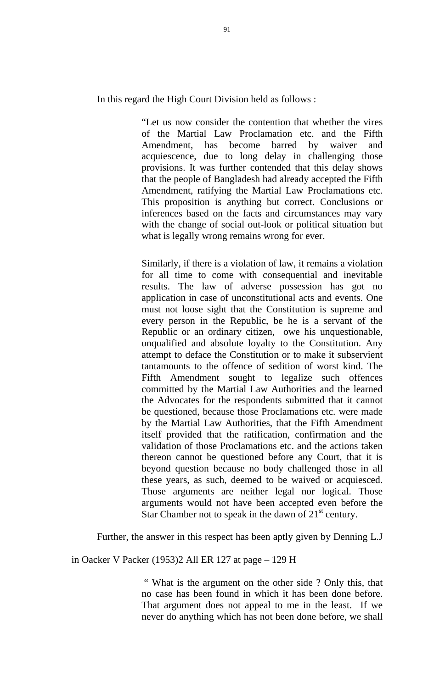In this regard the High Court Division held as follows :

"Let us now consider the contention that whether the vires of the Martial Law Proclamation etc. and the Fifth Amendment, has become barred by waiver and acquiescence, due to long delay in challenging those provisions. It was further contended that this delay shows that the people of Bangladesh had already accepted the Fifth Amendment, ratifying the Martial Law Proclamations etc. This proposition is anything but correct. Conclusions or inferences based on the facts and circumstances may vary with the change of social out-look or political situation but what is legally wrong remains wrong for ever.

Similarly, if there is a violation of law, it remains a violation for all time to come with consequential and inevitable results. The law of adverse possession has got no application in case of unconstitutional acts and events. One must not loose sight that the Constitution is supreme and every person in the Republic, be he is a servant of the Republic or an ordinary citizen, owe his unquestionable, unqualified and absolute loyalty to the Constitution. Any attempt to deface the Constitution or to make it subservient tantamounts to the offence of sedition of worst kind. The Fifth Amendment sought to legalize such offences committed by the Martial Law Authorities and the learned the Advocates for the respondents submitted that it cannot be questioned, because those Proclamations etc. were made by the Martial Law Authorities, that the Fifth Amendment itself provided that the ratification, confirmation and the validation of those Proclamations etc. and the actions taken thereon cannot be questioned before any Court, that it is beyond question because no body challenged those in all these years, as such, deemed to be waived or acquiesced. Those arguments are neither legal nor logical. Those arguments would not have been accepted even before the Star Chamber not to speak in the dawn of  $21<sup>st</sup>$  century.

Further, the answer in this respect has been aptly given by Denning L.J

in Oacker V Packer (1953)2 All ER 127 at page – 129 H

 " What is the argument on the other side ? Only this, that no case has been found in which it has been done before. That argument does not appeal to me in the least. If we never do anything which has not been done before, we shall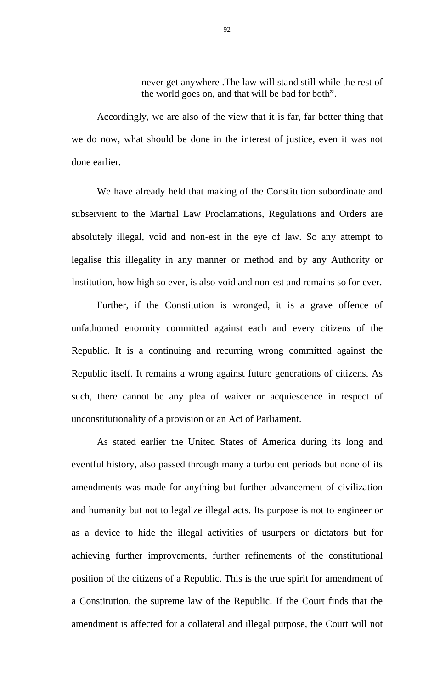never get anywhere .The law will stand still while the rest of the world goes on, and that will be bad for both".

Accordingly, we are also of the view that it is far, far better thing that we do now, what should be done in the interest of justice, even it was not done earlier.

We have already held that making of the Constitution subordinate and subservient to the Martial Law Proclamations, Regulations and Orders are absolutely illegal, void and non-est in the eye of law. So any attempt to legalise this illegality in any manner or method and by any Authority or Institution, how high so ever, is also void and non-est and remains so for ever.

Further, if the Constitution is wronged, it is a grave offence of unfathomed enormity committed against each and every citizens of the Republic. It is a continuing and recurring wrong committed against the Republic itself. It remains a wrong against future generations of citizens. As such, there cannot be any plea of waiver or acquiescence in respect of unconstitutionality of a provision or an Act of Parliament.

As stated earlier the United States of America during its long and eventful history, also passed through many a turbulent periods but none of its amendments was made for anything but further advancement of civilization and humanity but not to legalize illegal acts. Its purpose is not to engineer or as a device to hide the illegal activities of usurpers or dictators but for achieving further improvements, further refinements of the constitutional position of the citizens of a Republic. This is the true spirit for amendment of a Constitution, the supreme law of the Republic. If the Court finds that the amendment is affected for a collateral and illegal purpose, the Court will not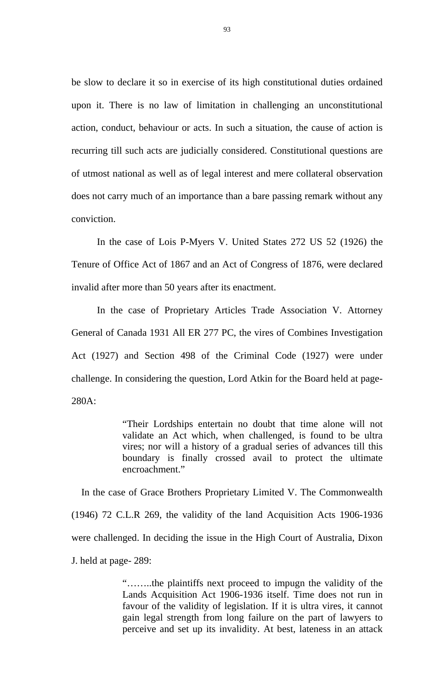be slow to declare it so in exercise of its high constitutional duties ordained upon it. There is no law of limitation in challenging an unconstitutional action, conduct, behaviour or acts. In such a situation, the cause of action is recurring till such acts are judicially considered. Constitutional questions are of utmost national as well as of legal interest and mere collateral observation does not carry much of an importance than a bare passing remark without any conviction.

In the case of Lois P-Myers V. United States 272 US 52 (1926) the Tenure of Office Act of 1867 and an Act of Congress of 1876, were declared invalid after more than 50 years after its enactment.

In the case of Proprietary Articles Trade Association V. Attorney General of Canada 1931 All ER 277 PC, the vires of Combines Investigation Act (1927) and Section 498 of the Criminal Code (1927) were under challenge. In considering the question, Lord Atkin for the Board held at page-280A:

> "Their Lordships entertain no doubt that time alone will not validate an Act which, when challenged, is found to be ultra vires; nor will a history of a gradual series of advances till this boundary is finally crossed avail to protect the ultimate encroachment."

 In the case of Grace Brothers Proprietary Limited V. The Commonwealth (1946) 72 C.L.R 269, the validity of the land Acquisition Acts 1906-1936 were challenged. In deciding the issue in the High Court of Australia, Dixon J. held at page- 289:

> "……..the plaintiffs next proceed to impugn the validity of the Lands Acquisition Act 1906-1936 itself. Time does not run in favour of the validity of legislation. If it is ultra vires, it cannot gain legal strength from long failure on the part of lawyers to perceive and set up its invalidity. At best, lateness in an attack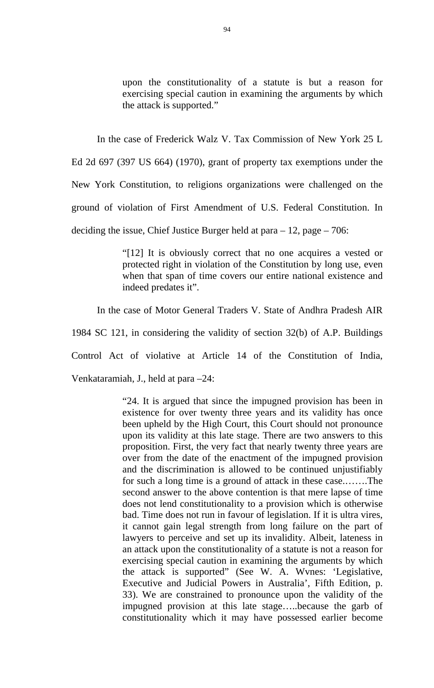upon the constitutionality of a statute is but a reason for exercising special caution in examining the arguments by which the attack is supported."

In the case of Frederick Walz V. Tax Commission of New York 25 L Ed 2d 697 (397 US 664) (1970), grant of property tax exemptions under the New York Constitution, to religions organizations were challenged on the ground of violation of First Amendment of U.S. Federal Constitution. In deciding the issue, Chief Justice Burger held at para  $-12$ , page  $-706$ :

> "[12] It is obviously correct that no one acquires a vested or protected right in violation of the Constitution by long use, even when that span of time covers our entire national existence and indeed predates it".

In the case of Motor General Traders V. State of Andhra Pradesh AIR

1984 SC 121, in considering the validity of section 32(b) of A.P. Buildings

Control Act of violative at Article 14 of the Constitution of India,

Venkataramiah, J., held at para –24:

"24. It is argued that since the impugned provision has been in existence for over twenty three years and its validity has once been upheld by the High Court, this Court should not pronounce upon its validity at this late stage. There are two answers to this proposition. First, the very fact that nearly twenty three years are over from the date of the enactment of the impugned provision and the discrimination is allowed to be continued unjustifiably for such a long time is a ground of attack in these case.…….The second answer to the above contention is that mere lapse of time does not lend constitutionality to a provision which is otherwise bad. Time does not run in favour of legislation. If it is ultra vires, it cannot gain legal strength from long failure on the part of lawyers to perceive and set up its invalidity. Albeit, lateness in an attack upon the constitutionality of a statute is not a reason for exercising special caution in examining the arguments by which the attack is supported" (See W. A. Wvnes: 'Legislative, Executive and Judicial Powers in Australia', Fifth Edition, p. 33). We are constrained to pronounce upon the validity of the impugned provision at this late stage…..because the garb of constitutionality which it may have possessed earlier become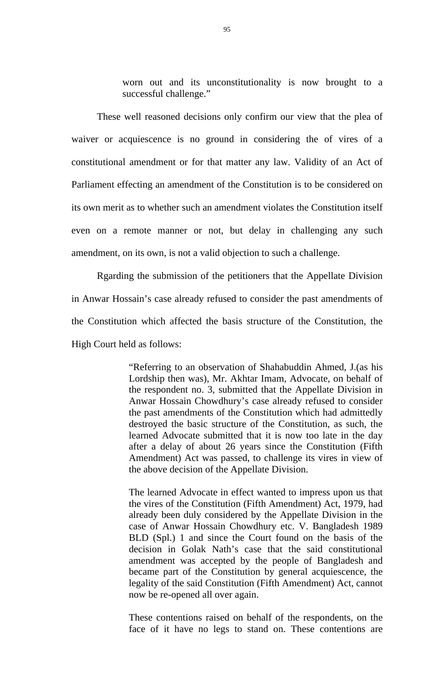worn out and its unconstitutionality is now brought to a successful challenge."

These well reasoned decisions only confirm our view that the plea of waiver or acquiescence is no ground in considering the of vires of a constitutional amendment or for that matter any law. Validity of an Act of Parliament effecting an amendment of the Constitution is to be considered on its own merit as to whether such an amendment violates the Constitution itself even on a remote manner or not, but delay in challenging any such amendment, on its own, is not a valid objection to such a challenge.

 Rgarding the submission of the petitioners that the Appellate Division in Anwar Hossain's case already refused to consider the past amendments of the Constitution which affected the basis structure of the Constitution, the High Court held as follows:

> "Referring to an observation of Shahabuddin Ahmed, J.(as his Lordship then was), Mr. Akhtar Imam, Advocate, on behalf of the respondent no. 3, submitted that the Appellate Division in Anwar Hossain Chowdhury's case already refused to consider the past amendments of the Constitution which had admittedly destroyed the basic structure of the Constitution, as such, the learned Advocate submitted that it is now too late in the day after a delay of about 26 years since the Constitution (Fifth Amendment) Act was passed, to challenge its vires in view of the above decision of the Appellate Division.

> The learned Advocate in effect wanted to impress upon us that the vires of the Constitution (Fifth Amendment) Act, 1979, had already been duly considered by the Appellate Division in the case of Anwar Hossain Chowdhury etc. V. Bangladesh 1989 BLD (Spl.) 1 and since the Court found on the basis of the decision in Golak Nath's case that the said constitutional amendment was accepted by the people of Bangladesh and became part of the Constitution by general acquiescence, the legality of the said Constitution (Fifth Amendment) Act, cannot now be re-opened all over again.

> These contentions raised on behalf of the respondents, on the face of it have no legs to stand on. These contentions are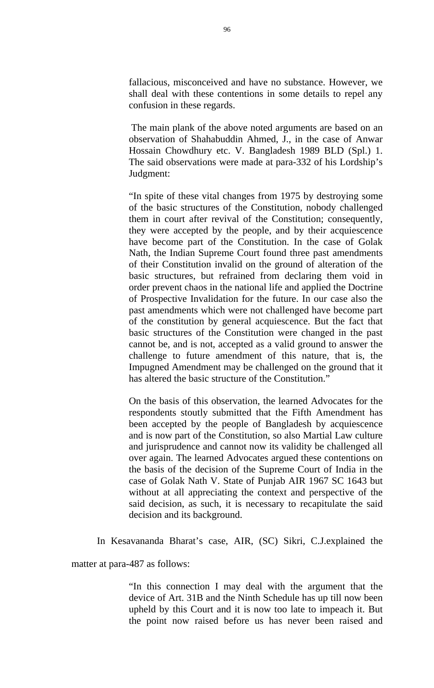fallacious, misconceived and have no substance. However, we shall deal with these contentions in some details to repel any confusion in these regards.

 The main plank of the above noted arguments are based on an observation of Shahabuddin Ahmed, J., in the case of Anwar Hossain Chowdhury etc. V. Bangladesh 1989 BLD (Spl.) 1. The said observations were made at para-332 of his Lordship's Judgment:

"In spite of these vital changes from 1975 by destroying some of the basic structures of the Constitution, nobody challenged them in court after revival of the Constitution; consequently, they were accepted by the people, and by their acquiescence have become part of the Constitution. In the case of Golak Nath, the Indian Supreme Court found three past amendments of their Constitution invalid on the ground of alteration of the basic structures, but refrained from declaring them void in order prevent chaos in the national life and applied the Doctrine of Prospective Invalidation for the future. In our case also the past amendments which were not challenged have become part of the constitution by general acquiescence. But the fact that basic structures of the Constitution were changed in the past cannot be, and is not, accepted as a valid ground to answer the challenge to future amendment of this nature, that is, the Impugned Amendment may be challenged on the ground that it has altered the basic structure of the Constitution."

On the basis of this observation, the learned Advocates for the respondents stoutly submitted that the Fifth Amendment has been accepted by the people of Bangladesh by acquiescence and is now part of the Constitution, so also Martial Law culture and jurisprudence and cannot now its validity be challenged all over again. The learned Advocates argued these contentions on the basis of the decision of the Supreme Court of India in the case of Golak Nath V. State of Punjab AIR 1967 SC 1643 but without at all appreciating the context and perspective of the said decision, as such, it is necessary to recapitulate the said decision and its background.

In Kesavananda Bharat's case, AIR, (SC) Sikri, C.J.explained the

matter at para-487 as follows:

"In this connection I may deal with the argument that the device of Art. 31B and the Ninth Schedule has up till now been upheld by this Court and it is now too late to impeach it. But the point now raised before us has never been raised and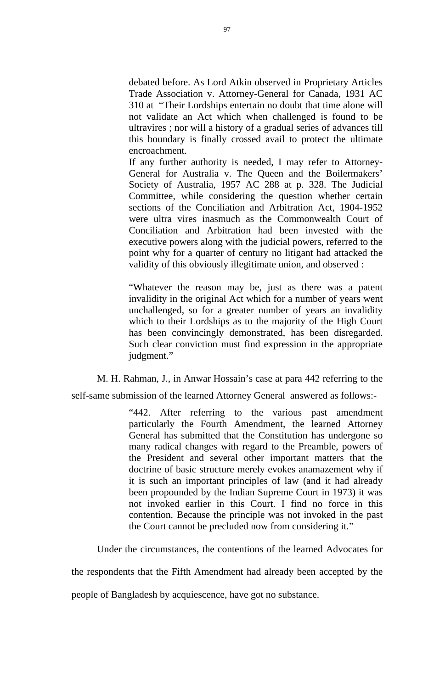debated before. As Lord Atkin observed in Proprietary Articles Trade Association v. Attorney-General for Canada, 1931 AC 310 at "Their Lordships entertain no doubt that time alone will not validate an Act which when challenged is found to be ultravires ; nor will a history of a gradual series of advances till this boundary is finally crossed avail to protect the ultimate encroachment.

If any further authority is needed, I may refer to Attorney-General for Australia v. The Queen and the Boilermakers' Society of Australia, 1957 AC 288 at p. 328. The Judicial Committee, while considering the question whether certain sections of the Conciliation and Arbitration Act, 1904-1952 were ultra vires inasmuch as the Commonwealth Court of Conciliation and Arbitration had been invested with the executive powers along with the judicial powers, referred to the point why for a quarter of century no litigant had attacked the validity of this obviously illegitimate union, and observed :

"Whatever the reason may be, just as there was a patent invalidity in the original Act which for a number of years went unchallenged, so for a greater number of years an invalidity which to their Lordships as to the majority of the High Court has been convincingly demonstrated, has been disregarded. Such clear conviction must find expression in the appropriate judgment."

M. H. Rahman, J., in Anwar Hossain's case at para 442 referring to the

self-same submission of the learned Attorney General answered as follows:-

"442. After referring to the various past amendment particularly the Fourth Amendment, the learned Attorney General has submitted that the Constitution has undergone so many radical changes with regard to the Preamble, powers of the President and several other important matters that the doctrine of basic structure merely evokes anamazement why if it is such an important principles of law (and it had already been propounded by the Indian Supreme Court in 1973) it was not invoked earlier in this Court. I find no force in this contention. Because the principle was not invoked in the past the Court cannot be precluded now from considering it."

Under the circumstances, the contentions of the learned Advocates for

the respondents that the Fifth Amendment had already been accepted by the

people of Bangladesh by acquiescence, have got no substance.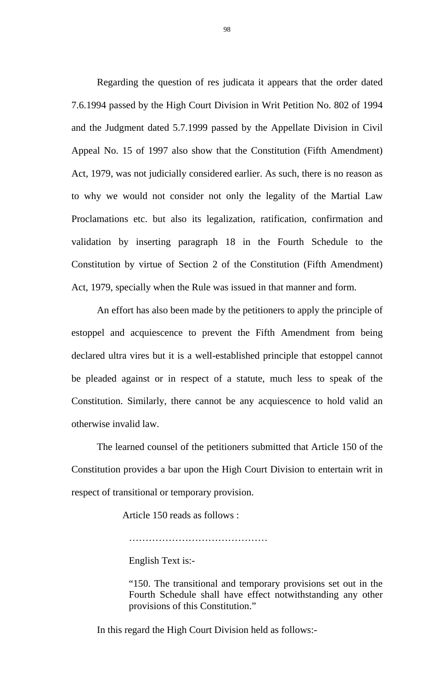Regarding the question of res judicata it appears that the order dated 7.6.1994 passed by the High Court Division in Writ Petition No. 802 of 1994 and the Judgment dated 5.7.1999 passed by the Appellate Division in Civil Appeal No. 15 of 1997 also show that the Constitution (Fifth Amendment) Act, 1979, was not judicially considered earlier. As such, there is no reason as to why we would not consider not only the legality of the Martial Law Proclamations etc. but also its legalization, ratification, confirmation and validation by inserting paragraph 18 in the Fourth Schedule to the Constitution by virtue of Section 2 of the Constitution (Fifth Amendment) Act, 1979, specially when the Rule was issued in that manner and form.

An effort has also been made by the petitioners to apply the principle of estoppel and acquiescence to prevent the Fifth Amendment from being declared ultra vires but it is a well-established principle that estoppel cannot be pleaded against or in respect of a statute, much less to speak of the Constitution. Similarly, there cannot be any acquiescence to hold valid an otherwise invalid law.

 The learned counsel of the petitioners submitted that Article 150 of the Constitution provides a bar upon the High Court Division to entertain writ in respect of transitional or temporary provision.

Article 150 reads as follows :

……………………………………

English Text is:-

"150. The transitional and temporary provisions set out in the Fourth Schedule shall have effect notwithstanding any other provisions of this Constitution."

In this regard the High Court Division held as follows:-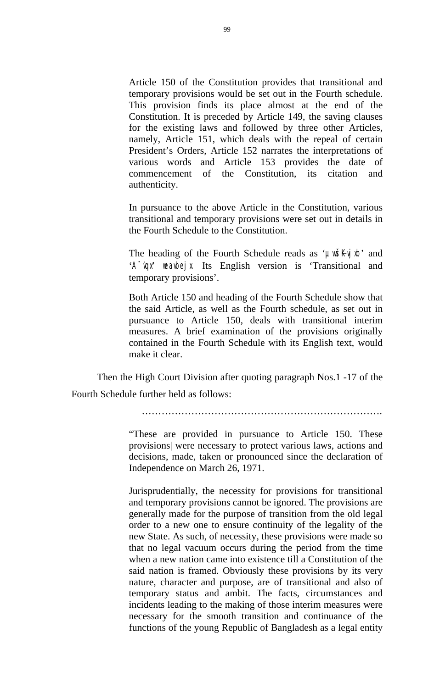Article 150 of the Constitution provides that transitional and temporary provisions would be set out in the Fourth schedule. This provision finds its place almost at the end of the Constitution. It is preceded by Article 149, the saving clauses for the existing laws and followed by three other Articles, namely, Article 151, which deals with the repeal of certain President's Orders, Article 152 narrates the interpretations of various words and Article 153 provides the date of commencement of the Constitution, its citation and authenticity.

In pursuance to the above Article in the Constitution, various transitional and temporary provisions were set out in details in the Fourth Schedule to the Constitution.

The heading of the Fourth Schedule reads as '**µwsky** b' and 'A<sup>-'</sup>upi weaubejx Its English version is 'Transitional and temporary provisions'.

Both Article 150 and heading of the Fourth Schedule show that the said Article, as well as the Fourth schedule, as set out in pursuance to Article 150, deals with transitional interim measures. A brief examination of the provisions originally contained in the Fourth Schedule with its English text, would make it clear.

 Then the High Court Division after quoting paragraph Nos.1 -17 of the Fourth Schedule further held as follows:

"These are provided in pursuance to Article 150. These provisions| were necessary to protect various laws, actions and decisions, made, taken or pronounced since the declaration of Independence on March 26, 1971.

Jurisprudentially, the necessity for provisions for transitional and temporary provisions cannot be ignored. The provisions are generally made for the purpose of transition from the old legal order to a new one to ensure continuity of the legality of the new State. As such, of necessity, these provisions were made so that no legal vacuum occurs during the period from the time when a new nation came into existence till a Constitution of the said nation is framed. Obviously these provisions by its very nature, character and purpose, are of transitional and also of temporary status and ambit. The facts, circumstances and incidents leading to the making of those interim measures were necessary for the smooth transition and continuance of the functions of the young Republic of Bangladesh as a legal entity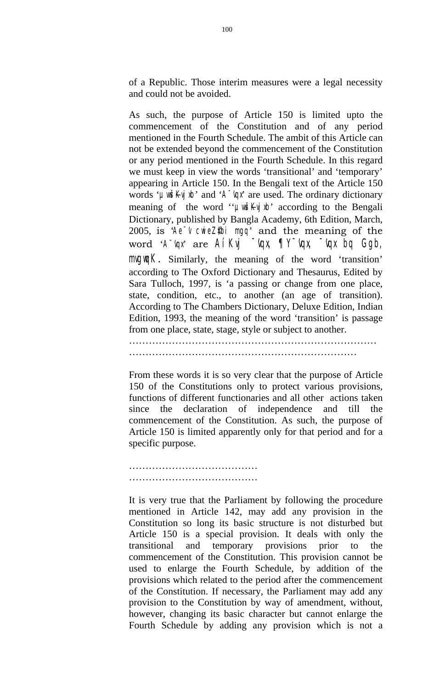of a Republic. Those interim measures were a legal necessity and could not be avoided.

As such, the purpose of Article 150 is limited upto the commencement of the Constitution and of any period mentioned in the Fourth Schedule. The ambit of this Article can not be extended beyond the commencement of the Constitution or any period mentioned in the Fourth Schedule. In this regard we must keep in view the words 'transitional' and 'temporary' appearing in Article 150. In the Bengali text of the Article 150 words **'µuš** $\mathbf{K}$ **j** $\mathbf{b}'$  and  $\mathbf{A}$ <sup> $\mathbf{q}$ </sup> are used. The ordinary dictionary meaning of the word " $\mu \rightarrow$ " according to the Bengali Dictionary, published by Bangla Academy, 6th Edition, March, 2005, is **'Ae<sup>-</sup>'v cwieZ\$bi mgq'** and the meaning of the word **'A<sup>-</sup>'ax'** are **AíKyi <sup>-</sup>'ax</sup> ¶Y<sup>-</sup>'ax <sup>-</sup>'ax bq Ggb, mguik.** Similarly, the meaning of the word 'transition' according to The Oxford Dictionary and Thesaurus, Edited by Sara Tulloch, 1997, is 'a passing or change from one place, state, condition, etc., to another (an age of transition). According to The Chambers Dictionary, Deluxe Edition, Indian Edition, 1993, the meaning of the word 'transition' is passage from one place, state, stage, style or subject to another.

……………………………………………………………

…………………………………………………………………

From these words it is so very clear that the purpose of Article 150 of the Constitutions only to protect various provisions, functions of different functionaries and all other actions taken since the declaration of independence and till the commencement of the Constitution. As such, the purpose of Article 150 is limited apparently only for that period and for a specific purpose.

………………………………………… …………………………………

It is very true that the Parliament by following the procedure mentioned in Article 142, may add any provision in the Constitution so long its basic structure is not disturbed but Article 150 is a special provision. It deals with only the transitional and temporary provisions prior to the commencement of the Constitution. This provision cannot be used to enlarge the Fourth Schedule, by addition of the provisions which related to the period after the commencement of the Constitution. If necessary, the Parliament may add any provision to the Constitution by way of amendment, without, however, changing its basic character but cannot enlarge the Fourth Schedule by adding any provision which is not a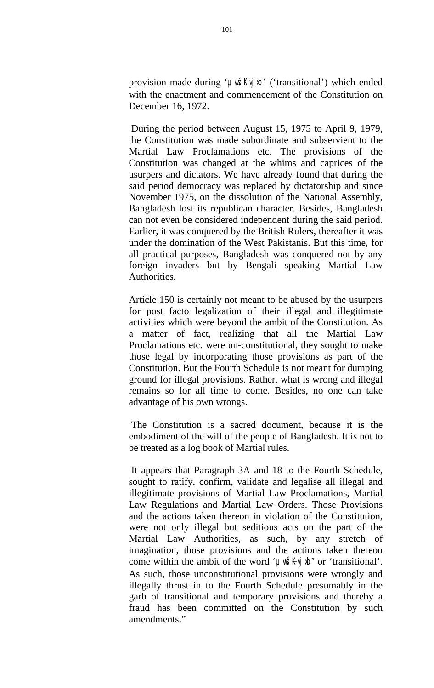provision made during '**µwšKy's**' ('transitional') which ended with the enactment and commencement of the Constitution on December 16, 1972.

 During the period between August 15, 1975 to April 9, 1979, the Constitution was made subordinate and subservient to the Martial Law Proclamations etc. The provisions of the Constitution was changed at the whims and caprices of the usurpers and dictators. We have already found that during the said period democracy was replaced by dictatorship and since November 1975, on the dissolution of the National Assembly, Bangladesh lost its republican character. Besides, Bangladesh can not even be considered independent during the said period. Earlier, it was conquered by the British Rulers, thereafter it was under the domination of the West Pakistanis. But this time, for all practical purposes, Bangladesh was conquered not by any foreign invaders but by Bengali speaking Martial Law Authorities.

Article 150 is certainly not meant to be abused by the usurpers for post facto legalization of their illegal and illegitimate activities which were beyond the ambit of the Constitution. As a matter of fact, realizing that all the Martial Law Proclamations etc. were un-constitutional, they sought to make those legal by incorporating those provisions as part of the Constitution. But the Fourth Schedule is not meant for dumping ground for illegal provisions. Rather, what is wrong and illegal remains so for all time to come. Besides, no one can take advantage of his own wrongs.

 The Constitution is a sacred document, because it is the embodiment of the will of the people of Bangladesh. It is not to be treated as a log book of Martial rules.

 It appears that Paragraph 3A and 18 to the Fourth Schedule, sought to ratify, confirm, validate and legalise all illegal and illegitimate provisions of Martial Law Proclamations, Martial Law Regulations and Martial Law Orders. Those Provisions and the actions taken thereon in violation of the Constitution, were not only illegal but seditious acts on the part of the Martial Law Authorities, as such, by any stretch of imagination, those provisions and the actions taken thereon come within the ambit of the word **'** $\mu \times \mu'$  or 'transitional'. As such, those unconstitutional provisions were wrongly and illegally thrust in to the Fourth Schedule presumably in the garb of transitional and temporary provisions and thereby a fraud has been committed on the Constitution by such amendments."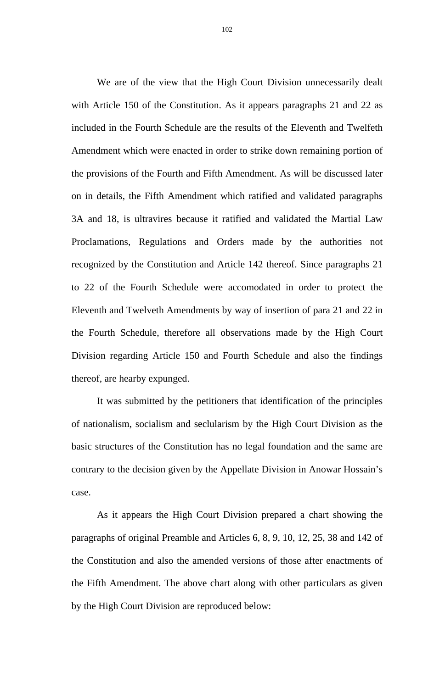We are of the view that the High Court Division unnecessarily dealt with Article 150 of the Constitution. As it appears paragraphs 21 and 22 as included in the Fourth Schedule are the results of the Eleventh and Twelfeth Amendment which were enacted in order to strike down remaining portion of the provisions of the Fourth and Fifth Amendment. As will be discussed later on in details, the Fifth Amendment which ratified and validated paragraphs 3A and 18, is ultravires because it ratified and validated the Martial Law Proclamations, Regulations and Orders made by the authorities not recognized by the Constitution and Article 142 thereof. Since paragraphs 21 to 22 of the Fourth Schedule were accomodated in order to protect the Eleventh and Twelveth Amendments by way of insertion of para 21 and 22 in the Fourth Schedule, therefore all observations made by the High Court Division regarding Article 150 and Fourth Schedule and also the findings thereof, are hearby expunged.

It was submitted by the petitioners that identification of the principles of nationalism, socialism and seclularism by the High Court Division as the basic structures of the Constitution has no legal foundation and the same are contrary to the decision given by the Appellate Division in Anowar Hossain's case.

As it appears the High Court Division prepared a chart showing the paragraphs of original Preamble and Articles 6, 8, 9, 10, 12, 25, 38 and 142 of the Constitution and also the amended versions of those after enactments of the Fifth Amendment. The above chart along with other particulars as given by the High Court Division are reproduced below:

102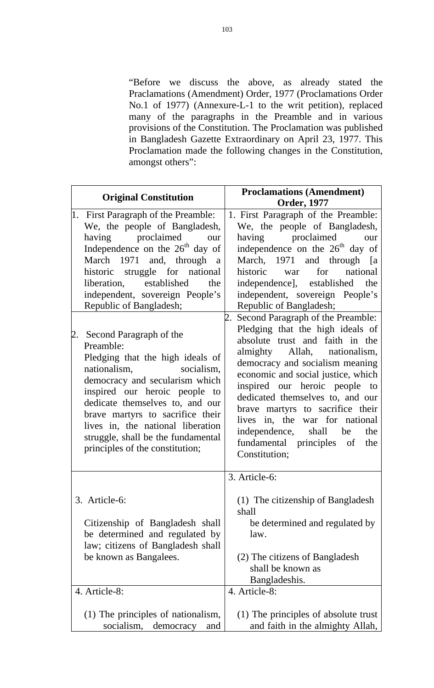"Before we discuss the above, as already stated the Praclamations (Amendment) Order, 1977 (Proclamations Order No.1 of 1977) (Annexure-L-1 to the writ petition), replaced many of the paragraphs in the Preamble and in various provisions of the Constitution. The Proclamation was published in Bangladesh Gazette Extraordinary on April 23, 1977. This Proclamation made the following changes in the Constitution, amongst others":

| <b>Original Constitution</b>                                                                                                                                                                                                                                                                                                                                                                                                                                                                                                                                                                                                                                                           | <b>Proclamations (Amendment)</b><br><b>Order, 1977</b>                                                                                                                                                                                                                                                                                                                                                                                                                                                                                                                                                                                                                                                                                                                          |
|----------------------------------------------------------------------------------------------------------------------------------------------------------------------------------------------------------------------------------------------------------------------------------------------------------------------------------------------------------------------------------------------------------------------------------------------------------------------------------------------------------------------------------------------------------------------------------------------------------------------------------------------------------------------------------------|---------------------------------------------------------------------------------------------------------------------------------------------------------------------------------------------------------------------------------------------------------------------------------------------------------------------------------------------------------------------------------------------------------------------------------------------------------------------------------------------------------------------------------------------------------------------------------------------------------------------------------------------------------------------------------------------------------------------------------------------------------------------------------|
| 1. First Paragraph of the Preamble:<br>We, the people of Bangladesh,<br>proclaimed<br>having<br>our<br>Independence on the 26 <sup>th</sup> day of<br>March 1971 and, through a<br>historic struggle for national<br>liberation, established<br>the<br>independent, sovereign People's<br>Republic of Bangladesh;<br>Second Paragraph of the<br>2.<br>Preamble:<br>Pledging that the high ideals of<br>nationalism, socialism,<br>democracy and secularism which<br>inspired our heroic people to<br>dedicate themselves to, and our<br>brave martyrs to sacrifice their<br>lives in, the national liberation<br>struggle, shall be the fundamental<br>principles of the constitution; | 1. First Paragraph of the Preamble:<br>We, the people of Bangladesh,<br>proclaimed<br>having<br>our<br>independence on the 26 <sup>th</sup> day of<br>March, 1971 and through [a<br>national<br>historic<br>for<br>war<br>independence], established<br>the<br>independent, sovereign People's<br>Republic of Bangladesh;<br>Second Paragraph of the Preamble:<br>Pledging that the high ideals of<br>absolute trust and faith in the<br>almighty Allah, nationalism,<br>democracy and socialism meaning<br>economic and social justice, which<br>inspired our heroic people to<br>dedicated themselves to, and our<br>brave martyrs to sacrifice their<br>lives in, the war for national<br>independence, shall be<br>the<br>fundamental principles of<br>the<br>Constitution; |
| 3. Article-6:<br>Citizenship of Bangladesh shall<br>be determined and regulated by<br>law; citizens of Bangladesh shall<br>be known as Bangalees.<br>4. Article-8:                                                                                                                                                                                                                                                                                                                                                                                                                                                                                                                     | 3. Article-6:<br>(1) The citizenship of Bangladesh<br>shall<br>be determined and regulated by<br>law.<br>(2) The citizens of Bangladesh<br>shall be known as<br>Bangladeshis.                                                                                                                                                                                                                                                                                                                                                                                                                                                                                                                                                                                                   |
| (1) The principles of nationalism,<br>socialism,<br>democracy<br>and                                                                                                                                                                                                                                                                                                                                                                                                                                                                                                                                                                                                                   | 4. Article-8:<br>(1) The principles of absolute trust<br>and faith in the almighty Allah,                                                                                                                                                                                                                                                                                                                                                                                                                                                                                                                                                                                                                                                                                       |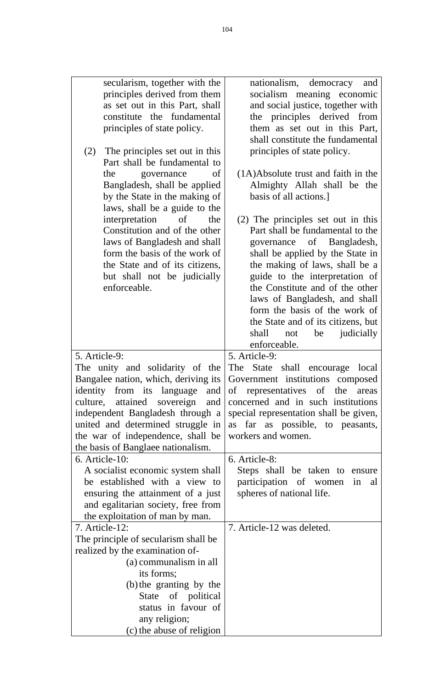| secularism, together with the              | nationalism, democracy and                                     |
|--------------------------------------------|----------------------------------------------------------------|
| principles derived from them               | socialism meaning economic                                     |
| as set out in this Part, shall             | and social justice, together with                              |
| constitute the fundamental                 | the principles derived from                                    |
| principles of state policy.                | them as set out in this Part,                                  |
|                                            | shall constitute the fundamental                               |
| The principles set out in this<br>(2)      | principles of state policy.                                    |
| Part shall be fundamental to               |                                                                |
| the<br>governance<br>of                    | $(1A)$ Absolute trust and faith in the                         |
| Bangladesh, shall be applied               | Almighty Allah shall be the                                    |
| by the State in the making of              | basis of all actions.]                                         |
| laws, shall be a guide to the              |                                                                |
| interpretation<br>of<br>the                | (2) The principles set out in this                             |
| Constitution and of the other              | Part shall be fundamental to the                               |
| laws of Bangladesh and shall               | governance of Bangladesh,                                      |
| form the basis of the work of              | shall be applied by the State in                               |
| the State and of its citizens,             | the making of laws, shall be a                                 |
| but shall not be judicially                | guide to the interpretation of                                 |
| enforceable.                               | the Constitute and of the other                                |
|                                            | laws of Bangladesh, and shall                                  |
|                                            | form the basis of the work of                                  |
|                                            | the State and of its citizens, but                             |
|                                            | judicially<br>shall<br>not<br>be                               |
|                                            | enforceable.                                                   |
| 5. Article-9:                              | 5. Article-9:                                                  |
| The unity and solidarity of the            | The State shall encourage local                                |
| Bangalee nation, which, deriving its       | Government institutions composed                               |
|                                            | identity from its language and of representatives of the areas |
| culture, attained sovereign<br>and         | concerned and in such institutions                             |
| independent Bangladesh through a           | special representation shall be given,                         |
| united and determined struggle in          | as far as possible, to peasants,                               |
| the war of independence, shall be          | workers and women.                                             |
| the basis of Banglaee nationalism.         |                                                                |
| 6. Article-10:                             | 6. Article-8:                                                  |
| A socialist economic system shall          | Steps shall be taken to ensure                                 |
| be established with a view to              | participation of women<br>in<br>al                             |
| ensuring the attainment of a just          | spheres of national life.                                      |
| and egalitarian society, free from         |                                                                |
| the exploitation of man by man.            |                                                                |
| 7. Article-12:                             | 7. Article-12 was deleted.                                     |
| The principle of secularism shall be       |                                                                |
| realized by the examination of-            |                                                                |
| (a) communalism in all                     |                                                                |
| its forms;                                 |                                                                |
| (b) the granting by the                    |                                                                |
| State of political                         |                                                                |
| status in favour of                        |                                                                |
|                                            |                                                                |
| any religion;<br>(c) the abuse of religion |                                                                |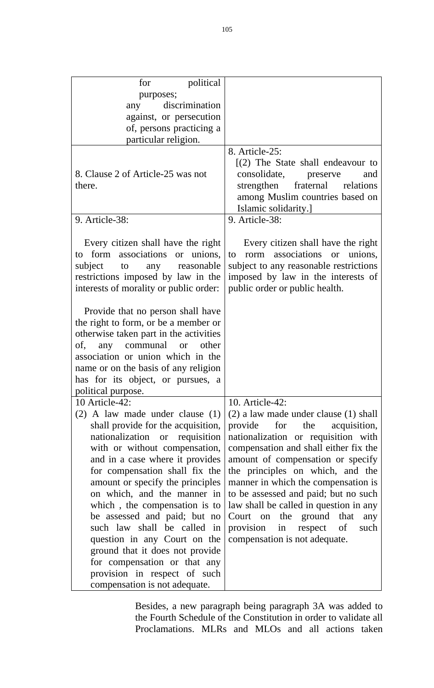| political<br>for<br>purposes;<br>discrimination<br>any<br>against, or persecution<br>of, persons practicing a<br>particular religion.                                                                                                                                                                                                                                                                                                                                                                                                                                      |                                                                                                                                                                                                                                                                                                                                                                                                                                                                                                |
|----------------------------------------------------------------------------------------------------------------------------------------------------------------------------------------------------------------------------------------------------------------------------------------------------------------------------------------------------------------------------------------------------------------------------------------------------------------------------------------------------------------------------------------------------------------------------|------------------------------------------------------------------------------------------------------------------------------------------------------------------------------------------------------------------------------------------------------------------------------------------------------------------------------------------------------------------------------------------------------------------------------------------------------------------------------------------------|
| 8. Clause 2 of Article-25 was not<br>there.                                                                                                                                                                                                                                                                                                                                                                                                                                                                                                                                | 8. Article-25:<br>$(2)$ The State shall endeavour to<br>consolidate, preserve<br>and<br>strengthen fraternal relations<br>among Muslim countries based on<br>Islamic solidarity.]                                                                                                                                                                                                                                                                                                              |
| 9. Article-38:                                                                                                                                                                                                                                                                                                                                                                                                                                                                                                                                                             | 9. Article-38:                                                                                                                                                                                                                                                                                                                                                                                                                                                                                 |
| Every citizen shall have the right<br>to form associations or unions,<br>to to<br>any reasonable<br>subject<br>restrictions imposed by law in the<br>interests of morality or public order:                                                                                                                                                                                                                                                                                                                                                                                | Every citizen shall have the right<br>to rorm associations or unions,<br>subject to any reasonable restrictions<br>imposed by law in the interests of<br>public order or public health.                                                                                                                                                                                                                                                                                                        |
| Provide that no person shall have<br>the right to form, or be a member or<br>otherwise taken part in the activities<br>of,<br>any communal<br>other<br><b>or</b><br>association or union which in the<br>name or on the basis of any religion<br>has for its object, or pursues, a<br>political purpose.                                                                                                                                                                                                                                                                   |                                                                                                                                                                                                                                                                                                                                                                                                                                                                                                |
| 10 Article-42:<br>$(2)$ A law made under clause $(1)$<br>shall provide for the acquisition,<br>nationalization or requisition<br>with or without compensation,<br>and in a case where it provides<br>for compensation shall fix the<br>amount or specify the principles<br>on which, and the manner in<br>which, the compensation is to<br>be assessed and paid; but no<br>such law shall be called in<br>question in any Court on the<br>ground that it does not provide<br>for compensation or that any<br>provision in respect of such<br>compensation is not adequate. | 10. Article-42:<br>$(2)$ a law made under clause $(1)$ shall<br>provide<br>the<br>acquisition,<br>for<br>nationalization or requisition with<br>compensation and shall either fix the<br>amount of compensation or specify<br>the principles on which, and the<br>manner in which the compensation is<br>to be assessed and paid; but no such<br>law shall be called in question in any<br>Court on the ground that<br>any<br>provision in respect of<br>such<br>compensation is not adequate. |

Besides, a new paragraph being paragraph 3A was added to the Fourth Schedule of the Constitution in order to validate all Proclamations. MLRs and MLOs and all actions taken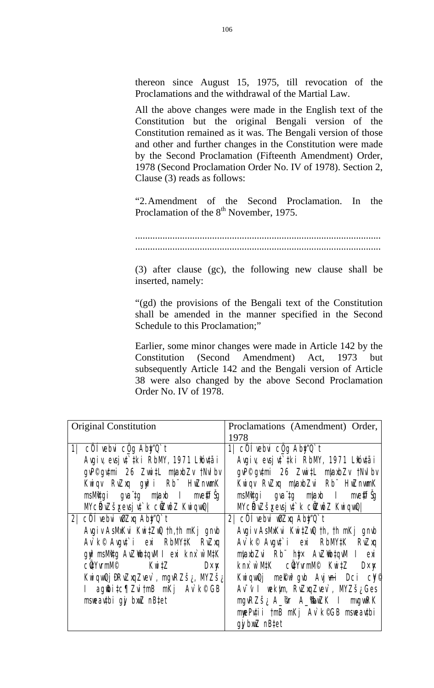thereon since August 15, 1975, till revocation of the Proclamations and the withdrawal of the Martial Law.

All the above changes were made in the English text of the Constitution but the original Bengali version of the Constitution remained as it was. The Bengali version of those and other and further changes in the Constitution were made by the Second Proclamation (Fifteenth Amendment) Order, 1978 (Second Proclamation Order No. IV of 1978). Section 2, Clause (3) reads as follows:

"2. Amendment of the Second Proclamation. In the Proclamation of the 8<sup>th</sup> November, 1975.

................................................................................................... ...................................................................................................

(3) after clause (gc), the following new clause shall be inserted, namely:

"(gd) the provisions of the Bengali text of the Constitution shall be amended in the manner specified in the Second Schedule to this Proclamation;"

Earlier, some minor changes were made in Article 142 by the Constitution (Second Amendment) Act, 1973 but subsequently Article 142 and the Bengali version of Article 38 were also changed by the above Second Proclamation Order No. IV of 1978.

| <b>Original Constitution</b>                                                                                                                                                                                                                                                                                                                                                                                                                                                                                                                                                                                                    | Proclamations (Amendment) Order,<br>1978                                                                                                                                                                                                                                                                                                                                                                                                                                                                                                                                                                                                          |
|---------------------------------------------------------------------------------------------------------------------------------------------------------------------------------------------------------------------------------------------------------------------------------------------------------------------------------------------------------------------------------------------------------------------------------------------------------------------------------------------------------------------------------------------------------------------------------------------------------------------------------|---------------------------------------------------------------------------------------------------------------------------------------------------------------------------------------------------------------------------------------------------------------------------------------------------------------------------------------------------------------------------------------------------------------------------------------------------------------------------------------------------------------------------------------------------------------------------------------------------------------------------------------------------|
| 1 cÖlvebui c <u>Ög</u> Aby <sup>t</sup> Q't<br>Agiy evgiyî iki RbM, 1971 Libitai<br>gyP <sup>©</sup> gytmi 26 ZwitL mlaxbZv tMdbv<br>Kuiqv Ružxq gyî i Rb Hužnunk<br><b>msMtgi gva tg mlaxb i me@f\$g</b><br><b>McRužšyevaj třich cůzně z Kvievně  </b><br>2 cÖlvebu wazxq Aby O't<br>AgivAsMKu KwiZw th,th mKj gmb<br>Av k <sup>©</sup> Avgu <sup>+</sup> i exi RbMW K RuZxq<br>qu <sup>2</sup> msMtg Au2 that a levik nx w MtK<br><b>c <b>üy</b>vmMP</b><br><b>Kwitz</b><br>D×¥<br><b>Kuiquūj iRvžxqZvev</b> , ngvRZš <sub>id</sub> MZš <sub>id</sub><br><b>I</b> ag <b>@itc</b> ¶ZuitmB mKj Av k©GB<br>mseathi gj briZ nB‡et | 1 $\overline{\text{c}0}$ i vebvi c $\overline{\text{q}}\text{g}$ Aby $\overline{\text{q}}\text{t}$<br>Agiy evjut iki RbM, 1971 Lióutái<br>gyP <sup>©</sup> gytmi 26 ZwitL mlaxbZv tNdbv<br>Kuiqv Ružxq mlaxb Zui Rb Hužmunk<br><b>msMtgi gva tg mlaxb i me@f\$g</b><br>McRwšxewj tř k cirož Kuigul<br>2 cÖlvebui wiZxq Aby Q`t<br>AgivAsMKu KutZu th, th nKj gmb<br>Av k <sup>©</sup> Avgut i exi RbM#K RwZxq<br>mlaxbZui Rb http: AuZibtquu I exi<br>kni w MtK cüyvmM <sup>®</sup> KwitZ<br><b>D</b> x <b>x</b><br><b>Kuiquûj meku<sup>s</sup>gub Ayjuni Dci cy®</b><br>Av v I wekim, RwZuqZuev, MYZš¿Ges<br>ngvRZš; A_@r A_ <b>@wZK I</b> mgvRK |
|                                                                                                                                                                                                                                                                                                                                                                                                                                                                                                                                                                                                                                 | mePutii tmB mKj Av k©GB maeautbi<br>qy bxxZ nB‡et                                                                                                                                                                                                                                                                                                                                                                                                                                                                                                                                                                                                 |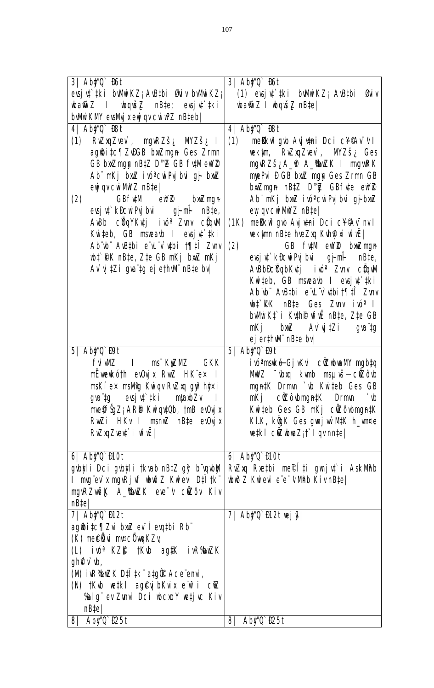| 3 Aby C Bot                                                                                                                                                                                                                                                                                                                                                                  | 3 Aby T Bt                                                          |
|------------------------------------------------------------------------------------------------------------------------------------------------------------------------------------------------------------------------------------------------------------------------------------------------------------------------------------------------------------------------------|---------------------------------------------------------------------|
| evsju'tki buMirKZ; AuBtbi Øuiv buMirKZ;                                                                                                                                                                                                                                                                                                                                      | (1) evsju <sup>r</sup> iki buMirKZ; AuBibi Guiv                     |
| $\Delta \mathbf{m}$ is $\Delta \mathbf{m}$ in $\Delta \mathbf{m}$ is $\Delta \mathbf{m}$ in $\Delta \mathbf{m}$ is $\Delta \mathbf{m}$ in $\Delta \mathbf{m}$ is $\Delta \mathbf{m}$ in $\Delta \mathbf{m}$ is $\Delta \mathbf{m}$ in $\Delta \mathbf{m}$ is $\Delta \mathbf{m}$ in $\Delta \mathbf{m}$ is $\Delta \mathbf{m}$ in $\Delta \mathbf{m}$ is $\Delta \mathbf{m}$ | <b>bati Z I bqui Z nBtel</b>                                        |
| bwirk W ew Mij xeyj qv curuPZ nBteb                                                                                                                                                                                                                                                                                                                                          |                                                                     |
| 4 Aby C BSt                                                                                                                                                                                                                                                                                                                                                                  | 4 Aby T Bt                                                          |
|                                                                                                                                                                                                                                                                                                                                                                              |                                                                     |
| RužxqZvev`, mgvRZš <sub>i</sub> MZš <sub>i</sub> I<br>$\mathbf{\Omega}$                                                                                                                                                                                                                                                                                                      | melku <sup>s</sup> gub Aujumi Dci c¥¶v <sup>r</sup> v I<br>$\bf(1)$ |
| ag@i‡c¶ZWGB bxZngn Ges Zrmn                                                                                                                                                                                                                                                                                                                                                  | wekim RwZuqZuev, MYZš <sub>i</sub> Ges                              |
| GB bxZngp nBtZ D"E GB futMeW2                                                                                                                                                                                                                                                                                                                                                | ngvRZš¿A_@ A_ <b>SuZK I</b> mgvRK                                   |
| Ab mKj bxiZ ivó curPyjbui gj bxiZ                                                                                                                                                                                                                                                                                                                                            | mpPui D GB bxiZ mgp Ges Zrmn GB                                     |
| eyj qv cvi MWZ nB‡e                                                                                                                                                                                                                                                                                                                                                          | buiZmgn nBtZ D"T. GBfvte eW2                                        |
| GBfutM eW2 bxZngn<br>(2)                                                                                                                                                                                                                                                                                                                                                     | Ab mKj bmZ ivo <sup>a</sup> cuiPyjbui gjbmZ                         |
|                                                                                                                                                                                                                                                                                                                                                                              |                                                                     |
| <b>evsj u` kBcuiPyj bui</b><br>gjni<br><b>nB‡e,</b>                                                                                                                                                                                                                                                                                                                          | eyj qv cvi MWZ nB‡e                                                 |
| AuBb cüqYKutj i w <sup>a</sup> Zunv cüqvM                                                                                                                                                                                                                                                                                                                                    | <b>meliku<sup>s</sup>gub Ayjumi Dci c¥¶vīnv I</b><br>(1K)           |
| Kuiteb, GB mareab I eusju <sup>t</sup> tki                                                                                                                                                                                                                                                                                                                                   | <b>wekinn nB‡e hveZxq Kvh@xi vfiË  </b>                             |
| Ab b ABthi e L v thi 1911 Zuw                                                                                                                                                                                                                                                                                                                                                | (2)<br>GB futM eW2 bxiZmgn                                          |
| <b>wi RK nBte, Zte GB nKj bxZ nKj</b>                                                                                                                                                                                                                                                                                                                                        | evsjut kilicur Puj bui og ji mili<br>nB‡e,                          |
| Av y tzi gva tg ej eth M nBte by                                                                                                                                                                                                                                                                                                                                             | A <b>BbDcÜqbKtj</b> iv <sup>a</sup> Zuw c <b>üyM</b>                |
|                                                                                                                                                                                                                                                                                                                                                                              | Kuiteb, GB manaub I eugju't iki                                     |
|                                                                                                                                                                                                                                                                                                                                                                              | Ab b Awthi e'l v thit fil Zuv                                       |
|                                                                                                                                                                                                                                                                                                                                                                              |                                                                     |
|                                                                                                                                                                                                                                                                                                                                                                              | <b>when RK</b> mBte Ges Zunv ive <sup>a</sup> I                     |
|                                                                                                                                                                                                                                                                                                                                                                              | <b>bwikt i Kuho wie nBte, Zte GB</b>                                |
|                                                                                                                                                                                                                                                                                                                                                                              | $b$ wZ Av`yj‡Zi<br><b>nKj</b><br><b>pt</b> arp                      |
|                                                                                                                                                                                                                                                                                                                                                                              | ej er#NM nB‡e bv                                                    |
| <b>5  Aby Q DI</b>                                                                                                                                                                                                                                                                                                                                                           | <b>5  Aby Q DI</b>                                                  |
| <b>fuwz</b><br>ms <sup>-</sup> KyZMZ<br><b>GKK</b><br>н                                                                                                                                                                                                                                                                                                                      | ivi <sup>a</sup> mské Gjykui c <b>ikubunané mybiq</b>               |
| n <b>Ëueukóth eu0yjx RunZ HK</b> ëe <b>× I</b>                                                                                                                                                                                                                                                                                                                               | MWZ <sup>-</sup> (bxq kvnb msµvš—c@Zôvb                             |
|                                                                                                                                                                                                                                                                                                                                                                              |                                                                     |
| mskí ex msMg Kuiqv RuZxq gy?htjx i                                                                                                                                                                                                                                                                                                                                           | ngn#K Drmn ` w Kwiteb Ges GB                                        |
| gvaïtg evsjnt"‡ki mlaxbZv II                                                                                                                                                                                                                                                                                                                                                 | n <b>Kj cizôbnyn#K Drmn `b</b>                                      |
| <b>me@f\$jZ; ARD KwqtOb, tnB eOyjx</b>                                                                                                                                                                                                                                                                                                                                       | Kuiteb Ges GB mKj cilôubmyntK                                       |
| Ruiz i HKv I manuz nB‡e ev0yjx                                                                                                                                                                                                                                                                                                                                               | <b>KIK, küyK Ges gunj uù MIK h_vn¤0</b>                             |
| Ružną Zvent`i vfuž                                                                                                                                                                                                                                                                                                                                                           | <b>wiki citibusz; i i qvnnte)</b>                                   |
|                                                                                                                                                                                                                                                                                                                                                                              |                                                                     |
| 6 Aby C Mot                                                                                                                                                                                                                                                                                                                                                                  | 6 Aby T Mot                                                         |
|                                                                                                                                                                                                                                                                                                                                                                              | <b>Rızıq Rietbi me©l‡i gunjut`i AskMhb</b>                          |
| <b>gubji i Dci gubji i tkvab nB‡Z gj<sup>2</sup> b`vqubji</b> l                                                                                                                                                                                                                                                                                                              |                                                                     |
| I mg"ev`x ngvRjvf whoi Z Kwiewi D‡I†k"                                                                                                                                                                                                                                                                                                                                       | <b>Juž Z Kujevi</b> e'e <sup>-</sup> VMb KivnB‡e                    |
| nguRZušK A_ShuZK eve v ciZôv Kiv                                                                                                                                                                                                                                                                                                                                             |                                                                     |
| nBte                                                                                                                                                                                                                                                                                                                                                                         |                                                                     |
| <b>7  Aby'Q` Di2t</b>                                                                                                                                                                                                                                                                                                                                                        | 7 Aby'Q Di2t wig                                                    |
| ag@i‡c¶Zui bxiZ ev leuthi Rb                                                                                                                                                                                                                                                                                                                                                 |                                                                     |
| (K) meelüyi m¤c Öyyuk Zy                                                                                                                                                                                                                                                                                                                                                     |                                                                     |
| (L) ivé KZŴ †Kvb ag\$K ivR <b>%wZ</b> K                                                                                                                                                                                                                                                                                                                                      |                                                                     |
| <b>gh<sup>o</sup>v b</b> ,                                                                                                                                                                                                                                                                                                                                                   |                                                                     |
| (II) i R <b><sup>3</sup>DZK</b> DII Ik atg <b>û</b> Ace emi,                                                                                                                                                                                                                                                                                                                 |                                                                     |
|                                                                                                                                                                                                                                                                                                                                                                              |                                                                     |
| (N) tKub wetki ag@yjbKuix e w <sup>2</sup> i cilZ                                                                                                                                                                                                                                                                                                                            |                                                                     |
| %Ig" ev Zuni Dci ucooy wetj uc Kiv                                                                                                                                                                                                                                                                                                                                           |                                                                     |
| nBte                                                                                                                                                                                                                                                                                                                                                                         |                                                                     |
| 8 Aby 0 <b>125t</b>                                                                                                                                                                                                                                                                                                                                                          | <b>8 Aby Q P25t</b>                                                 |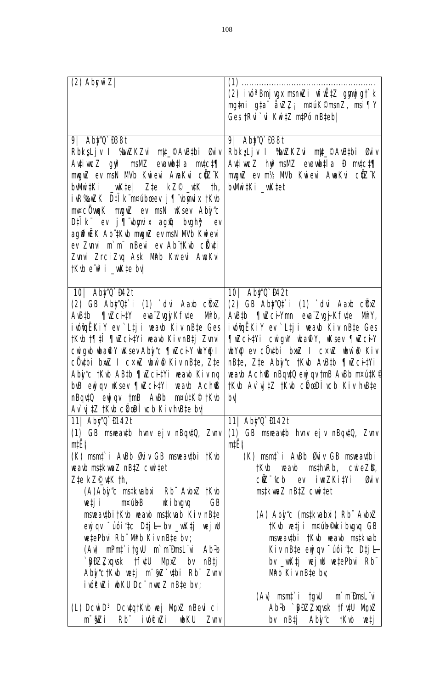| $(2)$ Abyw $Z$                                                                                                                                                                                                                                                                                                                                                                                                                                                                                                                                                | $(1)$<br><b>(2) ivi<sup>a</sup> Bnj vyx manizi vfriž‡z gynjig†k</b><br><b>ng‡ni g‡a åvZZ; n¤úK©nanZ, nsi¶Y</b><br>Ges tRu <sup>-</sup> u KuitZ mtPo nBteb                                                                                                                                                                                                                                                                                                                                                                                                                                                                   |
|---------------------------------------------------------------------------------------------------------------------------------------------------------------------------------------------------------------------------------------------------------------------------------------------------------------------------------------------------------------------------------------------------------------------------------------------------------------------------------------------------------------------------------------------------------------|-----------------------------------------------------------------------------------------------------------------------------------------------------------------------------------------------------------------------------------------------------------------------------------------------------------------------------------------------------------------------------------------------------------------------------------------------------------------------------------------------------------------------------------------------------------------------------------------------------------------------------|
| 9 Aby TB8t<br>RbksLjv I SuZKZui ntt_©AuBibi Guiv<br>Autiur Z gy <sup>2</sup> mawz eurochtia motety<br>my Z ev msN MJb Kureui AuaKui cüZ"K<br><b>bWith <math>\mathbf{W}</math> with <math>\mathbf{W}</math></b> $\mathbf{W}$ and $\mathbf{W}$ and $\mathbf{W}$<br>ivRSwZK DIIK membosev j¶ bynix tKub<br>m¤cÖwu <sub>l</sub> K mynZ ev msN uKsev Aby <sup>1</sup> /c<br>D‡IK ev j¶ bynix ag@ bughy? ev<br>agffrück Ab #Kub muguz ev man Mub Kuievi<br>ev Zuni m'm' nBeui ev Ab jKub cüluti<br>Zuni ZrciZug Ask Mhb Kuievi AuaKvi<br><b>TKU e'uf i _uKte by</b> | 9 Aby TB8t<br>Rbk;Ljv I BuZKZui ntt_©AuBi Buv<br>AtiveZ hyPmsWZ evaubtla <b>D</b> mtct¶<br>my Z ev nt/2 Mb Kvievi AvaKvi ctZ K<br>bWit <sub>Ki_wK</sub> tet                                                                                                                                                                                                                                                                                                                                                                                                                                                                 |
| <b>10 Aby Q B42t</b><br><b>(2) GB Aby'Ot i (1) `dui Aarb cürz</b><br>Austb ¶uzcitY eva ZugjiKfute Mhb,<br>ivothë KiY ev`Ltji veavb Kiv nBte Ges<br><b>tKub t¶ilî ¶uZcitYi waxb KivnBtj Zuni</b><br>cuigub what's use aby's The cit with I<br>c <b>othi bull</b> I c×ull uniof Kiv nBte, Zte<br>Aby's 1K b ABth Tu CitYi was Kiving<br>buB eyj qv uksev ¶uZci#Yi weaub Ach®<br>nBqutQ eyj qv tmB AuBb m¤utK© tKub<br>Av y 17 1K b cho i vcb Kivh Bie by                                                                                                        | <b>10 Aby'Q B42t</b><br>(2) GB Aby'Qt i (1) dui Aarb cürz<br>Austh Tulcivm evalugikfute May,<br>ivothë KiY ev`Ltji veavb Kiv nBte Ges<br>The City i cuight was Y, use The City<br><b>We ev cöuthi buil I cxul wife Kiv</b><br>nBte, Zte Aby'c tKub Austh TuzcitVi<br>weaub Ach® nBqu‡Q eyj qv tmB AuBb m¤ut#K®<br>tKub Av yitZ tKub chicaDli uch Kiv huBte<br><b>by</b>                                                                                                                                                                                                                                                     |
| <b>11  Aby Q M42t</b><br>(1) GB maeauth hunv ejv nBqutQ, Zunv<br>ntë j                                                                                                                                                                                                                                                                                                                                                                                                                                                                                        | <b>11  Aby Q D142t</b><br><b>(1) GB mseavib hvny ej v nBqviQ, Zvny</b><br>ntˇ                                                                                                                                                                                                                                                                                                                                                                                                                                                                                                                                               |
| (K) mant` i AvBb Øuiv GB mareautbi †Kvb<br>wayb mstkyneZ nBtZ cwitet<br>Zte kZ©\tK th,<br>(A)Aby'c mstkuabri Rb" Aubriz † Kub<br>vetji m¤vúbB vkibvgvq<br><b>GB</b><br>maeadbitKub weaub mstkuab Kiv nBte<br>$\omega$ eyj qv $\tilde{\omega}$ io i 4c Dtj l = bv $\omega$ in the juli<br>wetePbui Rb" Mhb KivnBte bv;<br>(A) nPnt itgU m miDnsL u Ab-b<br>`BDZZxqvsk †fv#U MpxZ bv nB‡j<br>Aby'ctKub wetj m <sup>-</sup> \$2 utbi Rb Zunv<br>ivéw i wku Dc muez nBte bv;                                                                                      | (K) mant i A&b Guiv GB maeauthi<br><b>tKub weaub msthwRb, cwieZD,</b><br>$c\tilde{Z}$ $\sim$ $\sim$ $c$ $\sim$ $c$ $\sim$ $c$ $\sim$ $c$ $\sim$ $c$ $\sim$ $c$ $\sim$ $c$ $\sim$ $c$ $\sim$ $c$ $\sim$ $c$ $\sim$ $c$ $\sim$ $c$ $\sim$ $c$ $\sim$ $c$ $\sim$ $c$ $\sim$ $c$ $\sim$ $c$ $\sim$ $c$ $\sim$ $c$ $\sim$ $c$ $\sim$ $c$ $\sim$ $c$ $\sim$ $c$<br><b>Giv</b><br><b>mstkun Z nB‡Z curitet</b><br>(A) Aby'c (mstkvabxi) Rb" AvbxZ<br>tKub vetji m¤úb©kibvgvq GB<br>maeadhi tKub waab mstkuab<br>Kiv nB‡e eyj qv ūtó i ‡c D‡j l-<br>bv _uktj wejw wtePbui Rb"<br><b>Mhb KivnB‡e by</b><br>(A) msnt i tgW m mitmsL u |
| (L) DcwD <sup>3</sup> DcuqtKub wej Mpriz nBevi ci<br>m <b>šī</b> iv <b>ću idzu vien</b> ko                                                                                                                                                                                                                                                                                                                                                                                                                                                                    | Ab-b `BDZZxqvsk tfvtU MpxZ<br>by nBtj Aby'c tK\b wetj                                                                                                                                                                                                                                                                                                                                                                                                                                                                                                                                                                       |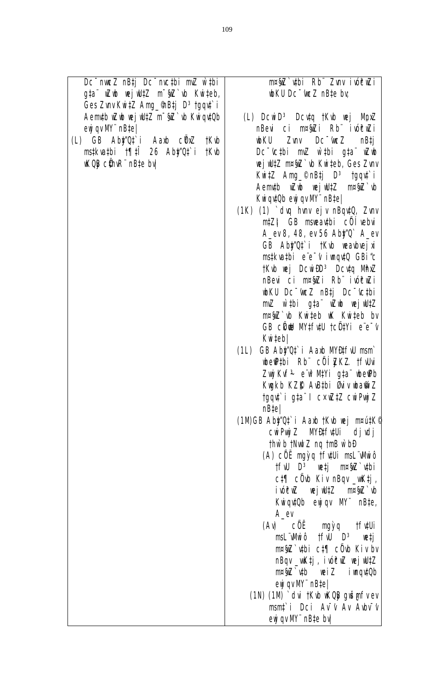| eZ nBtj Dc <sup>-</sup> mc‡bi mZ w̃‡bi        | nrýž vbi Rb Zvnv ivévži                                                                                               |
|-----------------------------------------------|-----------------------------------------------------------------------------------------------------------------------|
| Zub wejw‼‡Z m <sup>−</sup> §nZ`ub Kwi‡eb,     | which D <sub>C</sub> tue Z nBte by                                                                                    |
| nv <b>KuitZ Ang_@Btj D<sup>3</sup>tgqut`i</b> |                                                                                                                       |
| <b>uZub vej uliz m^§iZ`vb KviqviOb</b>        | (L) DcwD <sup>3</sup> Dcug tKub wej MpxZ                                                                              |
| <b>y nB‡e </b>                                | nBevi ci m¤§Zi Rb ivóĉuzi                                                                                             |
| Aby'Of i Aarb cürz †Kub                       | <b>which the Survey Control Control of the State of the State of the State of the State of the State of the State</b> |
| bi †¶IÎ 26 Ab <b>y'u</b> î i †Kıb             | Dc ctbi m2 wtbi gta wb                                                                                                |
| <b>üh:R<sup>"</sup> nB‡e bv</b>               | <b>wj WIZ nray b Kuiteb, Ges Zunv</b>                                                                                 |
|                                               | <b>Kuitz Ang_©nBtj D<sup>3</sup> tgqd`i</b>                                                                           |
|                                               | Aemith with we julitz mega b                                                                                          |
|                                               | Kwiqutüb eyjiqv M <sup>**</sup> nB‡e                                                                                  |
|                                               | (1K) (1) duq huw ejv nBqutQ, Zunv                                                                                     |
|                                               | <b>mtZ# GB mseautbi cÖlebui</b>                                                                                       |
|                                               | A_ev 8, 48, ev 56 Aby Q A_ev                                                                                          |
|                                               | GB Aby'Qt i tKub weau he jui                                                                                          |
|                                               | mstkvatbi e e v ivaqutū GBi'c<br>tkub wej DowidD <sup>3</sup> Dowiq Mhuz                                              |
|                                               | nBevi ci m¤§Zi Rb ivóčuZi                                                                                             |
|                                               | which Dc <sup>-too2</sup> nBtj Dc <sup>-t</sup> ctbi                                                                  |
|                                               | mZ wtbi gta who wjwtz                                                                                                 |
|                                               | mp§Z` ub Kuiteb uK Kuiteb bv                                                                                          |
|                                               | <b>GB chu Mifull tcutyi e'e'v</b>                                                                                     |
|                                               | <b>Kuiteb</b>                                                                                                         |
|                                               | (1L) GB Aby Of i Aarb MARIFU man                                                                                      |
|                                               | be Pibi Rb cÖlZKZ tfubi                                                                                               |
|                                               | Zuj Kuf <sup>3</sup> e w <sup>2</sup> MVi g‡a we®b                                                                    |
|                                               | Kuykb KZŴ A\B‡bi Øiv ba@iZ                                                                                            |
|                                               | tgquì i gta" I c×uZtZ cuiPujZ                                                                                         |
|                                               | nBte                                                                                                                  |
|                                               | (1MGB Aby'Ot' i Aarb tKub uej mautK                                                                                   |
|                                               | curpuj Z MARFAUi djudj                                                                                                |
|                                               | thừ b thut Z ng th B w b D                                                                                            |
|                                               | (A) cÖË mgỳq t <b>futui msl Whiô</b>                                                                                  |
|                                               | tfW D <sup>3</sup> wtj m¤§Z`vbi                                                                                       |
|                                               | ct¶ cÖub Kiv nBqv _uktj,                                                                                              |
|                                               | iviĉuz vej W#Z m¤§z̃b                                                                                                 |
|                                               | Kwiqui Qb eyji qv MV nBte,                                                                                            |
|                                               | A_ev                                                                                                                  |
|                                               | <b>(A) cöë ngỳq tfulli</b><br>msL"Whiô †fW D <sup>3</sup> vetj                                                        |
|                                               | $m\sqrt{3}$ thi ct $\sqrt{7}$ c $\sqrt{0}$ Kiv by                                                                     |
|                                               | <b>nBqv_uktj, ivóčuZ vejvUtZ</b>                                                                                      |
|                                               | mp§Z`yb weiZ iwqytOb                                                                                                  |
|                                               | $\omega$ <b>g</b> qv $\mathbf{M}$ $\mathbf{m}$ $\mathbf{m}$                                                           |
|                                               | (1M) (1M) dui tKub uKOB gušgufvev                                                                                     |
|                                               | mant i Dci Av't Av Auby't                                                                                             |
|                                               | $e^{i\theta}$ qv $W$ nB‡e bv                                                                                          |
|                                               |                                                                                                                       |

Dc<sup>−</sup>nw g‡a¨ wZ Ges Zu Aem**‡b** ey**j** qv M

 $(L)$   $\overline{GB}$ ms‡kva‡ **WQC** ci

mpú#K<sup>®</sup>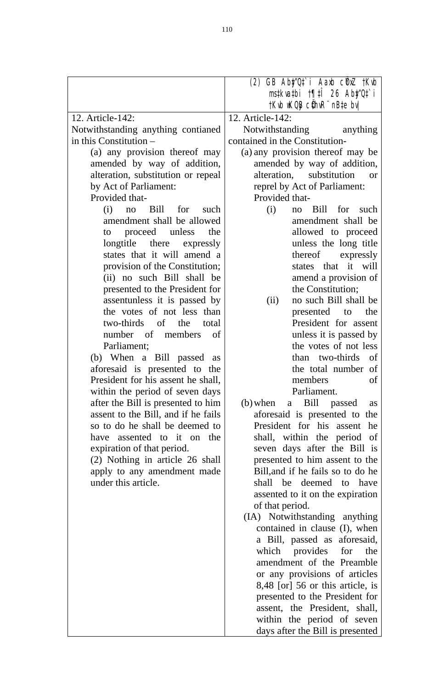|                                                               | (2) GB Aby'Ot i Aarb cünz †Kub<br>mstkvatbi 1911 26 Aby'Ot' i<br>tKub uKOB cühuR" nB‡e bu |
|---------------------------------------------------------------|-------------------------------------------------------------------------------------------|
| 12. Article-142:                                              | 12. Article-142:                                                                          |
| Notwithstanding anything contianed                            | Notwithstanding<br>anything                                                               |
| in this Constitution $-$                                      | contained in the Constitution-                                                            |
| (a) any provision thereof may                                 | (a) any provision thereof may be                                                          |
| amended by way of addition,                                   | amended by way of addition,                                                               |
| alteration, substitution or repeal                            | alteration, substitution<br>or                                                            |
| by Act of Parliament:                                         | reprel by Act of Parliament:                                                              |
| Provided that-                                                | Provided that-                                                                            |
| $(i)$ no Bill for<br>such                                     | (i)<br>no Bill for such                                                                   |
| amendment shall be allowed                                    | amendment shall be                                                                        |
| proceed unless<br>the<br>to                                   | allowed to proceed                                                                        |
| longtitle there expressly                                     | unless the long title                                                                     |
| states that it will amend a                                   | thereof expressly<br>states that it will                                                  |
| provision of the Constitution;<br>(ii) no such Bill shall be  | amend a provision of                                                                      |
| presented to the President for                                | the Constitution;                                                                         |
| assentunless it is passed by                                  | no such Bill shall be<br>(ii)                                                             |
| the votes of not less than                                    | presented to<br>the                                                                       |
| two-thirds of the total                                       | President for assent                                                                      |
| number of members of                                          | unless it is passed by                                                                    |
| Parliament;                                                   | the votes of not less                                                                     |
| (b) When a Bill passed as                                     | than two-thirds of                                                                        |
| aforesaid is presented to the                                 | the total number of                                                                       |
| President for his assent he shall,                            | members<br>of                                                                             |
| within the period of seven days                               | Parliament.                                                                               |
| after the Bill is presented to him                            | Bill passed<br>$(b)$ when<br>a<br>as                                                      |
| assent to the Bill, and if he fails                           | aforesaid is presented to the                                                             |
| so to do he shall be deemed to                                | President for his assent he                                                               |
| have assented to it on the                                    | shall, within the period of                                                               |
| expiration of that period.<br>(2) Nothing in article 26 shall | seven days after the Bill is<br>presented to him assent to the                            |
| apply to any amendment made                                   | Bill, and if he fails so to do he                                                         |
| under this article.                                           | shall be deemed to have                                                                   |
|                                                               | assented to it on the expiration                                                          |
|                                                               | of that period.                                                                           |
|                                                               | (IA) Notwithstanding anything                                                             |
|                                                               | contained in clause (I), when                                                             |
|                                                               | a Bill, passed as aforesaid,                                                              |
|                                                               | which provides for<br>the                                                                 |
|                                                               | amendment of the Preamble                                                                 |
|                                                               | or any provisions of articles                                                             |
|                                                               | 8,48 [or] 56 or this article, is                                                          |
|                                                               | presented to the President for                                                            |
|                                                               | assent, the President, shall,                                                             |
|                                                               | within the period of seven                                                                |
|                                                               | days after the Bill is presented                                                          |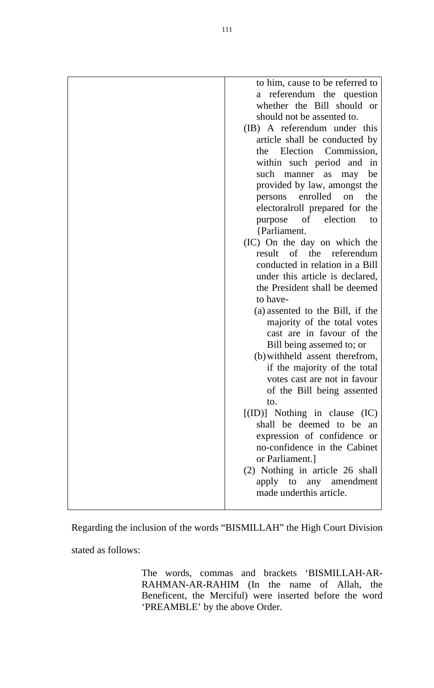| to him, cause to be referred to<br>referendum the question<br>a<br>whether the Bill should or<br>should not be assented to.<br>(IB) A referendum under this<br>article shall be conducted by<br>Election Commission,<br>the<br>within such period and in<br>such manner as<br>may<br>be<br>provided by law, amongst the<br>enrolled<br>on<br>persons<br>the<br>electoralroll prepared for the<br>purpose of election<br>to<br>{Parliament.<br>(IC) On the day on which the<br>result of the referendum<br>conducted in relation in a Bill<br>under this article is declared,<br>the President shall be deemed<br>to have-<br>(a) assented to the Bill, if the<br>majority of the total votes<br>cast are in favour of the<br>Bill being assemed to; or<br>(b) withheld assent therefrom,<br>if the majority of the total<br>votes cast are not in favour<br>to.<br>$[(ID)]$ Nothing in clause $(IC)$<br>shall be deemed to be an |
|----------------------------------------------------------------------------------------------------------------------------------------------------------------------------------------------------------------------------------------------------------------------------------------------------------------------------------------------------------------------------------------------------------------------------------------------------------------------------------------------------------------------------------------------------------------------------------------------------------------------------------------------------------------------------------------------------------------------------------------------------------------------------------------------------------------------------------------------------------------------------------------------------------------------------------|
| of the Bill being assented                                                                                                                                                                                                                                                                                                                                                                                                                                                                                                                                                                                                                                                                                                                                                                                                                                                                                                       |
| expression of confidence or<br>no-confidence in the Cabinet<br>or Parliament.]<br>(2) Nothing in article 26 shall<br>apply to any amendment<br>made underthis article.                                                                                                                                                                                                                                                                                                                                                                                                                                                                                                                                                                                                                                                                                                                                                           |
|                                                                                                                                                                                                                                                                                                                                                                                                                                                                                                                                                                                                                                                                                                                                                                                                                                                                                                                                  |

Regarding the inclusion of the words "BISMILLAH" the High Court Division

stated as follows:

The words, commas and brackets 'BISMILLAH-AR-RAHMAN-AR-RAHIM (In the name of Allah, the Beneficent, the Merciful) were inserted before the word 'PREAMBLE' by the above Order.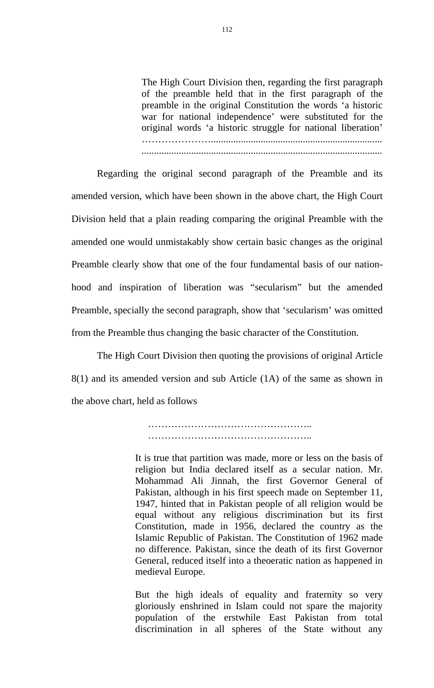The High Court Division then, regarding the first paragraph of the preamble held that in the first paragraph of the preamble in the original Constitution the words 'a historic war for national independence' were substituted for the original words 'a historic struggle for national liberation' …………………..................................................................... .................................................................................................

Regarding the original second paragraph of the Preamble and its amended version, which have been shown in the above chart, the High Court Division held that a plain reading comparing the original Preamble with the amended one would unmistakably show certain basic changes as the original Preamble clearly show that one of the four fundamental basis of our nationhood and inspiration of liberation was "secularism" but the amended Preamble, specially the second paragraph, show that 'secularism' was omitted from the Preamble thus changing the basic character of the Constitution.

The High Court Division then quoting the provisions of original Article 8(1) and its amended version and sub Article (1A) of the same as shown in the above chart, held as follows

> …………………………………………………………… …………………………………………..

It is true that partition was made, more or less on the basis of religion but India declared itself as a secular nation. Mr. Mohammad Ali Jinnah, the first Governor General of Pakistan, although in his first speech made on September 11, 1947, hinted that in Pakistan people of all religion would be equal without any religious discrimination but its first Constitution, made in 1956, declared the country as the Islamic Republic of Pakistan. The Constitution of 1962 made no difference. Pakistan, since the death of its first Governor General, reduced itself into a theoeratic nation as happened in medieval Europe.

But the high ideals of equality and fraternity so very gloriously enshrined in Islam could not spare the majority population of the erstwhile East Pakistan from total discrimination in all spheres of the State without any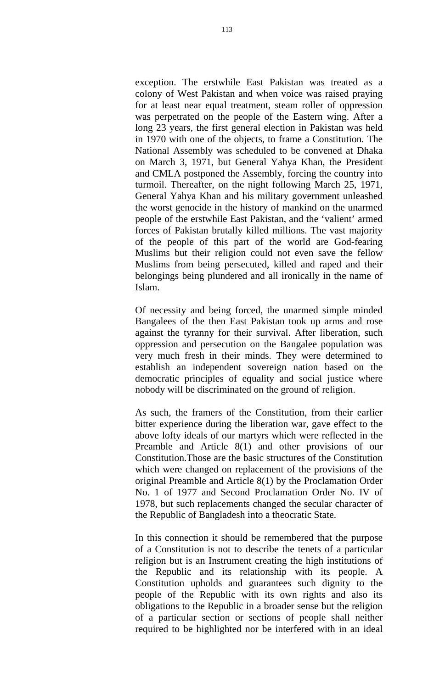exception. The erstwhile East Pakistan was treated as a colony of West Pakistan and when voice was raised praying for at least near equal treatment, steam roller of oppression was perpetrated on the people of the Eastern wing. After a long 23 years, the first general election in Pakistan was held in 1970 with one of the objects, to frame a Constitution. The National Assembly was scheduled to be convened at Dhaka on March 3, 1971, but General Yahya Khan, the President and CMLA postponed the Assembly, forcing the country into turmoil. Thereafter, on the night following March 25, 1971, General Yahya Khan and his military government unleashed the worst genocide in the history of mankind on the unarmed people of the erstwhile East Pakistan, and the 'valient' armed forces of Pakistan brutally killed millions. The vast majority of the people of this part of the world are God-fearing Muslims but their religion could not even save the fellow Muslims from being persecuted, killed and raped and their belongings being plundered and all ironically in the name of Islam.

Of necessity and being forced, the unarmed simple minded Bangalees of the then East Pakistan took up arms and rose against the tyranny for their survival. After liberation, such oppression and persecution on the Bangalee population was very much fresh in their minds. They were determined to establish an independent sovereign nation based on the democratic principles of equality and social justice where nobody will be discriminated on the ground of religion.

As such, the framers of the Constitution, from their earlier bitter experience during the liberation war, gave effect to the above lofty ideals of our martyrs which were reflected in the Preamble and Article 8(1) and other provisions of our Constitution.Those are the basic structures of the Constitution which were changed on replacement of the provisions of the original Preamble and Article 8(1) by the Proclamation Order No. 1 of 1977 and Second Proclamation Order No. IV of 1978, but such replacements changed the secular character of the Republic of Bangladesh into a theocratic State.

In this connection it should be remembered that the purpose of a Constitution is not to describe the tenets of a particular religion but is an Instrument creating the high institutions of the Republic and its relationship with its people. A Constitution upholds and guarantees such dignity to the people of the Republic with its own rights and also its obligations to the Republic in a broader sense but the religion of a particular section or sections of people shall neither required to be highlighted nor be interfered with in an ideal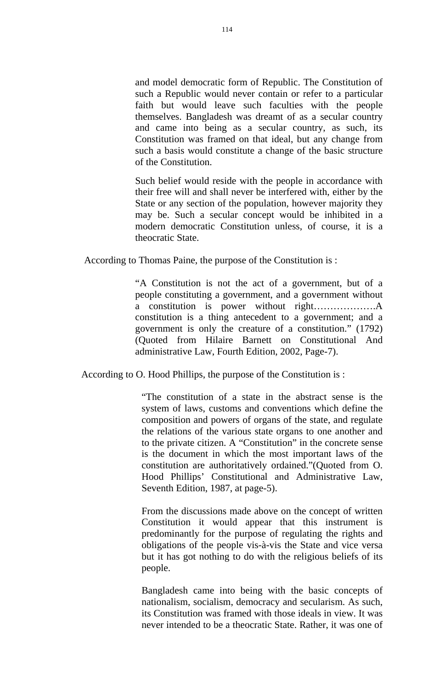and model democratic form of Republic. The Constitution of such a Republic would never contain or refer to a particular faith but would leave such faculties with the people themselves. Bangladesh was dreamt of as a secular country and came into being as a secular country, as such, its Constitution was framed on that ideal, but any change from such a basis would constitute a change of the basic structure of the Constitution.

Such belief would reside with the people in accordance with their free will and shall never be interfered with, either by the State or any section of the population, however majority they may be. Such a secular concept would be inhibited in a modern democratic Constitution unless, of course, it is a theocratic State.

According to Thomas Paine, the purpose of the Constitution is :

"A Constitution is not the act of a government, but of a people constituting a government, and a government without a constitution is power without right……………….A constitution is a thing antecedent to a government; and a government is only the creature of a constitution." (1792) (Quoted from Hilaire Barnett on Constitutional And administrative Law, Fourth Edition, 2002, Page-7).

According to O. Hood Phillips, the purpose of the Constitution is :

"The constitution of a state in the abstract sense is the system of laws, customs and conventions which define the composition and powers of organs of the state, and regulate the relations of the various state organs to one another and to the private citizen. A "Constitution" in the concrete sense is the document in which the most important laws of the constitution are authoritatively ordained."(Quoted from O. Hood Phillips' Constitutional and Administrative Law, Seventh Edition, 1987, at page-5).

From the discussions made above on the concept of written Constitution it would appear that this instrument is predominantly for the purpose of regulating the rights and obligations of the people vis-à-vis the State and vice versa but it has got nothing to do with the religious beliefs of its people.

Bangladesh came into being with the basic concepts of nationalism, socialism, democracy and secularism. As such, its Constitution was framed with those ideals in view. It was never intended to be a theocratic State. Rather, it was one of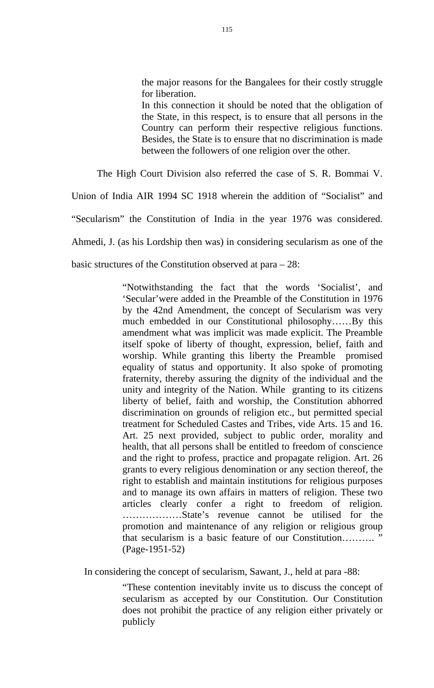the major reasons for the Bangalees for their costly struggle for liberation.

In this connection it should be noted that the obligation of the State, in this respect, is to ensure that all persons in the Country can perform their respective religious functions. Besides, the State is to ensure that no discrimination is made between the followers of one religion over the other.

The High Court Division also referred the case of S. R. Bommai V.

Union of India AIR 1994 SC 1918 wherein the addition of "Socialist" and

"Secularism" the Constitution of India in the year 1976 was considered.

Ahmedi, J. (as his Lordship then was) in considering secularism as one of the

basic structures of the Constitution observed at para – 28:

"Notwithstanding the fact that the words 'Socialist', and 'Secular'were added in the Preamble of the Constitution in 1976 by the 42nd Amendment, the concept of Secularism was very much embedded in our Constitutional philosophy……By this amendment what was implicit was made explicit. The Preamble itself spoke of liberty of thought, expression, belief, faith and worship. While granting this liberty the Preamble promised equality of status and opportunity. It also spoke of promoting fraternity, thereby assuring the dignity of the individual and the unity and integrity of the Nation. While granting to its citizens liberty of belief, faith and worship, the Constitution abhorred discrimination on grounds of religion etc., but permitted special treatment for Scheduled Castes and Tribes, vide Arts. 15 and 16. Art. 25 next provided, subject to public order, morality and health, that all persons shall be entitled to freedom of conscience and the right to profess, practice and propagate religion. Art. 26 grants to every religious denomination or any section thereof, the right to establish and maintain institutions for religious purposes and to manage its own affairs in matters of religion. These two articles clearly confer a right to freedom of religion. ………………State's revenue cannot be utilised for the promotion and maintenance of any religion or religious group that secularism is a basic feature of our Constitution.......... (Page-1951-52)

In considering the concept of secularism, Sawant, J., held at para -88:

"These contention inevitably invite us to discuss the concept of secularism as accepted by our Constitution. Our Constitution does not prohibit the practice of any religion either privately or publicly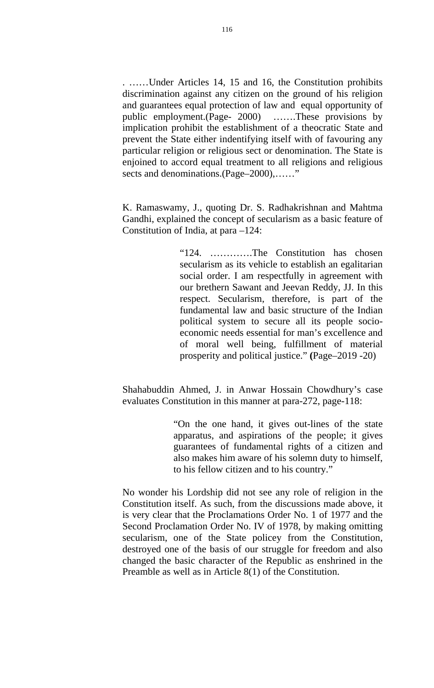. ……Under Articles 14, 15 and 16, the Constitution prohibits discrimination against any citizen on the ground of his religion and guarantees equal protection of law and equal opportunity of public employment.(Page- 2000) …….These provisions by implication prohibit the establishment of a theocratic State and prevent the State either indentifying itself with of favouring any particular religion or religious sect or denomination. The State is enjoined to accord equal treatment to all religions and religious sects and denominations.(Page–2000),......"

K. Ramaswamy, J., quoting Dr. S. Radhakrishnan and Mahtma Gandhi, explained the concept of secularism as a basic feature of Constitution of India, at para –124:

> "124. ………….The Constitution has chosen secularism as its vehicle to establish an egalitarian social order. I am respectfully in agreement with our brethern Sawant and Jeevan Reddy, JJ. In this respect. Secularism, therefore, is part of the fundamental law and basic structure of the Indian political system to secure all its people socioeconomic needs essential for man's excellence and of moral well being, fulfillment of material prosperity and political justice." **(**Page–2019 -20)

Shahabuddin Ahmed, J. in Anwar Hossain Chowdhury's case evaluates Constitution in this manner at para-272, page-118:

> "On the one hand, it gives out-lines of the state apparatus, and aspirations of the people; it gives guarantees of fundamental rights of a citizen and also makes him aware of his solemn duty to himself, to his fellow citizen and to his country."

No wonder his Lordship did not see any role of religion in the Constitution itself. As such, from the discussions made above, it is very clear that the Proclamations Order No. 1 of 1977 and the Second Proclamation Order No. IV of 1978, by making omitting secularism, one of the State policey from the Constitution, destroyed one of the basis of our struggle for freedom and also changed the basic character of the Republic as enshrined in the Preamble as well as in Article 8(1) of the Constitution.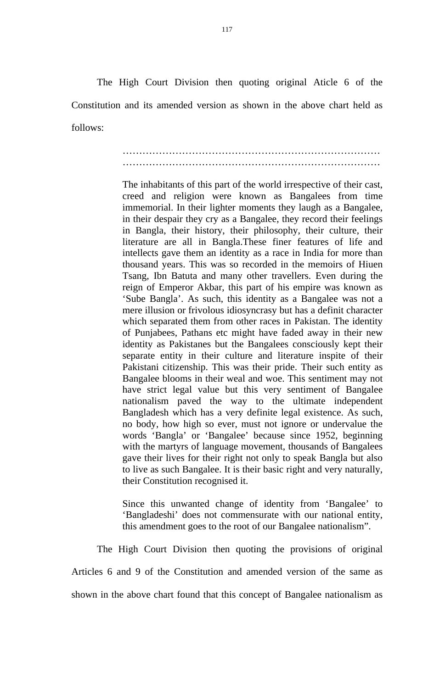The High Court Division then quoting original Aticle 6 of the Constitution and its amended version as shown in the above chart held as follows:

## …………………………………………………………………… ……………………………………………………………………

The inhabitants of this part of the world irrespective of their cast, creed and religion were known as Bangalees from time immemorial. In their lighter moments they laugh as a Bangalee, in their despair they cry as a Bangalee, they record their feelings in Bangla, their history, their philosophy, their culture, their literature are all in Bangla.These finer features of life and intellects gave them an identity as a race in India for more than thousand years. This was so recorded in the memoirs of Hiuen Tsang, Ibn Batuta and many other travellers. Even during the reign of Emperor Akbar, this part of his empire was known as 'Sube Bangla'. As such, this identity as a Bangalee was not a mere illusion or frivolous idiosyncrasy but has a definit character which separated them from other races in Pakistan. The identity of Punjabees, Pathans etc might have faded away in their new identity as Pakistanes but the Bangalees consciously kept their separate entity in their culture and literature inspite of their Pakistani citizenship. This was their pride. Their such entity as Bangalee blooms in their weal and woe. This sentiment may not have strict legal value but this very sentiment of Bangalee nationalism paved the way to the ultimate independent Bangladesh which has a very definite legal existence. As such, no body, how high so ever, must not ignore or undervalue the words 'Bangla' or 'Bangalee' because since 1952, beginning with the martyrs of language movement, thousands of Bangalees gave their lives for their right not only to speak Bangla but also to live as such Bangalee. It is their basic right and very naturally, their Constitution recognised it.

Since this unwanted change of identity from 'Bangalee' to 'Bangladeshi' does not commensurate with our national entity, this amendment goes to the root of our Bangalee nationalism".

 The High Court Division then quoting the provisions of original Articles 6 and 9 of the Constitution and amended version of the same as shown in the above chart found that this concept of Bangalee nationalism as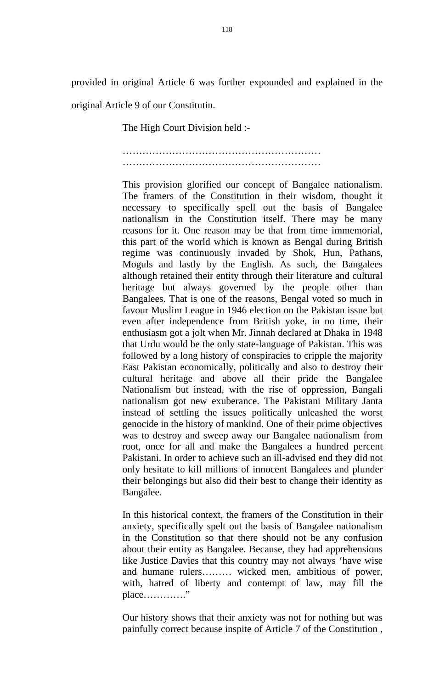provided in original Article 6 was further expounded and explained in the original Article 9 of our Constitutin.

The High Court Division held :-

…………………………………………………… ……………………………………………………

This provision glorified our concept of Bangalee nationalism. The framers of the Constitution in their wisdom, thought it necessary to specifically spell out the basis of Bangalee nationalism in the Constitution itself. There may be many reasons for it. One reason may be that from time immemorial, this part of the world which is known as Bengal during British regime was continuously invaded by Shok, Hun, Pathans, Moguls and lastly by the English. As such, the Bangalees although retained their entity through their literature and cultural heritage but always governed by the people other than Bangalees. That is one of the reasons, Bengal voted so much in favour Muslim League in 1946 election on the Pakistan issue but even after independence from British yoke, in no time, their enthusiasm got a jolt when Mr. Jinnah declared at Dhaka in 1948 that Urdu would be the only state-language of Pakistan. This was followed by a long history of conspiracies to cripple the majority East Pakistan economically, politically and also to destroy their cultural heritage and above all their pride the Bangalee Nationalism but instead, with the rise of oppression, Bangali nationalism got new exuberance. The Pakistani Military Janta instead of settling the issues politically unleashed the worst genocide in the history of mankind. One of their prime objectives was to destroy and sweep away our Bangalee nationalism from root, once for all and make the Bangalees a hundred percent Pakistani. In order to achieve such an ill-advised end they did not only hesitate to kill millions of innocent Bangalees and plunder their belongings but also did their best to change their identity as Bangalee.

In this historical context, the framers of the Constitution in their anxiety, specifically spelt out the basis of Bangalee nationalism in the Constitution so that there should not be any confusion about their entity as Bangalee. Because, they had apprehensions like Justice Davies that this country may not always 'have wise and humane rulers……… wicked men, ambitious of power, with, hatred of liberty and contempt of law, may fill the place…………."

Our history shows that their anxiety was not for nothing but was painfully correct because inspite of Article 7 of the Constitution ,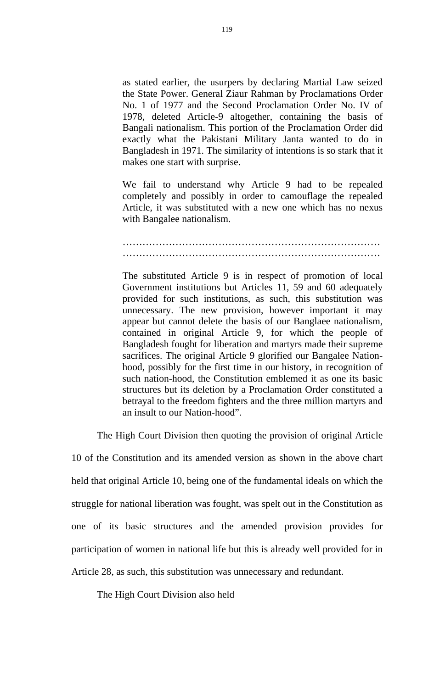as stated earlier, the usurpers by declaring Martial Law seized the State Power. General Ziaur Rahman by Proclamations Order No. 1 of 1977 and the Second Proclamation Order No. IV of 1978, deleted Article-9 altogether, containing the basis of Bangali nationalism. This portion of the Proclamation Order did exactly what the Pakistani Military Janta wanted to do in Bangladesh in 1971. The similarity of intentions is so stark that it makes one start with surprise.

We fail to understand why Article 9 had to be repealed completely and possibly in order to camouflage the repealed Article, it was substituted with a new one which has no nexus with Bangalee nationalism.

## …………………………………………………………………… ……………………………………………………………………

The substituted Article 9 is in respect of promotion of local Government institutions but Articles 11, 59 and 60 adequately provided for such institutions, as such, this substitution was unnecessary. The new provision, however important it may appear but cannot delete the basis of our Banglaee nationalism, contained in original Article 9, for which the people of Bangladesh fought for liberation and martyrs made their supreme sacrifices. The original Article 9 glorified our Bangalee Nationhood, possibly for the first time in our history, in recognition of such nation-hood, the Constitution emblemed it as one its basic structures but its deletion by a Proclamation Order constituted a betrayal to the freedom fighters and the three million martyrs and an insult to our Nation-hood".

The High Court Division then quoting the provision of original Article

10 of the Constitution and its amended version as shown in the above chart held that original Article 10, being one of the fundamental ideals on which the struggle for national liberation was fought, was spelt out in the Constitution as one of its basic structures and the amended provision provides for participation of women in national life but this is already well provided for in Article 28, as such, this substitution was unnecessary and redundant.

The High Court Division also held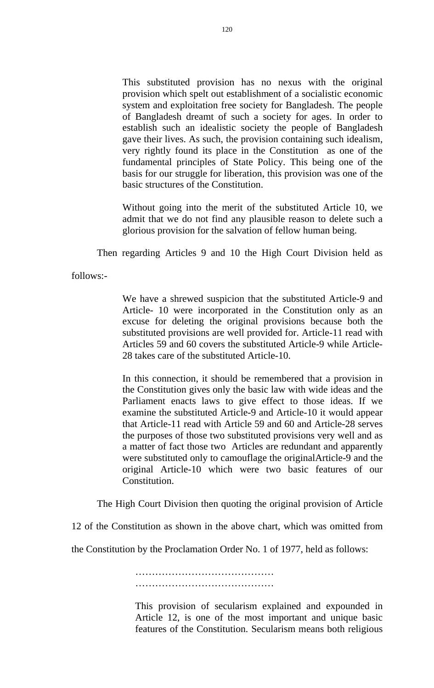This substituted provision has no nexus with the original provision which spelt out establishment of a socialistic economic system and exploitation free society for Bangladesh. The people of Bangladesh dreamt of such a society for ages. In order to establish such an idealistic society the people of Bangladesh gave their lives. As such, the provision containing such idealism, very rightly found its place in the Constitution as one of the fundamental principles of State Policy. This being one of the basis for our struggle for liberation, this provision was one of the basic structures of the Constitution.

Without going into the merit of the substituted Article 10, we admit that we do not find any plausible reason to delete such a glorious provision for the salvation of fellow human being.

Then regarding Articles 9 and 10 the High Court Division held as

follows:-

We have a shrewed suspicion that the substituted Article-9 and Article- 10 were incorporated in the Constitution only as an excuse for deleting the original provisions because both the substituted provisions are well provided for. Article-11 read with Articles 59 and 60 covers the substituted Article-9 while Article-28 takes care of the substituted Article-10.

In this connection, it should be remembered that a provision in the Constitution gives only the basic law with wide ideas and the Parliament enacts laws to give effect to those ideas. If we examine the substituted Article-9 and Article-10 it would appear that Article-11 read with Article 59 and 60 and Article-28 serves the purposes of those two substituted provisions very well and as a matter of fact those two Articles are redundant and apparently were substituted only to camouflage the originalArticle-9 and the original Article-10 which were two basic features of our Constitution.

The High Court Division then quoting the original provision of Article

12 of the Constitution as shown in the above chart, which was omitted from

the Constitution by the Proclamation Order No. 1 of 1977, held as follows:

……………………………………… ……………………………………………

This provision of secularism explained and expounded in Article 12, is one of the most important and unique basic features of the Constitution. Secularism means both religious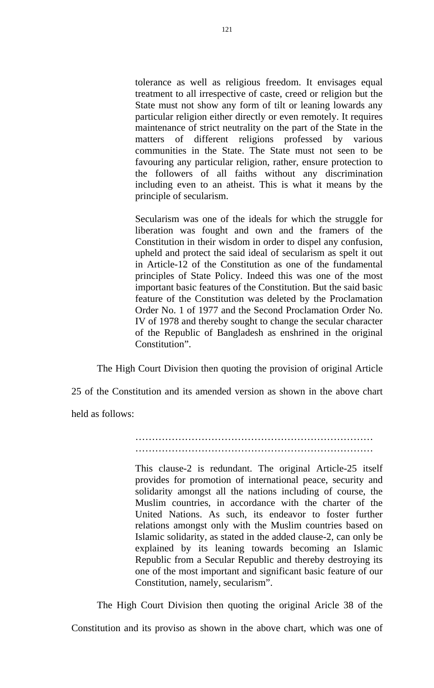tolerance as well as religious freedom. It envisages equal treatment to all irrespective of caste, creed or religion but the State must not show any form of tilt or leaning lowards any particular religion either directly or even remotely. It requires maintenance of strict neutrality on the part of the State in the matters of different religions professed by various communities in the State. The State must not seen to be favouring any particular religion, rather, ensure protection to the followers of all faiths without any discrimination including even to an atheist. This is what it means by the principle of secularism.

Secularism was one of the ideals for which the struggle for liberation was fought and own and the framers of the Constitution in their wisdom in order to dispel any confusion, upheld and protect the said ideal of secularism as spelt it out in Article-12 of the Constitution as one of the fundamental principles of State Policy. Indeed this was one of the most important basic features of the Constitution. But the said basic feature of the Constitution was deleted by the Proclamation Order No. 1 of 1977 and the Second Proclamation Order No. IV of 1978 and thereby sought to change the secular character of the Republic of Bangladesh as enshrined in the original Constitution".

The High Court Division then quoting the provision of original Article

25 of the Constitution and its amended version as shown in the above chart

held as follows:

……………………………………………………………… ………………………………………………………………………

This clause-2 is redundant. The original Article-25 itself provides for promotion of international peace, security and solidarity amongst all the nations including of course, the Muslim countries, in accordance with the charter of the United Nations. As such, its endeavor to foster further relations amongst only with the Muslim countries based on Islamic solidarity, as stated in the added clause-2, can only be explained by its leaning towards becoming an Islamic Republic from a Secular Republic and thereby destroying its one of the most important and significant basic feature of our Constitution, namely, secularism".

The High Court Division then quoting the original Aricle 38 of the

Constitution and its proviso as shown in the above chart, which was one of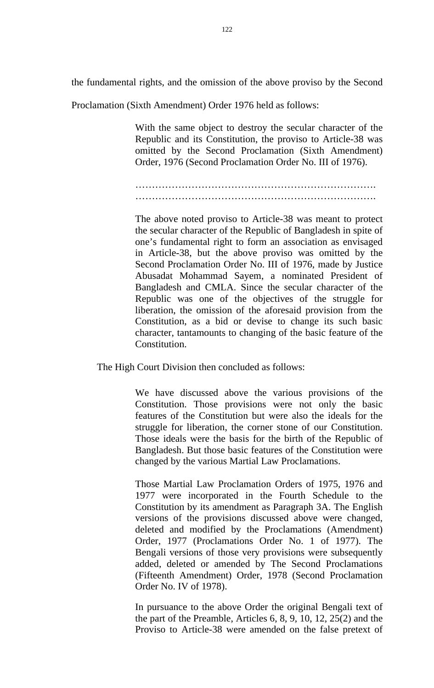the fundamental rights, and the omission of the above proviso by the Second

Proclamation (Sixth Amendment) Order 1976 held as follows:

With the same object to destroy the secular character of the Republic and its Constitution, the proviso to Article-38 was omitted by the Second Proclamation (Sixth Amendment) Order, 1976 (Second Proclamation Order No. III of 1976).

………………………………………………………………. ……………………………………………………………….

The above noted proviso to Article-38 was meant to protect the secular character of the Republic of Bangladesh in spite of one's fundamental right to form an association as envisaged in Article-38, but the above proviso was omitted by the Second Proclamation Order No. III of 1976, made by Justice Abusadat Mohammad Sayem, a nominated President of Bangladesh and CMLA. Since the secular character of the Republic was one of the objectives of the struggle for liberation, the omission of the aforesaid provision from the Constitution, as a bid or devise to change its such basic character, tantamounts to changing of the basic feature of the Constitution.

The High Court Division then concluded as follows:

We have discussed above the various provisions of the Constitution. Those provisions were not only the basic features of the Constitution but were also the ideals for the struggle for liberation, the corner stone of our Constitution. Those ideals were the basis for the birth of the Republic of Bangladesh. But those basic features of the Constitution were changed by the various Martial Law Proclamations.

Those Martial Law Proclamation Orders of 1975, 1976 and 1977 were incorporated in the Fourth Schedule to the Constitution by its amendment as Paragraph 3A. The English versions of the provisions discussed above were changed, deleted and modified by the Proclamations (Amendment) Order, 1977 (Proclamations Order No. 1 of 1977). The Bengali versions of those very provisions were subsequently added, deleted or amended by The Second Proclamations (Fifteenth Amendment) Order, 1978 (Second Proclamation Order No. IV of 1978).

In pursuance to the above Order the original Bengali text of the part of the Preamble, Articles 6, 8, 9, 10, 12, 25(2) and the Proviso to Article-38 were amended on the false pretext of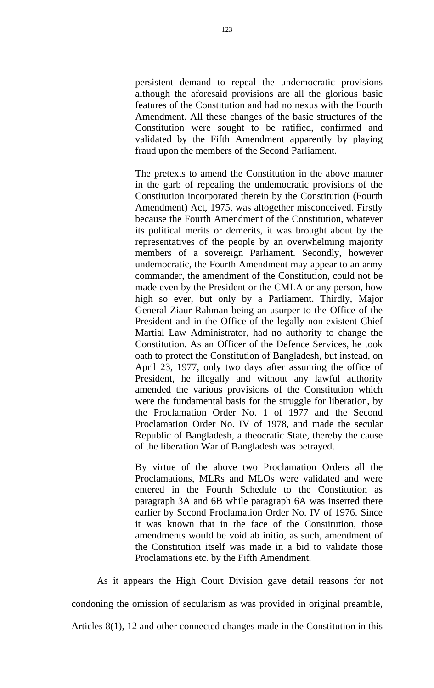persistent demand to repeal the undemocratic provisions although the aforesaid provisions are all the glorious basic features of the Constitution and had no nexus with the Fourth Amendment. All these changes of the basic structures of the Constitution were sought to be ratified, confirmed and validated by the Fifth Amendment apparently by playing fraud upon the members of the Second Parliament.

The pretexts to amend the Constitution in the above manner in the garb of repealing the undemocratic provisions of the Constitution incorporated therein by the Constitution (Fourth Amendment) Act, 1975, was altogether misconceived. Firstly because the Fourth Amendment of the Constitution, whatever its political merits or demerits, it was brought about by the representatives of the people by an overwhelming majority members of a sovereign Parliament. Secondly, however undemocratic, the Fourth Amendment may appear to an army commander, the amendment of the Constitution, could not be made even by the President or the CMLA or any person, how high so ever, but only by a Parliament. Thirdly, Major General Ziaur Rahman being an usurper to the Office of the President and in the Office of the legally non-existent Chief Martial Law Administrator, had no authority to change the Constitution. As an Officer of the Defence Services, he took oath to protect the Constitution of Bangladesh, but instead, on April 23, 1977, only two days after assuming the office of President, he illegally and without any lawful authority amended the various provisions of the Constitution which were the fundamental basis for the struggle for liberation, by the Proclamation Order No. 1 of 1977 and the Second Proclamation Order No. IV of 1978, and made the secular Republic of Bangladesh, a theocratic State, thereby the cause of the liberation War of Bangladesh was betrayed.

By virtue of the above two Proclamation Orders all the Proclamations, MLRs and MLOs were validated and were entered in the Fourth Schedule to the Constitution as paragraph 3A and 6B while paragraph 6A was inserted there earlier by Second Proclamation Order No. IV of 1976. Since it was known that in the face of the Constitution, those amendments would be void ab initio, as such, amendment of the Constitution itself was made in a bid to validate those Proclamations etc. by the Fifth Amendment.

As it appears the High Court Division gave detail reasons for not condoning the omission of secularism as was provided in original preamble,

Articles 8(1), 12 and other connected changes made in the Constitution in this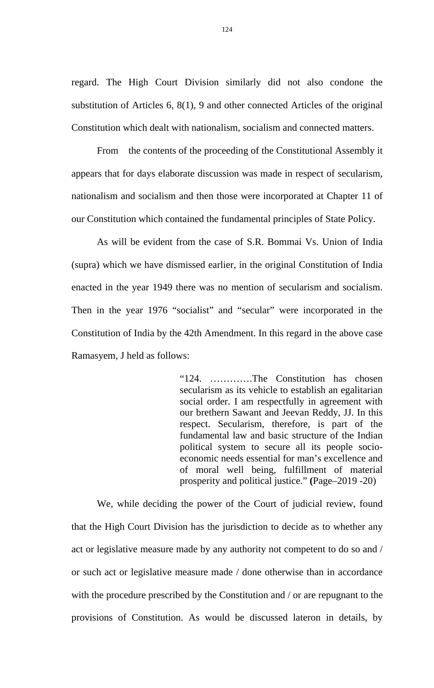regard. The High Court Division similarly did not also condone the substitution of Articles 6, 8(1), 9 and other connected Articles of the original Constitution which dealt with nationalism, socialism and connected matters.

From the contents of the proceeding of the Constitutional Assembly it appears that for days elaborate discussion was made in respect of secularism, nationalism and socialism and then those were incorporated at Chapter 11 of our Constitution which contained the fundamental principles of State Policy.

As will be evident from the case of S.R. Bommai Vs. Union of India (supra) which we have dismissed earlier, in the original Constitution of India enacted in the year 1949 there was no mention of secularism and socialism. Then in the year 1976 "socialist" and "secular" were incorporated in the Constitution of India by the 42th Amendment. In this regard in the above case Ramasyem, J held as follows:

> "124. ………….The Constitution has chosen secularism as its vehicle to establish an egalitarian social order. I am respectfully in agreement with our brethern Sawant and Jeevan Reddy, JJ. In this respect. Secularism, therefore, is part of the fundamental law and basic structure of the Indian political system to secure all its people socioeconomic needs essential for man's excellence and of moral well being, fulfillment of material prosperity and political justice." **(**Page–2019 -20)

We, while deciding the power of the Court of judicial review, found that the High Court Division has the jurisdiction to decide as to whether any act or legislative measure made by any authority not competent to do so and / or such act or legislative measure made / done otherwise than in accordance with the procedure prescribed by the Constitution and / or are repugnant to the provisions of Constitution. As would be discussed lateron in details, by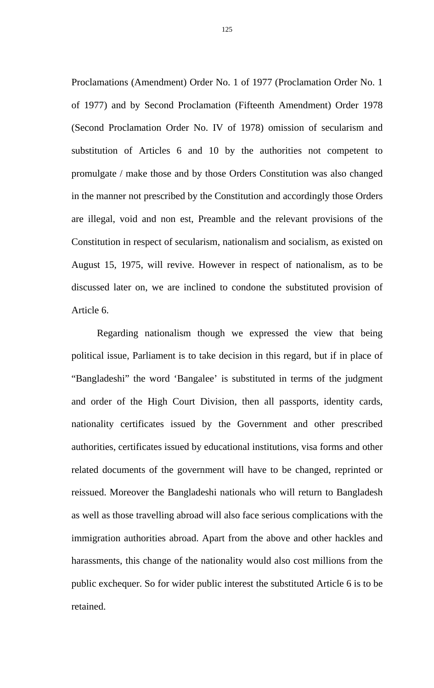Proclamations (Amendment) Order No. 1 of 1977 (Proclamation Order No. 1 of 1977) and by Second Proclamation (Fifteenth Amendment) Order 1978 (Second Proclamation Order No. IV of 1978) omission of secularism and substitution of Articles 6 and 10 by the authorities not competent to promulgate / make those and by those Orders Constitution was also changed in the manner not prescribed by the Constitution and accordingly those Orders are illegal, void and non est, Preamble and the relevant provisions of the Constitution in respect of secularism, nationalism and socialism, as existed on August 15, 1975, will revive. However in respect of nationalism, as to be discussed later on, we are inclined to condone the substituted provision of Article 6.

Regarding nationalism though we expressed the view that being political issue, Parliament is to take decision in this regard, but if in place of "Bangladeshi" the word 'Bangalee' is substituted in terms of the judgment and order of the High Court Division, then all passports, identity cards, nationality certificates issued by the Government and other prescribed authorities, certificates issued by educational institutions, visa forms and other related documents of the government will have to be changed, reprinted or reissued. Moreover the Bangladeshi nationals who will return to Bangladesh as well as those travelling abroad will also face serious complications with the immigration authorities abroad. Apart from the above and other hackles and harassments, this change of the nationality would also cost millions from the public exchequer. So for wider public interest the substituted Article 6 is to be retained.

125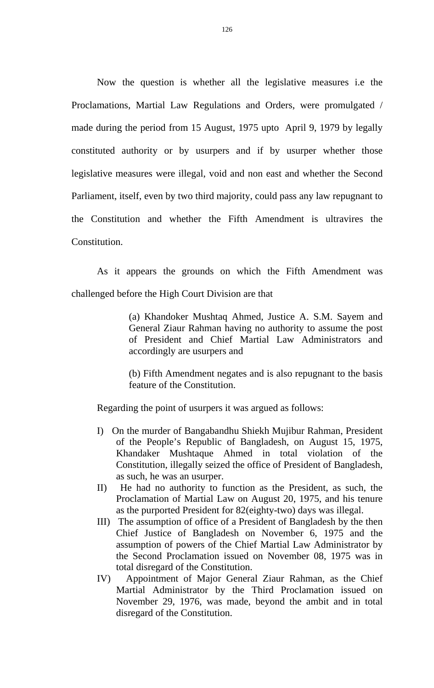Now the question is whether all the legislative measures i.e the Proclamations, Martial Law Regulations and Orders, were promulgated / made during the period from 15 August, 1975 upto April 9, 1979 by legally constituted authority or by usurpers and if by usurper whether those legislative measures were illegal, void and non east and whether the Second Parliament, itself, even by two third majority, could pass any law repugnant to the Constitution and whether the Fifth Amendment is ultravires the Constitution.

As it appears the grounds on which the Fifth Amendment was challenged before the High Court Division are that

> (a) Khandoker Mushtaq Ahmed, Justice A. S.M. Sayem and General Ziaur Rahman having no authority to assume the post of President and Chief Martial Law Administrators and accordingly are usurpers and

> (b) Fifth Amendment negates and is also repugnant to the basis feature of the Constitution.

Regarding the point of usurpers it was argued as follows:

- I) On the murder of Bangabandhu Shiekh Mujibur Rahman, President of the People's Republic of Bangladesh, on August 15, 1975, Khandaker Mushtaque Ahmed in total violation of the Constitution, illegally seized the office of President of Bangladesh, as such, he was an usurper.
- II) He had no authority to function as the President, as such, the Proclamation of Martial Law on August 20, 1975, and his tenure as the purported President for 82(eighty-two) days was illegal.
- III) The assumption of office of a President of Bangladesh by the then Chief Justice of Bangladesh on November 6, 1975 and the assumption of powers of the Chief Martial Law Administrator by the Second Proclamation issued on November 08, 1975 was in total disregard of the Constitution.
- IV) Appointment of Major General Ziaur Rahman, as the Chief Martial Administrator by the Third Proclamation issued on November 29, 1976, was made, beyond the ambit and in total disregard of the Constitution.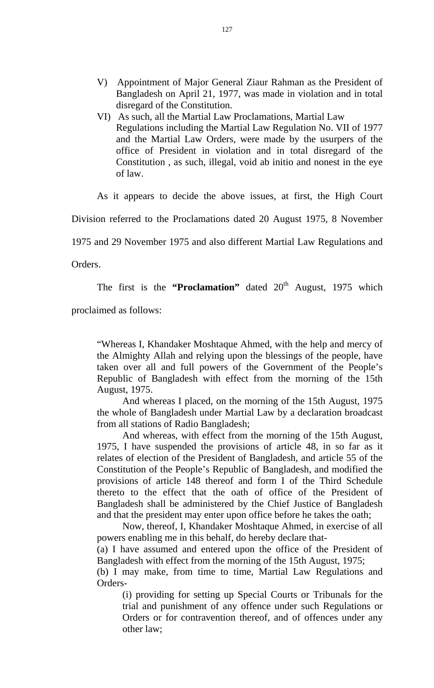- V) Appointment of Major General Ziaur Rahman as the President of Bangladesh on April 21, 1977, was made in violation and in total disregard of the Constitution.
- VI) As such, all the Martial Law Proclamations, Martial Law Regulations including the Martial Law Regulation No. VII of 1977 and the Martial Law Orders, were made by the usurpers of the office of President in violation and in total disregard of the Constitution , as such, illegal, void ab initio and nonest in the eye of law.

As it appears to decide the above issues, at first, the High Court

Division referred to the Proclamations dated 20 August 1975, 8 November

1975 and 29 November 1975 and also different Martial Law Regulations and

Orders.

The first is the **"Proclamation"** dated  $20<sup>th</sup>$  August, 1975 which

proclaimed as follows:

"Whereas I, Khandaker Moshtaque Ahmed, with the help and mercy of the Almighty Allah and relying upon the blessings of the people, have taken over all and full powers of the Government of the People's Republic of Bangladesh with effect from the morning of the 15th August, 1975.

And whereas I placed, on the morning of the 15th August, 1975 the whole of Bangladesh under Martial Law by a declaration broadcast from all stations of Radio Bangladesh;

And whereas, with effect from the morning of the 15th August, 1975, I have suspended the provisions of article 48, in so far as it relates of election of the President of Bangladesh, and article 55 of the Constitution of the People's Republic of Bangladesh, and modified the provisions of article 148 thereof and form I of the Third Schedule thereto to the effect that the oath of office of the President of Bangladesh shall be administered by the Chief Justice of Bangladesh and that the president may enter upon office before he takes the oath;

Now, thereof, I, Khandaker Moshtaque Ahmed, in exercise of all powers enabling me in this behalf, do hereby declare that-

(a) I have assumed and entered upon the office of the President of Bangladesh with effect from the morning of the 15th August, 1975;

(b) I may make, from time to time, Martial Law Regulations and Orders-

(i) providing for setting up Special Courts or Tribunals for the trial and punishment of any offence under such Regulations or Orders or for contravention thereof, and of offences under any other law;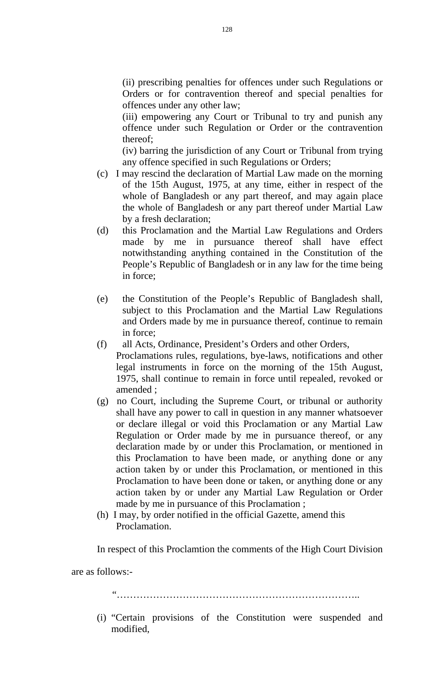(ii) prescribing penalties for offences under such Regulations or Orders or for contravention thereof and special penalties for offences under any other law;

(iii) empowering any Court or Tribunal to try and punish any offence under such Regulation or Order or the contravention thereof;

(iv) barring the jurisdiction of any Court or Tribunal from trying any offence specified in such Regulations or Orders;

- (c) I may rescind the declaration of Martial Law made on the morning of the 15th August, 1975, at any time, either in respect of the whole of Bangladesh or any part thereof, and may again place the whole of Bangladesh or any part thereof under Martial Law by a fresh declaration;
- (d) this Proclamation and the Martial Law Regulations and Orders made by me in pursuance thereof shall have effect notwithstanding anything contained in the Constitution of the People's Republic of Bangladesh or in any law for the time being in force;
- (e) the Constitution of the People's Republic of Bangladesh shall, subject to this Proclamation and the Martial Law Regulations and Orders made by me in pursuance thereof, continue to remain in force;
- (f) all Acts, Ordinance, President's Orders and other Orders, Proclamations rules, regulations, bye-laws, notifications and other legal instruments in force on the morning of the 15th August, 1975, shall continue to remain in force until repealed, revoked or amended ;
- (g) no Court, including the Supreme Court, or tribunal or authority shall have any power to call in question in any manner whatsoever or declare illegal or void this Proclamation or any Martial Law Regulation or Order made by me in pursuance thereof, or any declaration made by or under this Proclamation, or mentioned in this Proclamation to have been made, or anything done or any action taken by or under this Proclamation, or mentioned in this Proclamation to have been done or taken, or anything done or any action taken by or under any Martial Law Regulation or Order made by me in pursuance of this Proclamation ;
- (h) I may, by order notified in the official Gazette, amend this Proclamation.

In respect of this Proclamtion the comments of the High Court Division

are as follows:-

"………………………………………………………………..

(i) "Certain provisions of the Constitution were suspended and modified,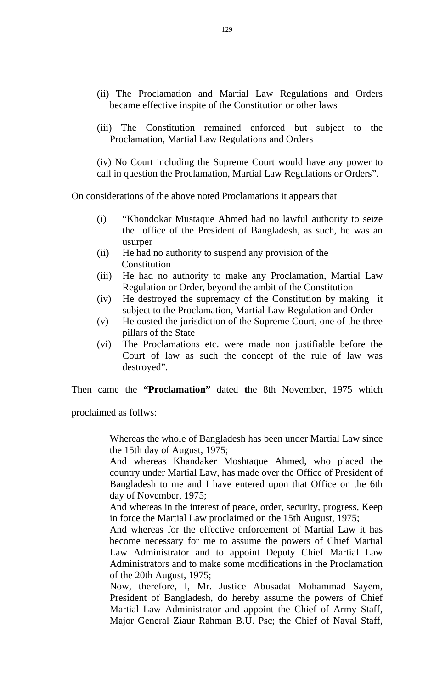- (ii) The Proclamation and Martial Law Regulations and Orders became effective inspite of the Constitution or other laws
- (iii) The Constitution remained enforced but subject to the Proclamation, Martial Law Regulations and Orders

(iv) No Court including the Supreme Court would have any power to call in question the Proclamation, Martial Law Regulations or Orders".

On considerations of the above noted Proclamations it appears that

- (i) "Khondokar Mustaque Ahmed had no lawful authority to seize the office of the President of Bangladesh, as such, he was an usurper
- (ii) He had no authority to suspend any provision of the **Constitution**
- (iii) He had no authority to make any Proclamation, Martial Law Regulation or Order, beyond the ambit of the Constitution
- (iv) He destroyed the supremacy of the Constitution by making it subject to the Proclamation, Martial Law Regulation and Order
- (v) He ousted the jurisdiction of the Supreme Court, one of the three pillars of the State
- (vi) The Proclamations etc. were made non justifiable before the Court of law as such the concept of the rule of law was destroyed".

Then came the **"Proclamation"** dated **t**he 8th November, 1975 which

proclaimed as follws:

Whereas the whole of Bangladesh has been under Martial Law since the 15th day of August, 1975;

And whereas Khandaker Moshtaque Ahmed, who placed the country under Martial Law, has made over the Office of President of Bangladesh to me and I have entered upon that Office on the 6th day of November, 1975;

And whereas in the interest of peace, order, security, progress, Keep in force the Martial Law proclaimed on the 15th August, 1975;

And whereas for the effective enforcement of Martial Law it has become necessary for me to assume the powers of Chief Martial Law Administrator and to appoint Deputy Chief Martial Law Administrators and to make some modifications in the Proclamation of the 20th August, 1975;

Now, therefore, I, Mr. Justice Abusadat Mohammad Sayem, President of Bangladesh, do hereby assume the powers of Chief Martial Law Administrator and appoint the Chief of Army Staff, Major General Ziaur Rahman B.U. Psc; the Chief of Naval Staff,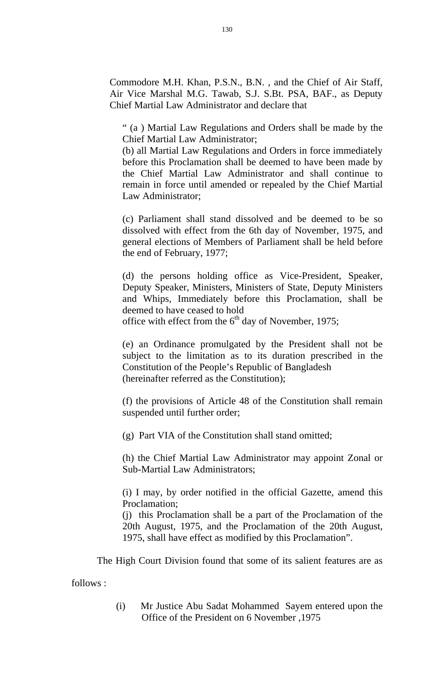Commodore M.H. Khan, P.S.N., B.N. , and the Chief of Air Staff, Air Vice Marshal M.G. Tawab, S.J. S.Bt. PSA, BAF., as Deputy Chief Martial Law Administrator and declare that

" (a ) Martial Law Regulations and Orders shall be made by the Chief Martial Law Administrator;

(b) all Martial Law Regulations and Orders in force immediately before this Proclamation shall be deemed to have been made by the Chief Martial Law Administrator and shall continue to remain in force until amended or repealed by the Chief Martial Law Administrator;

(c) Parliament shall stand dissolved and be deemed to be so dissolved with effect from the 6th day of November, 1975, and general elections of Members of Parliament shall be held before the end of February, 1977;

(d) the persons holding office as Vice-President, Speaker, Deputy Speaker, Ministers, Ministers of State, Deputy Ministers and Whips, Immediately before this Proclamation, shall be deemed to have ceased to hold

office with effect from the  $6<sup>th</sup>$  day of November, 1975;

(e) an Ordinance promulgated by the President shall not be subject to the limitation as to its duration prescribed in the Constitution of the People's Republic of Bangladesh (hereinafter referred as the Constitution);

(f) the provisions of Article 48 of the Constitution shall remain suspended until further order;

(g) Part VIA of the Constitution shall stand omitted;

(h) the Chief Martial Law Administrator may appoint Zonal or Sub-Martial Law Administrators;

(i) I may, by order notified in the official Gazette, amend this Proclamation;

(j) this Proclamation shall be a part of the Proclamation of the 20th August, 1975, and the Proclamation of the 20th August, 1975, shall have effect as modified by this Proclamation".

The High Court Division found that some of its salient features are as

follows :

(i) Mr Justice Abu Sadat Mohammed Sayem entered upon the Office of the President on 6 November ,1975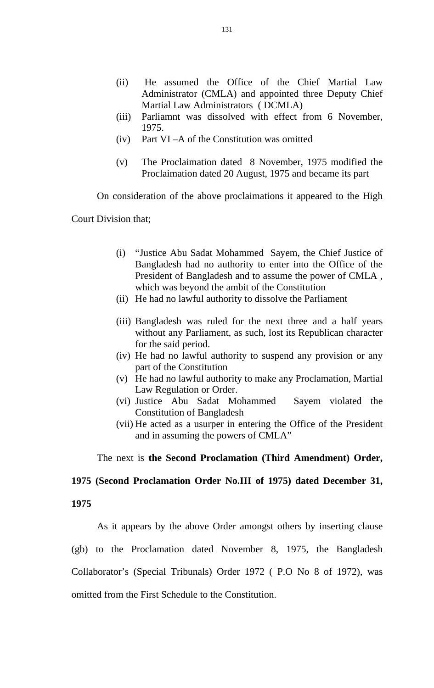- (ii) He assumed the Office of the Chief Martial Law Administrator (CMLA) and appointed three Deputy Chief Martial Law Administrators ( DCMLA)
- (iii) Parliamnt was dissolved with effect from 6 November, 1975.
- (iv) Part VI –A of the Constitution was omitted
- (v) The Proclaimation dated 8 November, 1975 modified the Proclaimation dated 20 August, 1975 and became its part

On consideration of the above proclaimations it appeared to the High

Court Division that;

- (i) "Justice Abu Sadat Mohammed Sayem, the Chief Justice of Bangladesh had no authority to enter into the Office of the President of Bangladesh and to assume the power of CMLA , which was beyond the ambit of the Constitution
- (ii) He had no lawful authority to dissolve the Parliament
- (iii) Bangladesh was ruled for the next three and a half years without any Parliament, as such, lost its Republican character for the said period.
- (iv) He had no lawful authority to suspend any provision or any part of the Constitution
- (v) He had no lawful authority to make any Proclamation, Martial Law Regulation or Order.
- (vi) Justice Abu Sadat Mohammed Sayem violated the Constitution of Bangladesh
- (vii) He acted as a usurper in entering the Office of the President and in assuming the powers of CMLA"

The next is **the Second Proclamation (Third Amendment) Order,** 

## **1975 (Second Proclamation Order No.III of 1975) dated December 31,**

### **1975**

As it appears by the above Order amongst others by inserting clause (gb) to the Proclamation dated November 8, 1975, the Bangladesh Collaborator's (Special Tribunals) Order 1972 ( P.O No 8 of 1972), was omitted from the First Schedule to the Constitution.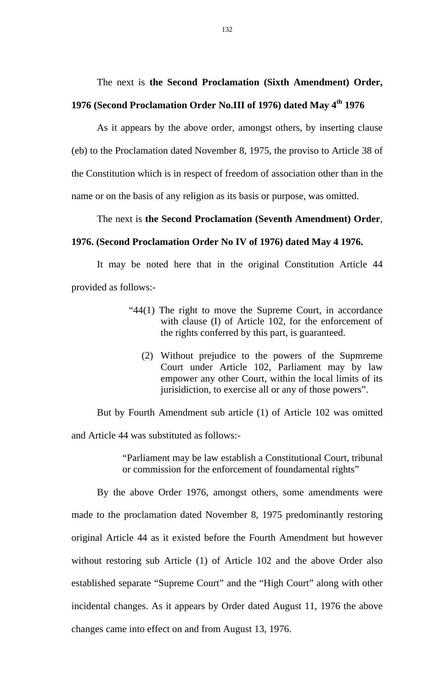The next is **the Second Proclamation (Sixth Amendment) Order,** 

## **1976 (Second Proclamation Order No.III of 1976) dated May 4th 1976**

As it appears by the above order, amongst others, by inserting clause (eb) to the Proclamation dated November 8, 1975, the proviso to Article 38 of the Constitution which is in respect of freedom of association other than in the name or on the basis of any religion as its basis or purpose, was omitted.

The next is **the Second Proclamation (Seventh Amendment) Order**,

#### **1976. (Second Proclamation Order No IV of 1976) dated May 4 1976.**

 It may be noted here that in the original Constitution Article 44 provided as follows:-

- "44(1) The right to move the Supreme Court, in accordance with clause (I) of Article 102, for the enforcement of the rights conferred by this part, is guaranteed.
	- (2) Without prejudice to the powers of the Supmreme Court under Article 102, Parliament may by law empower any other Court, within the local limits of its jurisidiction, to exercise all or any of those powers".

But by Fourth Amendment sub article (1) of Article 102 was omitted and Article 44 was substituted as follows:-

> "Parliament may be law establish a Constitutional Court, tribunal or commission for the enforcement of foundamental rights"

 By the above Order 1976, amongst others, some amendments were made to the proclamation dated November 8, 1975 predominantly restoring original Article 44 as it existed before the Fourth Amendment but however without restoring sub Article (1) of Article 102 and the above Order also established separate "Supreme Court" and the "High Court" along with other incidental changes. As it appears by Order dated August 11, 1976 the above changes came into effect on and from August 13, 1976.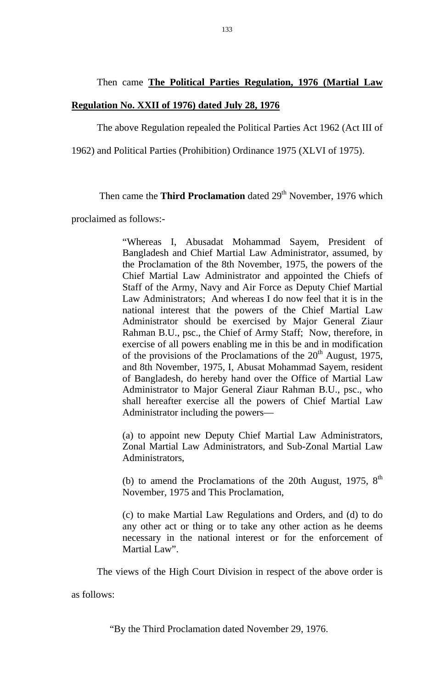# Then came **The Political Parties Regulation, 1976 (Martial Law**

#### **Regulation No. XXII of 1976) dated July 28, 1976**

The above Regulation repealed the Political Parties Act 1962 (Act III of

1962) and Political Parties (Prohibition) Ordinance 1975 (XLVI of 1975).

## Then came the **Third Proclamation** dated 29<sup>th</sup> November, 1976 which

proclaimed as follows:-

"Whereas I, Abusadat Mohammad Sayem, President of Bangladesh and Chief Martial Law Administrator, assumed, by the Proclamation of the 8th November, 1975, the powers of the Chief Martial Law Administrator and appointed the Chiefs of Staff of the Army, Navy and Air Force as Deputy Chief Martial Law Administrators; And whereas I do now feel that it is in the national interest that the powers of the Chief Martial Law Administrator should be exercised by Major General Ziaur Rahman B.U., psc., the Chief of Army Staff; Now, therefore, in exercise of all powers enabling me in this be and in modification of the provisions of the Proclamations of the  $20<sup>th</sup>$  August, 1975, and 8th November, 1975, I, Abusat Mohammad Sayem, resident of Bangladesh, do hereby hand over the Office of Martial Law Administrator to Major General Ziaur Rahman B.U., psc., who shall hereafter exercise all the powers of Chief Martial Law Administrator including the powers—

(a) to appoint new Deputy Chief Martial Law Administrators, Zonal Martial Law Administrators, and Sub-Zonal Martial Law Administrators,

(b) to amend the Proclamations of the 20th August, 1975,  $8<sup>th</sup>$ November, 1975 and This Proclamation,

(c) to make Martial Law Regulations and Orders, and (d) to do any other act or thing or to take any other action as he deems necessary in the national interest or for the enforcement of Martial Law".

The views of the High Court Division in respect of the above order is

as follows:

"By the Third Proclamation dated November 29, 1976.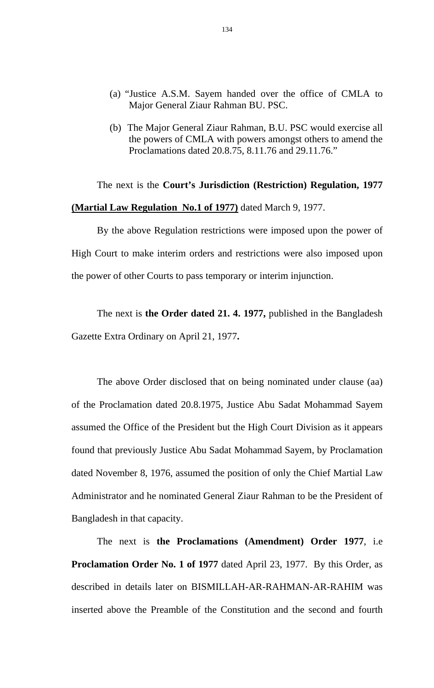- (a) "Justice A.S.M. Sayem handed over the office of CMLA to Major General Ziaur Rahman BU. PSC.
- (b) The Major General Ziaur Rahman, B.U. PSC would exercise all the powers of CMLA with powers amongst others to amend the Proclamations dated 20.8.75, 8.11.76 and 29.11.76."

 The next is the **Court's Jurisdiction (Restriction) Regulation, 1977 (Martial Law Regulation No.1 of 1977)** dated March 9, 1977.

By the above Regulation restrictions were imposed upon the power of High Court to make interim orders and restrictions were also imposed upon the power of other Courts to pass temporary or interim injunction.

 The next is **the Order dated 21. 4. 1977,** published in the Bangladesh Gazette Extra Ordinary on April 21, 1977**.** 

The above Order disclosed that on being nominated under clause (aa) of the Proclamation dated 20.8.1975, Justice Abu Sadat Mohammad Sayem assumed the Office of the President but the High Court Division as it appears found that previously Justice Abu Sadat Mohammad Sayem, by Proclamation dated November 8, 1976, assumed the position of only the Chief Martial Law Administrator and he nominated General Ziaur Rahman to be the President of Bangladesh in that capacity.

The next is **the Proclamations (Amendment) Order 1977**, i.e **Proclamation Order No. 1 of 1977** dated April 23, 1977. By this Order, as described in details later on BISMILLAH-AR-RAHMAN-AR-RAHIM was inserted above the Preamble of the Constitution and the second and fourth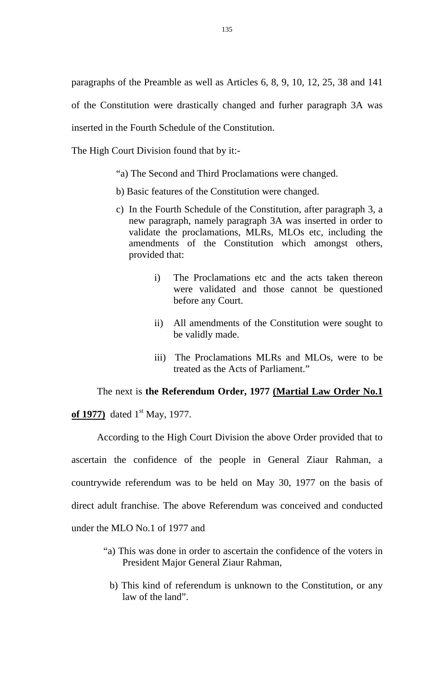paragraphs of the Preamble as well as Articles 6, 8, 9, 10, 12, 25, 38 and 141 of the Constitution were drastically changed and furher paragraph 3A was inserted in the Fourth Schedule of the Constitution.

The High Court Division found that by it:-

- "a) The Second and Third Proclamations were changed.
- b) Basic features of the Constitution were changed.
- c) In the Fourth Schedule of the Constitution, after paragraph 3, a new paragraph, namely paragraph 3A was inserted in order to validate the proclamations, MLRs, MLOs etc, including the amendments of the Constitution which amongst others, provided that:
	- i) The Proclamations etc and the acts taken thereon were validated and those cannot be questioned before any Court.
	- ii) All amendments of the Constitution were sought to be validly made.
	- iii) The Proclamations MLRs and MLOs, were to be treated as the Acts of Parliament."

#### The next is **the Referendum Order, 1977 (Martial Law Order No.1**

of 1977) dated 1<sup>st</sup> May, 1977.

According to the High Court Division the above Order provided that to ascertain the confidence of the people in General Ziaur Rahman, a countrywide referendum was to be held on May 30, 1977 on the basis of direct adult franchise. The above Referendum was conceived and conducted under the MLO No.1 of 1977 and

- "a) This was done in order to ascertain the confidence of the voters in President Major General Ziaur Rahman,
	- b) This kind of referendum is unknown to the Constitution, or any law of the land".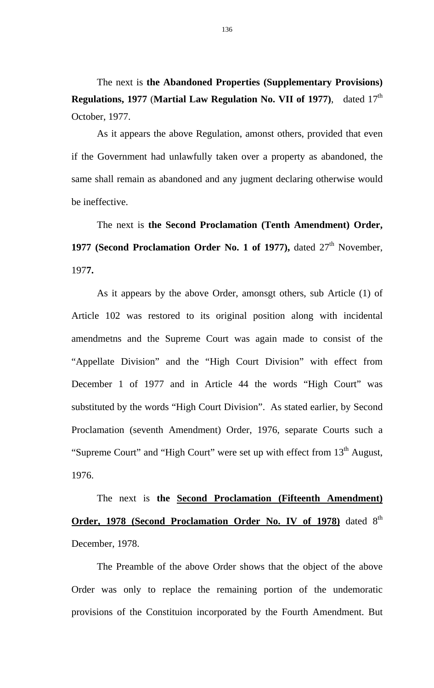The next is **the Abandoned Properties (Supplementary Provisions) Regulations, 1977 (Martial Law Regulation No. VII of 1977)**, dated 17<sup>th</sup> October, 1977.

As it appears the above Regulation, amonst others, provided that even if the Government had unlawfully taken over a property as abandoned, the same shall remain as abandoned and any jugment declaring otherwise would be ineffective.

 The next is **the Second Proclamation (Tenth Amendment) Order,**  1977 (Second Proclamation Order No. 1 of 1977), dated 27<sup>th</sup> November, 197**7.** 

As it appears by the above Order, amonsgt others, sub Article (1) of Article 102 was restored to its original position along with incidental amendmetns and the Supreme Court was again made to consist of the "Appellate Division" and the "High Court Division" with effect from December 1 of 1977 and in Article 44 the words "High Court" was substituted by the words "High Court Division". As stated earlier, by Second Proclamation (seventh Amendment) Order, 1976, separate Courts such a "Supreme Court" and "High Court" were set up with effect from 13<sup>th</sup> August, 1976.

The next is **the Second Proclamation (Fifteenth Amendment) Order, 1978 (Second Proclamation Order No. IV of 1978)** dated 8<sup>th</sup> December, 1978.

The Preamble of the above Order shows that the object of the above Order was only to replace the remaining portion of the undemoratic provisions of the Constituion incorporated by the Fourth Amendment. But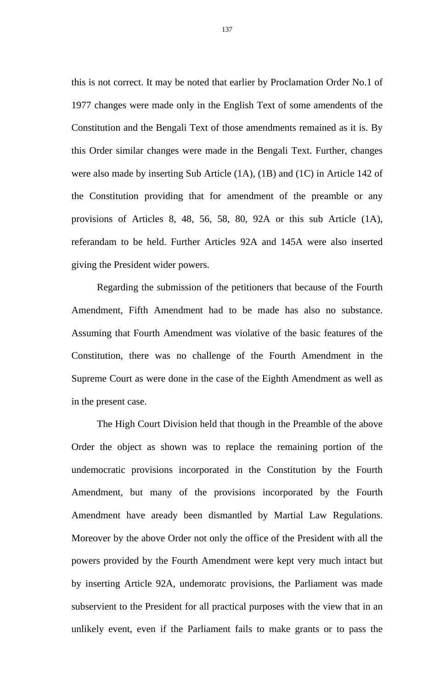this is not correct. It may be noted that earlier by Proclamation Order No.1 of 1977 changes were made only in the English Text of some amendents of the Constitution and the Bengali Text of those amendments remained as it is. By this Order similar changes were made in the Bengali Text. Further, changes were also made by inserting Sub Article (1A), (1B) and (1C) in Article 142 of the Constitution providing that for amendment of the preamble or any provisions of Articles 8, 48, 56, 58, 80, 92A or this sub Article (1A), referandam to be held. Further Articles 92A and 145A were also inserted giving the President wider powers.

Regarding the submission of the petitioners that because of the Fourth Amendment, Fifth Amendment had to be made has also no substance. Assuming that Fourth Amendment was violative of the basic features of the Constitution, there was no challenge of the Fourth Amendment in the Supreme Court as were done in the case of the Eighth Amendment as well as in the present case.

The High Court Division held that though in the Preamble of the above Order the object as shown was to replace the remaining portion of the undemocratic provisions incorporated in the Constitution by the Fourth Amendment, but many of the provisions incorporated by the Fourth Amendment have aready been dismantled by Martial Law Regulations. Moreover by the above Order not only the office of the President with all the powers provided by the Fourth Amendment were kept very much intact but by inserting Article 92A, undemoratc provisions, the Parliament was made subservient to the President for all practical purposes with the view that in an unlikely event, even if the Parliament fails to make grants or to pass the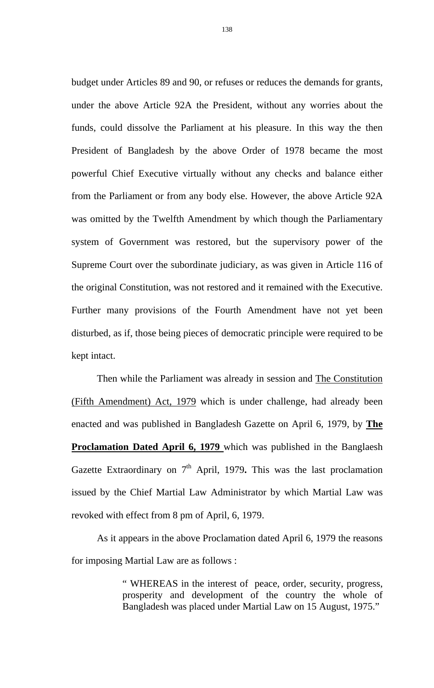budget under Articles 89 and 90, or refuses or reduces the demands for grants, under the above Article 92A the President, without any worries about the funds, could dissolve the Parliament at his pleasure. In this way the then President of Bangladesh by the above Order of 1978 became the most powerful Chief Executive virtually without any checks and balance either from the Parliament or from any body else. However, the above Article 92A was omitted by the Twelfth Amendment by which though the Parliamentary system of Government was restored, but the supervisory power of the Supreme Court over the subordinate judiciary, as was given in Article 116 of the original Constitution, was not restored and it remained with the Executive. Further many provisions of the Fourth Amendment have not yet been disturbed, as if, those being pieces of democratic principle were required to be kept intact.

Then while the Parliament was already in session and The Constitution (Fifth Amendment) Act, 1979 which is under challenge, had already been enacted and was published in Bangladesh Gazette on April 6, 1979, by **The Proclamation Dated April 6, 1979** which was published in the Banglaesh Gazette Extraordinary on 7<sup>th</sup> April, 1979. This was the last proclamation issued by the Chief Martial Law Administrator by which Martial Law was revoked with effect from 8 pm of April, 6, 1979.

As it appears in the above Proclamation dated April 6, 1979 the reasons for imposing Martial Law are as follows :

> " WHEREAS in the interest of peace, order, security, progress, prosperity and development of the country the whole of Bangladesh was placed under Martial Law on 15 August, 1975."

138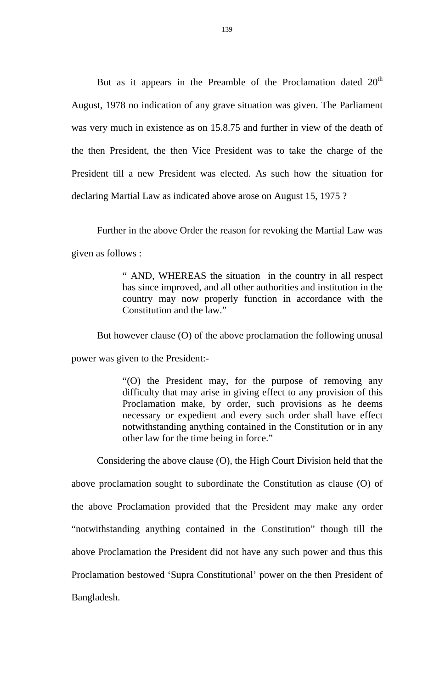But as it appears in the Preamble of the Proclamation dated  $20<sup>th</sup>$ August, 1978 no indication of any grave situation was given. The Parliament was very much in existence as on 15.8.75 and further in view of the death of the then President, the then Vice President was to take the charge of the President till a new President was elected. As such how the situation for declaring Martial Law as indicated above arose on August 15, 1975 ?

Further in the above Order the reason for revoking the Martial Law was given as follows :

> " AND, WHEREAS the situation in the country in all respect has since improved, and all other authorities and institution in the country may now properly function in accordance with the Constitution and the law."

But however clause (O) of the above proclamation the following unusal

power was given to the President:-

"(O) the President may, for the purpose of removing any difficulty that may arise in giving effect to any provision of this Proclamation make, by order, such provisions as he deems necessary or expedient and every such order shall have effect notwithstanding anything contained in the Constitution or in any other law for the time being in force."

 Considering the above clause (O), the High Court Division held that the above proclamation sought to subordinate the Constitution as clause (O) of the above Proclamation provided that the President may make any order "notwithstanding anything contained in the Constitution" though till the above Proclamation the President did not have any such power and thus this Proclamation bestowed 'Supra Constitutional' power on the then President of Bangladesh.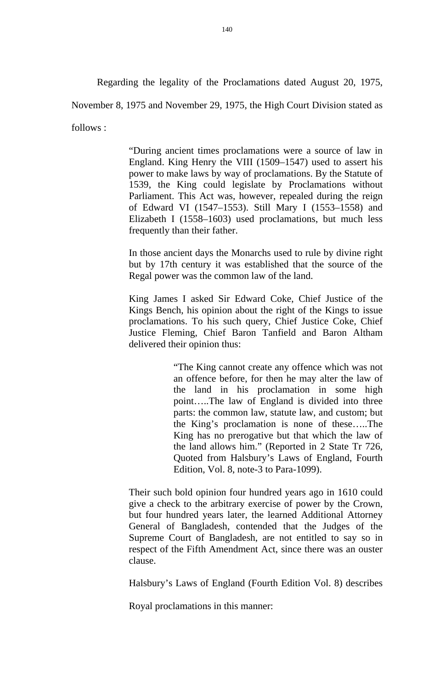Regarding the legality of the Proclamations dated August 20, 1975,

November 8, 1975 and November 29, 1975, the High Court Division stated as

follows :

"During ancient times proclamations were a source of law in England. King Henry the VIII (1509–1547) used to assert his power to make laws by way of proclamations. By the Statute of 1539, the King could legislate by Proclamations without Parliament. This Act was, however, repealed during the reign of Edward VI (1547–1553). Still Mary I (1553–1558) and Elizabeth I (1558–1603) used proclamations, but much less frequently than their father.

In those ancient days the Monarchs used to rule by divine right but by 17th century it was established that the source of the Regal power was the common law of the land.

King James I asked Sir Edward Coke, Chief Justice of the Kings Bench, his opinion about the right of the Kings to issue proclamations. To his such query, Chief Justice Coke, Chief Justice Fleming, Chief Baron Tanfield and Baron Altham delivered their opinion thus:

> "The King cannot create any offence which was not an offence before, for then he may alter the law of the land in his proclamation in some high point…..The law of England is divided into three parts: the common law, statute law, and custom; but the King's proclamation is none of these…..The King has no prerogative but that which the law of the land allows him." (Reported in 2 State Tr 726, Quoted from Halsbury's Laws of England, Fourth Edition, Vol. 8, note-3 to Para-1099).

Their such bold opinion four hundred years ago in 1610 could give a check to the arbitrary exercise of power by the Crown, but four hundred years later, the learned Additional Attorney General of Bangladesh, contended that the Judges of the Supreme Court of Bangladesh, are not entitled to say so in respect of the Fifth Amendment Act, since there was an ouster clause.

Halsbury's Laws of England (Fourth Edition Vol. 8) describes

Royal proclamations in this manner: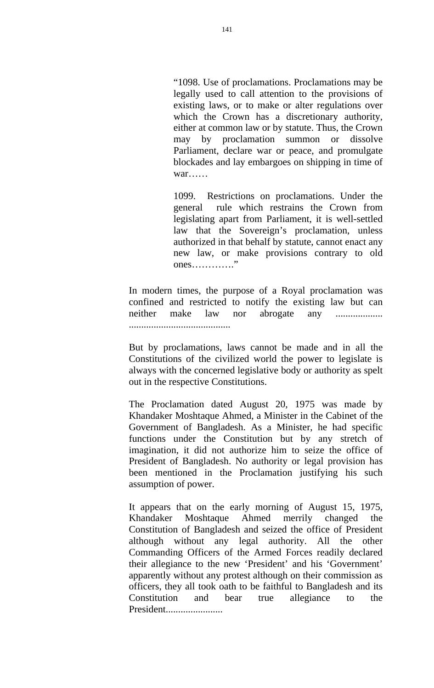"1098. Use of proclamations. Proclamations may be legally used to call attention to the provisions of existing laws, or to make or alter regulations over which the Crown has a discretionary authority, either at common law or by statute. Thus, the Crown may by proclamation summon or dissolve Parliament, declare war or peace, and promulgate blockades and lay embargoes on shipping in time of war……

1099. Restrictions on proclamations. Under the general rule which restrains the Crown from legislating apart from Parliament, it is well-settled law that the Sovereign's proclamation, unless authorized in that behalf by statute, cannot enact any new law, or make provisions contrary to old ones…………."

In modern times, the purpose of a Royal proclamation was confined and restricted to notify the existing law but can neither make law nor abrogate any ...................

.........................................

But by proclamations, laws cannot be made and in all the Constitutions of the civilized world the power to legislate is always with the concerned legislative body or authority as spelt out in the respective Constitutions.

The Proclamation dated August 20, 1975 was made by Khandaker Moshtaque Ahmed, a Minister in the Cabinet of the Government of Bangladesh. As a Minister, he had specific functions under the Constitution but by any stretch of imagination, it did not authorize him to seize the office of President of Bangladesh. No authority or legal provision has been mentioned in the Proclamation justifying his such assumption of power.

It appears that on the early morning of August 15, 1975, Khandaker Moshtaque Ahmed merrily changed the Constitution of Bangladesh and seized the office of President although without any legal authority. All the other Commanding Officers of the Armed Forces readily declared their allegiance to the new 'President' and his 'Government' apparently without any protest although on their commission as officers, they all took oath to be faithful to Bangladesh and its Constitution and bear true allegiance to the President.......................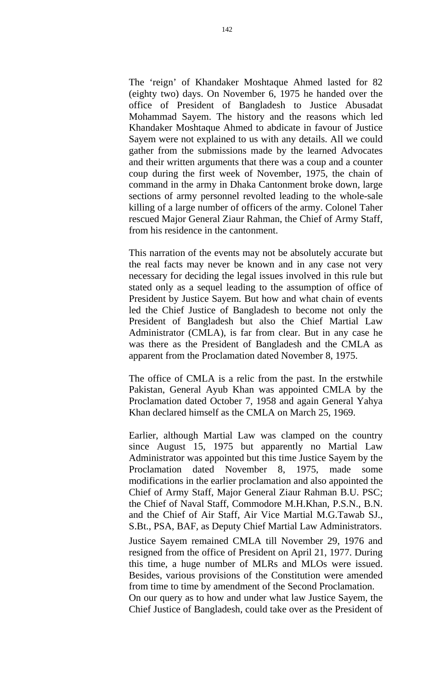The 'reign' of Khandaker Moshtaque Ahmed lasted for 82 (eighty two) days. On November 6, 1975 he handed over the office of President of Bangladesh to Justice Abusadat Mohammad Sayem. The history and the reasons which led Khandaker Moshtaque Ahmed to abdicate in favour of Justice Sayem were not explained to us with any details. All we could gather from the submissions made by the learned Advocates and their written arguments that there was a coup and a counter coup during the first week of November, 1975, the chain of command in the army in Dhaka Cantonment broke down, large sections of army personnel revolted leading to the whole-sale killing of a large number of officers of the army. Colonel Taher rescued Major General Ziaur Rahman, the Chief of Army Staff, from his residence in the cantonment.

This narration of the events may not be absolutely accurate but the real facts may never be known and in any case not very necessary for deciding the legal issues involved in this rule but stated only as a sequel leading to the assumption of office of President by Justice Sayem. But how and what chain of events led the Chief Justice of Bangladesh to become not only the President of Bangladesh but also the Chief Martial Law Administrator (CMLA), is far from clear. But in any case he was there as the President of Bangladesh and the CMLA as apparent from the Proclamation dated November 8, 1975.

The office of CMLA is a relic from the past. In the erstwhile Pakistan, General Ayub Khan was appointed CMLA by the Proclamation dated October 7, 1958 and again General Yahya Khan declared himself as the CMLA on March 25, 1969.

Earlier, although Martial Law was clamped on the country since August 15, 1975 but apparently no Martial Law Administrator was appointed but this time Justice Sayem by the Proclamation dated November 8, 1975, made some modifications in the earlier proclamation and also appointed the Chief of Army Staff, Major General Ziaur Rahman B.U. PSC; the Chief of Naval Staff, Commodore M.H.Khan, P.S.N., B.N. and the Chief of Air Staff, Air Vice Martial M.G.Tawab SJ., S.Bt., PSA, BAF, as Deputy Chief Martial Law Administrators. Justice Sayem remained CMLA till November 29, 1976 and resigned from the office of President on April 21, 1977. During this time, a huge number of MLRs and MLOs were issued. Besides, various provisions of the Constitution were amended from time to time by amendment of the Second Proclamation. On our query as to how and under what law Justice Sayem, the Chief Justice of Bangladesh, could take over as the President of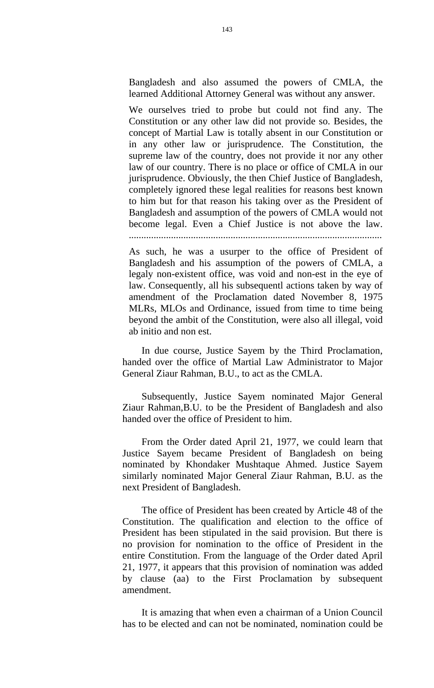Bangladesh and also assumed the powers of CMLA, the learned Additional Attorney General was without any answer.

We ourselves tried to probe but could not find any. The Constitution or any other law did not provide so. Besides, the concept of Martial Law is totally absent in our Constitution or in any other law or jurisprudence. The Constitution, the supreme law of the country, does not provide it nor any other law of our country. There is no place or office of CMLA in our jurisprudence. Obviously, the then Chief Justice of Bangladesh, completely ignored these legal realities for reasons best known to him but for that reason his taking over as the President of Bangladesh and assumption of the powers of CMLA would not become legal. Even a Chief Justice is not above the law.

......................................................................................................

As such, he was a usurper to the office of President of Bangladesh and his assumption of the powers of CMLA, a legaly non-existent office, was void and non-est in the eye of law. Consequently, all his subsequentl actions taken by way of amendment of the Proclamation dated November 8, 1975 MLRs, MLOs and Ordinance, issued from time to time being beyond the ambit of the Constitution, were also all illegal, void ab initio and non est.

In due course, Justice Sayem by the Third Proclamation, handed over the office of Martial Law Administrator to Major General Ziaur Rahman, B.U., to act as the CMLA.

Subsequently, Justice Sayem nominated Major General Ziaur Rahman,B.U. to be the President of Bangladesh and also handed over the office of President to him.

From the Order dated April 21, 1977, we could learn that Justice Sayem became President of Bangladesh on being nominated by Khondaker Mushtaque Ahmed. Justice Sayem similarly nominated Major General Ziaur Rahman, B.U. as the next President of Bangladesh.

The office of President has been created by Article 48 of the Constitution. The qualification and election to the office of President has been stipulated in the said provision. But there is no provision for nomination to the office of President in the entire Constitution. From the language of the Order dated April 21, 1977, it appears that this provision of nomination was added by clause (aa) to the First Proclamation by subsequent amendment.

It is amazing that when even a chairman of a Union Council has to be elected and can not be nominated, nomination could be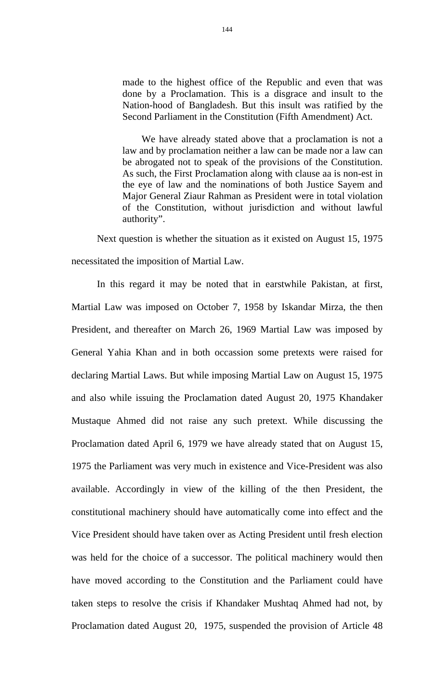made to the highest office of the Republic and even that was done by a Proclamation. This is a disgrace and insult to the Nation-hood of Bangladesh. But this insult was ratified by the Second Parliament in the Constitution (Fifth Amendment) Act.

We have already stated above that a proclamation is not a law and by proclamation neither a law can be made nor a law can be abrogated not to speak of the provisions of the Constitution. As such, the First Proclamation along with clause aa is non-est in the eye of law and the nominations of both Justice Sayem and Major General Ziaur Rahman as President were in total violation of the Constitution, without jurisdiction and without lawful authority".

Next question is whether the situation as it existed on August 15, 1975 necessitated the imposition of Martial Law.

In this regard it may be noted that in earstwhile Pakistan, at first, Martial Law was imposed on October 7, 1958 by Iskandar Mirza, the then President, and thereafter on March 26, 1969 Martial Law was imposed by General Yahia Khan and in both occassion some pretexts were raised for declaring Martial Laws. But while imposing Martial Law on August 15, 1975 and also while issuing the Proclamation dated August 20, 1975 Khandaker Mustaque Ahmed did not raise any such pretext. While discussing the Proclamation dated April 6, 1979 we have already stated that on August 15, 1975 the Parliament was very much in existence and Vice-President was also available. Accordingly in view of the killing of the then President, the constitutional machinery should have automatically come into effect and the Vice President should have taken over as Acting President until fresh election was held for the choice of a successor. The political machinery would then have moved according to the Constitution and the Parliament could have taken steps to resolve the crisis if Khandaker Mushtaq Ahmed had not, by Proclamation dated August 20, 1975, suspended the provision of Article 48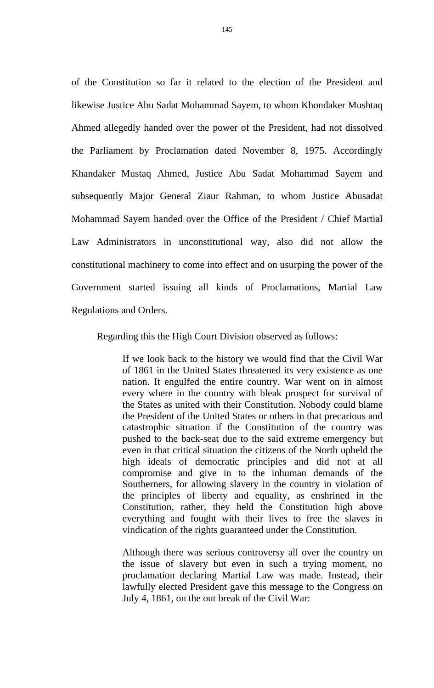of the Constitution so far it related to the election of the President and likewise Justice Abu Sadat Mohammad Sayem, to whom Khondaker Mushtaq Ahmed allegedly handed over the power of the President, had not dissolved the Parliament by Proclamation dated November 8, 1975. Accordingly Khandaker Mustaq Ahmed, Justice Abu Sadat Mohammad Sayem and subsequently Major General Ziaur Rahman, to whom Justice Abusadat Mohammad Sayem handed over the Office of the President / Chief Martial Law Administrators in unconstitutional way, also did not allow the constitutional machinery to come into effect and on usurping the power of the Government started issuing all kinds of Proclamations, Martial Law Regulations and Orders.

Regarding this the High Court Division observed as follows:

If we look back to the history we would find that the Civil War of 1861 in the United States threatened its very existence as one nation. It engulfed the entire country. War went on in almost every where in the country with bleak prospect for survival of the States as united with their Constitution. Nobody could blame the President of the United States or others in that precarious and catastrophic situation if the Constitution of the country was pushed to the back-seat due to the said extreme emergency but even in that critical situation the citizens of the North upheld the high ideals of democratic principles and did not at all compromise and give in to the inhuman demands of the Southerners, for allowing slavery in the country in violation of the principles of liberty and equality, as enshrined in the Constitution, rather, they held the Constitution high above everything and fought with their lives to free the slaves in vindication of the rights guaranteed under the Constitution.

Although there was serious controversy all over the country on the issue of slavery but even in such a trying moment, no proclamation declaring Martial Law was made. Instead, their lawfully elected President gave this message to the Congress on July 4, 1861, on the out break of the Civil War: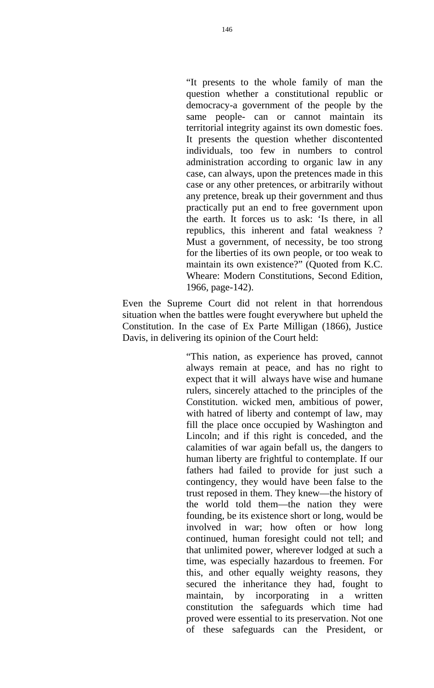"It presents to the whole family of man the question whether a constitutional republic or democracy-a government of the people by the same people- can or cannot maintain its territorial integrity against its own domestic foes. It presents the question whether discontented individuals, too few in numbers to control administration according to organic law in any case, can always, upon the pretences made in this case or any other pretences, or arbitrarily without any pretence, break up their government and thus practically put an end to free government upon the earth. It forces us to ask: 'Is there, in all republics, this inherent and fatal weakness ? Must a government, of necessity, be too strong for the liberties of its own people, or too weak to maintain its own existence?" (Quoted from K.C. Wheare: Modern Constitutions, Second Edition, 1966, page-142).

Even the Supreme Court did not relent in that horrendous situation when the battles were fought everywhere but upheld the Constitution. In the case of Ex Parte Milligan (1866), Justice Davis, in delivering its opinion of the Court held:

> "This nation, as experience has proved, cannot always remain at peace, and has no right to expect that it will always have wise and humane rulers, sincerely attached to the principles of the Constitution. wicked men, ambitious of power, with hatred of liberty and contempt of law, may fill the place once occupied by Washington and Lincoln; and if this right is conceded, and the calamities of war again befall us, the dangers to human liberty are frightful to contemplate. If our fathers had failed to provide for just such a contingency, they would have been false to the trust reposed in them. They knew—the history of the world told them—the nation they were founding, be its existence short or long, would be involved in war; how often or how long continued, human foresight could not tell; and that unlimited power, wherever lodged at such a time, was especially hazardous to freemen. For this, and other equally weighty reasons, they secured the inheritance they had, fought to maintain, by incorporating in a written constitution the safeguards which time had proved were essential to its preservation. Not one of these safeguards can the President, or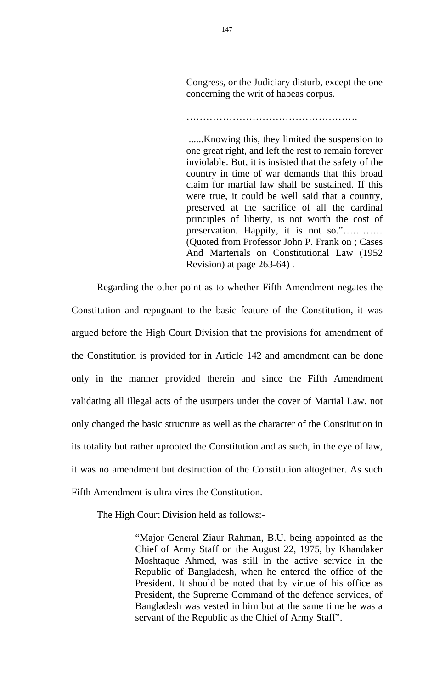Congress, or the Judiciary disturb, except the one concerning the writ of habeas corpus.

…………………………………………….

 ......Knowing this, they limited the suspension to one great right, and left the rest to remain forever inviolable. But, it is insisted that the safety of the country in time of war demands that this broad claim for martial law shall be sustained. If this were true, it could be well said that a country, preserved at the sacrifice of all the cardinal principles of liberty, is not worth the cost of preservation. Happily, it is not so."………… (Quoted from Professor John P. Frank on ; Cases And Marterials on Constitutional Law (1952 Revision) at page 263-64) .

 Regarding the other point as to whether Fifth Amendment negates the Constitution and repugnant to the basic feature of the Constitution, it was argued before the High Court Division that the provisions for amendment of the Constitution is provided for in Article 142 and amendment can be done only in the manner provided therein and since the Fifth Amendment validating all illegal acts of the usurpers under the cover of Martial Law, not only changed the basic structure as well as the character of the Constitution in its totality but rather uprooted the Constitution and as such, in the eye of law, it was no amendment but destruction of the Constitution altogether. As such Fifth Amendment is ultra vires the Constitution.

The High Court Division held as follows:-

"Major General Ziaur Rahman, B.U. being appointed as the Chief of Army Staff on the August 22, 1975, by Khandaker Moshtaque Ahmed, was still in the active service in the Republic of Bangladesh, when he entered the office of the President. It should be noted that by virtue of his office as President, the Supreme Command of the defence services, of Bangladesh was vested in him but at the same time he was a servant of the Republic as the Chief of Army Staff".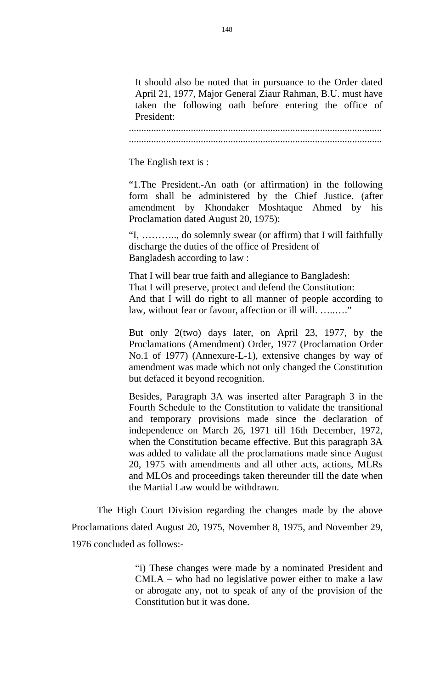It should also be noted that in pursuance to the Order dated April 21, 1977, Major General Ziaur Rahman, B.U. must have taken the following oath before entering the office of President:

...................................................................................................... ......................................................................................................

The English text is :

"1.The President.-An oath (or affirmation) in the following form shall be administered by the Chief Justice. (after amendment by Khondaker Moshtaque Ahmed by his Proclamation dated August 20, 1975):

"I, ……….., do solemnly swear (or affirm) that I will faithfully discharge the duties of the office of President of Bangladesh according to law :

That I will bear true faith and allegiance to Bangladesh: That I will preserve, protect and defend the Constitution: And that I will do right to all manner of people according to law, without fear or favour, affection or ill will. ........."

But only 2(two) days later, on April 23, 1977, by the Proclamations (Amendment) Order, 1977 (Proclamation Order No.1 of 1977) (Annexure-L-1), extensive changes by way of amendment was made which not only changed the Constitution but defaced it beyond recognition.

Besides, Paragraph 3A was inserted after Paragraph 3 in the Fourth Schedule to the Constitution to validate the transitional and temporary provisions made since the declaration of independence on March 26, 1971 till 16th December, 1972, when the Constitution became effective. But this paragraph 3A was added to validate all the proclamations made since August 20, 1975 with amendments and all other acts, actions, MLRs and MLOs and proceedings taken thereunder till the date when the Martial Law would be withdrawn.

The High Court Division regarding the changes made by the above Proclamations dated August 20, 1975, November 8, 1975, and November 29, 1976 concluded as follows:-

> "i) These changes were made by a nominated President and CMLA – who had no legislative power either to make a law or abrogate any, not to speak of any of the provision of the Constitution but it was done.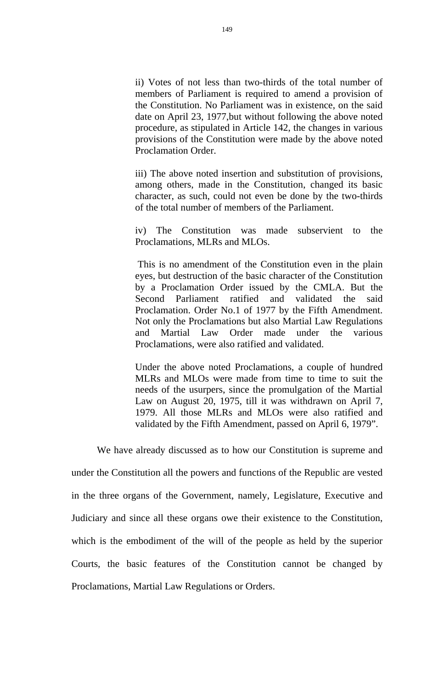ii) Votes of not less than two-thirds of the total number of members of Parliament is required to amend a provision of the Constitution. No Parliament was in existence, on the said date on April 23, 1977,but without following the above noted procedure, as stipulated in Article 142, the changes in various provisions of the Constitution were made by the above noted Proclamation Order.

iii) The above noted insertion and substitution of provisions, among others, made in the Constitution, changed its basic character, as such, could not even be done by the two-thirds of the total number of members of the Parliament.

iv) The Constitution was made subservient to the Proclamations, MLRs and MLOs.

 This is no amendment of the Constitution even in the plain eyes, but destruction of the basic character of the Constitution by a Proclamation Order issued by the CMLA. But the Second Parliament ratified and validated the said Proclamation. Order No.1 of 1977 by the Fifth Amendment. Not only the Proclamations but also Martial Law Regulations and Martial Law Order made under the various Proclamations, were also ratified and validated.

Under the above noted Proclamations, a couple of hundred MLRs and MLOs were made from time to time to suit the needs of the usurpers, since the promulgation of the Martial Law on August 20, 1975, till it was withdrawn on April 7, 1979. All those MLRs and MLOs were also ratified and validated by the Fifth Amendment, passed on April 6, 1979".

We have already discussed as to how our Constitution is supreme and

under the Constitution all the powers and functions of the Republic are vested in the three organs of the Government, namely, Legislature, Executive and Judiciary and since all these organs owe their existence to the Constitution, which is the embodiment of the will of the people as held by the superior Courts, the basic features of the Constitution cannot be changed by Proclamations, Martial Law Regulations or Orders.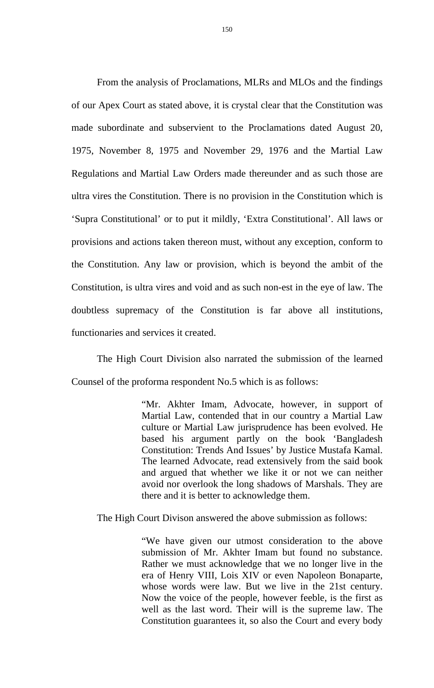From the analysis of Proclamations, MLRs and MLOs and the findings of our Apex Court as stated above, it is crystal clear that the Constitution was made subordinate and subservient to the Proclamations dated August 20, 1975, November 8, 1975 and November 29, 1976 and the Martial Law Regulations and Martial Law Orders made thereunder and as such those are ultra vires the Constitution. There is no provision in the Constitution which is 'Supra Constitutional' or to put it mildly, 'Extra Constitutional'. All laws or provisions and actions taken thereon must, without any exception, conform to the Constitution. Any law or provision, which is beyond the ambit of the Constitution, is ultra vires and void and as such non-est in the eye of law. The doubtless supremacy of the Constitution is far above all institutions, functionaries and services it created.

The High Court Division also narrated the submission of the learned Counsel of the proforma respondent No.5 which is as follows:

> "Mr. Akhter Imam, Advocate, however, in support of Martial Law, contended that in our country a Martial Law culture or Martial Law jurisprudence has been evolved. He based his argument partly on the book 'Bangladesh Constitution: Trends And Issues' by Justice Mustafa Kamal. The learned Advocate, read extensively from the said book and argued that whether we like it or not we can neither avoid nor overlook the long shadows of Marshals. They are there and it is better to acknowledge them.

The High Court Divison answered the above submission as follows:

"We have given our utmost consideration to the above submission of Mr. Akhter Imam but found no substance. Rather we must acknowledge that we no longer live in the era of Henry VIII, Lois XIV or even Napoleon Bonaparte, whose words were law. But we live in the 21st century. Now the voice of the people, however feeble, is the first as well as the last word. Their will is the supreme law. The Constitution guarantees it, so also the Court and every body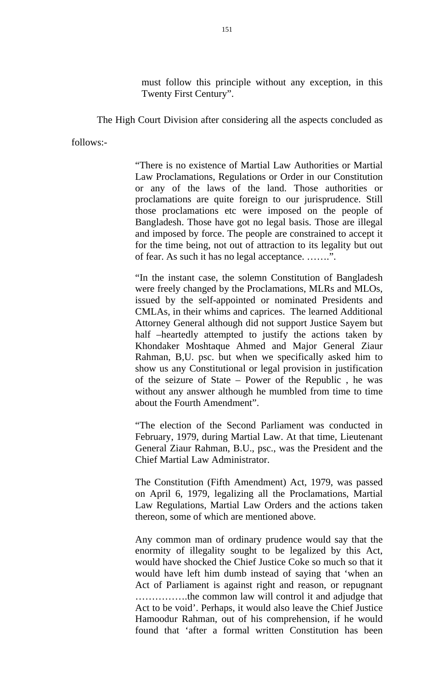must follow this principle without any exception, in this Twenty First Century".

The High Court Division after considering all the aspects concluded as

follows:-

"There is no existence of Martial Law Authorities or Martial Law Proclamations, Regulations or Order in our Constitution or any of the laws of the land. Those authorities or proclamations are quite foreign to our jurisprudence. Still those proclamations etc were imposed on the people of Bangladesh. Those have got no legal basis. Those are illegal and imposed by force. The people are constrained to accept it for the time being, not out of attraction to its legality but out of fear. As such it has no legal acceptance. …….".

"In the instant case, the solemn Constitution of Bangladesh were freely changed by the Proclamations, MLRs and MLOs, issued by the self-appointed or nominated Presidents and CMLAs, in their whims and caprices. The learned Additional Attorney General although did not support Justice Sayem but half –heartedly attempted to justify the actions taken by Khondaker Moshtaque Ahmed and Major General Ziaur Rahman, B,U. psc. but when we specifically asked him to show us any Constitutional or legal provision in justification of the seizure of State – Power of the Republic , he was without any answer although he mumbled from time to time about the Fourth Amendment".

"The election of the Second Parliament was conducted in February, 1979, during Martial Law. At that time, Lieutenant General Ziaur Rahman, B.U., psc., was the President and the Chief Martial Law Administrator.

The Constitution (Fifth Amendment) Act, 1979, was passed on April 6, 1979, legalizing all the Proclamations, Martial Law Regulations, Martial Law Orders and the actions taken thereon, some of which are mentioned above.

Any common man of ordinary prudence would say that the enormity of illegality sought to be legalized by this Act, would have shocked the Chief Justice Coke so much so that it would have left him dumb instead of saying that 'when an Act of Parliament is against right and reason, or repugnant …………….the common law will control it and adjudge that Act to be void'. Perhaps, it would also leave the Chief Justice Hamoodur Rahman, out of his comprehension, if he would found that 'after a formal written Constitution has been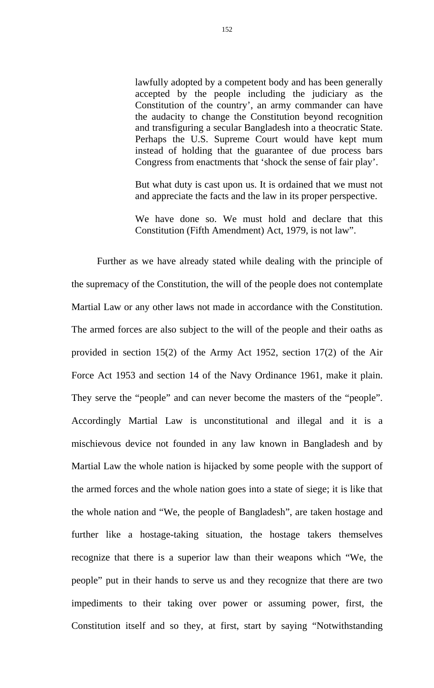lawfully adopted by a competent body and has been generally accepted by the people including the judiciary as the Constitution of the country', an army commander can have the audacity to change the Constitution beyond recognition and transfiguring a secular Bangladesh into a theocratic State. Perhaps the U.S. Supreme Court would have kept mum instead of holding that the guarantee of due process bars Congress from enactments that 'shock the sense of fair play'.

But what duty is cast upon us. It is ordained that we must not and appreciate the facts and the law in its proper perspective.

We have done so. We must hold and declare that this Constitution (Fifth Amendment) Act, 1979, is not law".

Further as we have already stated while dealing with the principle of the supremacy of the Constitution, the will of the people does not contemplate Martial Law or any other laws not made in accordance with the Constitution. The armed forces are also subject to the will of the people and their oaths as provided in section 15(2) of the Army Act 1952, section 17(2) of the Air Force Act 1953 and section 14 of the Navy Ordinance 1961, make it plain. They serve the "people" and can never become the masters of the "people". Accordingly Martial Law is unconstitutional and illegal and it is a mischievous device not founded in any law known in Bangladesh and by Martial Law the whole nation is hijacked by some people with the support of the armed forces and the whole nation goes into a state of siege; it is like that the whole nation and "We, the people of Bangladesh", are taken hostage and further like a hostage-taking situation, the hostage takers themselves recognize that there is a superior law than their weapons which "We, the people" put in their hands to serve us and they recognize that there are two impediments to their taking over power or assuming power, first, the Constitution itself and so they, at first, start by saying "Notwithstanding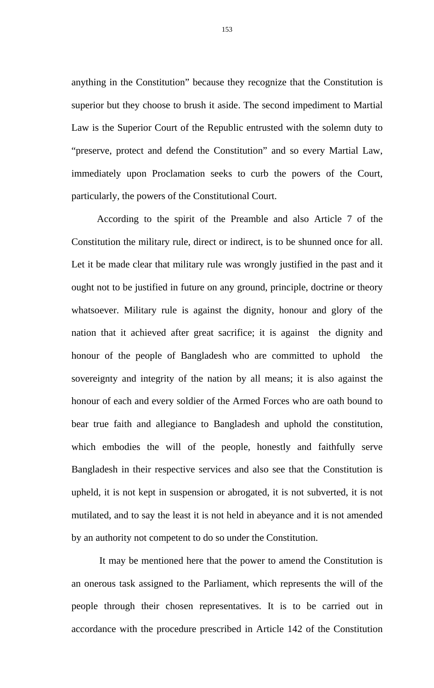anything in the Constitution" because they recognize that the Constitution is superior but they choose to brush it aside. The second impediment to Martial Law is the Superior Court of the Republic entrusted with the solemn duty to "preserve, protect and defend the Constitution" and so every Martial Law, immediately upon Proclamation seeks to curb the powers of the Court, particularly, the powers of the Constitutional Court.

According to the spirit of the Preamble and also Article 7 of the Constitution the military rule, direct or indirect, is to be shunned once for all. Let it be made clear that military rule was wrongly justified in the past and it ought not to be justified in future on any ground, principle, doctrine or theory whatsoever. Military rule is against the dignity, honour and glory of the nation that it achieved after great sacrifice; it is against the dignity and honour of the people of Bangladesh who are committed to uphold the sovereignty and integrity of the nation by all means; it is also against the honour of each and every soldier of the Armed Forces who are oath bound to bear true faith and allegiance to Bangladesh and uphold the constitution, which embodies the will of the people, honestly and faithfully serve Bangladesh in their respective services and also see that the Constitution is upheld, it is not kept in suspension or abrogated, it is not subverted, it is not mutilated, and to say the least it is not held in abeyance and it is not amended by an authority not competent to do so under the Constitution.

 It may be mentioned here that the power to amend the Constitution is an onerous task assigned to the Parliament, which represents the will of the people through their chosen representatives. It is to be carried out in accordance with the procedure prescribed in Article 142 of the Constitution

153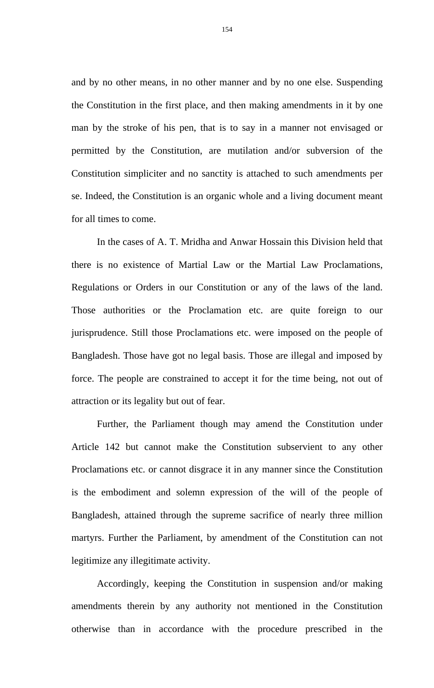and by no other means, in no other manner and by no one else. Suspending the Constitution in the first place, and then making amendments in it by one man by the stroke of his pen, that is to say in a manner not envisaged or permitted by the Constitution, are mutilation and/or subversion of the Constitution simpliciter and no sanctity is attached to such amendments per se. Indeed, the Constitution is an organic whole and a living document meant for all times to come.

 In the cases of A. T. Mridha and Anwar Hossain this Division held that there is no existence of Martial Law or the Martial Law Proclamations, Regulations or Orders in our Constitution or any of the laws of the land. Those authorities or the Proclamation etc. are quite foreign to our jurisprudence. Still those Proclamations etc. were imposed on the people of Bangladesh. Those have got no legal basis. Those are illegal and imposed by force. The people are constrained to accept it for the time being, not out of attraction or its legality but out of fear.

 Further, the Parliament though may amend the Constitution under Article 142 but cannot make the Constitution subservient to any other Proclamations etc. or cannot disgrace it in any manner since the Constitution is the embodiment and solemn expression of the will of the people of Bangladesh, attained through the supreme sacrifice of nearly three million martyrs. Further the Parliament, by amendment of the Constitution can not legitimize any illegitimate activity.

Accordingly, keeping the Constitution in suspension and/or making amendments therein by any authority not mentioned in the Constitution otherwise than in accordance with the procedure prescribed in the

154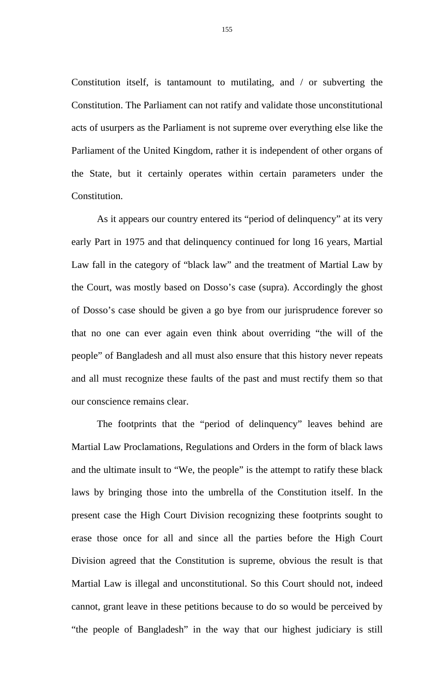Constitution itself, is tantamount to mutilating, and / or subverting the Constitution. The Parliament can not ratify and validate those unconstitutional acts of usurpers as the Parliament is not supreme over everything else like the Parliament of the United Kingdom, rather it is independent of other organs of the State, but it certainly operates within certain parameters under the Constitution.

 As it appears our country entered its "period of delinquency" at its very early Part in 1975 and that delinquency continued for long 16 years, Martial Law fall in the category of "black law" and the treatment of Martial Law by the Court, was mostly based on Dosso's case (supra). Accordingly the ghost of Dosso's case should be given a go bye from our jurisprudence forever so that no one can ever again even think about overriding "the will of the people" of Bangladesh and all must also ensure that this history never repeats and all must recognize these faults of the past and must rectify them so that our conscience remains clear.

The footprints that the "period of delinquency" leaves behind are Martial Law Proclamations, Regulations and Orders in the form of black laws and the ultimate insult to "We, the people" is the attempt to ratify these black laws by bringing those into the umbrella of the Constitution itself. In the present case the High Court Division recognizing these footprints sought to erase those once for all and since all the parties before the High Court Division agreed that the Constitution is supreme, obvious the result is that Martial Law is illegal and unconstitutional. So this Court should not, indeed cannot, grant leave in these petitions because to do so would be perceived by "the people of Bangladesh" in the way that our highest judiciary is still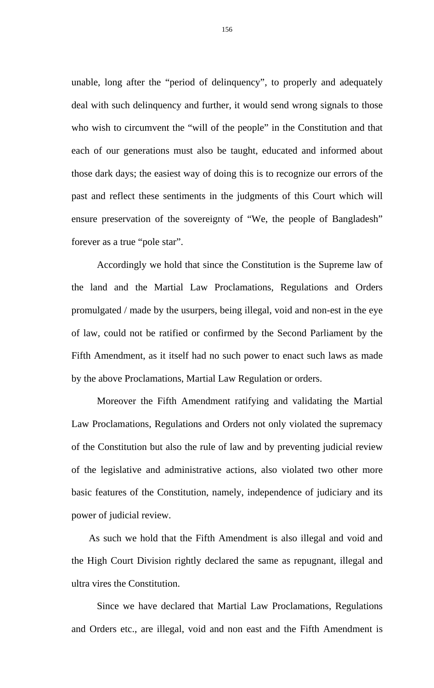unable, long after the "period of delinquency", to properly and adequately deal with such delinquency and further, it would send wrong signals to those who wish to circumvent the "will of the people" in the Constitution and that each of our generations must also be taught, educated and informed about those dark days; the easiest way of doing this is to recognize our errors of the past and reflect these sentiments in the judgments of this Court which will ensure preservation of the sovereignty of "We, the people of Bangladesh" forever as a true "pole star".

Accordingly we hold that since the Constitution is the Supreme law of the land and the Martial Law Proclamations, Regulations and Orders promulgated / made by the usurpers, being illegal, void and non-est in the eye of law, could not be ratified or confirmed by the Second Parliament by the Fifth Amendment, as it itself had no such power to enact such laws as made by the above Proclamations, Martial Law Regulation or orders.

Moreover the Fifth Amendment ratifying and validating the Martial Law Proclamations, Regulations and Orders not only violated the supremacy of the Constitution but also the rule of law and by preventing judicial review of the legislative and administrative actions, also violated two other more basic features of the Constitution, namely, independence of judiciary and its power of judicial review.

 As such we hold that the Fifth Amendment is also illegal and void and the High Court Division rightly declared the same as repugnant, illegal and ultra vires the Constitution.

Since we have declared that Martial Law Proclamations, Regulations and Orders etc., are illegal, void and non east and the Fifth Amendment is

156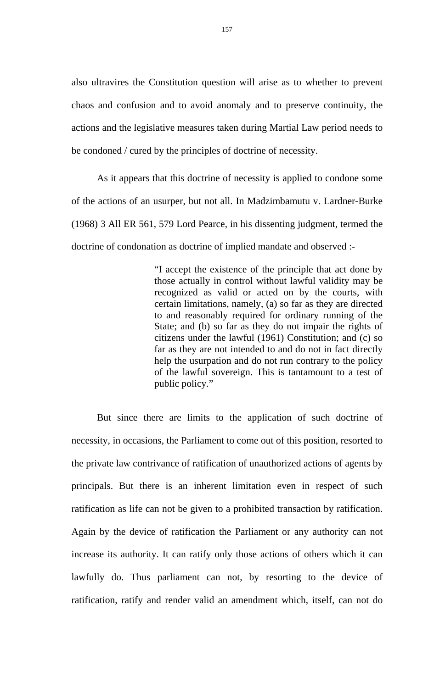also ultravires the Constitution question will arise as to whether to prevent chaos and confusion and to avoid anomaly and to preserve continuity, the actions and the legislative measures taken during Martial Law period needs to be condoned / cured by the principles of doctrine of necessity.

As it appears that this doctrine of necessity is applied to condone some of the actions of an usurper, but not all. In Madzimbamutu v. Lardner-Burke (1968) 3 All ER 561, 579 Lord Pearce, in his dissenting judgment, termed the doctrine of condonation as doctrine of implied mandate and observed :-

> "I accept the existence of the principle that act done by those actually in control without lawful validity may be recognized as valid or acted on by the courts, with certain limitations, namely, (a) so far as they are directed to and reasonably required for ordinary running of the State; and (b) so far as they do not impair the rights of citizens under the lawful (1961) Constitution; and (c) so far as they are not intended to and do not in fact directly help the usurpation and do not run contrary to the policy of the lawful sovereign. This is tantamount to a test of public policy."

But since there are limits to the application of such doctrine of necessity, in occasions, the Parliament to come out of this position, resorted to the private law contrivance of ratification of unauthorized actions of agents by principals. But there is an inherent limitation even in respect of such ratification as life can not be given to a prohibited transaction by ratification. Again by the device of ratification the Parliament or any authority can not increase its authority. It can ratify only those actions of others which it can lawfully do. Thus parliament can not, by resorting to the device of ratification, ratify and render valid an amendment which, itself, can not do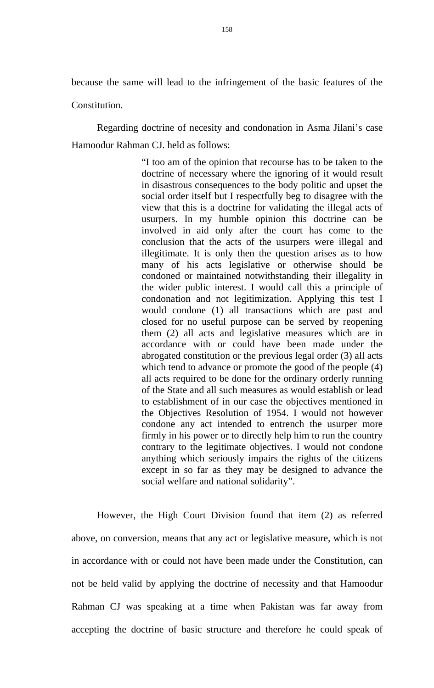because the same will lead to the infringement of the basic features of the

Constitution.

 Regarding doctrine of necesity and condonation in Asma Jilani's case Hamoodur Rahman CJ. held as follows:

> "I too am of the opinion that recourse has to be taken to the doctrine of necessary where the ignoring of it would result in disastrous consequences to the body politic and upset the social order itself but I respectfully beg to disagree with the view that this is a doctrine for validating the illegal acts of usurpers. In my humble opinion this doctrine can be involved in aid only after the court has come to the conclusion that the acts of the usurpers were illegal and illegitimate. It is only then the question arises as to how many of his acts legislative or otherwise should be condoned or maintained notwithstanding their illegality in the wider public interest. I would call this a principle of condonation and not legitimization. Applying this test I would condone (1) all transactions which are past and closed for no useful purpose can be served by reopening them (2) all acts and legislative measures which are in accordance with or could have been made under the abrogated constitution or the previous legal order (3) all acts which tend to advance or promote the good of the people (4) all acts required to be done for the ordinary orderly running of the State and all such measures as would establish or lead to establishment of in our case the objectives mentioned in the Objectives Resolution of 1954. I would not however condone any act intended to entrench the usurper more firmly in his power or to directly help him to run the country contrary to the legitimate objectives. I would not condone anything which seriously impairs the rights of the citizens except in so far as they may be designed to advance the social welfare and national solidarity".

 However, the High Court Division found that item (2) as referred above, on conversion, means that any act or legislative measure, which is not in accordance with or could not have been made under the Constitution, can not be held valid by applying the doctrine of necessity and that Hamoodur Rahman CJ was speaking at a time when Pakistan was far away from accepting the doctrine of basic structure and therefore he could speak of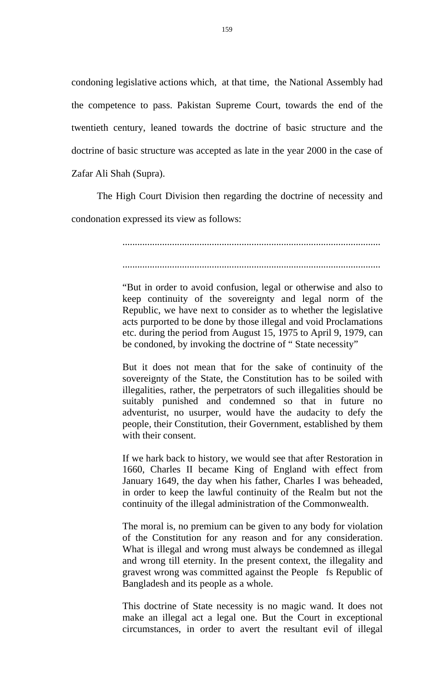condoning legislative actions which, at that time, the National Assembly had the competence to pass. Pakistan Supreme Court, towards the end of the twentieth century, leaned towards the doctrine of basic structure and the doctrine of basic structure was accepted as late in the year 2000 in the case of Zafar Ali Shah (Supra).

 The High Court Division then regarding the doctrine of necessity and condonation expressed its view as follows:

> ........................................................................................................ ........................................................................................................

> "But in order to avoid confusion, legal or otherwise and also to keep continuity of the sovereignty and legal norm of the Republic, we have next to consider as to whether the legislative acts purported to be done by those illegal and void Proclamations etc. during the period from August 15, 1975 to April 9, 1979, can be condoned, by invoking the doctrine of " State necessity"

> But it does not mean that for the sake of continuity of the sovereignty of the State, the Constitution has to be soiled with illegalities, rather, the perpetrators of such illegalities should be suitably punished and condemned so that in future no adventurist, no usurper, would have the audacity to defy the people, their Constitution, their Government, established by them with their consent.

> If we hark back to history, we would see that after Restoration in 1660, Charles II became King of England with effect from January 1649, the day when his father, Charles I was beheaded, in order to keep the lawful continuity of the Realm but not the continuity of the illegal administration of the Commonwealth.

> The moral is, no premium can be given to any body for violation of the Constitution for any reason and for any consideration. What is illegal and wrong must always be condemned as illegal and wrong till eternity. In the present context, the illegality and gravest wrong was committed against the People fs Republic of Bangladesh and its people as a whole.

> This doctrine of State necessity is no magic wand. It does not make an illegal act a legal one. But the Court in exceptional circumstances, in order to avert the resultant evil of illegal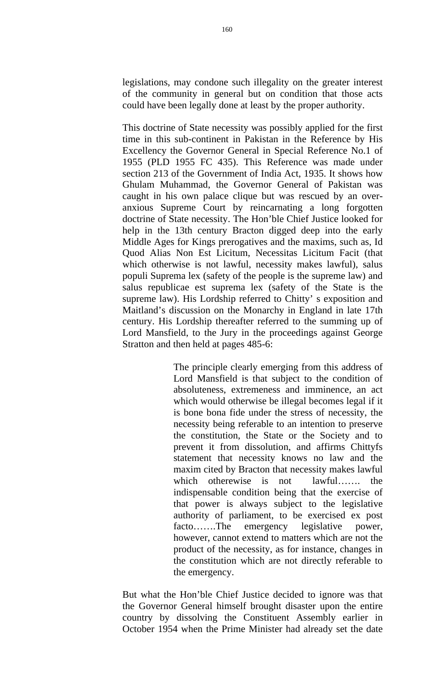legislations, may condone such illegality on the greater interest of the community in general but on condition that those acts could have been legally done at least by the proper authority.

This doctrine of State necessity was possibly applied for the first time in this sub-continent in Pakistan in the Reference by His Excellency the Governor General in Special Reference No.1 of 1955 (PLD 1955 FC 435). This Reference was made under section 213 of the Government of India Act, 1935. It shows how Ghulam Muhammad, the Governor General of Pakistan was caught in his own palace clique but was rescued by an overanxious Supreme Court by reincarnating a long forgotten doctrine of State necessity. The Hon'ble Chief Justice looked for help in the 13th century Bracton digged deep into the early Middle Ages for Kings prerogatives and the maxims, such as, Id Quod Alias Non Est Licitum, Necessitas Licitum Facit (that which otherwise is not lawful, necessity makes lawful), salus populi Suprema lex (safety of the people is the supreme law) and salus republicae est suprema lex (safety of the State is the supreme law). His Lordship referred to Chitty' s exposition and Maitland's discussion on the Monarchy in England in late 17th century. His Lordship thereafter referred to the summing up of Lord Mansfield, to the Jury in the proceedings against George Stratton and then held at pages 485-6:

> The principle clearly emerging from this address of Lord Mansfield is that subject to the condition of absoluteness, extremeness and imminence, an act which would otherwise be illegal becomes legal if it is bone bona fide under the stress of necessity, the necessity being referable to an intention to preserve the constitution, the State or the Society and to prevent it from dissolution, and affirms Chittyfs statement that necessity knows no law and the maxim cited by Bracton that necessity makes lawful which otherewise is not lawful……. the indispensable condition being that the exercise of that power is always subject to the legislative authority of parliament, to be exercised ex post facto…….The emergency legislative power, however, cannot extend to matters which are not the product of the necessity, as for instance, changes in the constitution which are not directly referable to the emergency.

But what the Hon'ble Chief Justice decided to ignore was that the Governor General himself brought disaster upon the entire country by dissolving the Constituent Assembly earlier in October 1954 when the Prime Minister had already set the date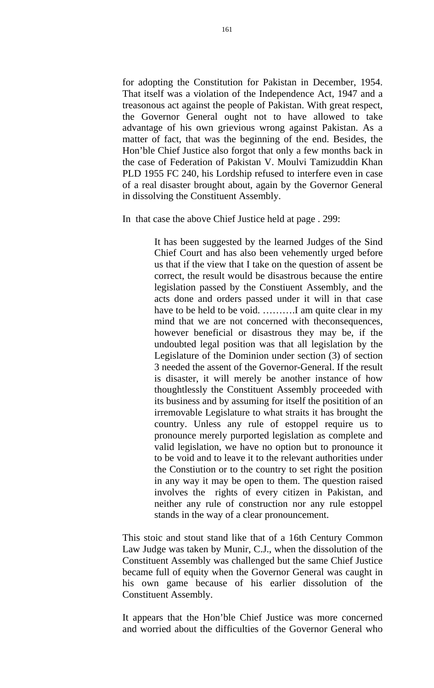for adopting the Constitution for Pakistan in December, 1954. That itself was a violation of the Independence Act, 1947 and a treasonous act against the people of Pakistan. With great respect, the Governor General ought not to have allowed to take advantage of his own grievious wrong against Pakistan. As a matter of fact, that was the beginning of the end. Besides, the Hon'ble Chief Justice also forgot that only a few months back in the case of Federation of Pakistan V. Moulvi Tamizuddin Khan PLD 1955 FC 240, his Lordship refused to interfere even in case of a real disaster brought about, again by the Governor General in dissolving the Constituent Assembly.

In that case the above Chief Justice held at page . 299:

It has been suggested by the learned Judges of the Sind Chief Court and has also been vehemently urged before us that if the view that I take on the question of assent be correct, the result would be disastrous because the entire legislation passed by the Constiuent Assembly, and the acts done and orders passed under it will in that case have to be held to be void. ……….I am quite clear in my mind that we are not concerned with theconsequences, however beneficial or disastrous they may be, if the undoubted legal position was that all legislation by the Legislature of the Dominion under section (3) of section 3 needed the assent of the Governor-General. If the result is disaster, it will merely be another instance of how thoughtlessly the Constituent Assembly proceeded with its business and by assuming for itself the positition of an irremovable Legislature to what straits it has brought the country. Unless any rule of estoppel require us to pronounce merely purported legislation as complete and valid legislation, we have no option but to pronounce it to be void and to leave it to the relevant authorities under the Constiution or to the country to set right the position in any way it may be open to them. The question raised involves the rights of every citizen in Pakistan, and neither any rule of construction nor any rule estoppel stands in the way of a clear pronouncement.

This stoic and stout stand like that of a 16th Century Common Law Judge was taken by Munir, C.J., when the dissolution of the Constituent Assembly was challenged but the same Chief Justice became full of equity when the Governor General was caught in his own game because of his earlier dissolution of the Constituent Assembly.

It appears that the Hon'ble Chief Justice was more concerned and worried about the difficulties of the Governor General who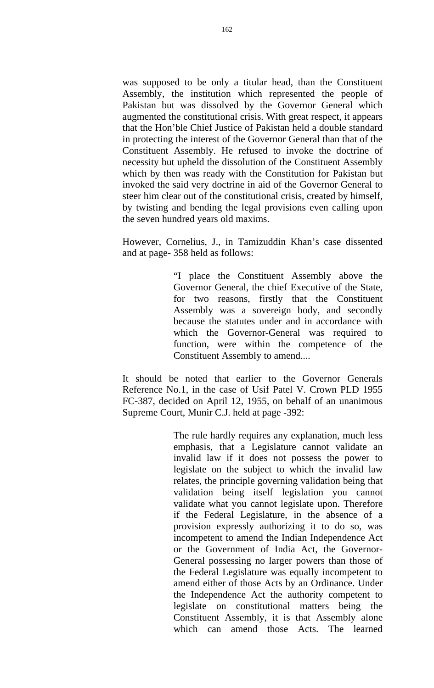was supposed to be only a titular head, than the Constituent Assembly, the institution which represented the people of Pakistan but was dissolved by the Governor General which augmented the constitutional crisis. With great respect, it appears that the Hon'ble Chief Justice of Pakistan held a double standard in protecting the interest of the Governor General than that of the Constituent Assembly. He refused to invoke the doctrine of necessity but upheld the dissolution of the Constituent Assembly which by then was ready with the Constitution for Pakistan but invoked the said very doctrine in aid of the Governor General to steer him clear out of the constitutional crisis, created by himself, by twisting and bending the legal provisions even calling upon the seven hundred years old maxims.

However, Cornelius, J., in Tamizuddin Khan's case dissented and at page- 358 held as follows:

> "I place the Constituent Assembly above the Governor General, the chief Executive of the State, for two reasons, firstly that the Constituent Assembly was a sovereign body, and secondly because the statutes under and in accordance with which the Governor-General was required to function, were within the competence of the Constituent Assembly to amend....

It should be noted that earlier to the Governor Generals Reference No.1, in the case of Usif Patel V. Crown PLD 1955 FC-387, decided on April 12, 1955, on behalf of an unanimous Supreme Court, Munir C.J. held at page -392:

> The rule hardly requires any explanation, much less emphasis, that a Legislature cannot validate an invalid law if it does not possess the power to legislate on the subject to which the invalid law relates, the principle governing validation being that validation being itself legislation you cannot validate what you cannot legislate upon. Therefore if the Federal Legislature, in the absence of a provision expressly authorizing it to do so, was incompetent to amend the Indian Independence Act or the Government of India Act, the Governor-General possessing no larger powers than those of the Federal Legislature was equally incompetent to amend either of those Acts by an Ordinance. Under the Independence Act the authority competent to legislate on constitutional matters being the Constituent Assembly, it is that Assembly alone which can amend those Acts. The learned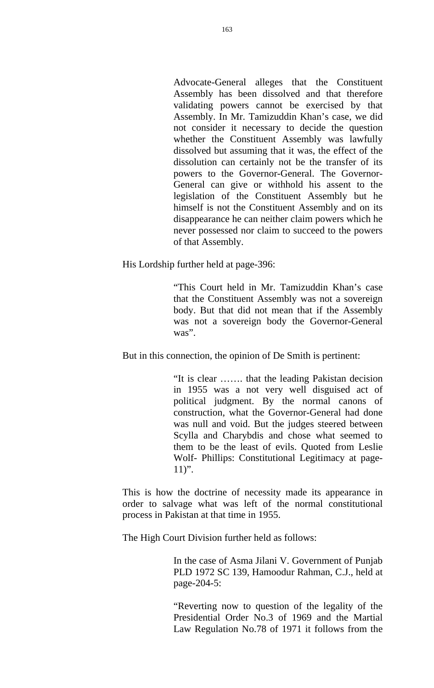Advocate-General alleges that the Constituent Assembly has been dissolved and that therefore validating powers cannot be exercised by that Assembly. In Mr. Tamizuddin Khan's case, we did not consider it necessary to decide the question whether the Constituent Assembly was lawfully dissolved but assuming that it was, the effect of the dissolution can certainly not be the transfer of its powers to the Governor-General. The Governor-General can give or withhold his assent to the legislation of the Constituent Assembly but he himself is not the Constituent Assembly and on its disappearance he can neither claim powers which he never possessed nor claim to succeed to the powers of that Assembly.

His Lordship further held at page-396:

"This Court held in Mr. Tamizuddin Khan's case that the Constituent Assembly was not a sovereign body. But that did not mean that if the Assembly was not a sovereign body the Governor-General was".

But in this connection, the opinion of De Smith is pertinent:

"It is clear ……. that the leading Pakistan decision in 1955 was a not very well disguised act of political judgment. By the normal canons of construction, what the Governor-General had done was null and void. But the judges steered between Scylla and Charybdis and chose what seemed to them to be the least of evils. Quoted from Leslie Wolf- Phillips: Constitutional Legitimacy at page- $11$ ".

This is how the doctrine of necessity made its appearance in order to salvage what was left of the normal constitutional process in Pakistan at that time in 1955.

The High Court Division further held as follows:

In the case of Asma Jilani V. Government of Punjab PLD 1972 SC 139, Hamoodur Rahman, C.J., held at page-204-5:

"Reverting now to question of the legality of the Presidential Order No.3 of 1969 and the Martial Law Regulation No.78 of 1971 it follows from the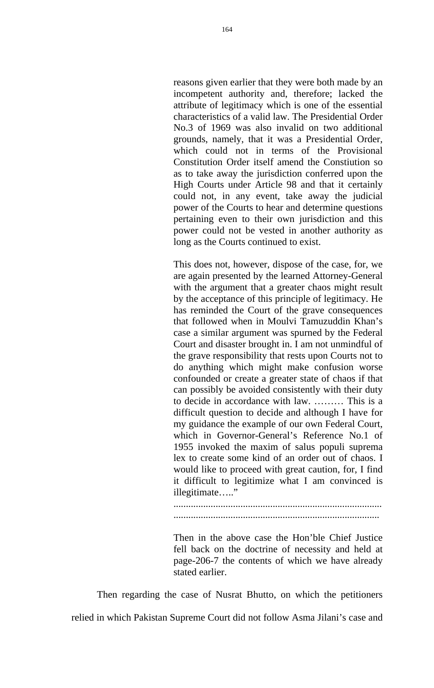reasons given earlier that they were both made by an incompetent authority and, therefore; lacked the attribute of legitimacy which is one of the essential characteristics of a valid law. The Presidential Order No.3 of 1969 was also invalid on two additional grounds, namely, that it was a Presidential Order, which could not in terms of the Provisional Constitution Order itself amend the Constiution so as to take away the jurisdiction conferred upon the High Courts under Article 98 and that it certainly could not, in any event, take away the judicial power of the Courts to hear and determine questions pertaining even to their own jurisdiction and this power could not be vested in another authority as long as the Courts continued to exist.

This does not, however, dispose of the case, for, we are again presented by the learned Attorney-General with the argument that a greater chaos might result by the acceptance of this principle of legitimacy. He has reminded the Court of the grave consequences that followed when in Moulvi Tamuzuddin Khan's case a similar argument was spurned by the Federal Court and disaster brought in. I am not unmindful of the grave responsibility that rests upon Courts not to do anything which might make confusion worse confounded or create a greater state of chaos if that can possibly be avoided consistently with their duty to decide in accordance with law. ……… This is a difficult question to decide and although I have for my guidance the example of our own Federal Court, which in Governor-General's Reference No.1 of 1955 invoked the maxim of salus populi suprema lex to create some kind of an order out of chaos. I would like to proceed with great caution, for, I find it difficult to legitimize what I am convinced is illegitimate....."

.................................................................................... ...................................................................................

Then in the above case the Hon'ble Chief Justice fell back on the doctrine of necessity and held at page-206-7 the contents of which we have already stated earlier.

Then regarding the case of Nusrat Bhutto, on which the petitioners relied in which Pakistan Supreme Court did not follow Asma Jilani's case and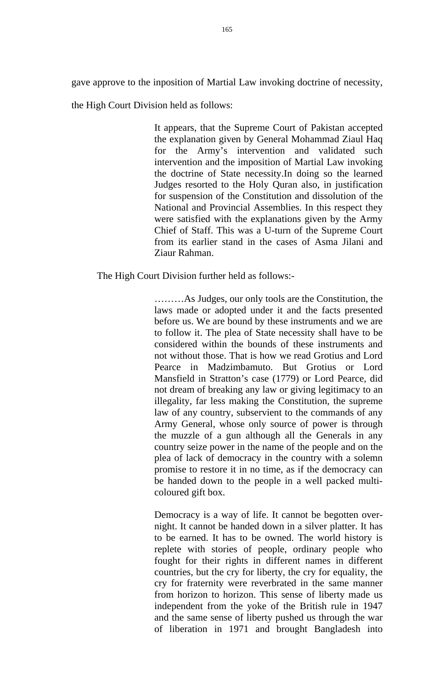gave approve to the inposition of Martial Law invoking doctrine of necessity,

the High Court Division held as follows:

It appears, that the Supreme Court of Pakistan accepted the explanation given by General Mohammad Ziaul Haq for the Army's intervention and validated such intervention and the imposition of Martial Law invoking the doctrine of State necessity.In doing so the learned Judges resorted to the Holy Quran also, in justification for suspension of the Constitution and dissolution of the National and Provincial Assemblies. In this respect they were satisfied with the explanations given by the Army Chief of Staff. This was a U-turn of the Supreme Court from its earlier stand in the cases of Asma Jilani and Ziaur Rahman.

The High Court Division further held as follows:-

………As Judges, our only tools are the Constitution, the laws made or adopted under it and the facts presented before us. We are bound by these instruments and we are to follow it. The plea of State necessity shall have to be considered within the bounds of these instruments and not without those. That is how we read Grotius and Lord Pearce in Madzimbamuto. But Grotius or Lord Mansfield in Stratton's case (1779) or Lord Pearce, did not dream of breaking any law or giving legitimacy to an illegality, far less making the Constitution, the supreme law of any country, subservient to the commands of any Army General, whose only source of power is through the muzzle of a gun although all the Generals in any country seize power in the name of the people and on the plea of lack of democracy in the country with a solemn promise to restore it in no time, as if the democracy can be handed down to the people in a well packed multicoloured gift box.

Democracy is a way of life. It cannot be begotten overnight. It cannot be handed down in a silver platter. It has to be earned. It has to be owned. The world history is replete with stories of people, ordinary people who fought for their rights in different names in different countries, but the cry for liberty, the cry for equality, the cry for fraternity were reverbrated in the same manner from horizon to horizon. This sense of liberty made us independent from the yoke of the British rule in 1947 and the same sense of liberty pushed us through the war of liberation in 1971 and brought Bangladesh into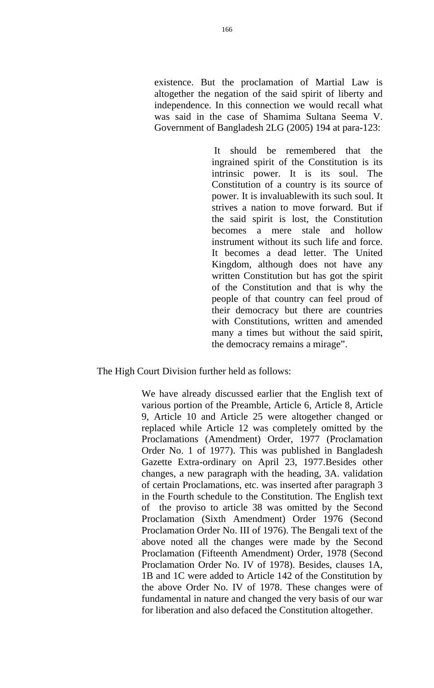existence. But the proclamation of Martial Law is altogether the negation of the said spirit of liberty and independence. In this connection we would recall what was said in the case of Shamima Sultana Seema V. Government of Bangladesh 2LG (2005) 194 at para-123:

> It should be remembered that the ingrained spirit of the Constitution is its intrinsic power. It is its soul. The Constitution of a country is its source of power. It is invaluablewith its such soul. It strives a nation to move forward. But if the said spirit is lost, the Constitution becomes a mere stale and hollow instrument without its such life and force. It becomes a dead letter. The United Kingdom, although does not have any written Constitution but has got the spirit of the Constitution and that is why the people of that country can feel proud of their democracy but there are countries with Constitutions, written and amended many a times but without the said spirit, the democracy remains a mirage".

## The High Court Division further held as follows:

We have already discussed earlier that the English text of various portion of the Preamble, Article 6, Article 8, Article 9, Article 10 and Article 25 were altogether changed or replaced while Article 12 was completely omitted by the Proclamations (Amendment) Order, 1977 (Proclamation Order No. 1 of 1977). This was published in Bangladesh Gazette Extra-ordinary on April 23, 1977.Besides other changes, a new paragraph with the heading, 3A. validation of certain Proclamations, etc. was inserted after paragraph 3 in the Fourth schedule to the Constitution. The English text of the proviso to article 38 was omitted by the Second Proclamation (Sixth Amendment) Order 1976 (Second Proclamation Order No. III of 1976). The Bengali text of the above noted all the changes were made by the Second Proclamation (Fifteenth Amendment) Order, 1978 (Second Proclamation Order No. IV of 1978). Besides, clauses 1A, 1B and 1C were added to Article 142 of the Constitution by the above Order No. IV of 1978. These changes were of fundamental in nature and changed the very basis of our war for liberation and also defaced the Constitution altogether.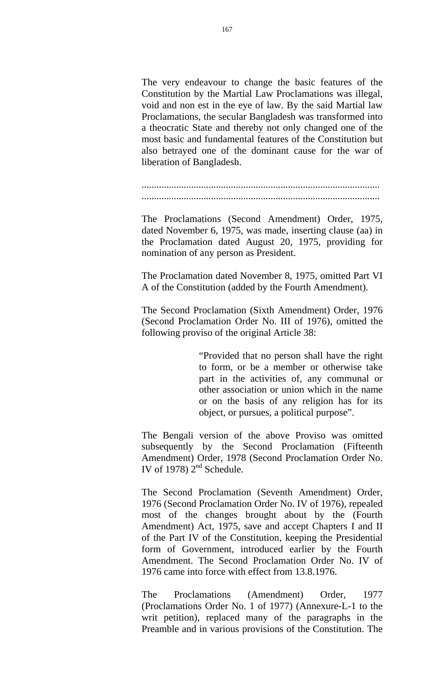The very endeavour to change the basic features of the Constitution by the Martial Law Proclamations was illegal, void and non est in the eye of law. By the said Martial law Proclamations, the secular Bangladesh was transformed into a theocratic State and thereby not only changed one of the most basic and fundamental features of the Constitution but also betrayed one of the dominant cause for the war of liberation of Bangladesh.

................................................................................................ ................................................................................................

The Proclamations (Second Amendment) Order, 1975, dated November 6, 1975, was made, inserting clause (aa) in the Proclamation dated August 20, 1975, providing for nomination of any person as President.

The Proclamation dated November 8, 1975, omitted Part VI A of the Constitution (added by the Fourth Amendment).

The Second Proclamation (Sixth Amendment) Order, 1976 (Second Proclamation Order No. III of 1976), omitted the following proviso of the original Article 38:

> "Provided that no person shall have the right to form, or be a member or otherwise take part in the activities of, any communal or other association or union which in the name or on the basis of any religion has for its object, or pursues, a political purpose".

The Bengali version of the above Proviso was omitted subsequently by the Second Proclamation (Fifteenth Amendment) Order, 1978 (Second Proclamation Order No. IV of 1978)  $2<sup>nd</sup>$  Schedule.

The Second Proclamation (Seventh Amendment) Order, 1976 (Second Proclamation Order No. IV of 1976), repealed most of the changes brought about by the (Fourth Amendment) Act, 1975, save and accept Chapters I and II of the Part IV of the Constitution, keeping the Presidential form of Government, introduced earlier by the Fourth Amendment. The Second Proclamation Order No. IV of 1976 came into force with effect from 13.8.1976.

The Proclamations (Amendment) Order, 1977 (Proclamations Order No. 1 of 1977) (Annexure-L-1 to the writ petition), replaced many of the paragraphs in the Preamble and in various provisions of the Constitution. The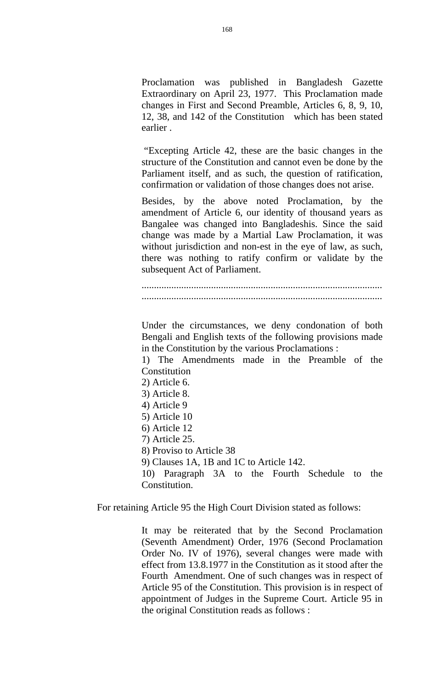Proclamation was published in Bangladesh Gazette Extraordinary on April 23, 1977. This Proclamation made changes in First and Second Preamble, Articles 6, 8, 9, 10, 12, 38, and 142 of the Constitution which has been stated earlier .

 "Excepting Article 42, these are the basic changes in the structure of the Constitution and cannot even be done by the Parliament itself, and as such, the question of ratification, confirmation or validation of those changes does not arise.

Besides, by the above noted Proclamation, by the amendment of Article 6, our identity of thousand years as Bangalee was changed into Bangladeshis. Since the said change was made by a Martial Law Proclamation, it was without jurisdiction and non-est in the eye of law, as such, there was nothing to ratify confirm or validate by the subsequent Act of Parliament.

................................................................................................. .................................................................................................

Under the circumstances, we deny condonation of both Bengali and English texts of the following provisions made in the Constitution by the various Proclamations :

1) The Amendments made in the Preamble of the Constitution

2) Article 6.

3) Article 8.

- 4) Article 9
- 5) Article 10
- 6) Article 12
- 7) Article 25.

8) Proviso to Article 38

9) Clauses 1A, 1B and 1C to Article 142.

10) Paragraph 3A to the Fourth Schedule to the Constitution.

For retaining Article 95 the High Court Division stated as follows:

It may be reiterated that by the Second Proclamation (Seventh Amendment) Order, 1976 (Second Proclamation Order No. IV of 1976), several changes were made with effect from 13.8.1977 in the Constitution as it stood after the Fourth Amendment. One of such changes was in respect of Article 95 of the Constitution. This provision is in respect of appointment of Judges in the Supreme Court. Article 95 in the original Constitution reads as follows :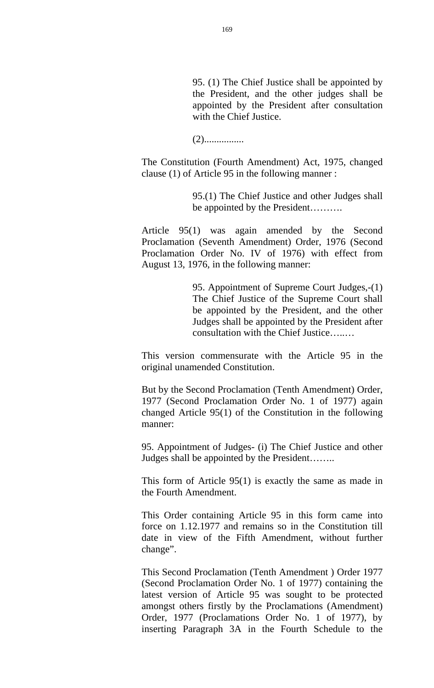95. (1) The Chief Justice shall be appointed by the President, and the other judges shall be appointed by the President after consultation with the Chief Justice.

(2)................

The Constitution (Fourth Amendment) Act, 1975, changed clause (1) of Article 95 in the following manner :

> 95.(1) The Chief Justice and other Judges shall be appointed by the President……….

Article 95(1) was again amended by the Second Proclamation (Seventh Amendment) Order, 1976 (Second Proclamation Order No. IV of 1976) with effect from August 13, 1976, in the following manner:

> 95. Appointment of Supreme Court Judges,-(1) The Chief Justice of the Supreme Court shall be appointed by the President, and the other Judges shall be appointed by the President after consultation with the Chief Justice…..…

This version commensurate with the Article 95 in the original unamended Constitution.

But by the Second Proclamation (Tenth Amendment) Order, 1977 (Second Proclamation Order No. 1 of 1977) again changed Article 95(1) of the Constitution in the following manner:

95. Appointment of Judges- (i) The Chief Justice and other Judges shall be appointed by the President……..

This form of Article 95(1) is exactly the same as made in the Fourth Amendment.

This Order containing Article 95 in this form came into force on 1.12.1977 and remains so in the Constitution till date in view of the Fifth Amendment, without further change".

This Second Proclamation (Tenth Amendment ) Order 1977 (Second Proclamation Order No. 1 of 1977) containing the latest version of Article 95 was sought to be protected amongst others firstly by the Proclamations (Amendment) Order, 1977 (Proclamations Order No. 1 of 1977), by inserting Paragraph 3A in the Fourth Schedule to the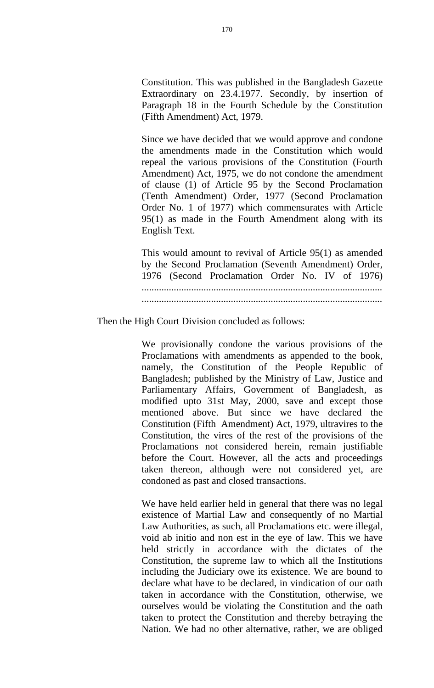Constitution. This was published in the Bangladesh Gazette Extraordinary on 23.4.1977. Secondly, by insertion of Paragraph 18 in the Fourth Schedule by the Constitution (Fifth Amendment) Act, 1979.

Since we have decided that we would approve and condone the amendments made in the Constitution which would repeal the various provisions of the Constitution (Fourth Amendment) Act, 1975, we do not condone the amendment of clause (1) of Article 95 by the Second Proclamation (Tenth Amendment) Order, 1977 (Second Proclamation Order No. 1 of 1977) which commensurates with Article 95(1) as made in the Fourth Amendment along with its English Text.

This would amount to revival of Article 95(1) as amended by the Second Proclamation (Seventh Amendment) Order, 1976 (Second Proclamation Order No. IV of 1976) ................................................................................................. .................................................................................................

Then the High Court Division concluded as follows:

We provisionally condone the various provisions of the Proclamations with amendments as appended to the book, namely, the Constitution of the People Republic of Bangladesh; published by the Ministry of Law, Justice and Parliamentary Affairs, Government of Bangladesh, as modified upto 31st May, 2000, save and except those mentioned above. But since we have declared the Constitution (Fifth Amendment) Act, 1979, ultravires to the Constitution, the vires of the rest of the provisions of the Proclamations not considered herein, remain justifiable before the Court. However, all the acts and proceedings taken thereon, although were not considered yet, are condoned as past and closed transactions.

We have held earlier held in general that there was no legal existence of Martial Law and consequently of no Martial Law Authorities, as such, all Proclamations etc. were illegal, void ab initio and non est in the eye of law. This we have held strictly in accordance with the dictates of the Constitution, the supreme law to which all the Institutions including the Judiciary owe its existence. We are bound to declare what have to be declared, in vindication of our oath taken in accordance with the Constitution, otherwise, we ourselves would be violating the Constitution and the oath taken to protect the Constitution and thereby betraying the Nation. We had no other alternative, rather, we are obliged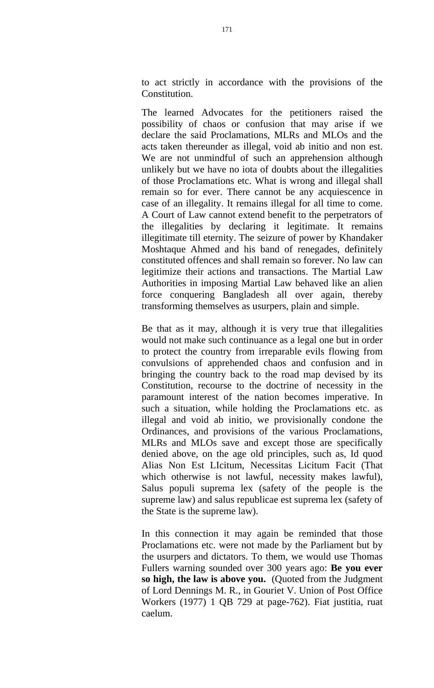to act strictly in accordance with the provisions of the Constitution.

The learned Advocates for the petitioners raised the possibility of chaos or confusion that may arise if we declare the said Proclamations, MLRs and MLOs and the acts taken thereunder as illegal, void ab initio and non est. We are not unmindful of such an apprehension although unlikely but we have no iota of doubts about the illegalities of those Proclamations etc. What is wrong and illegal shall remain so for ever. There cannot be any acquiescence in case of an illegality. It remains illegal for all time to come. A Court of Law cannot extend benefit to the perpetrators of the illegalities by declaring it legitimate. It remains illegitimate till eternity. The seizure of power by Khandaker Moshtaque Ahmed and his band of renegades, definitely constituted offences and shall remain so forever. No law can legitimize their actions and transactions. The Martial Law Authorities in imposing Martial Law behaved like an alien force conquering Bangladesh all over again, thereby transforming themselves as usurpers, plain and simple.

Be that as it may, although it is very true that illegalities would not make such continuance as a legal one but in order to protect the country from irreparable evils flowing from convulsions of apprehended chaos and confusion and in bringing the country back to the road map devised by its Constitution, recourse to the doctrine of necessity in the paramount interest of the nation becomes imperative. In such a situation, while holding the Proclamations etc. as illegal and void ab initio, we provisionally condone the Ordinances, and provisions of the various Proclamations, MLRs and MLOs save and except those are specifically denied above, on the age old principles, such as, Id quod Alias Non Est LIcitum, Necessitas Licitum Facit (That which otherwise is not lawful, necessity makes lawful), Salus populi suprema lex (safety of the people is the supreme law) and salus republicae est suprema lex (safety of the State is the supreme law).

In this connection it may again be reminded that those Proclamations etc. were not made by the Parliament but by the usurpers and dictators. To them, we would use Thomas Fullers warning sounded over 300 years ago: **Be you ever so high, the law is above you.** (Quoted from the Judgment of Lord Dennings M. R., in Gouriet V. Union of Post Office Workers (1977) 1 QB 729 at page-762). Fiat justitia, ruat caelum.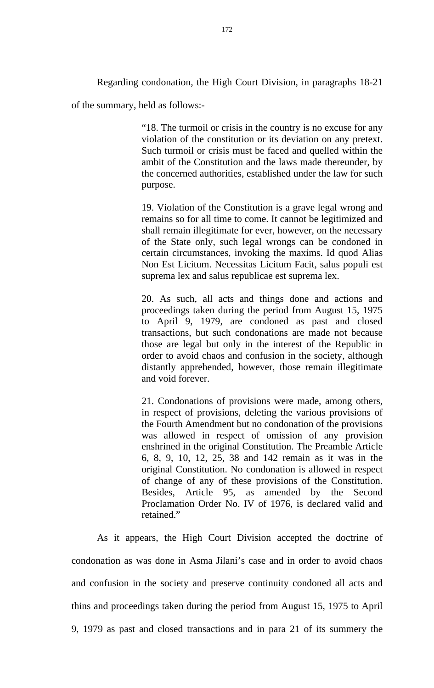Regarding condonation, the High Court Division, in paragraphs 18-21

of the summary, held as follows:-

"18. The turmoil or crisis in the country is no excuse for any violation of the constitution or its deviation on any pretext. Such turmoil or crisis must be faced and quelled within the ambit of the Constitution and the laws made thereunder, by the concerned authorities, established under the law for such purpose.

19. Violation of the Constitution is a grave legal wrong and remains so for all time to come. It cannot be legitimized and shall remain illegitimate for ever, however, on the necessary of the State only, such legal wrongs can be condoned in certain circumstances, invoking the maxims. Id quod Alias Non Est Licitum. Necessitas Licitum Facit, salus populi est suprema lex and salus republicae est suprema lex.

20. As such, all acts and things done and actions and proceedings taken during the period from August 15, 1975 to April 9, 1979, are condoned as past and closed transactions, but such condonations are made not because those are legal but only in the interest of the Republic in order to avoid chaos and confusion in the society, although distantly apprehended, however, those remain illegitimate and void forever.

21. Condonations of provisions were made, among others, in respect of provisions, deleting the various provisions of the Fourth Amendment but no condonation of the provisions was allowed in respect of omission of any provision enshrined in the original Constitution. The Preamble Article 6, 8, 9, 10, 12, 25, 38 and 142 remain as it was in the original Constitution. No condonation is allowed in respect of change of any of these provisions of the Constitution. Besides, Article 95, as amended by the Second Proclamation Order No. IV of 1976, is declared valid and retained."

 As it appears, the High Court Division accepted the doctrine of condonation as was done in Asma Jilani's case and in order to avoid chaos and confusion in the society and preserve continuity condoned all acts and thins and proceedings taken during the period from August 15, 1975 to April 9, 1979 as past and closed transactions and in para 21 of its summery the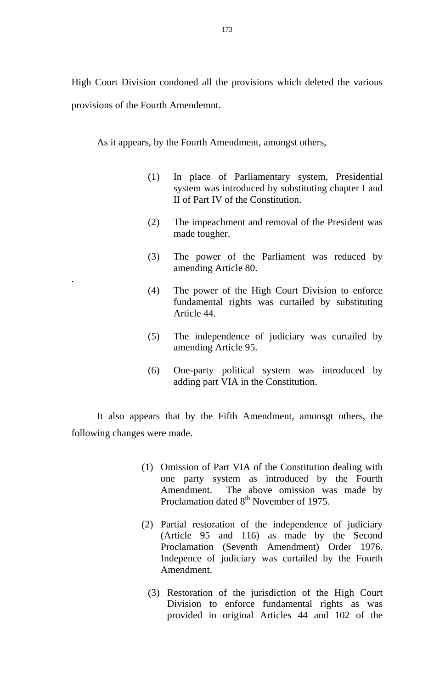High Court Division condoned all the provisions which deleted the various provisions of the Fourth Amendemnt.

As it appears, by the Fourth Amendment, amongst others,

.

- (1) In place of Parliamentary system, Presidential system was introduced by substituting chapter I and II of Part IV of the Constitution.
- (2) The impeachment and removal of the President was made tougher.
- (3) The power of the Parliament was reduced by amending Article 80.
- (4) The power of the High Court Division to enforce fundamental rights was curtailed by substituting Article 44.
- (5) The independence of judiciary was curtailed by amending Article 95.
- (6) One-party political system was introduced by adding part VIA in the Constitution.

It also appears that by the Fifth Amendment, amonsgt others, the following changes were made.

- (1) Omission of Part VIA of the Constitution dealing with one party system as introduced by the Fourth Amendment. The above omission was made by Proclamation dated 8<sup>th</sup> November of 1975.
- (2) Partial restoration of the independence of judiciary (Article 95 and 116) as made by the Second Proclamation (Seventh Amendment) Order 1976. Indepence of judiciary was curtailed by the Fourth Amendment.
	- (3) Restoration of the jurisdiction of the High Court Division to enforce fundamental rights as was provided in original Articles 44 and 102 of the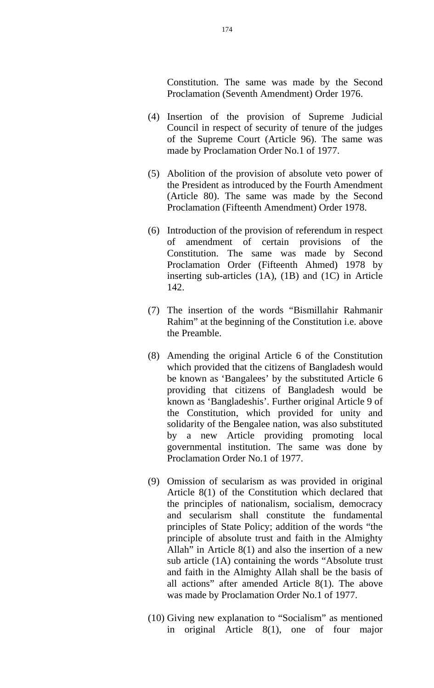Constitution. The same was made by the Second Proclamation (Seventh Amendment) Order 1976.

- (4) Insertion of the provision of Supreme Judicial Council in respect of security of tenure of the judges of the Supreme Court (Article 96). The same was made by Proclamation Order No.1 of 1977.
- (5) Abolition of the provision of absolute veto power of the President as introduced by the Fourth Amendment (Article 80). The same was made by the Second Proclamation (Fifteenth Amendment) Order 1978.
- (6) Introduction of the provision of referendum in respect of amendment of certain provisions of the Constitution. The same was made by Second Proclamation Order (Fifteenth Ahmed) 1978 by inserting sub-articles (1A), (1B) and (1C) in Article 142.
- (7) The insertion of the words "Bismillahir Rahmanir Rahim" at the beginning of the Constitution i.e. above the Preamble.
- (8) Amending the original Article 6 of the Constitution which provided that the citizens of Bangladesh would be known as 'Bangalees' by the substituted Article 6 providing that citizens of Bangladesh would be known as 'Bangladeshis'. Further original Article 9 of the Constitution, which provided for unity and solidarity of the Bengalee nation, was also substituted by a new Article providing promoting local governmental institution. The same was done by Proclamation Order No.1 of 1977.
- (9) Omission of secularism as was provided in original Article 8(1) of the Constitution which declared that the principles of nationalism, socialism, democracy and secularism shall constitute the fundamental principles of State Policy; addition of the words "the principle of absolute trust and faith in the Almighty Allah" in Article 8(1) and also the insertion of a new sub article (1A) containing the words "Absolute trust and faith in the Almighty Allah shall be the basis of all actions" after amended Article 8(1). The above was made by Proclamation Order No.1 of 1977.
- (10) Giving new explanation to "Socialism" as mentioned in original Article 8(1), one of four major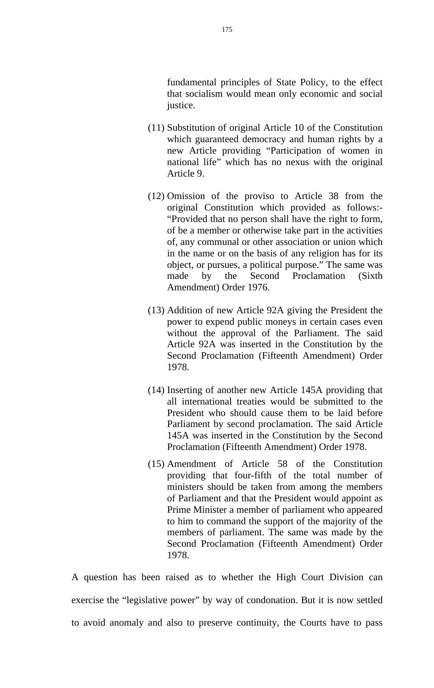fundamental principles of State Policy, to the effect that socialism would mean only economic and social justice.

- (11) Substitution of original Article 10 of the Constitution which guaranteed democracy and human rights by a new Article providing "Participation of women in national life" which has no nexus with the original Article 9.
- (12) Omission of the proviso to Article 38 from the original Constitution which provided as follows:- "Provided that no person shall have the right to form, of be a member or otherwise take part in the activities of, any communal or other association or union which in the name or on the basis of any religion has for its object, or pursues, a political purpose." The same was made by the Second Proclamation (Sixth Amendment) Order 1976.
- (13) Addition of new Article 92A giving the President the power to expend public moneys in certain cases even without the approval of the Parliament. The said Article 92A was inserted in the Constitution by the Second Proclamation (Fifteenth Amendment) Order 1978.
- (14) Inserting of another new Article 145A providing that all international treaties would be submitted to the President who should cause them to be laid before Parliament by second proclamation. The said Article 145A was inserted in the Constitution by the Second Proclamation (Fifteenth Amendment) Order 1978.
- (15) Amendment of Article 58 of the Constitution providing that four-fifth of the total number of ministers should be taken from among the members of Parliament and that the President would appoint as Prime Minister a member of parliament who appeared to him to command the support of the majority of the members of parliament. The same was made by the Second Proclamation (Fifteenth Amendment) Order 1978.

A question has been raised as to whether the High Court Division can exercise the "legislative power" by way of condonation. But it is now settled to avoid anomaly and also to preserve continuity, the Courts have to pass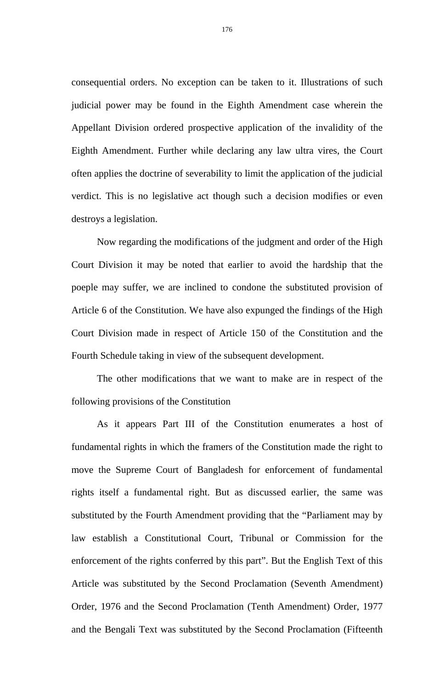consequential orders. No exception can be taken to it. Illustrations of such judicial power may be found in the Eighth Amendment case wherein the Appellant Division ordered prospective application of the invalidity of the Eighth Amendment. Further while declaring any law ultra vires, the Court often applies the doctrine of severability to limit the application of the judicial verdict. This is no legislative act though such a decision modifies or even destroys a legislation.

 Now regarding the modifications of the judgment and order of the High Court Division it may be noted that earlier to avoid the hardship that the poeple may suffer, we are inclined to condone the substituted provision of Article 6 of the Constitution. We have also expunged the findings of the High Court Division made in respect of Article 150 of the Constitution and the Fourth Schedule taking in view of the subsequent development.

The other modifications that we want to make are in respect of the following provisions of the Constitution

 As it appears Part III of the Constitution enumerates a host of fundamental rights in which the framers of the Constitution made the right to move the Supreme Court of Bangladesh for enforcement of fundamental rights itself a fundamental right. But as discussed earlier, the same was substituted by the Fourth Amendment providing that the "Parliament may by law establish a Constitutional Court, Tribunal or Commission for the enforcement of the rights conferred by this part". But the English Text of this Article was substituted by the Second Proclamation (Seventh Amendment) Order, 1976 and the Second Proclamation (Tenth Amendment) Order, 1977 and the Bengali Text was substituted by the Second Proclamation (Fifteenth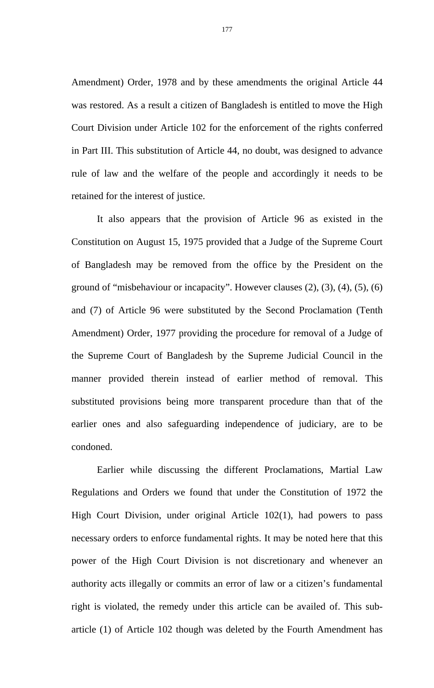Amendment) Order, 1978 and by these amendments the original Article 44 was restored. As a result a citizen of Bangladesh is entitled to move the High Court Division under Article 102 for the enforcement of the rights conferred in Part III. This substitution of Article 44, no doubt, was designed to advance rule of law and the welfare of the people and accordingly it needs to be retained for the interest of justice.

 It also appears that the provision of Article 96 as existed in the Constitution on August 15, 1975 provided that a Judge of the Supreme Court of Bangladesh may be removed from the office by the President on the ground of "misbehaviour or incapacity". However clauses (2), (3), (4), (5), (6) and (7) of Article 96 were substituted by the Second Proclamation (Tenth Amendment) Order, 1977 providing the procedure for removal of a Judge of the Supreme Court of Bangladesh by the Supreme Judicial Council in the manner provided therein instead of earlier method of removal. This substituted provisions being more transparent procedure than that of the earlier ones and also safeguarding independence of judiciary, are to be condoned.

 Earlier while discussing the different Proclamations, Martial Law Regulations and Orders we found that under the Constitution of 1972 the High Court Division, under original Article 102(1), had powers to pass necessary orders to enforce fundamental rights. It may be noted here that this power of the High Court Division is not discretionary and whenever an authority acts illegally or commits an error of law or a citizen's fundamental right is violated, the remedy under this article can be availed of. This subarticle (1) of Article 102 though was deleted by the Fourth Amendment has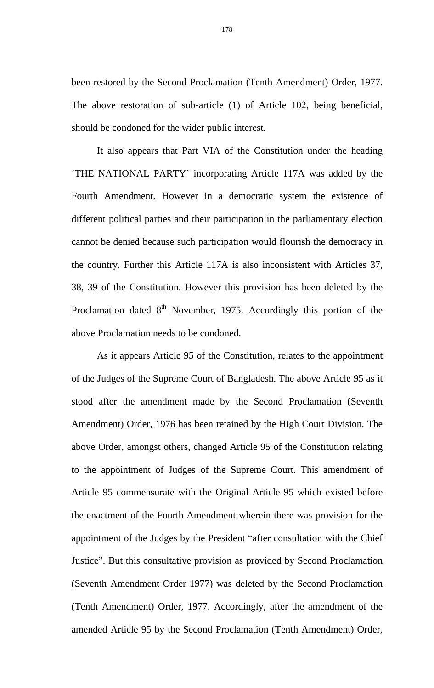been restored by the Second Proclamation (Tenth Amendment) Order, 1977. The above restoration of sub-article (1) of Article 102, being beneficial, should be condoned for the wider public interest.

 It also appears that Part VIA of the Constitution under the heading 'THE NATIONAL PARTY' incorporating Article 117A was added by the Fourth Amendment. However in a democratic system the existence of different political parties and their participation in the parliamentary election cannot be denied because such participation would flourish the democracy in the country. Further this Article 117A is also inconsistent with Articles 37, 38, 39 of the Constitution. However this provision has been deleted by the Proclamation dated  $8<sup>th</sup>$  November, 1975. Accordingly this portion of the above Proclamation needs to be condoned.

 As it appears Article 95 of the Constitution, relates to the appointment of the Judges of the Supreme Court of Bangladesh. The above Article 95 as it stood after the amendment made by the Second Proclamation (Seventh Amendment) Order, 1976 has been retained by the High Court Division. The above Order, amongst others, changed Article 95 of the Constitution relating to the appointment of Judges of the Supreme Court. This amendment of Article 95 commensurate with the Original Article 95 which existed before the enactment of the Fourth Amendment wherein there was provision for the appointment of the Judges by the President "after consultation with the Chief Justice". But this consultative provision as provided by Second Proclamation (Seventh Amendment Order 1977) was deleted by the Second Proclamation (Tenth Amendment) Order, 1977. Accordingly, after the amendment of the amended Article 95 by the Second Proclamation (Tenth Amendment) Order,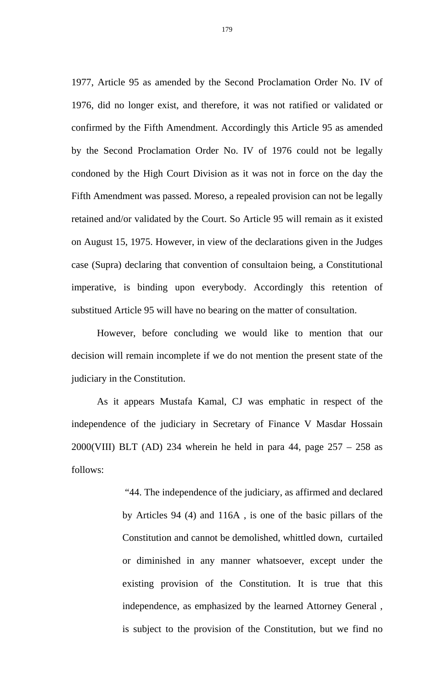1977, Article 95 as amended by the Second Proclamation Order No. IV of 1976, did no longer exist, and therefore, it was not ratified or validated or confirmed by the Fifth Amendment. Accordingly this Article 95 as amended by the Second Proclamation Order No. IV of 1976 could not be legally condoned by the High Court Division as it was not in force on the day the Fifth Amendment was passed. Moreso, a repealed provision can not be legally retained and/or validated by the Court. So Article 95 will remain as it existed on August 15, 1975. However, in view of the declarations given in the Judges case (Supra) declaring that convention of consultaion being, a Constitutional imperative, is binding upon everybody. Accordingly this retention of substitued Article 95 will have no bearing on the matter of consultation.

However, before concluding we would like to mention that our decision will remain incomplete if we do not mention the present state of the judiciary in the Constitution.

 As it appears Mustafa Kamal, CJ was emphatic in respect of the independence of the judiciary in Secretary of Finance V Masdar Hossain  $2000$ (VIII) BLT (AD) 234 wherein he held in para 44, page  $257 - 258$  as follows:

> "44. The independence of the judiciary, as affirmed and declared by Articles 94 (4) and 116A , is one of the basic pillars of the Constitution and cannot be demolished, whittled down, curtailed or diminished in any manner whatsoever, except under the existing provision of the Constitution. It is true that this independence, as emphasized by the learned Attorney General , is subject to the provision of the Constitution, but we find no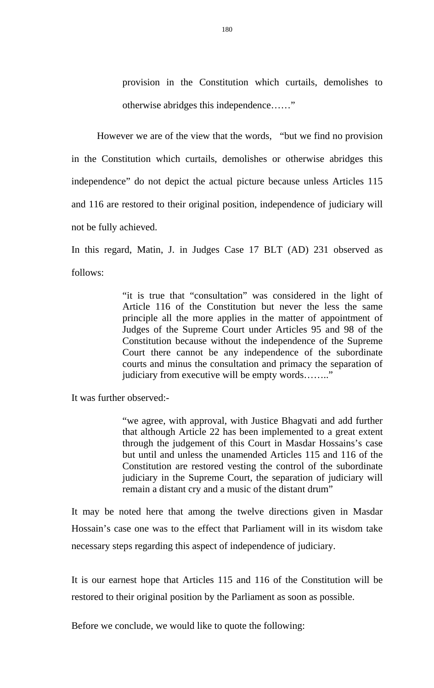provision in the Constitution which curtails, demolishes to otherwise abridges this independence……"

However we are of the view that the words, "but we find no provision in the Constitution which curtails, demolishes or otherwise abridges this independence" do not depict the actual picture because unless Articles 115 and 116 are restored to their original position, independence of judiciary will not be fully achieved.

In this regard, Matin, J. in Judges Case 17 BLT (AD) 231 observed as follows:

> "it is true that "consultation" was considered in the light of Article 116 of the Constitution but never the less the same principle all the more applies in the matter of appointment of Judges of the Supreme Court under Articles 95 and 98 of the Constitution because without the independence of the Supreme Court there cannot be any independence of the subordinate courts and minus the consultation and primacy the separation of judiciary from executive will be empty words…….."

It was further observed:-

"we agree, with approval, with Justice Bhagvati and add further that although Article 22 has been implemented to a great extent through the judgement of this Court in Masdar Hossains's case but until and unless the unamended Articles 115 and 116 of the Constitution are restored vesting the control of the subordinate judiciary in the Supreme Court, the separation of judiciary will remain a distant cry and a music of the distant drum"

It may be noted here that among the twelve directions given in Masdar Hossain's case one was to the effect that Parliament will in its wisdom take necessary steps regarding this aspect of independence of judiciary.

It is our earnest hope that Articles 115 and 116 of the Constitution will be restored to their original position by the Parliament as soon as possible.

Before we conclude, we would like to quote the following: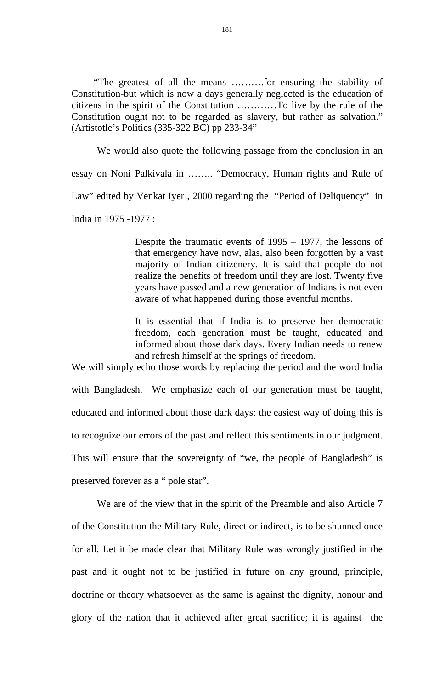"The greatest of all the means ……….for ensuring the stability of Constitution-but which is now a days generally neglected is the education of citizens in the spirit of the Constitution …………To live by the rule of the Constitution ought not to be regarded as slavery, but rather as salvation." (Artistotle's Politics (335-322 BC) pp 233-34"

We would also quote the following passage from the conclusion in an essay on Noni Palkivala in …….. "Democracy, Human rights and Rule of Law" edited by Venkat Iyer , 2000 regarding the "Period of Deliquency" in India in 1975 -1977 :

> Despite the traumatic events of 1995 – 1977, the lessons of that emergency have now, alas, also been forgotten by a vast majority of Indian citizenery. It is said that people do not realize the benefits of freedom until they are lost. Twenty five years have passed and a new generation of Indians is not even aware of what happened during those eventful months.

> It is essential that if India is to preserve her democratic freedom, each generation must be taught, educated and informed about those dark days. Every Indian needs to renew and refresh himself at the springs of freedom.

We will simply echo those words by replacing the period and the word India with Bangladesh. We emphasize each of our generation must be taught, educated and informed about those dark days: the easiest way of doing this is to recognize our errors of the past and reflect this sentiments in our judgment. This will ensure that the sovereignty of "we, the people of Bangladesh" is preserved forever as a " pole star".

We are of the view that in the spirit of the Preamble and also Article 7 of the Constitution the Military Rule, direct or indirect, is to be shunned once for all. Let it be made clear that Military Rule was wrongly justified in the past and it ought not to be justified in future on any ground, principle, doctrine or theory whatsoever as the same is against the dignity, honour and glory of the nation that it achieved after great sacrifice; it is against the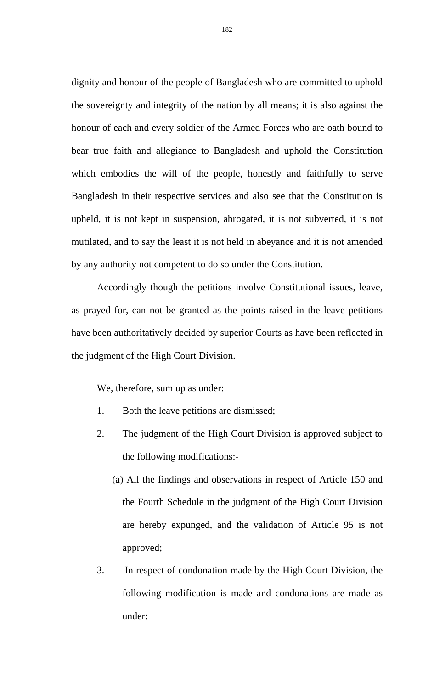dignity and honour of the people of Bangladesh who are committed to uphold the sovereignty and integrity of the nation by all means; it is also against the honour of each and every soldier of the Armed Forces who are oath bound to bear true faith and allegiance to Bangladesh and uphold the Constitution which embodies the will of the people, honestly and faithfully to serve Bangladesh in their respective services and also see that the Constitution is upheld, it is not kept in suspension, abrogated, it is not subverted, it is not mutilated, and to say the least it is not held in abeyance and it is not amended by any authority not competent to do so under the Constitution.

Accordingly though the petitions involve Constitutional issues, leave, as prayed for, can not be granted as the points raised in the leave petitions have been authoritatively decided by superior Courts as have been reflected in the judgment of the High Court Division.

We, therefore, sum up as under:

- 1. Both the leave petitions are dismissed;
- 2. The judgment of the High Court Division is approved subject to the following modifications:-
	- (a) All the findings and observations in respect of Article 150 and the Fourth Schedule in the judgment of the High Court Division are hereby expunged, and the validation of Article 95 is not approved;
- 3. In respect of condonation made by the High Court Division, the following modification is made and condonations are made as under: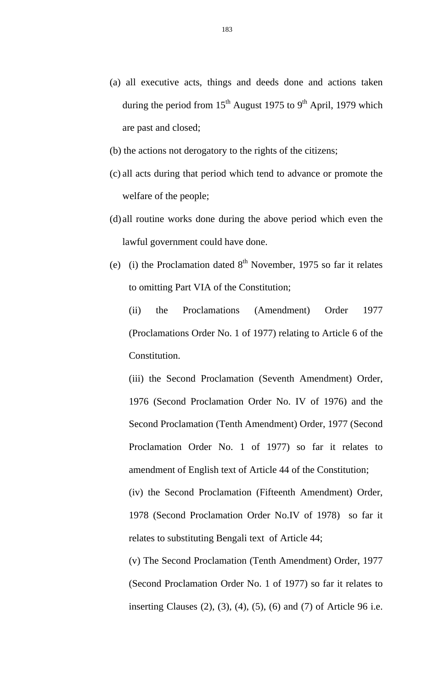- (a) all executive acts, things and deeds done and actions taken during the period from  $15<sup>th</sup>$  August 1975 to 9<sup>th</sup> April, 1979 which are past and closed;
- (b) the actions not derogatory to the rights of the citizens;
- (c) all acts during that period which tend to advance or promote the welfare of the people;
- (d) all routine works done during the above period which even the lawful government could have done.
- (e) (i) the Proclamation dated  $8<sup>th</sup>$  November, 1975 so far it relates to omitting Part VIA of the Constitution;

(ii) the Proclamations (Amendment) Order 1977 (Proclamations Order No. 1 of 1977) relating to Article 6 of the Constitution.

(iii) the Second Proclamation (Seventh Amendment) Order, 1976 (Second Proclamation Order No. IV of 1976) and the Second Proclamation (Tenth Amendment) Order, 1977 (Second Proclamation Order No. 1 of 1977) so far it relates to amendment of English text of Article 44 of the Constitution;

(iv) the Second Proclamation (Fifteenth Amendment) Order, 1978 (Second Proclamation Order No.IV of 1978) so far it relates to substituting Bengali text of Article 44;

(v) The Second Proclamation (Tenth Amendment) Order, 1977 (Second Proclamation Order No. 1 of 1977) so far it relates to inserting Clauses (2), (3), (4), (5), (6) and (7) of Article 96 i.e.